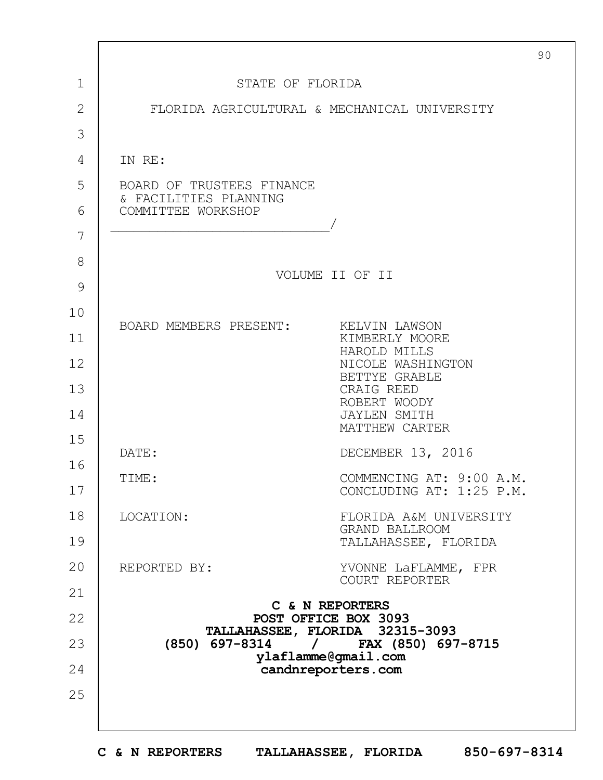|                | 90                                                                        |  |
|----------------|---------------------------------------------------------------------------|--|
| $\mathbf{1}$   | STATE OF FLORIDA                                                          |  |
| $\overline{2}$ | FLORIDA AGRICULTURAL & MECHANICAL UNIVERSITY                              |  |
| 3              |                                                                           |  |
| 4              | IN RE:                                                                    |  |
| 5              | BOARD OF TRUSTEES FINANCE                                                 |  |
| 6              | & FACILITIES PLANNING<br>COMMITTEE WORKSHOP                               |  |
| 7              |                                                                           |  |
| 8              | VOLUME II OF II                                                           |  |
| 9              |                                                                           |  |
| 10             | BOARD MEMBERS PRESENT:<br>KELVIN LAWSON                                   |  |
| 11             | KIMBERLY MOORE<br>HAROLD MILLS                                            |  |
| 12             | NICOLE WASHINGTON<br>BETTYE GRABLE                                        |  |
| 13             | CRAIG REED<br>ROBERT WOODY                                                |  |
| 14             | <b>JAYLEN SMITH</b><br>MATTHEW CARTER                                     |  |
| 15             | DECEMBER 13, 2016<br>DATE:                                                |  |
| 16             | COMMENCING AT: 9:00 A.M.<br>TIME:                                         |  |
| 17             | CONCLUDING AT: 1:25 P.M.                                                  |  |
| 18             | LOCATION:<br>FLORIDA A&M UNIVERSITY<br>GRAND BALLROOM                     |  |
| 19             | TALLAHASSEE, FLORIDA                                                      |  |
| 20             | REPORTED BY:<br>YVONNE LaFLAMME, FPR<br>COURT REPORTER                    |  |
| 21             | C & N REPORTERS                                                           |  |
| 22             | POST OFFICE BOX 3093<br>TALLAHASSEE, FLORIDA 32315-3093                   |  |
| 23             | (850) 697-8314<br>FAX (850) 697-8715<br>$\sqrt{2}$<br>ylaflamme@gmail.com |  |
| 24             | candnreporters.com                                                        |  |
| 25             |                                                                           |  |
|                |                                                                           |  |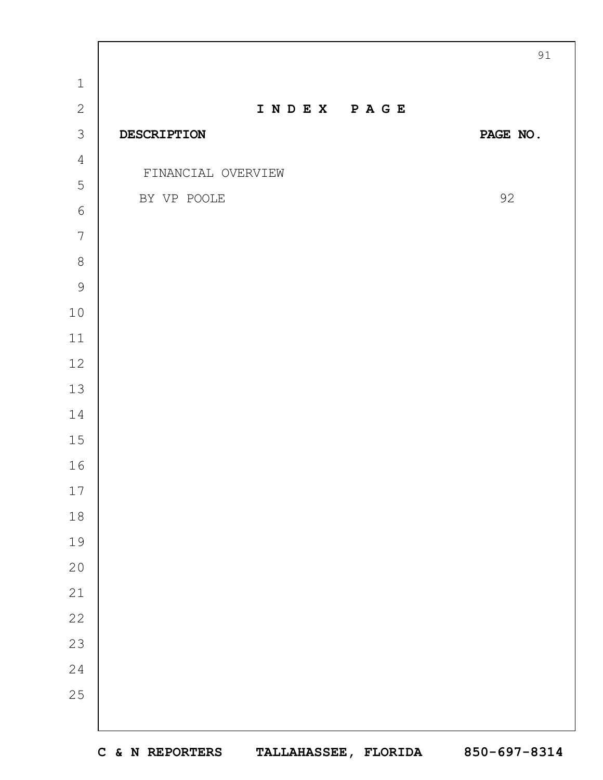|                |                    | 91       |
|----------------|--------------------|----------|
| $\,1\,$        |                    |          |
| $\mathbf{2}$   | INDEX PAGE         |          |
| $\mathcal{S}$  | DESCRIPTION        | PAGE NO. |
| $\overline{4}$ | FINANCIAL OVERVIEW |          |
| 5              | BY VP POOLE        | 92       |
| $\sqrt{6}$     |                    |          |
| $\overline{7}$ |                    |          |
| $8\,$          |                    |          |
| $\mathcal{G}$  |                    |          |
| $10$           |                    |          |
| $11$           |                    |          |
| $12$           |                    |          |
| $13$           |                    |          |
| 14             |                    |          |
| 15             |                    |          |
| 16             |                    |          |
| $17\,$         |                    |          |
| 18             |                    |          |
| 19             |                    |          |
| 20             |                    |          |
| 21             |                    |          |
| 22             |                    |          |
| 23             |                    |          |
| 24             |                    |          |
| 25             |                    |          |
|                |                    |          |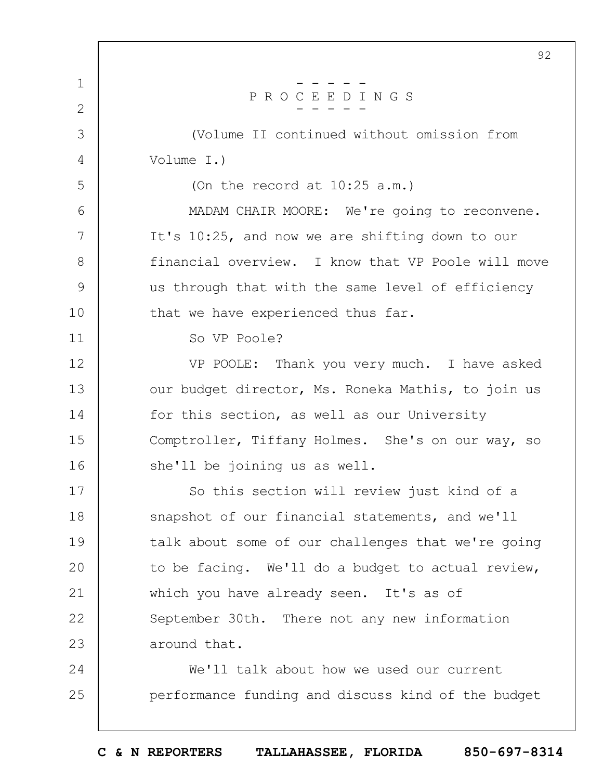|               | 92                                                 |
|---------------|----------------------------------------------------|
| $\mathbf 1$   |                                                    |
| $\mathbf{2}$  | PROCEEDINGS                                        |
| 3             | (Volume II continued without omission from         |
| 4             | Volume I.)                                         |
| 5             | (On the record at $10:25$ a.m.)                    |
| 6             | MADAM CHAIR MOORE: We're going to reconvene.       |
| 7             | It's 10:25, and now we are shifting down to our    |
| 8             | financial overview. I know that VP Poole will move |
| $\mathcal{G}$ | us through that with the same level of efficiency  |
| 10            | that we have experienced thus far.                 |
| 11            | So VP Poole?                                       |
| 12            | VP POOLE: Thank you very much. I have asked        |
| 13            | our budget director, Ms. Roneka Mathis, to join us |
| 14            | for this section, as well as our University        |
| 15            | Comptroller, Tiffany Holmes. She's on our way, so  |
| 16            | she'll be joining us as well.                      |
| 17            | So this section will review just kind of a         |
| 18            | snapshot of our financial statements, and we'll    |
| 19            | talk about some of our challenges that we're going |
| 20            | to be facing. We'll do a budget to actual review,  |
| 21            | which you have already seen. It's as of            |
| 22            | September 30th. There not any new information      |
| 23            | around that.                                       |
| 24            | We'll talk about how we used our current           |
| 25            | performance funding and discuss kind of the budget |
|               |                                                    |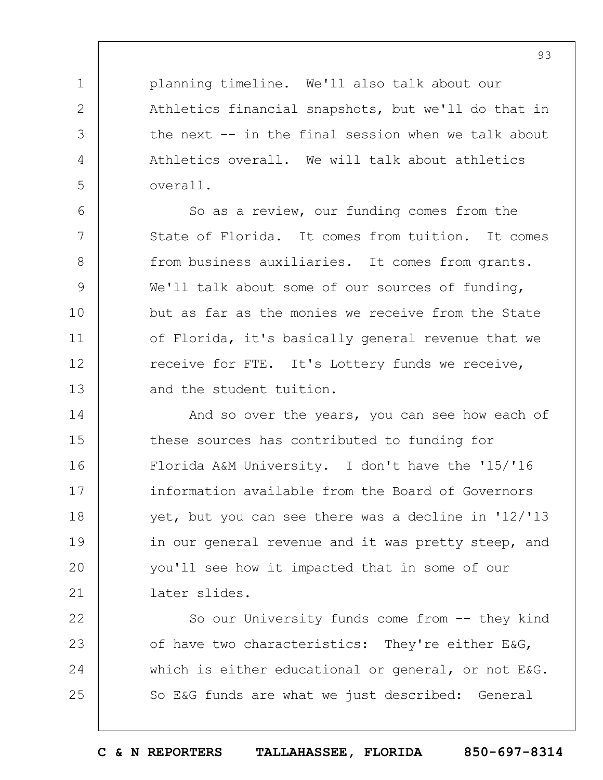planning timeline. We'll also talk about our Athletics financial snapshots, but we'll do that in the next -- in the final session when we talk about Athletics overall. We will talk about athletics overall.

1

2

3

4

5

6 7 8 9 10 11 12 13 So as a review, our funding comes from the State of Florida. It comes from tuition. It comes from business auxiliaries. It comes from grants. We'll talk about some of our sources of funding, but as far as the monies we receive from the State of Florida, it's basically general revenue that we receive for FTE. It's Lottery funds we receive, and the student tuition.

14 15 16 17 18 19  $20$ 21 And so over the years, you can see how each of these sources has contributed to funding for Florida A&M University. I don't have the '15/'16 information available from the Board of Governors yet, but you can see there was a decline in '12/'13 in our general revenue and it was pretty steep, and you'll see how it impacted that in some of our later slides.

22 23 24 25 So our University funds come from -- they kind of have two characteristics: They're either E&G, which is either educational or general, or not E&G. So E&G funds are what we just described: General

**C & N REPORTERS TALLAHASSEE, FLORIDA 850-697-8314**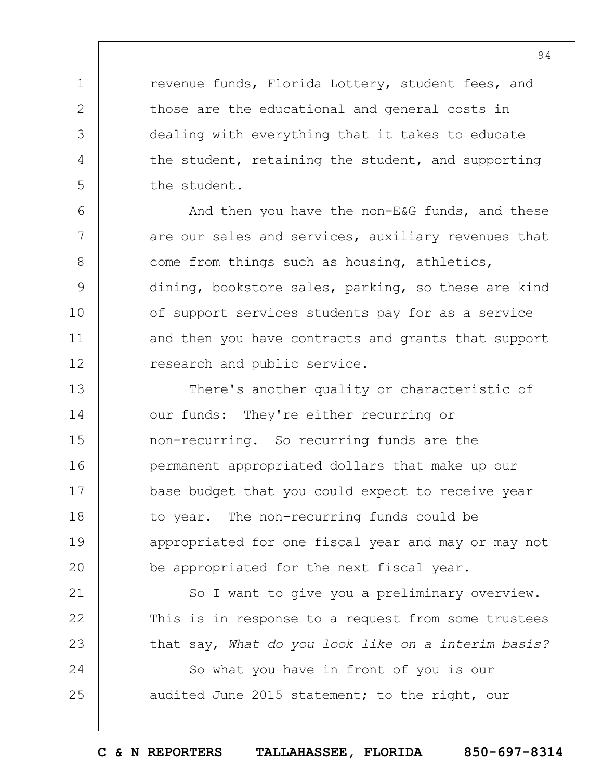revenue funds, Florida Lottery, student fees, and those are the educational and general costs in dealing with everything that it takes to educate the student, retaining the student, and supporting the student.

1

2

3

4

5

6

7

8

9

10

11

12

21

22

23

24

25

And then you have the non-E&G funds, and these are our sales and services, auxiliary revenues that come from things such as housing, athletics, dining, bookstore sales, parking, so these are kind of support services students pay for as a service and then you have contracts and grants that support research and public service.

13 14 15 16 17 18 19  $20$ There's another quality or characteristic of our funds: They're either recurring or non-recurring. So recurring funds are the permanent appropriated dollars that make up our base budget that you could expect to receive year to year. The non-recurring funds could be appropriated for one fiscal year and may or may not be appropriated for the next fiscal year.

So I want to give you a preliminary overview. This is in response to a request from some trustees that say, *What do you look like on a interim basis?*

So what you have in front of you is our audited June 2015 statement; to the right, our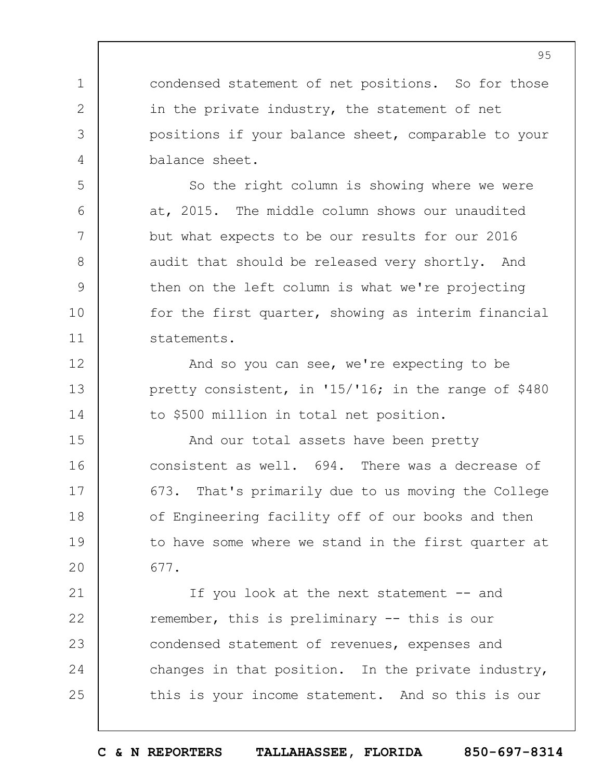condensed statement of net positions. So for those in the private industry, the statement of net positions if your balance sheet, comparable to your balance sheet.

1

2

3

4

5

6

7

8

9

10

11

12

13

14

So the right column is showing where we were at, 2015. The middle column shows our unaudited but what expects to be our results for our 2016 audit that should be released very shortly. And then on the left column is what we're projecting for the first quarter, showing as interim financial statements.

And so you can see, we're expecting to be pretty consistent, in '15/'16; in the range of \$480 to \$500 million in total net position.

15 16 17 18 19  $20$ And our total assets have been pretty consistent as well. 694. There was a decrease of 673. That's primarily due to us moving the College of Engineering facility off of our books and then to have some where we stand in the first quarter at 677.

21 22 23 24 25 If you look at the next statement -- and remember, this is preliminary -- this is our condensed statement of revenues, expenses and changes in that position. In the private industry, this is your income statement. And so this is our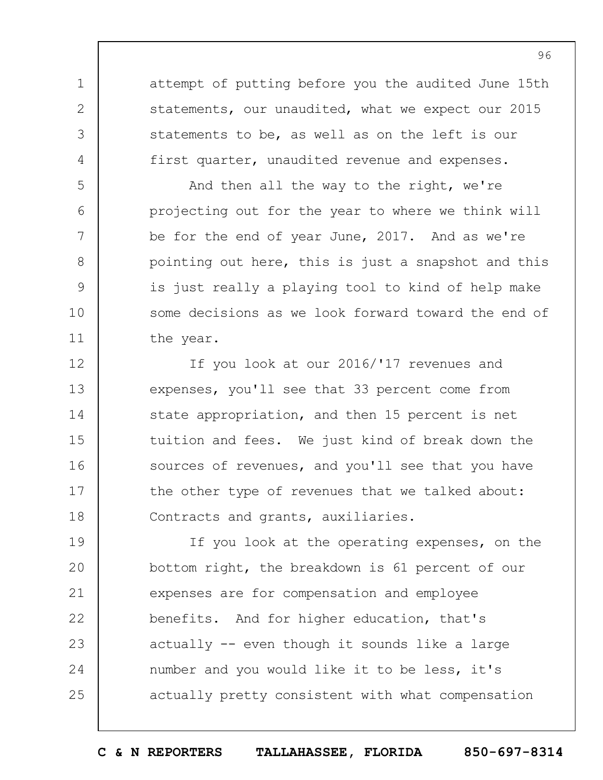attempt of putting before you the audited June 15th statements, our unaudited, what we expect our 2015 statements to be, as well as on the left is our first quarter, unaudited revenue and expenses.

1

2

3

4

5

6

7

8

9

10

11

And then all the way to the right, we're projecting out for the year to where we think will be for the end of year June, 2017. And as we're pointing out here, this is just a snapshot and this is just really a playing tool to kind of help make some decisions as we look forward toward the end of the year.

12 13 14 15 16 17 18 If you look at our 2016/'17 revenues and expenses, you'll see that 33 percent come from state appropriation, and then 15 percent is net tuition and fees. We just kind of break down the sources of revenues, and you'll see that you have the other type of revenues that we talked about: Contracts and grants, auxiliaries.

19  $20$ 21 22 23 24 25 If you look at the operating expenses, on the bottom right, the breakdown is 61 percent of our expenses are for compensation and employee benefits. And for higher education, that's actually -- even though it sounds like a large number and you would like it to be less, it's actually pretty consistent with what compensation

**C & N REPORTERS TALLAHASSEE, FLORIDA 850-697-8314**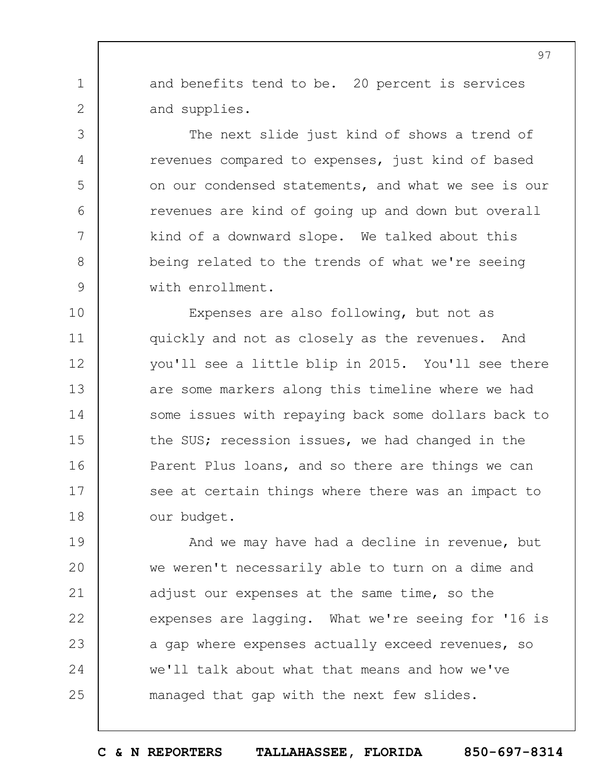and benefits tend to be. 20 percent is services and supplies.

1

2

3

4

5

6

7

8

9

The next slide just kind of shows a trend of revenues compared to expenses, just kind of based on our condensed statements, and what we see is our revenues are kind of going up and down but overall kind of a downward slope. We talked about this being related to the trends of what we're seeing with enrollment.

10 11 12 13 14 15 16 17 18 Expenses are also following, but not as quickly and not as closely as the revenues. And you'll see a little blip in 2015. You'll see there are some markers along this timeline where we had some issues with repaying back some dollars back to the SUS; recession issues, we had changed in the Parent Plus loans, and so there are things we can see at certain things where there was an impact to our budget.

19  $20$ 21 22 23 24 25 And we may have had a decline in revenue, but we weren't necessarily able to turn on a dime and adjust our expenses at the same time, so the expenses are lagging. What we're seeing for '16 is a gap where expenses actually exceed revenues, so we'll talk about what that means and how we've managed that gap with the next few slides.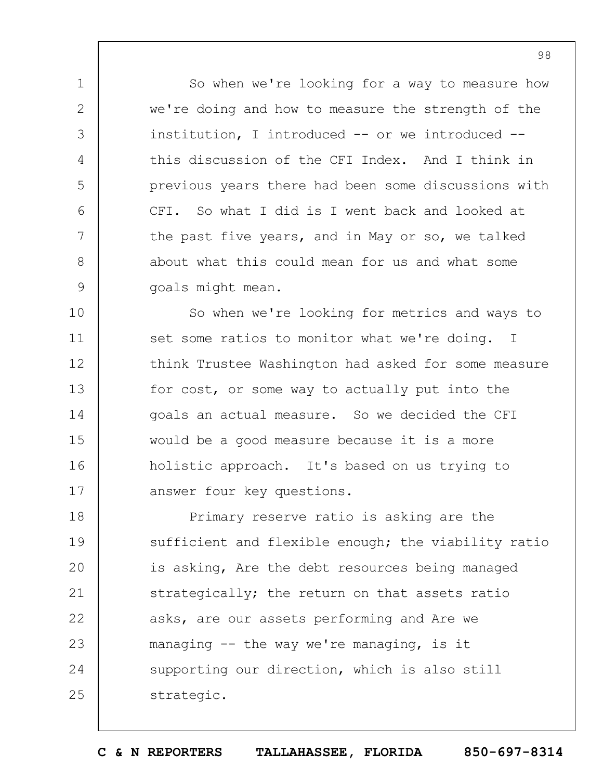So when we're looking for a way to measure how we're doing and how to measure the strength of the institution, I introduced -- or we introduced - this discussion of the CFI Index. And I think in previous years there had been some discussions with CFI. So what I did is I went back and looked at the past five years, and in May or so, we talked about what this could mean for us and what some goals might mean.

1

2

3

4

5

6

7

8

9

10 11 12 13 14 15 16 17 So when we're looking for metrics and ways to set some ratios to monitor what we're doing. I think Trustee Washington had asked for some measure for cost, or some way to actually put into the goals an actual measure. So we decided the CFI would be a good measure because it is a more holistic approach. It's based on us trying to answer four key questions.

18 19  $20$ 21 22 23 24 25 Primary reserve ratio is asking are the sufficient and flexible enough; the viability ratio is asking, Are the debt resources being managed strategically; the return on that assets ratio asks, are our assets performing and Are we managing -- the way we're managing, is it supporting our direction, which is also still strategic.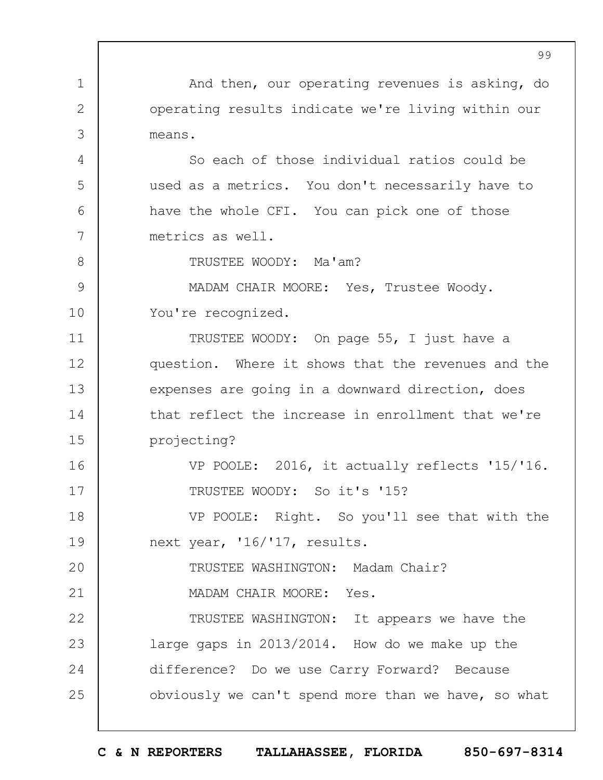1 2 3 4 5 6 7 8 9 10 11 12 13 14 15 16 17 18 19  $20$ 21 22 23 24 25 99 And then, our operating revenues is asking, do operating results indicate we're living within our means. So each of those individual ratios could be used as a metrics. You don't necessarily have to have the whole CFI. You can pick one of those metrics as well. TRUSTEE WOODY: Ma'am? MADAM CHAIR MOORE: Yes, Trustee Woody. You're recognized. TRUSTEE WOODY: On page 55, I just have a question. Where it shows that the revenues and the expenses are going in a downward direction, does that reflect the increase in enrollment that we're projecting? VP POOLE: 2016, it actually reflects '15/'16. TRUSTEE WOODY: So it's '15? VP POOLE: Right. So you'll see that with the next year, '16/'17, results. TRUSTEE WASHINGTON: Madam Chair? MADAM CHAIR MOORE: Yes. TRUSTEE WASHINGTON: It appears we have the large gaps in 2013/2014. How do we make up the difference? Do we use Carry Forward? Because obviously we can't spend more than we have, so what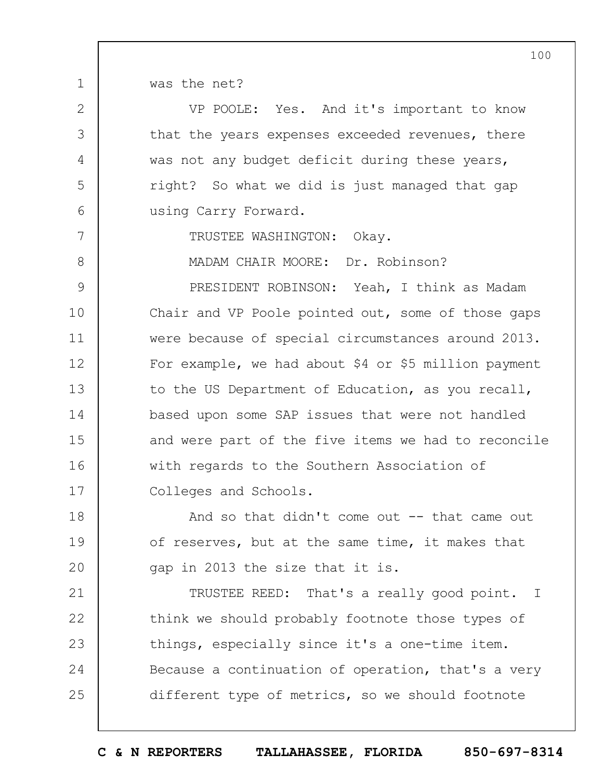was the net?

1

2

3

4

5

6

7

8

| VP POOLE: Yes. And it's important to know        |
|--------------------------------------------------|
| that the years expenses exceeded revenues, there |
| was not any budget deficit during these years,   |
| right? So what we did is just managed that gap   |
| using Carry Forward.                             |
|                                                  |

TRUSTEE WASHINGTON: Okay.

MADAM CHAIR MOORE: Dr. Robinson?

9 10 11 12 13 14 15 16 17 PRESIDENT ROBINSON: Yeah, I think as Madam Chair and VP Poole pointed out, some of those gaps were because of special circumstances around 2013. For example, we had about \$4 or \$5 million payment to the US Department of Education, as you recall, based upon some SAP issues that were not handled and were part of the five items we had to reconcile with regards to the Southern Association of Colleges and Schools.

18 19  $20$ And so that didn't come out -- that came out of reserves, but at the same time, it makes that gap in 2013 the size that it is.

21 22 23 24 25 TRUSTEE REED: That's a really good point. I think we should probably footnote those types of things, especially since it's a one-time item. Because a continuation of operation, that's a very different type of metrics, so we should footnote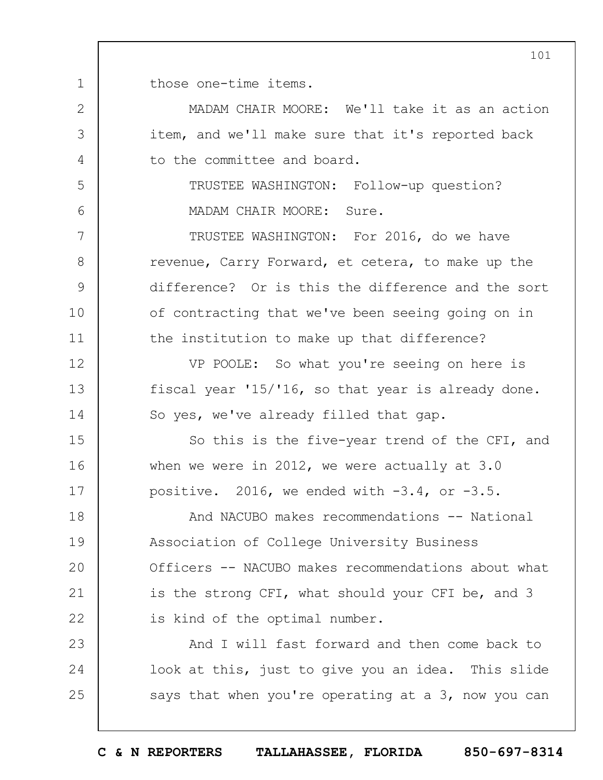1 those one-time items.

2

3

4

5

6

7

8

9

10

11

12

13

14

15

16

17

23

24

25

MADAM CHAIR MOORE: We'll take it as an action item, and we'll make sure that it's reported back to the committee and board.

TRUSTEE WASHINGTON: Follow-up question? MADAM CHAIR MOORE: Sure.

TRUSTEE WASHINGTON: For 2016, do we have revenue, Carry Forward, et cetera, to make up the difference? Or is this the difference and the sort of contracting that we've been seeing going on in the institution to make up that difference?

VP POOLE: So what you're seeing on here is fiscal year '15/'16, so that year is already done. So yes, we've already filled that gap.

So this is the five-year trend of the CFI, and when we were in 2012, we were actually at 3.0 positive. 2016, we ended with  $-3.4$ , or  $-3.5$ .

18 19  $20$ 21 22 And NACUBO makes recommendations -- National Association of College University Business Officers -- NACUBO makes recommendations about what is the strong CFI, what should your CFI be, and 3 is kind of the optimal number.

And I will fast forward and then come back to look at this, just to give you an idea. This slide says that when you're operating at a 3, now you can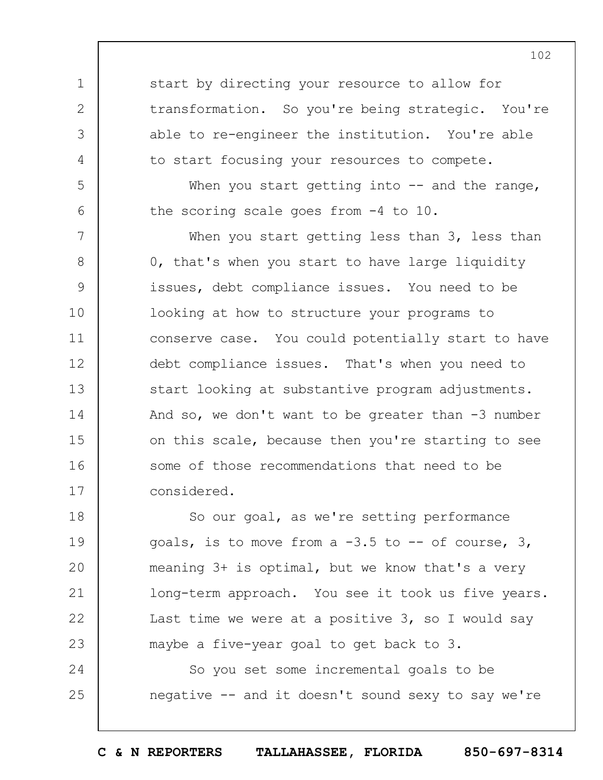start by directing your resource to allow for transformation. So you're being strategic. You're able to re-engineer the institution. You're able to start focusing your resources to compete.

1

2

3

4

5

6

When you start getting into  $-$  and the range, the scoring scale goes from -4 to 10.

7 8 9 10 11 12 13 14 15 16 17 When you start getting less than 3, less than 0, that's when you start to have large liquidity issues, debt compliance issues. You need to be looking at how to structure your programs to conserve case. You could potentially start to have debt compliance issues. That's when you need to start looking at substantive program adjustments. And so, we don't want to be greater than  $-3$  number on this scale, because then you're starting to see some of those recommendations that need to be considered.

18 19  $20$ 21 22 23 So our goal, as we're setting performance goals, is to move from a  $-3.5$  to  $-$  of course, 3, meaning 3+ is optimal, but we know that's a very long-term approach. You see it took us five years. Last time we were at a positive 3, so I would say maybe a five-year goal to get back to 3.

24 25 So you set some incremental goals to be negative -- and it doesn't sound sexy to say we're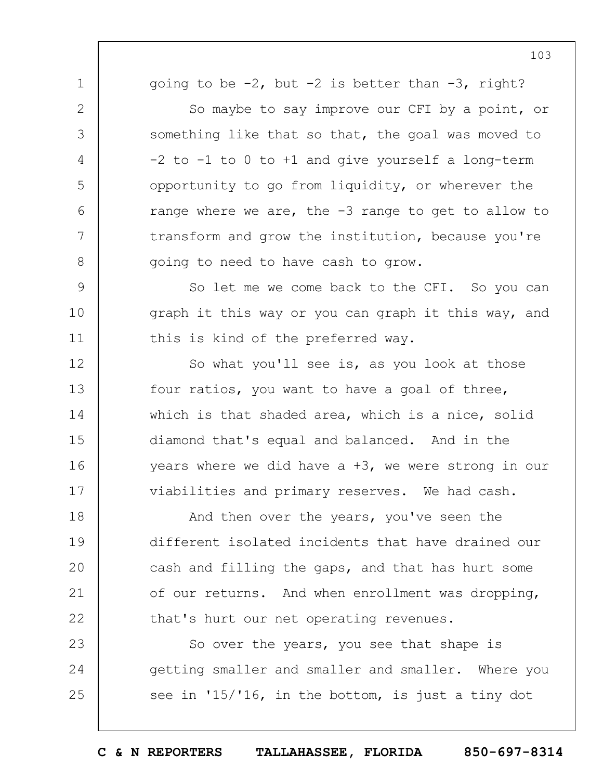going to be  $-2$ , but  $-2$  is better than  $-3$ , right?

1

2

3

4

5

6

7

8

9

10

11

12

13

14

15

16

17

So maybe to say improve our CFI by a point, or something like that so that, the goal was moved to  $-2$  to  $-1$  to  $0$  to  $+1$  and give yourself a long-term opportunity to go from liquidity, or wherever the range where we are, the -3 range to get to allow to transform and grow the institution, because you're going to need to have cash to grow.

So let me we come back to the CFI. So you can graph it this way or you can graph it this way, and this is kind of the preferred way.

So what you'll see is, as you look at those four ratios, you want to have a goal of three, which is that shaded area, which is a nice, solid diamond that's equal and balanced. And in the years where we did have a +3, we were strong in our viabilities and primary reserves. We had cash.

18 19  $20$ 21 22 And then over the years, you've seen the different isolated incidents that have drained our cash and filling the gaps, and that has hurt some of our returns. And when enrollment was dropping, that's hurt our net operating revenues.

23 24 25 So over the years, you see that shape is getting smaller and smaller and smaller. Where you see in '15/'16, in the bottom, is just a tiny dot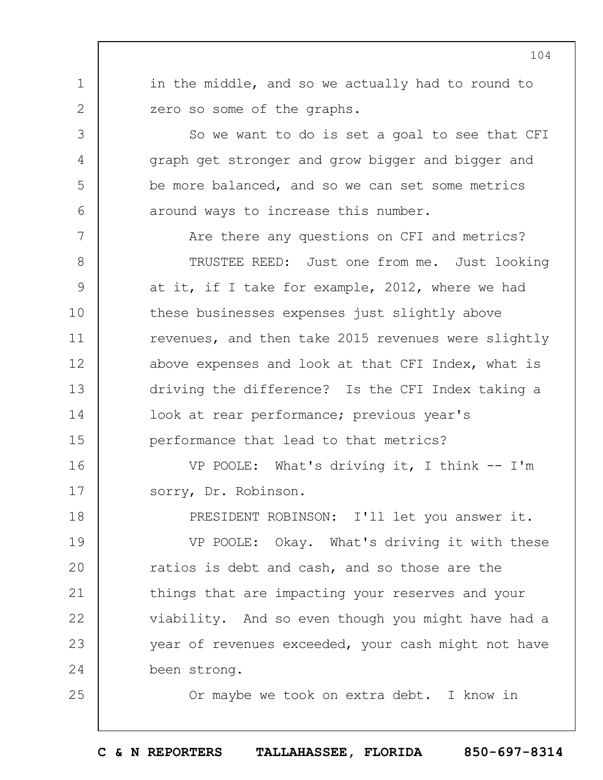in the middle, and so we actually had to round to zero so some of the graphs.

1

2

3

4

5

6

25

So we want to do is set a goal to see that CFI graph get stronger and grow bigger and bigger and be more balanced, and so we can set some metrics around ways to increase this number.

7 8 9 10 11 12 13 14 15 Are there any questions on CFI and metrics? TRUSTEE REED: Just one from me. Just looking at it, if I take for example, 2012, where we had these businesses expenses just slightly above revenues, and then take 2015 revenues were slightly above expenses and look at that CFI Index, what is driving the difference? Is the CFI Index taking a look at rear performance; previous year's performance that lead to that metrics?

16 17 VP POOLE: What's driving it, I think -- I'm sorry, Dr. Robinson.

18 19  $20$ 21 22 23 24 PRESIDENT ROBINSON: I'll let you answer it. VP POOLE: Okay. What's driving it with these ratios is debt and cash, and so those are the things that are impacting your reserves and your viability. And so even though you might have had a year of revenues exceeded, your cash might not have been strong.

Or maybe we took on extra debt. I know in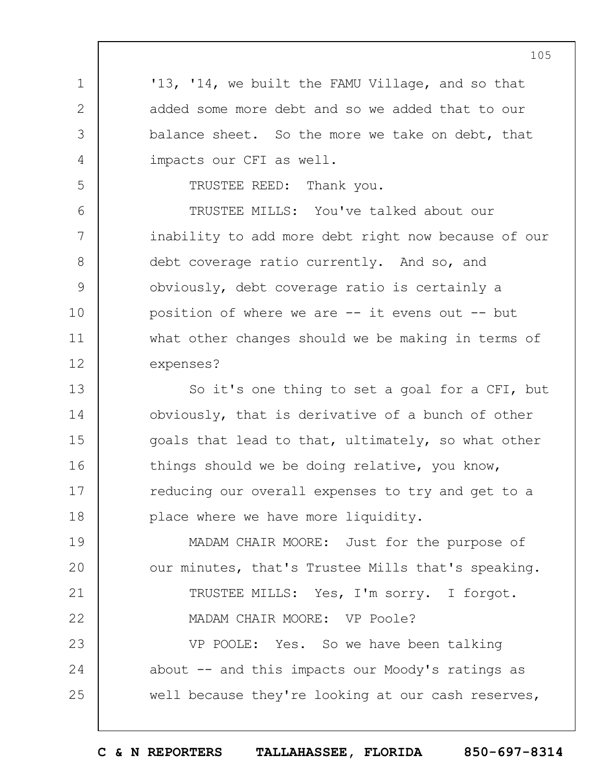'13, '14, we built the FAMU Village, and so that added some more debt and so we added that to our balance sheet. So the more we take on debt, that impacts our CFI as well.

TRUSTEE REED: Thank you.

1

2

3

4

5

6 7 8 9 10 11 12 TRUSTEE MILLS: You've talked about our inability to add more debt right now because of our debt coverage ratio currently. And so, and obviously, debt coverage ratio is certainly a position of where we are  $--$  it evens out  $--$  but what other changes should we be making in terms of expenses?

13 14 15 16 17 18 So it's one thing to set a goal for a CFI, but obviously, that is derivative of a bunch of other goals that lead to that, ultimately, so what other things should we be doing relative, you know, reducing our overall expenses to try and get to a place where we have more liquidity.

19  $20$ 21 22 23 24 25 MADAM CHAIR MOORE: Just for the purpose of our minutes, that's Trustee Mills that's speaking. TRUSTEE MILLS: Yes, I'm sorry. I forgot. MADAM CHAIR MOORE: VP Poole? VP POOLE: Yes. So we have been talking about -- and this impacts our Moody's ratings as well because they're looking at our cash reserves,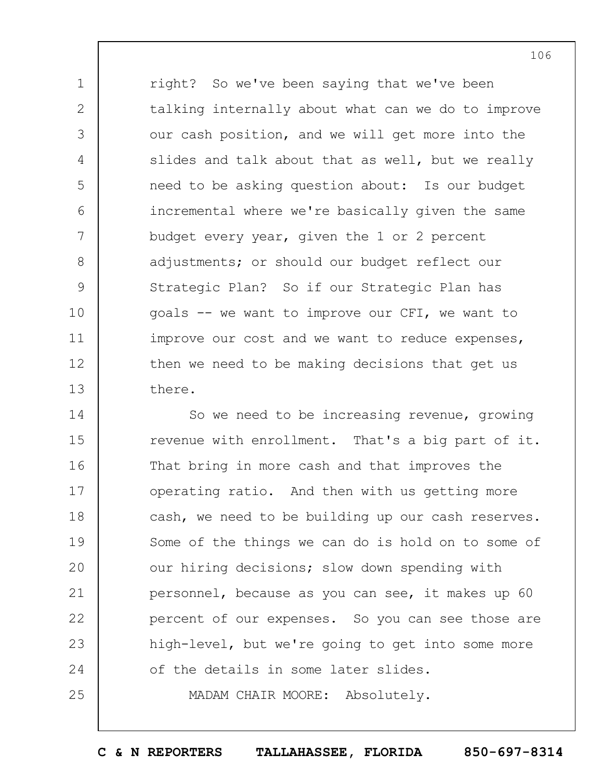1 2 3 4 5 6 7 8 9 10 11 12 13 right? So we've been saying that we've been talking internally about what can we do to improve our cash position, and we will get more into the slides and talk about that as well, but we really need to be asking question about: Is our budget incremental where we're basically given the same budget every year, given the 1 or 2 percent adjustments; or should our budget reflect our Strategic Plan? So if our Strategic Plan has goals -- we want to improve our CFI, we want to improve our cost and we want to reduce expenses, then we need to be making decisions that get us there.

14 15 16 17 18 19  $20$ 21 22 23 24 25 So we need to be increasing revenue, growing revenue with enrollment. That's a big part of it. That bring in more cash and that improves the operating ratio. And then with us getting more cash, we need to be building up our cash reserves. Some of the things we can do is hold on to some of our hiring decisions; slow down spending with personnel, because as you can see, it makes up 60 percent of our expenses. So you can see those are high-level, but we're going to get into some more of the details in some later slides. MADAM CHAIR MOORE: Absolutely.

**C & N REPORTERS TALLAHASSEE, FLORIDA 850-697-8314**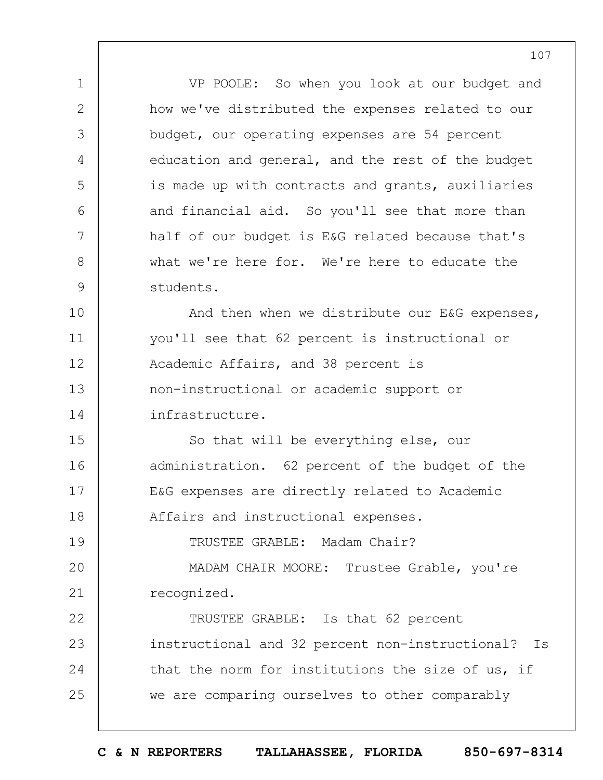VP POOLE: So when you look at our budget and how we've distributed the expenses related to our budget, our operating expenses are 54 percent education and general, and the rest of the budget is made up with contracts and grants, auxiliaries and financial aid. So you'll see that more than half of our budget is E&G related because that's what we're here for. We're here to educate the students.

1

2

3

4

5

6

7

8

9

10 11 12 13 14 And then when we distribute our E&G expenses, you'll see that 62 percent is instructional or Academic Affairs, and 38 percent is non-instructional or academic support or infrastructure.

15 16 17 18 So that will be everything else, our administration. 62 percent of the budget of the E&G expenses are directly related to Academic Affairs and instructional expenses.

19  $20$ 21 TRUSTEE GRABLE: Madam Chair? MADAM CHAIR MOORE: Trustee Grable, you're recognized.

22 23 24 25 TRUSTEE GRABLE: Is that 62 percent instructional and 32 percent non-instructional? Is that the norm for institutions the size of us, if we are comparing ourselves to other comparably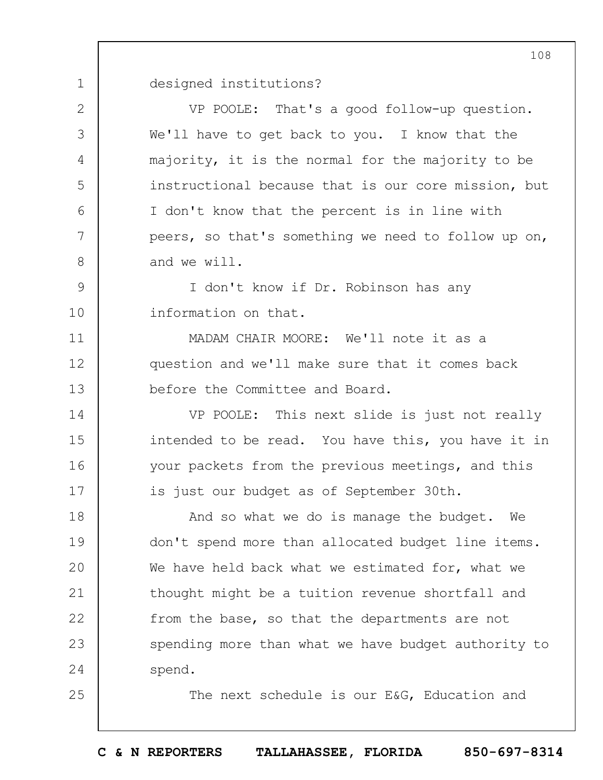1 designed institutions?

2

3

4

5

 $6 \overline{6}$ 

7

8

11

12

13

14

15

16

17

25

VP POOLE: That's a good follow-up question. We'll have to get back to you. I know that the majority, it is the normal for the majority to be instructional because that is our core mission, but I don't know that the percent is in line with peers, so that's something we need to follow up on, and we will.

9 10 I don't know if Dr. Robinson has any information on that.

MADAM CHAIR MOORE: We'll note it as a question and we'll make sure that it comes back before the Committee and Board.

VP POOLE: This next slide is just not really intended to be read. You have this, you have it in your packets from the previous meetings, and this is just our budget as of September 30th.

18 19  $20$ 21 22 23 24 And so what we do is manage the budget. We don't spend more than allocated budget line items. We have held back what we estimated for, what we thought might be a tuition revenue shortfall and from the base, so that the departments are not spending more than what we have budget authority to spend.

The next schedule is our E&G, Education and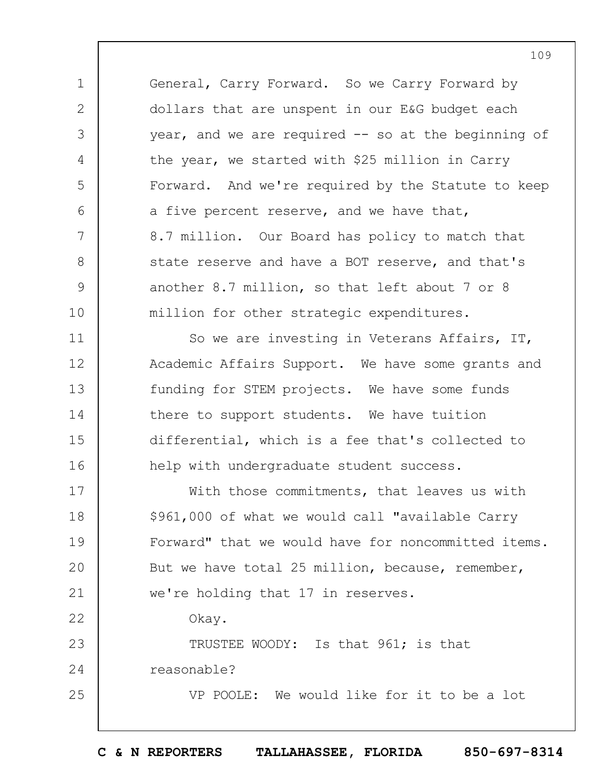General, Carry Forward. So we Carry Forward by dollars that are unspent in our E&G budget each year, and we are required -- so at the beginning of the year, we started with \$25 million in Carry Forward. And we're required by the Statute to keep a five percent reserve, and we have that, 8.7 million. Our Board has policy to match that state reserve and have a BOT reserve, and that's another 8.7 million, so that left about 7 or 8 million for other strategic expenditures.

1

2

3

4

5

6

7

8

9

10

11 12 13 14 15 16 So we are investing in Veterans Affairs, IT, Academic Affairs Support. We have some grants and funding for STEM projects. We have some funds there to support students. We have tuition differential, which is a fee that's collected to help with undergraduate student success.

17 18 19  $20$ 21 22 23 24 25 With those commitments, that leaves us with \$961,000 of what we would call "available Carry Forward" that we would have for noncommitted items. But we have total 25 million, because, remember, we're holding that 17 in reserves. Okay. TRUSTEE WOODY: Is that 961; is that reasonable? VP POOLE: We would like for it to be a lot

**C & N REPORTERS TALLAHASSEE, FLORIDA 850-697-8314**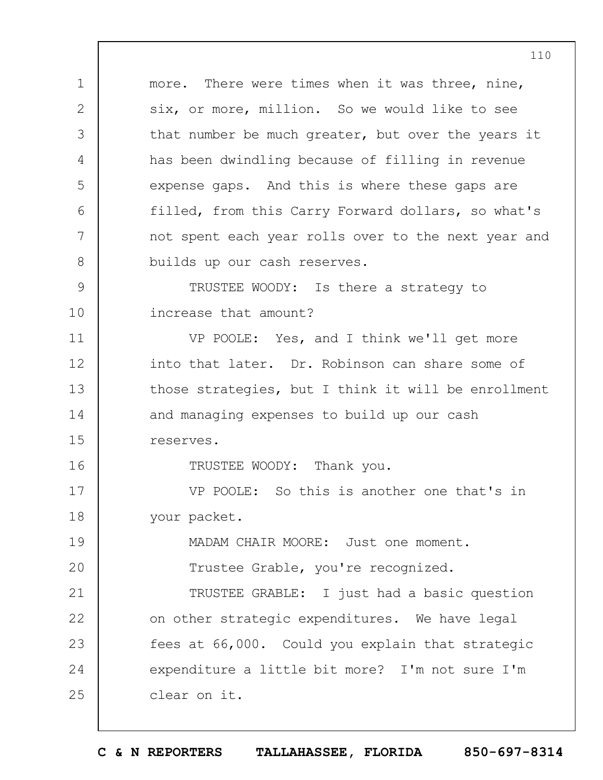1 2 3 4 5 6 7 8 9 10 11 12 13 14 15 16 17 18 19  $20$ 21 22 23 24 25 more. There were times when it was three, nine, six, or more, million. So we would like to see that number be much greater, but over the years it has been dwindling because of filling in revenue expense gaps. And this is where these gaps are filled, from this Carry Forward dollars, so what's not spent each year rolls over to the next year and builds up our cash reserves. TRUSTEE WOODY: Is there a strategy to increase that amount? VP POOLE: Yes, and I think we'll get more into that later. Dr. Robinson can share some of those strategies, but I think it will be enrollment and managing expenses to build up our cash reserves. TRUSTEE WOODY: Thank you. VP POOLE: So this is another one that's in your packet. MADAM CHAIR MOORE: Just one moment. Trustee Grable, you're recognized. TRUSTEE GRABLE: I just had a basic question on other strategic expenditures. We have legal fees at 66,000. Could you explain that strategic expenditure a little bit more? I'm not sure I'm clear on it.

**C & N REPORTERS TALLAHASSEE, FLORIDA 850-697-8314**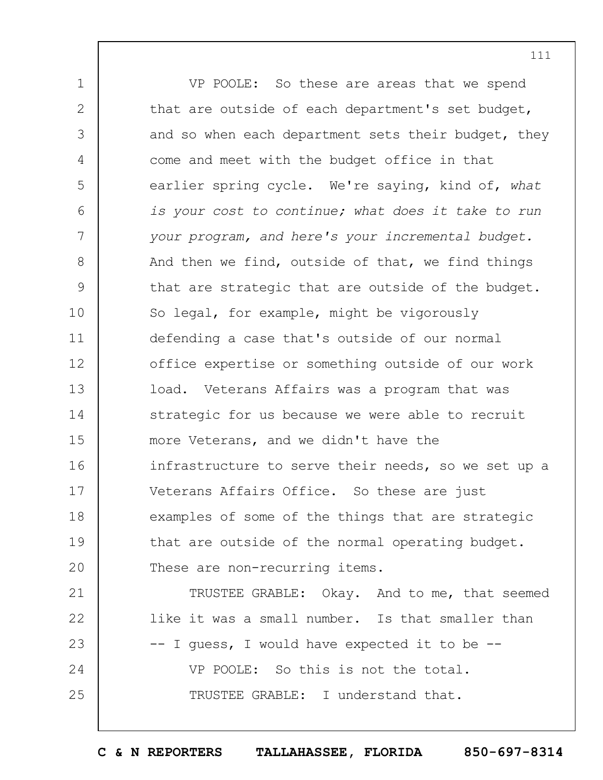1 2 3 4 5 6 7 8 9 10 11 12 13 14 15 16 17 18 19  $20$ 21 22 23 24 25 VP POOLE: So these are areas that we spend that are outside of each department's set budget, and so when each department sets their budget, they come and meet with the budget office in that earlier spring cycle. We're saying, kind of, *what is your cost to continue; what does it take to run your program, and here's your incremental budget.* And then we find, outside of that, we find things that are strategic that are outside of the budget. So legal, for example, might be vigorously defending a case that's outside of our normal office expertise or something outside of our work load. Veterans Affairs was a program that was strategic for us because we were able to recruit more Veterans, and we didn't have the infrastructure to serve their needs, so we set up a Veterans Affairs Office. So these are just examples of some of the things that are strategic that are outside of the normal operating budget. These are non-recurring items. TRUSTEE GRABLE: Okay. And to me, that seemed like it was a small number. Is that smaller than -- I guess, I would have expected it to be -- VP POOLE: So this is not the total. TRUSTEE GRABLE: I understand that.

**C & N REPORTERS TALLAHASSEE, FLORIDA 850-697-8314**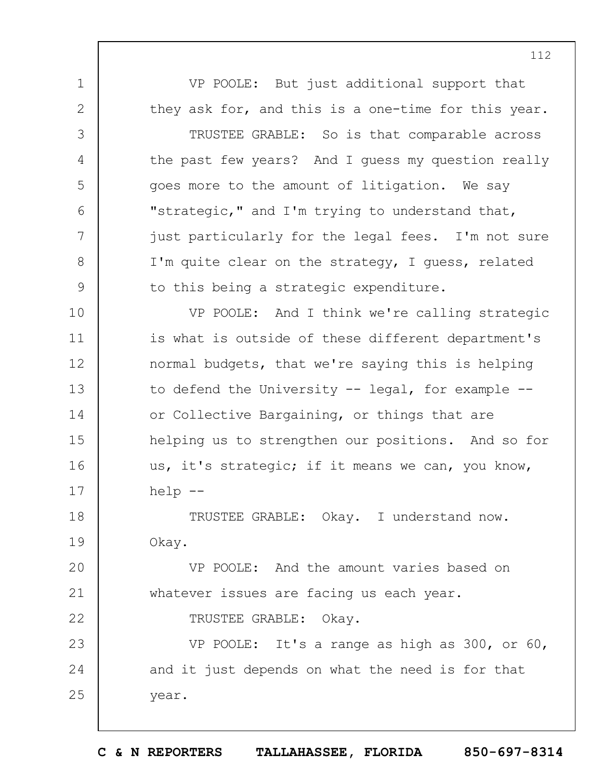VP POOLE: But just additional support that they ask for, and this is a one-time for this year.

1

2

3

4

5

6

7

8

9

22

TRUSTEE GRABLE: So is that comparable across the past few years? And I guess my question really goes more to the amount of litigation. We say "strategic," and I'm trying to understand that, just particularly for the legal fees. I'm not sure I'm quite clear on the strategy, I guess, related to this being a strategic expenditure.

10 11 12 13 14 15 16 17 VP POOLE: And I think we're calling strategic is what is outside of these different department's normal budgets, that we're saying this is helping to defend the University  $-$  legal, for example  $$ or Collective Bargaining, or things that are helping us to strengthen our positions. And so for us, it's strategic; if it means we can, you know, help --

18 19 TRUSTEE GRABLE: Okay. I understand now. Okay.

 $20$ 21 VP POOLE: And the amount varies based on whatever issues are facing us each year.

TRUSTEE GRABLE: Okay.

23 24 25 VP POOLE: It's a range as high as 300, or 60, and it just depends on what the need is for that year.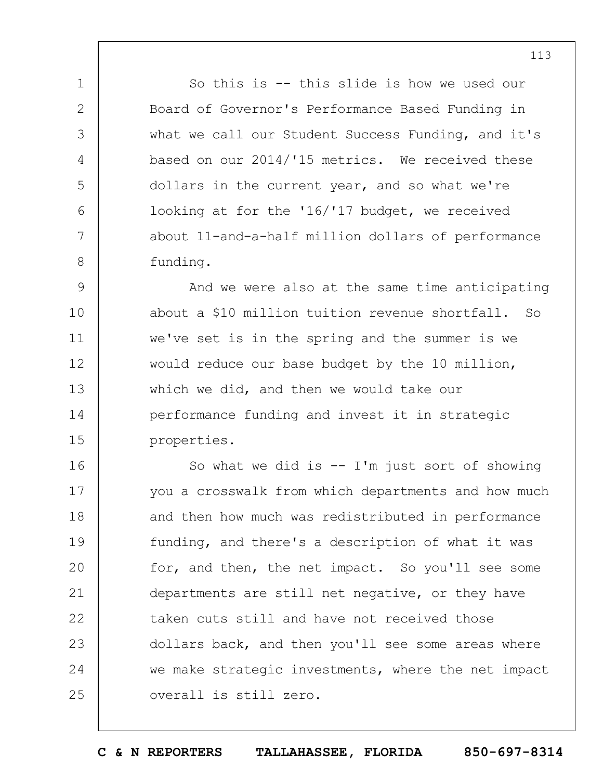So this is -- this slide is how we used our Board of Governor's Performance Based Funding in what we call our Student Success Funding, and it's based on our 2014/'15 metrics. We received these dollars in the current year, and so what we're looking at for the '16/'17 budget, we received about 11-and-a-half million dollars of performance funding.

1

2

3

4

5

6

7

8

9 10 11 12 13 14 15 And we were also at the same time anticipating about a \$10 million tuition revenue shortfall. So we've set is in the spring and the summer is we would reduce our base budget by the 10 million, which we did, and then we would take our performance funding and invest it in strategic properties.

16 17 18 19  $20$ 21 22 23 24 25 So what we did is  $--$  I'm just sort of showing you a crosswalk from which departments and how much and then how much was redistributed in performance funding, and there's a description of what it was for, and then, the net impact. So you'll see some departments are still net negative, or they have taken cuts still and have not received those dollars back, and then you'll see some areas where we make strategic investments, where the net impact overall is still zero.

**C & N REPORTERS TALLAHASSEE, FLORIDA 850-697-8314**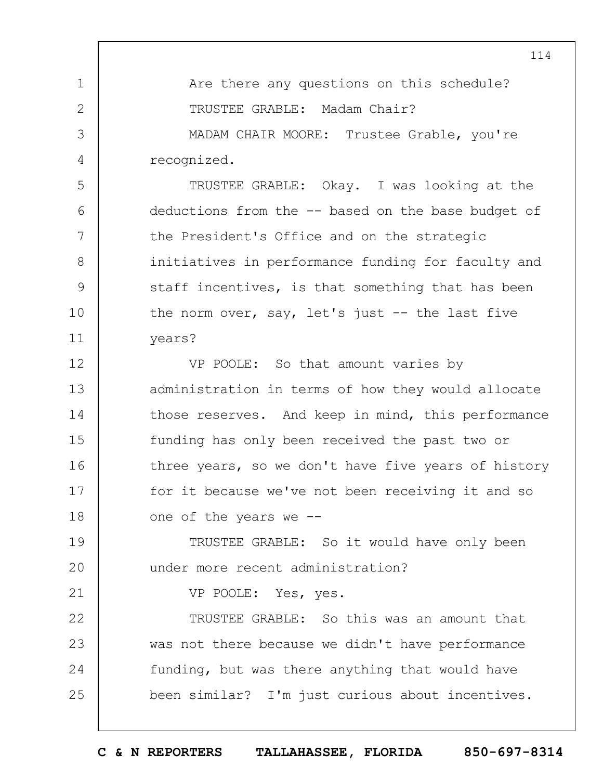Are there any questions on this schedule? TRUSTEE GRABLE: Madam Chair? MADAM CHAIR MOORE: Trustee Grable, you're recognized. TRUSTEE GRABLE: Okay. I was looking at the deductions from the -- based on the base budget of the President's Office and on the strategic initiatives in performance funding for faculty and staff incentives, is that something that has been the norm over, say, let's just -- the last five years? VP POOLE: So that amount varies by administration in terms of how they would allocate those reserves. And keep in mind, this performance funding has only been received the past two or

1

2

3

4

5

6

7

8

9

10

11

12

13

14

15

21

16 17 18 three years, so we don't have five years of history for it because we've not been receiving it and so one of the years we --

19  $20$ TRUSTEE GRABLE: So it would have only been under more recent administration?

VP POOLE: Yes, yes.

22 23 24 25 TRUSTEE GRABLE: So this was an amount that was not there because we didn't have performance funding, but was there anything that would have been similar? I'm just curious about incentives.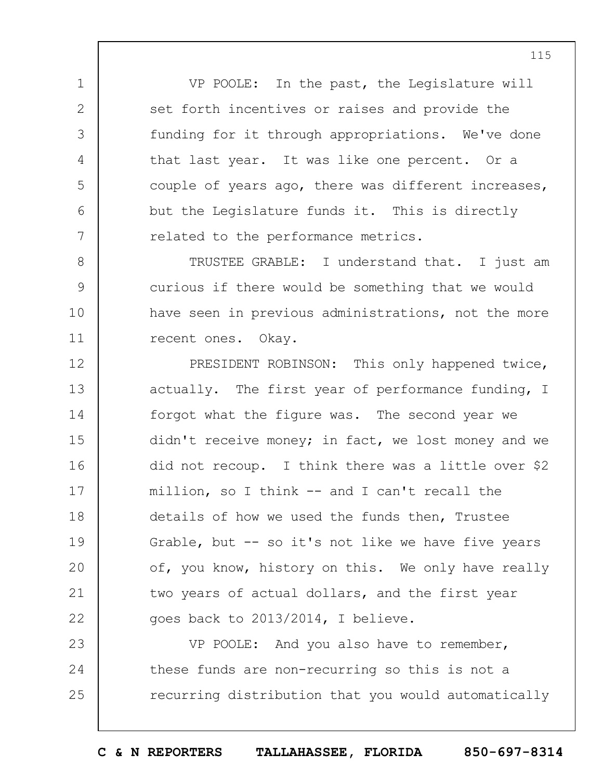VP POOLE: In the past, the Legislature will set forth incentives or raises and provide the funding for it through appropriations. We've done that last year. It was like one percent. Or a couple of years ago, there was different increases, but the Legislature funds it. This is directly related to the performance metrics.

1

2

3

4

5

6

7

8

9

10

11

TRUSTEE GRABLE: I understand that. I just am curious if there would be something that we would have seen in previous administrations, not the more recent ones. Okay.

12 13 14 15 16 17 18 19  $20$ 21 22 PRESIDENT ROBINSON: This only happened twice, actually. The first year of performance funding, I forgot what the figure was. The second year we didn't receive money; in fact, we lost money and we did not recoup. I think there was a little over \$2 million, so I think -- and I can't recall the details of how we used the funds then, Trustee Grable, but -- so it's not like we have five years of, you know, history on this. We only have really two years of actual dollars, and the first year goes back to 2013/2014, I believe.

23 24 25 VP POOLE: And you also have to remember, these funds are non-recurring so this is not a recurring distribution that you would automatically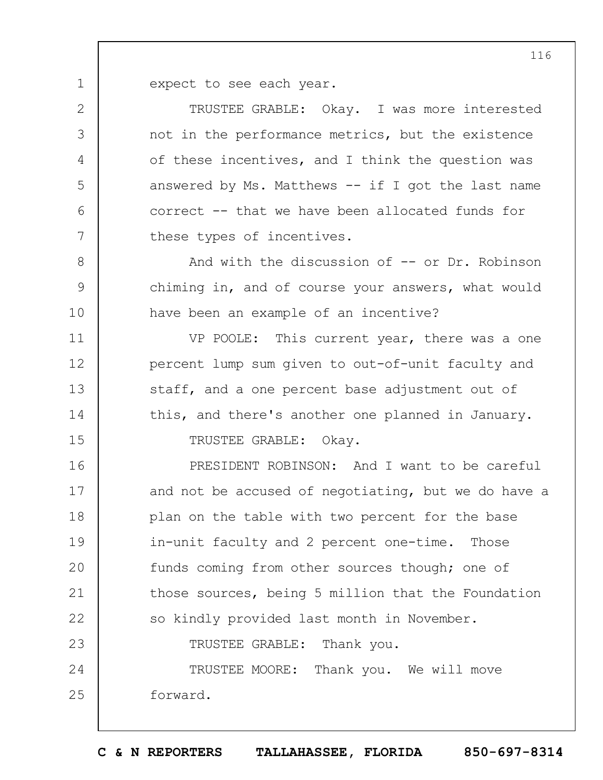expect to see each year.

1

2

3

4

5

6

7

8

9

10

11

12

13

14

15

TRUSTEE GRABLE: Okay. I was more interested not in the performance metrics, but the existence of these incentives, and I think the question was answered by Ms. Matthews  $--$  if I got the last name correct -- that we have been allocated funds for these types of incentives.

And with the discussion of -- or Dr. Robinson chiming in, and of course your answers, what would have been an example of an incentive?

VP POOLE: This current year, there was a one percent lump sum given to out-of-unit faculty and staff, and a one percent base adjustment out of this, and there's another one planned in January. TRUSTEE GRABLE: Okay.

16 17 18 19  $20$ 21 22 23 24 25 PRESIDENT ROBINSON: And I want to be careful and not be accused of negotiating, but we do have a plan on the table with two percent for the base in-unit faculty and 2 percent one-time. Those funds coming from other sources though; one of those sources, being 5 million that the Foundation so kindly provided last month in November. TRUSTEE GRABLE: Thank you. TRUSTEE MOORE: Thank you. We will move forward.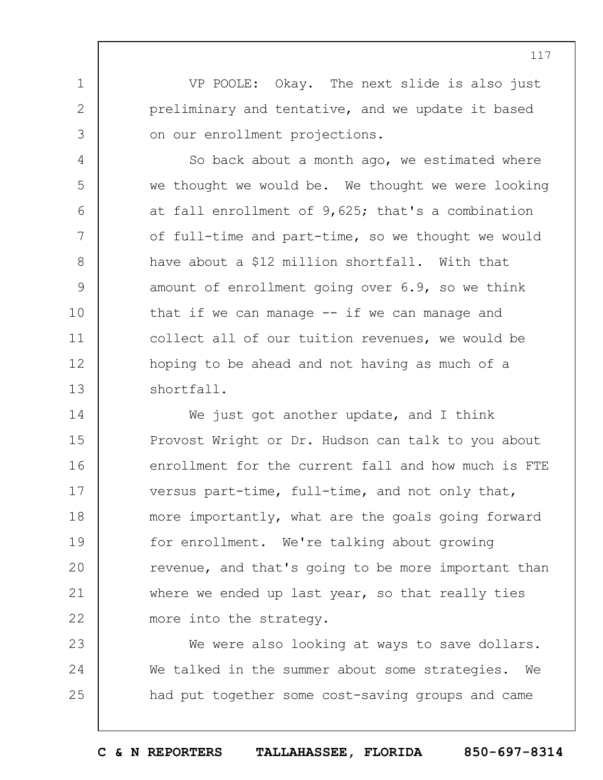VP POOLE: Okay. The next slide is also just preliminary and tentative, and we update it based on our enrollment projections.

1

2

3

4

5

6

7

8

9

10

11

12

13

So back about a month ago, we estimated where we thought we would be. We thought we were looking at fall enrollment of 9,625; that's a combination of full-time and part-time, so we thought we would have about a \$12 million shortfall. With that amount of enrollment going over 6.9, so we think that if we can manage  $--$  if we can manage and collect all of our tuition revenues, we would be hoping to be ahead and not having as much of a shortfall.

14 15 16 17 18 19  $20$ 21 22 We just got another update, and I think Provost Wright or Dr. Hudson can talk to you about enrollment for the current fall and how much is FTE versus part-time, full-time, and not only that, more importantly, what are the goals going forward for enrollment. We're talking about growing revenue, and that's going to be more important than where we ended up last year, so that really ties more into the strategy.

23 24 25 We were also looking at ways to save dollars. We talked in the summer about some strategies. We had put together some cost-saving groups and came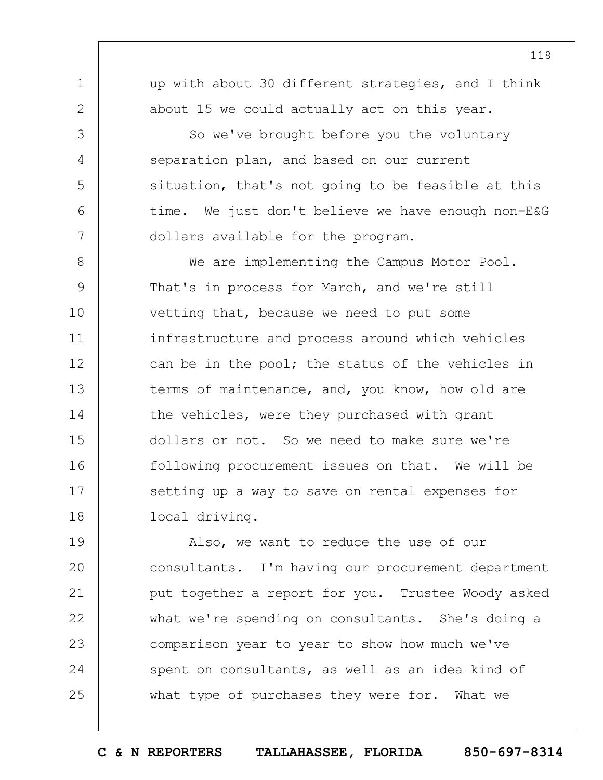up with about 30 different strategies, and I think about 15 we could actually act on this year.

1

2

3

4

5

6

7

So we've brought before you the voluntary separation plan, and based on our current situation, that's not going to be feasible at this time. We just don't believe we have enough non-E&G dollars available for the program.

8 9 10 11 12 13 14 15 16 17 18 We are implementing the Campus Motor Pool. That's in process for March, and we're still vetting that, because we need to put some infrastructure and process around which vehicles can be in the pool; the status of the vehicles in terms of maintenance, and, you know, how old are the vehicles, were they purchased with grant dollars or not. So we need to make sure we're following procurement issues on that. We will be setting up a way to save on rental expenses for local driving.

19  $20$ 21 22 23 24 25 Also, we want to reduce the use of our consultants. I'm having our procurement department put together a report for you. Trustee Woody asked what we're spending on consultants. She's doing a comparison year to year to show how much we've spent on consultants, as well as an idea kind of what type of purchases they were for. What we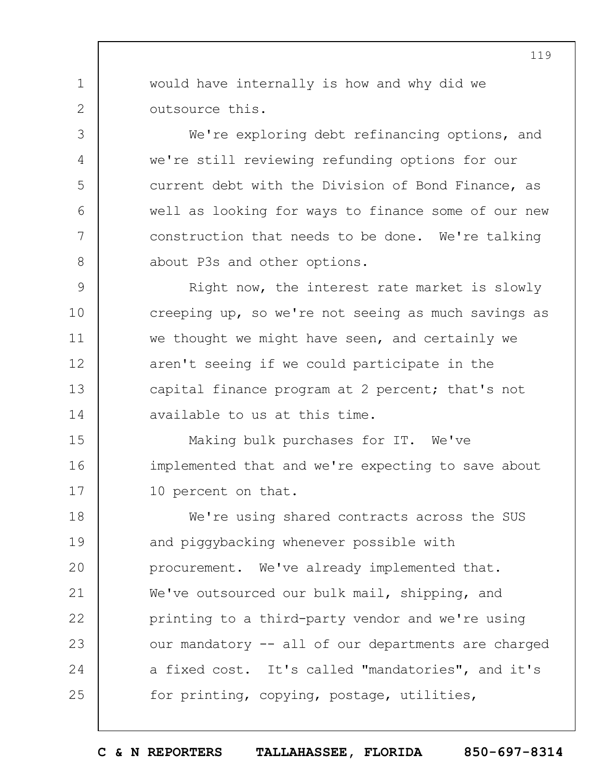would have internally is how and why did we outsource this.

1

2

3

4

5

6

7

8

We're exploring debt refinancing options, and we're still reviewing refunding options for our current debt with the Division of Bond Finance, as well as looking for ways to finance some of our new construction that needs to be done. We're talking about P3s and other options.

9 10 11 12 13 14 Right now, the interest rate market is slowly creeping up, so we're not seeing as much savings as we thought we might have seen, and certainly we aren't seeing if we could participate in the capital finance program at 2 percent; that's not available to us at this time.

15 16 17 Making bulk purchases for IT. We've implemented that and we're expecting to save about 10 percent on that.

18 19  $20$ 21 22 23 24 25 We're using shared contracts across the SUS and piggybacking whenever possible with procurement. We've already implemented that. We've outsourced our bulk mail, shipping, and printing to a third-party vendor and we're using our mandatory -- all of our departments are charged a fixed cost. It's called "mandatories", and it's for printing, copying, postage, utilities,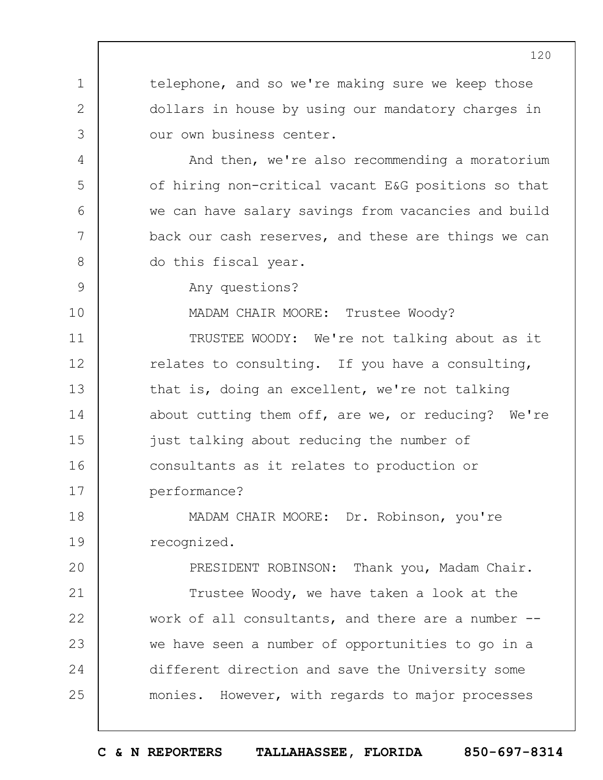telephone, and so we're making sure we keep those dollars in house by using our mandatory charges in our own business center.

And then, we're also recommending a moratorium of hiring non-critical vacant E&G positions so that we can have salary savings from vacancies and build back our cash reserves, and these are things we can do this fiscal year.

Any questions?

1

2

3

4

5

6

7

8

9

10

MADAM CHAIR MOORE: Trustee Woody?

11 12 13 14 15 16 17 TRUSTEE WOODY: We're not talking about as it relates to consulting. If you have a consulting, that is, doing an excellent, we're not talking about cutting them off, are we, or reducing? We're just talking about reducing the number of consultants as it relates to production or performance?

18 19 MADAM CHAIR MOORE: Dr. Robinson, you're recognized.

 $20$ 21 22 23 24 25 PRESIDENT ROBINSON: Thank you, Madam Chair. Trustee Woody, we have taken a look at the work of all consultants, and there are a number - we have seen a number of opportunities to go in a different direction and save the University some monies. However, with regards to major processes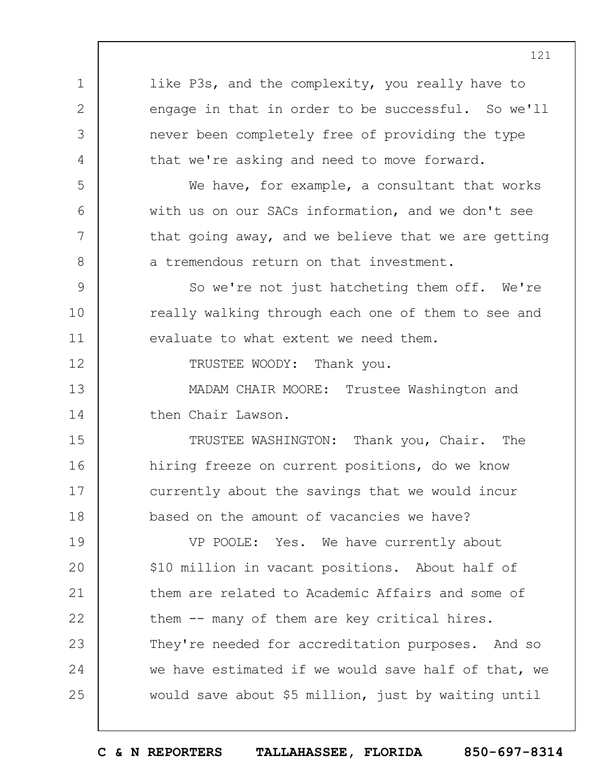1 2 3 4 5 6 7 8 9 10 11 12 13 14 15 16 17 18 19  $20$ 21 22 23 24 25 like P3s, and the complexity, you really have to engage in that in order to be successful. So we'll never been completely free of providing the type that we're asking and need to move forward. We have, for example, a consultant that works with us on our SACs information, and we don't see that going away, and we believe that we are getting a tremendous return on that investment. So we're not just hatcheting them off. We're really walking through each one of them to see and evaluate to what extent we need them. TRUSTEE WOODY: Thank you. MADAM CHAIR MOORE: Trustee Washington and then Chair Lawson. TRUSTEE WASHINGTON: Thank you, Chair. The hiring freeze on current positions, do we know currently about the savings that we would incur based on the amount of vacancies we have? VP POOLE: Yes. We have currently about \$10 million in vacant positions. About half of them are related to Academic Affairs and some of them -- many of them are key critical hires. They're needed for accreditation purposes. And so we have estimated if we would save half of that, we would save about \$5 million, just by waiting until

121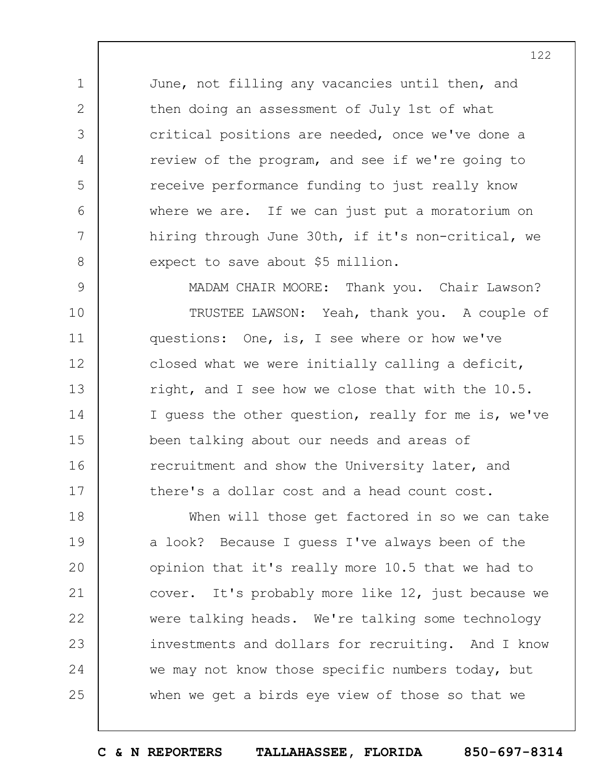June, not filling any vacancies until then, and then doing an assessment of July 1st of what critical positions are needed, once we've done a review of the program, and see if we're going to receive performance funding to just really know where we are. If we can just put a moratorium on hiring through June 30th, if it's non-critical, we expect to save about \$5 million.

1

2

3

4

5

6

7

8

9 10 11 12 13 14 15 16 17 MADAM CHAIR MOORE: Thank you. Chair Lawson? TRUSTEE LAWSON: Yeah, thank you. A couple of questions: One, is, I see where or how we've closed what we were initially calling a deficit, right, and I see how we close that with the 10.5. I guess the other question, really for me is, we've been talking about our needs and areas of recruitment and show the University later, and there's a dollar cost and a head count cost.

18 19  $20$ 21 22 23 24 25 When will those get factored in so we can take a look? Because I guess I've always been of the opinion that it's really more 10.5 that we had to cover. It's probably more like 12, just because we were talking heads. We're talking some technology investments and dollars for recruiting. And I know we may not know those specific numbers today, but when we get a birds eye view of those so that we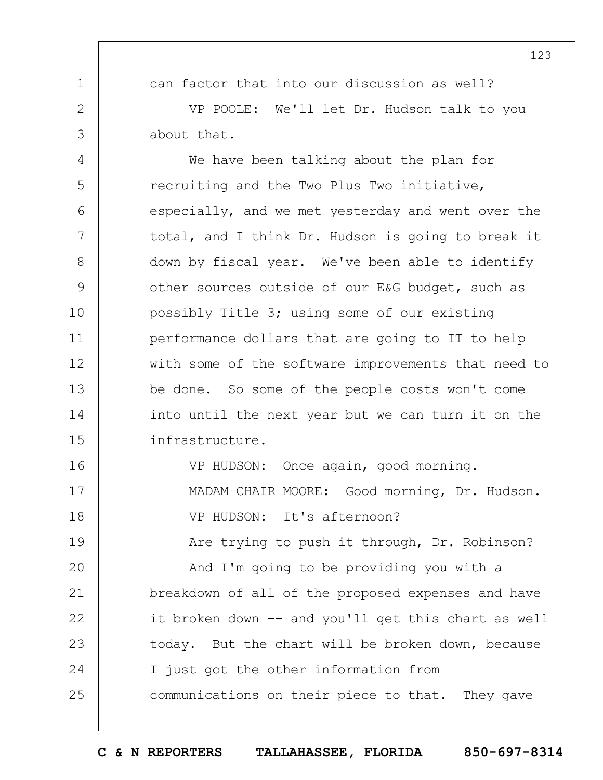can factor that into our discussion as well?

1

2

3

VP POOLE: We'll let Dr. Hudson talk to you about that.

4 5 6 7 8 9 10 11 12 13 14 15 We have been talking about the plan for recruiting and the Two Plus Two initiative, especially, and we met yesterday and went over the total, and I think Dr. Hudson is going to break it down by fiscal year. We've been able to identify other sources outside of our E&G budget, such as possibly Title 3; using some of our existing performance dollars that are going to IT to help with some of the software improvements that need to be done. So some of the people costs won't come into until the next year but we can turn it on the infrastructure.

16 17 18 19  $20$ 21 22 23 24 25 VP HUDSON: Once again, good morning. MADAM CHAIR MOORE: Good morning, Dr. Hudson. VP HUDSON: It's afternoon? Are trying to push it through, Dr. Robinson? And I'm going to be providing you with a breakdown of all of the proposed expenses and have it broken down -- and you'll get this chart as well today. But the chart will be broken down, because I just got the other information from communications on their piece to that. They gave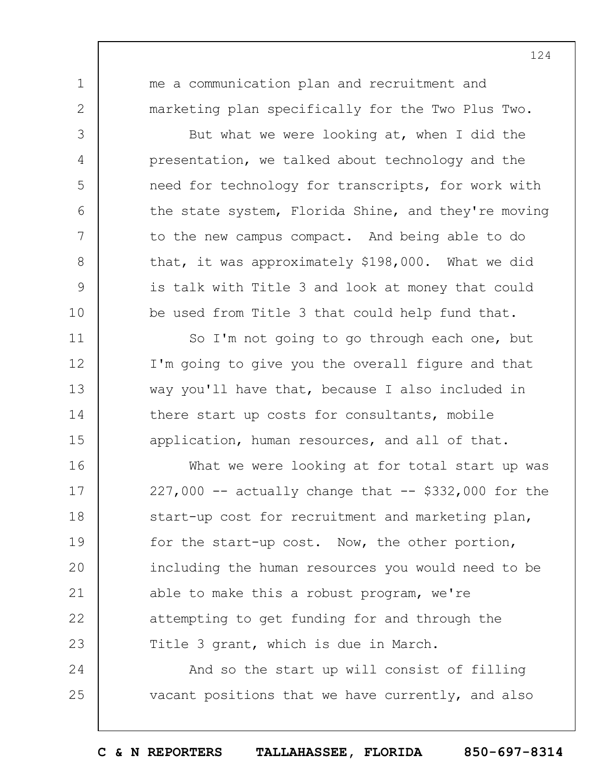me a communication plan and recruitment and marketing plan specifically for the Two Plus Two.

1

2

3

4

5

6

7

8

9

10

11

12

13

14

15

But what we were looking at, when I did the presentation, we talked about technology and the need for technology for transcripts, for work with the state system, Florida Shine, and they're moving to the new campus compact. And being able to do that, it was approximately \$198,000. What we did is talk with Title 3 and look at money that could be used from Title 3 that could help fund that.

So I'm not going to go through each one, but I'm going to give you the overall figure and that way you'll have that, because I also included in there start up costs for consultants, mobile application, human resources, and all of that.

16 17 18 19  $20$ 21 22 23 What we were looking at for total start up was  $227,000$  -- actually change that -- \$332,000 for the start-up cost for recruitment and marketing plan, for the start-up cost. Now, the other portion, including the human resources you would need to be able to make this a robust program, we're attempting to get funding for and through the Title 3 grant, which is due in March.

24 25 And so the start up will consist of filling vacant positions that we have currently, and also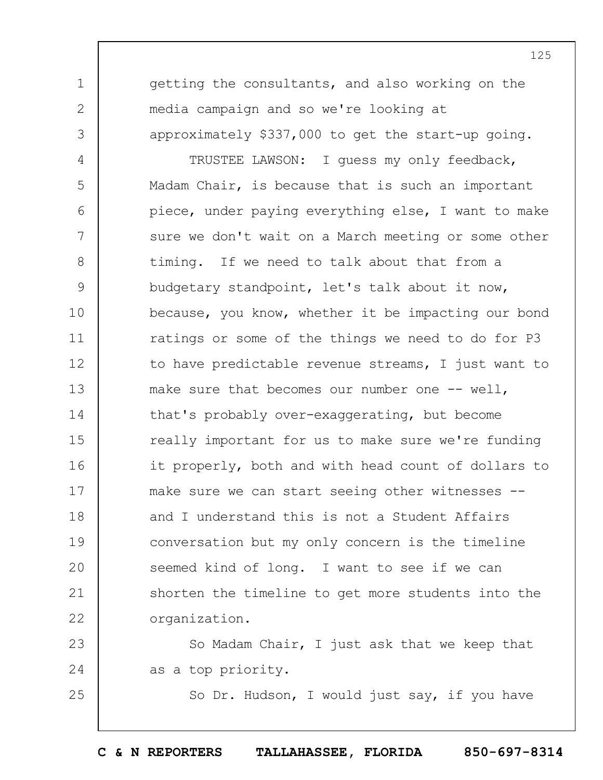getting the consultants, and also working on the media campaign and so we're looking at approximately \$337,000 to get the start-up going.

1

2

3

25

4 5 6 7 8 9 10 11 12 13 14 15 16 17 18 19  $20$ 21 22 TRUSTEE LAWSON: I guess my only feedback, Madam Chair, is because that is such an important piece, under paying everything else, I want to make sure we don't wait on a March meeting or some other timing. If we need to talk about that from a budgetary standpoint, let's talk about it now, because, you know, whether it be impacting our bond ratings or some of the things we need to do for P3 to have predictable revenue streams, I just want to make sure that becomes our number one -- well, that's probably over-exaggerating, but become really important for us to make sure we're funding it properly, both and with head count of dollars to make sure we can start seeing other witnesses - and I understand this is not a Student Affairs conversation but my only concern is the timeline seemed kind of long. I want to see if we can shorten the timeline to get more students into the organization.

23 24 So Madam Chair, I just ask that we keep that as a top priority.

So Dr. Hudson, I would just say, if you have

125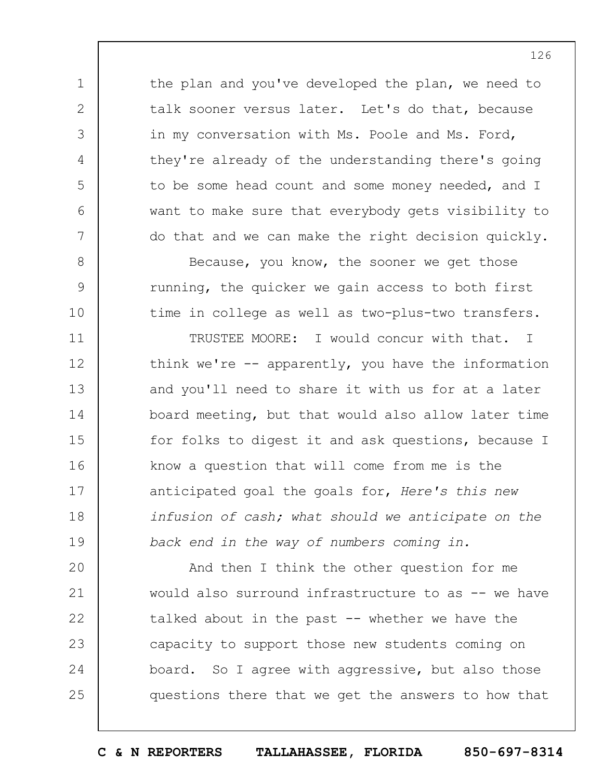the plan and you've developed the plan, we need to talk sooner versus later. Let's do that, because in my conversation with Ms. Poole and Ms. Ford, they're already of the understanding there's going to be some head count and some money needed, and I want to make sure that everybody gets visibility to do that and we can make the right decision quickly.

1

2

3

4

5

6

7

8

9

10

Because, you know, the sooner we get those running, the quicker we gain access to both first time in college as well as two-plus-two transfers.

11 12 13 14 15 16 17 18 19 TRUSTEE MOORE: I would concur with that. I think we're  $--$  apparently, you have the information and you'll need to share it with us for at a later board meeting, but that would also allow later time for folks to digest it and ask questions, because I know a question that will come from me is the anticipated goal the goals for, *Here's this new infusion of cash; what should we anticipate on the back end in the way of numbers coming in.*

 $20$ 21 22 23 24 25 And then I think the other question for me would also surround infrastructure to as -- we have talked about in the past  $-$  whether we have the capacity to support those new students coming on board. So I agree with aggressive, but also those questions there that we get the answers to how that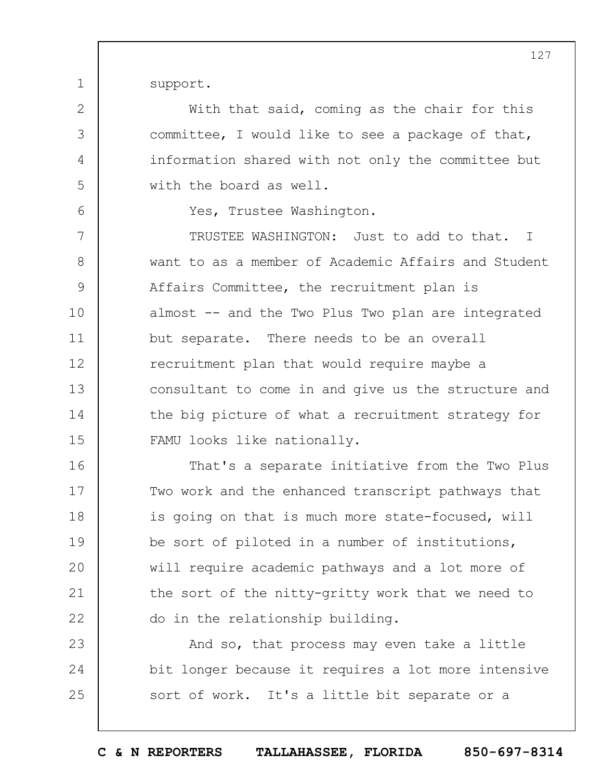support.

1

2

3

4

5

6

With that said, coming as the chair for this committee, I would like to see a package of that, information shared with not only the committee but with the board as well.

Yes, Trustee Washington.

7 8 9 10 11 12 13 14 15 TRUSTEE WASHINGTON: Just to add to that. I want to as a member of Academic Affairs and Student Affairs Committee, the recruitment plan is almost -- and the Two Plus Two plan are integrated but separate. There needs to be an overall recruitment plan that would require maybe a consultant to come in and give us the structure and the big picture of what a recruitment strategy for FAMU looks like nationally.

16 17 18 19  $20$ 21 22 That's a separate initiative from the Two Plus Two work and the enhanced transcript pathways that is going on that is much more state-focused, will be sort of piloted in a number of institutions, will require academic pathways and a lot more of the sort of the nitty-gritty work that we need to do in the relationship building.

23 24 25 And so, that process may even take a little bit longer because it requires a lot more intensive sort of work. It's a little bit separate or a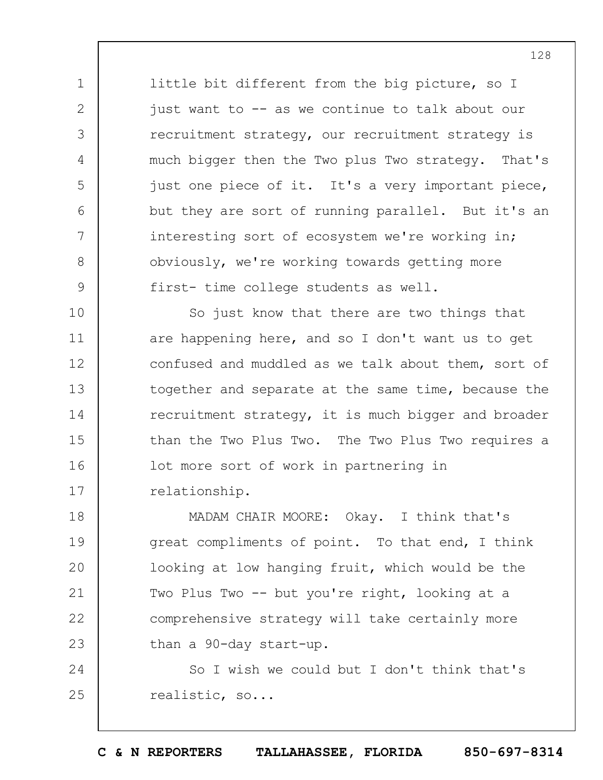little bit different from the big picture, so I just want to -- as we continue to talk about our recruitment strategy, our recruitment strategy is much bigger then the Two plus Two strategy. That's just one piece of it. It's a very important piece, but they are sort of running parallel. But it's an interesting sort of ecosystem we're working in; obviously, we're working towards getting more first- time college students as well.

1

2

3

4

5

6

7

8

9

10 11 12 13 14 15 16 17 So just know that there are two things that are happening here, and so I don't want us to get confused and muddled as we talk about them, sort of together and separate at the same time, because the recruitment strategy, it is much bigger and broader than the Two Plus Two. The Two Plus Two requires a lot more sort of work in partnering in relationship.

18 19  $20$ 21 22 23 MADAM CHAIR MOORE: Okay. I think that's great compliments of point. To that end, I think looking at low hanging fruit, which would be the Two Plus Two -- but you're right, looking at a comprehensive strategy will take certainly more than a 90-day start-up.

24 25 So I wish we could but I don't think that's realistic, so...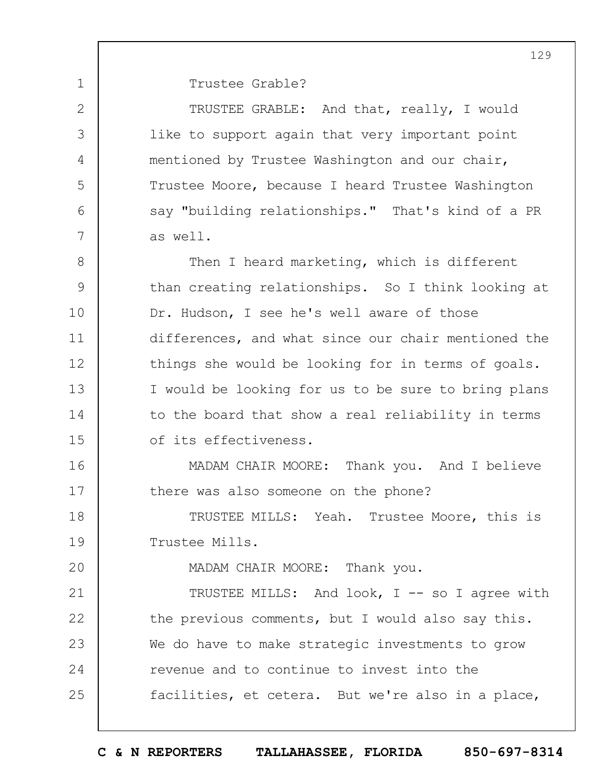2

3

4

5

6

7

 $20$ 

1

Trustee Grable?

TRUSTEE GRABLE: And that, really, I would like to support again that very important point mentioned by Trustee Washington and our chair, Trustee Moore, because I heard Trustee Washington say "building relationships." That's kind of a PR as well.

8 9 10 11 12 13 14 15 Then I heard marketing, which is different than creating relationships. So I think looking at Dr. Hudson, I see he's well aware of those differences, and what since our chair mentioned the things she would be looking for in terms of goals. I would be looking for us to be sure to bring plans to the board that show a real reliability in terms of its effectiveness.

16 17 MADAM CHAIR MOORE: Thank you. And I believe there was also someone on the phone?

18 19 TRUSTEE MILLS: Yeah. Trustee Moore, this is Trustee Mills.

MADAM CHAIR MOORE: Thank you.

21 22 23 24 25 TRUSTEE MILLS: And look, I -- so I agree with the previous comments, but I would also say this. We do have to make strategic investments to grow revenue and to continue to invest into the facilities, et cetera. But we're also in a place,

129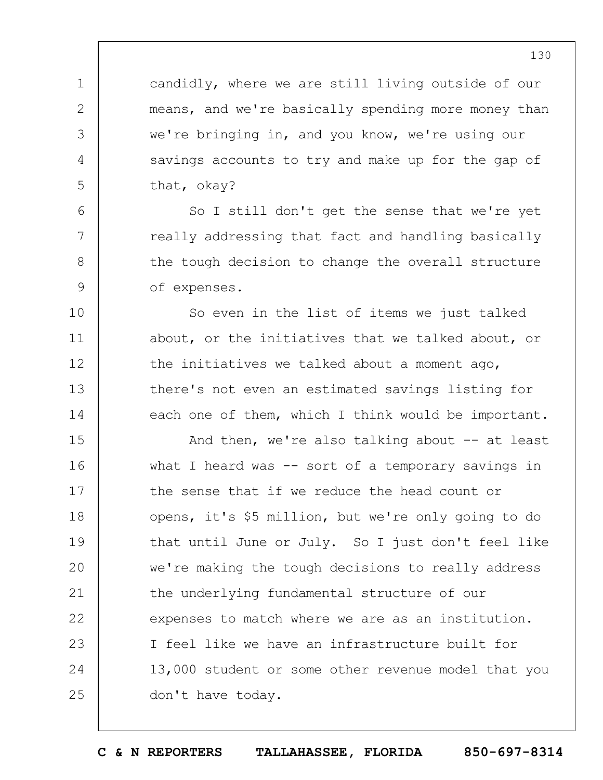candidly, where we are still living outside of our means, and we're basically spending more money than we're bringing in, and you know, we're using our savings accounts to try and make up for the gap of that, okay?

1

2

3

4

5

6

7

8

9

10

11

12

13

14

So I still don't get the sense that we're yet really addressing that fact and handling basically the tough decision to change the overall structure of expenses.

So even in the list of items we just talked about, or the initiatives that we talked about, or the initiatives we talked about a moment ago, there's not even an estimated savings listing for each one of them, which I think would be important.

15 16 17 18 19  $20$ 21 22 23 24 25 And then, we're also talking about  $-$  at least what I heard was -- sort of a temporary savings in the sense that if we reduce the head count or opens, it's \$5 million, but we're only going to do that until June or July. So I just don't feel like we're making the tough decisions to really address the underlying fundamental structure of our expenses to match where we are as an institution. I feel like we have an infrastructure built for 13,000 student or some other revenue model that you don't have today.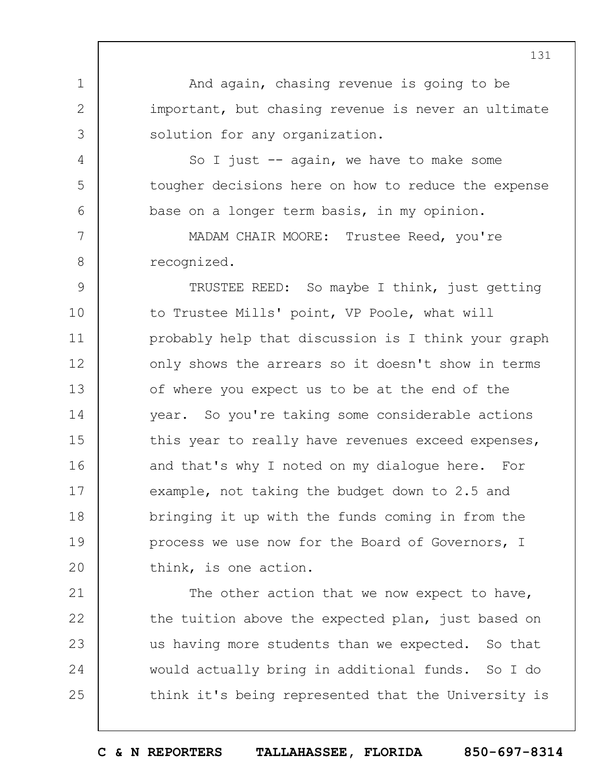And again, chasing revenue is going to be important, but chasing revenue is never an ultimate solution for any organization.

So I just  $-$  again, we have to make some tougher decisions here on how to reduce the expense base on a longer term basis, in my opinion.

MADAM CHAIR MOORE: Trustee Reed, you're recognized.

1

2

3

4

5

6

7

8

9 10 11 12 13 14 15 16 17 18 19  $20$ TRUSTEE REED: So maybe I think, just getting to Trustee Mills' point, VP Poole, what will probably help that discussion is I think your graph only shows the arrears so it doesn't show in terms of where you expect us to be at the end of the year. So you're taking some considerable actions this year to really have revenues exceed expenses, and that's why I noted on my dialogue here. For example, not taking the budget down to 2.5 and bringing it up with the funds coming in from the process we use now for the Board of Governors, I think, is one action.

21 22 23 24 25 The other action that we now expect to have, the tuition above the expected plan, just based on us having more students than we expected. So that would actually bring in additional funds. So I do think it's being represented that the University is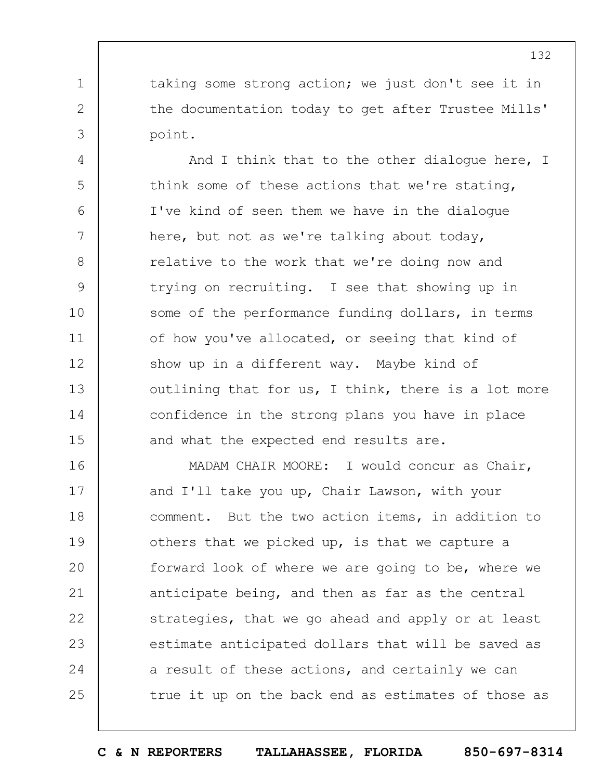taking some strong action; we just don't see it in the documentation today to get after Trustee Mills' point.

1

2

3

4 5 6 7 8 9 10 11 12 13 14 15 And I think that to the other dialogue here, I think some of these actions that we're stating, I've kind of seen them we have in the dialogue here, but not as we're talking about today, relative to the work that we're doing now and trying on recruiting. I see that showing up in some of the performance funding dollars, in terms of how you've allocated, or seeing that kind of show up in a different way. Maybe kind of outlining that for us, I think, there is a lot more confidence in the strong plans you have in place and what the expected end results are.

16 17 18 19  $20$ 21 22 23 24 25 MADAM CHAIR MOORE: I would concur as Chair, and I'll take you up, Chair Lawson, with your comment. But the two action items, in addition to others that we picked up, is that we capture a forward look of where we are going to be, where we anticipate being, and then as far as the central strategies, that we go ahead and apply or at least estimate anticipated dollars that will be saved as a result of these actions, and certainly we can true it up on the back end as estimates of those as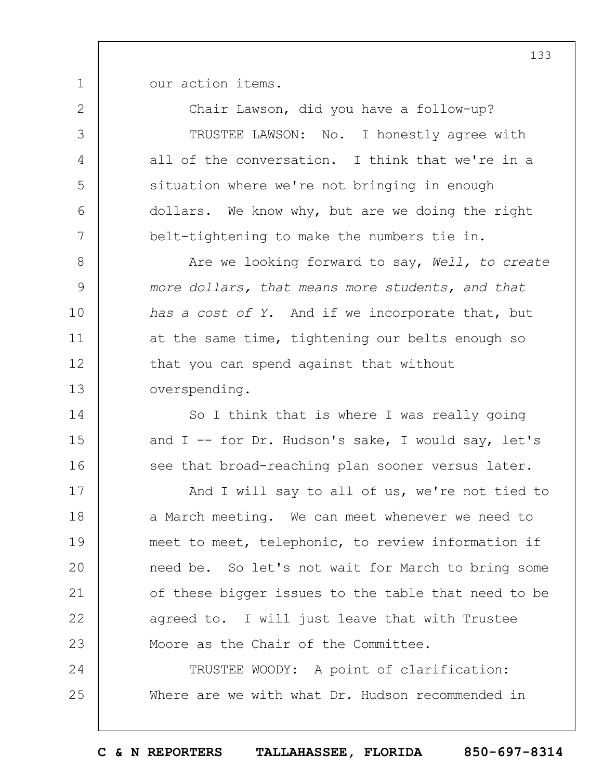our action items.

1

14

15

16

2 3 4 5 6 7 Chair Lawson, did you have a follow-up? TRUSTEE LAWSON: No. I honestly agree with all of the conversation. I think that we're in a situation where we're not bringing in enough dollars. We know why, but are we doing the right belt-tightening to make the numbers tie in.

8 9 10 11 12 13 Are we looking forward to say, *Well, to create more dollars, that means more students, and that has a cost of Y.* And if we incorporate that, but at the same time, tightening our belts enough so that you can spend against that without overspending.

> So I think that is where I was really going and  $I$  -- for Dr. Hudson's sake, I would say, let's see that broad-reaching plan sooner versus later.

17 18 19  $20$ 21 22 23 And I will say to all of us, we're not tied to a March meeting. We can meet whenever we need to meet to meet, telephonic, to review information if need be. So let's not wait for March to bring some of these bigger issues to the table that need to be agreed to. I will just leave that with Trustee Moore as the Chair of the Committee.

24 25 TRUSTEE WOODY: A point of clarification: Where are we with what Dr. Hudson recommended in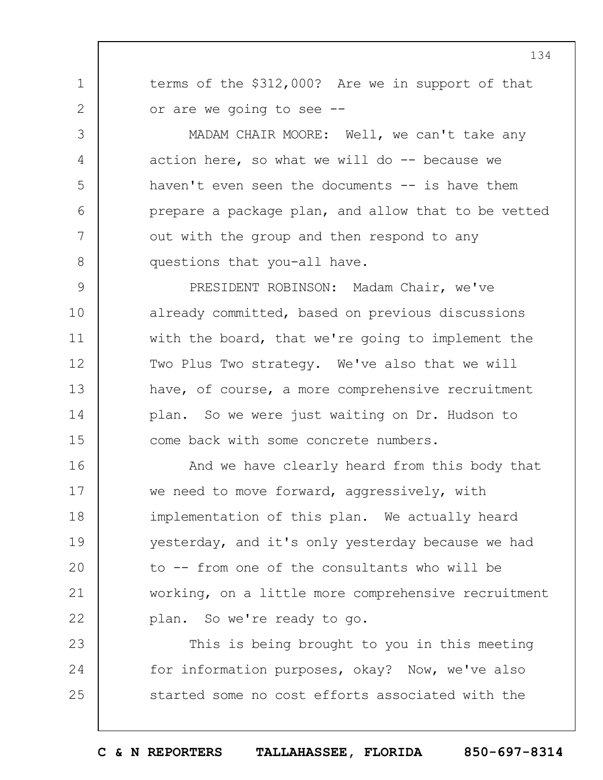terms of the \$312,000? Are we in support of that or are we going to see --

1

2

3

4

5

6

7

8

MADAM CHAIR MOORE: Well, we can't take any action here, so what we will do -- because we haven't even seen the documents -- is have them prepare a package plan, and allow that to be vetted out with the group and then respond to any questions that you-all have.

9 10 11 12 13 14 15 PRESIDENT ROBINSON: Madam Chair, we've already committed, based on previous discussions with the board, that we're going to implement the Two Plus Two strategy. We've also that we will have, of course, a more comprehensive recruitment plan. So we were just waiting on Dr. Hudson to come back with some concrete numbers.

16 17 18 19  $20$ 21 22 And we have clearly heard from this body that we need to move forward, aggressively, with implementation of this plan. We actually heard yesterday, and it's only yesterday because we had to -- from one of the consultants who will be working, on a little more comprehensive recruitment plan. So we're ready to go.

23 24 25 This is being brought to you in this meeting for information purposes, okay? Now, we've also started some no cost efforts associated with the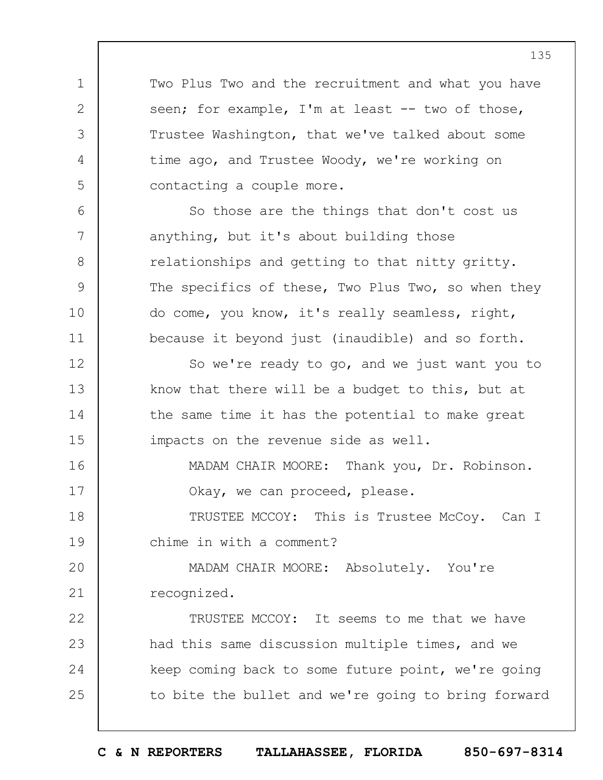Two Plus Two and the recruitment and what you have seen; for example, I'm at least -- two of those, Trustee Washington, that we've talked about some time ago, and Trustee Woody, we're working on contacting a couple more.

1

2

3

4

5

6

7

8

9

10

11

So those are the things that don't cost us anything, but it's about building those relationships and getting to that nitty gritty. The specifics of these, Two Plus Two, so when they do come, you know, it's really seamless, right, because it beyond just (inaudible) and so forth.

12 13 14 15 So we're ready to go, and we just want you to know that there will be a budget to this, but at the same time it has the potential to make great impacts on the revenue side as well.

16 17 MADAM CHAIR MOORE: Thank you, Dr. Robinson. Okay, we can proceed, please.

18 19 TRUSTEE MCCOY: This is Trustee McCoy. Can I chime in with a comment?

 $20$ 21 MADAM CHAIR MOORE: Absolutely. You're recognized.

22 23 24 25 TRUSTEE MCCOY: It seems to me that we have had this same discussion multiple times, and we keep coming back to some future point, we're going to bite the bullet and we're going to bring forward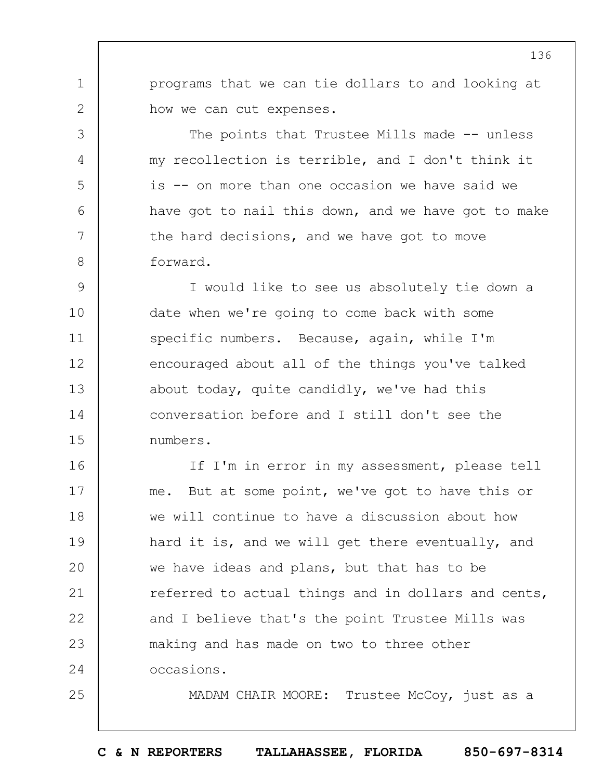programs that we can tie dollars to and looking at how we can cut expenses.

1

2

3

4

5

6

7

8

25

The points that Trustee Mills made -- unless my recollection is terrible, and I don't think it is -- on more than one occasion we have said we have got to nail this down, and we have got to make the hard decisions, and we have got to move forward.

9 10 11 12 13 14 15 I would like to see us absolutely tie down a date when we're going to come back with some specific numbers. Because, again, while I'm encouraged about all of the things you've talked about today, quite candidly, we've had this conversation before and I still don't see the numbers.

16 17 18 19  $20$ 21 22 23 24 If I'm in error in my assessment, please tell me. But at some point, we've got to have this or we will continue to have a discussion about how hard it is, and we will get there eventually, and we have ideas and plans, but that has to be referred to actual things and in dollars and cents, and I believe that's the point Trustee Mills was making and has made on two to three other occasions.

MADAM CHAIR MOORE: Trustee McCoy, just as a

**C & N REPORTERS TALLAHASSEE, FLORIDA 850-697-8314**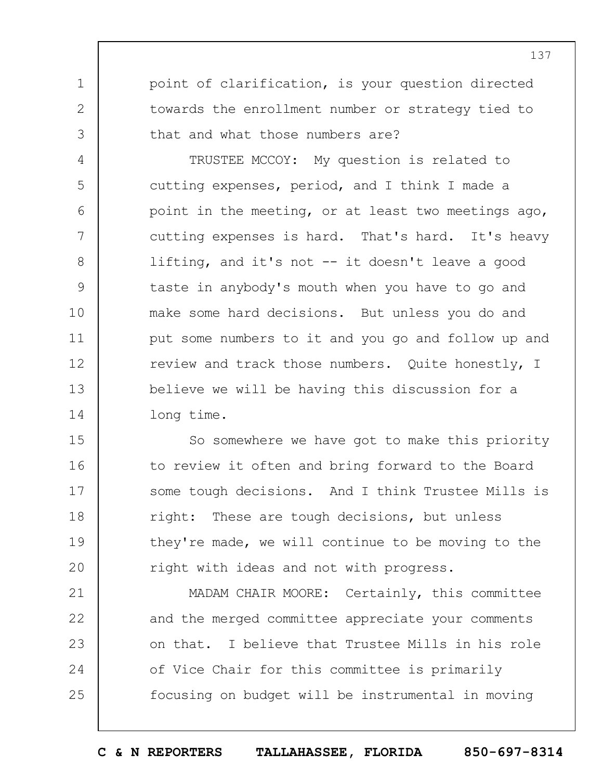point of clarification, is your question directed towards the enrollment number or strategy tied to that and what those numbers are?

1

2

3

4

5

6

7

8

9

10

11

12

13

14

TRUSTEE MCCOY: My question is related to cutting expenses, period, and I think I made a point in the meeting, or at least two meetings ago, cutting expenses is hard. That's hard. It's heavy lifting, and it's not -- it doesn't leave a good taste in anybody's mouth when you have to go and make some hard decisions. But unless you do and put some numbers to it and you go and follow up and review and track those numbers. Quite honestly, I believe we will be having this discussion for a long time.

15 16 17 18 19  $20$ So somewhere we have got to make this priority to review it often and bring forward to the Board some tough decisions. And I think Trustee Mills is right: These are tough decisions, but unless they're made, we will continue to be moving to the right with ideas and not with progress.

21 22 23 24 25 MADAM CHAIR MOORE: Certainly, this committee and the merged committee appreciate your comments on that. I believe that Trustee Mills in his role of Vice Chair for this committee is primarily focusing on budget will be instrumental in moving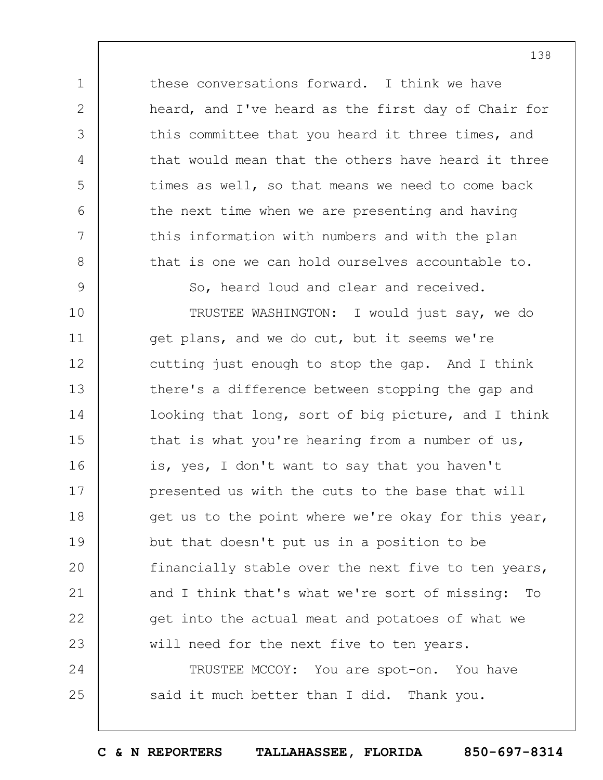these conversations forward. I think we have heard, and I've heard as the first day of Chair for this committee that you heard it three times, and that would mean that the others have heard it three times as well, so that means we need to come back the next time when we are presenting and having this information with numbers and with the plan that is one we can hold ourselves accountable to.

So, heard loud and clear and received.

1

2

3

4

5

6

7

8

9

10 11 12 13 14 15 16 17 18 19  $20$ 21 22 23 24 TRUSTEE WASHINGTON: I would just say, we do get plans, and we do cut, but it seems we're cutting just enough to stop the gap. And I think there's a difference between stopping the gap and looking that long, sort of big picture, and I think that is what you're hearing from a number of us, is, yes, I don't want to say that you haven't presented us with the cuts to the base that will get us to the point where we're okay for this year, but that doesn't put us in a position to be financially stable over the next five to ten years, and I think that's what we're sort of missing: To get into the actual meat and potatoes of what we will need for the next five to ten years.

25 TRUSTEE MCCOY: You are spot-on. You have said it much better than I did. Thank you.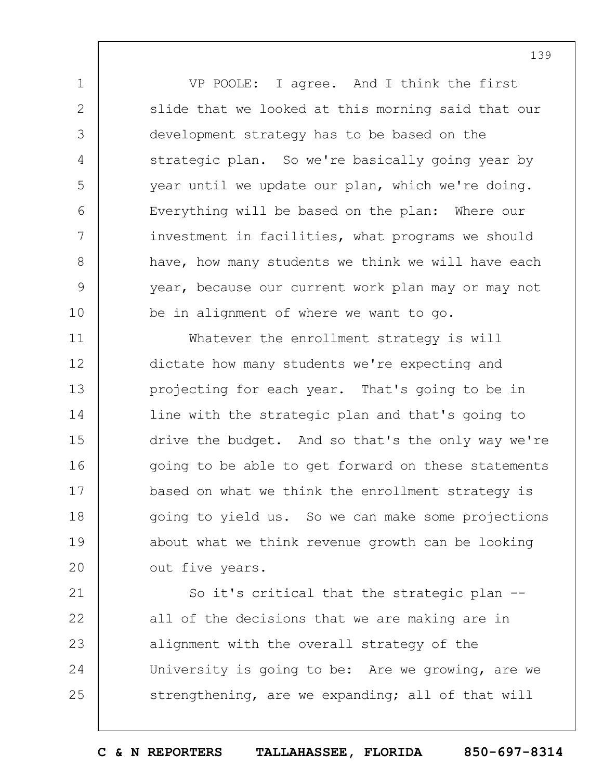VP POOLE: I agree. And I think the first slide that we looked at this morning said that our development strategy has to be based on the strategic plan. So we're basically going year by year until we update our plan, which we're doing. Everything will be based on the plan: Where our investment in facilities, what programs we should have, how many students we think we will have each year, because our current work plan may or may not be in alignment of where we want to go.

1

2

3

4

5

6

7

8

9

10

11 12 13 14 15 16 17 18 19  $20$ Whatever the enrollment strategy is will dictate how many students we're expecting and projecting for each year. That's going to be in line with the strategic plan and that's going to drive the budget. And so that's the only way we're going to be able to get forward on these statements based on what we think the enrollment strategy is going to yield us. So we can make some projections about what we think revenue growth can be looking out five years.

21 22 23 24 25 So it's critical that the strategic plan - all of the decisions that we are making are in alignment with the overall strategy of the University is going to be: Are we growing, are we strengthening, are we expanding; all of that will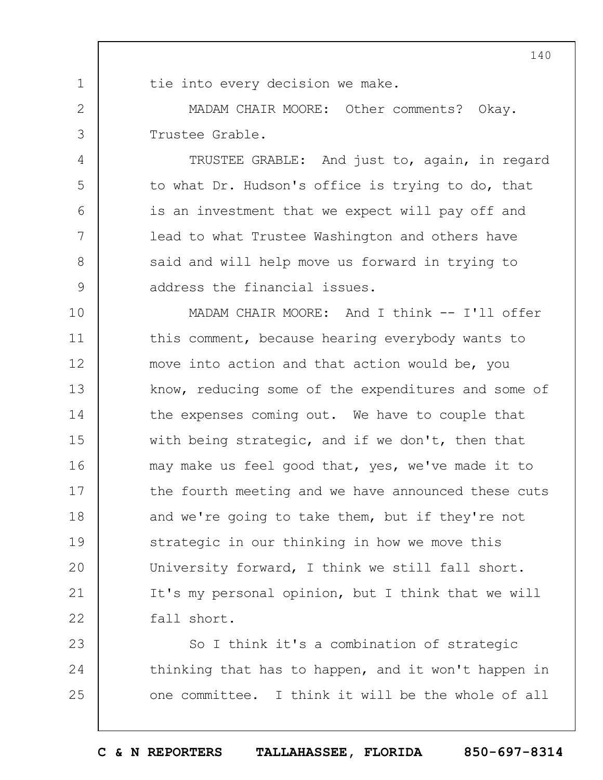1

2

3

4

5

6

7

8

9

tie into every decision we make.

MADAM CHAIR MOORE: Other comments? Okay. Trustee Grable.

TRUSTEE GRABLE: And just to, again, in regard to what Dr. Hudson's office is trying to do, that is an investment that we expect will pay off and lead to what Trustee Washington and others have said and will help move us forward in trying to address the financial issues.

10 11 12 13 14 15 16 17 18 19  $20$ 21 22 MADAM CHAIR MOORE: And I think -- I'll offer this comment, because hearing everybody wants to move into action and that action would be, you know, reducing some of the expenditures and some of the expenses coming out. We have to couple that with being strategic, and if we don't, then that may make us feel good that, yes, we've made it to the fourth meeting and we have announced these cuts and we're going to take them, but if they're not strategic in our thinking in how we move this University forward, I think we still fall short. It's my personal opinion, but I think that we will fall short.

23 24 25 So I think it's a combination of strategic thinking that has to happen, and it won't happen in one committee. I think it will be the whole of all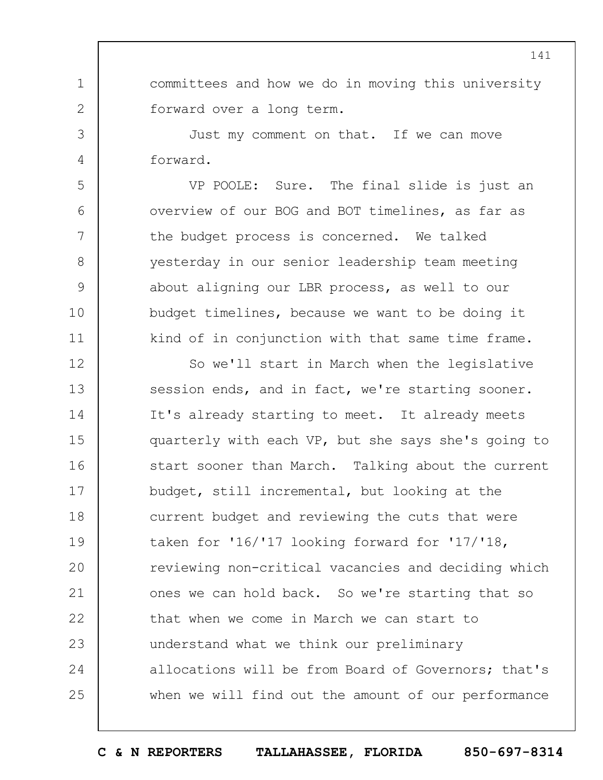committees and how we do in moving this university forward over a long term.

Just my comment on that. If we can move forward.

1

2

3

4

5

6

7

8

9

10

11

VP POOLE: Sure. The final slide is just an overview of our BOG and BOT timelines, as far as the budget process is concerned. We talked yesterday in our senior leadership team meeting about aligning our LBR process, as well to our budget timelines, because we want to be doing it kind of in conjunction with that same time frame.

12 13 14 15 16 17 18 19  $20$ 21 22 23 24 25 So we'll start in March when the legislative session ends, and in fact, we're starting sooner. It's already starting to meet. It already meets quarterly with each VP, but she says she's going to start sooner than March. Talking about the current budget, still incremental, but looking at the current budget and reviewing the cuts that were taken for '16/'17 looking forward for '17/'18, reviewing non-critical vacancies and deciding which ones we can hold back. So we're starting that so that when we come in March we can start to understand what we think our preliminary allocations will be from Board of Governors; that's when we will find out the amount of our performance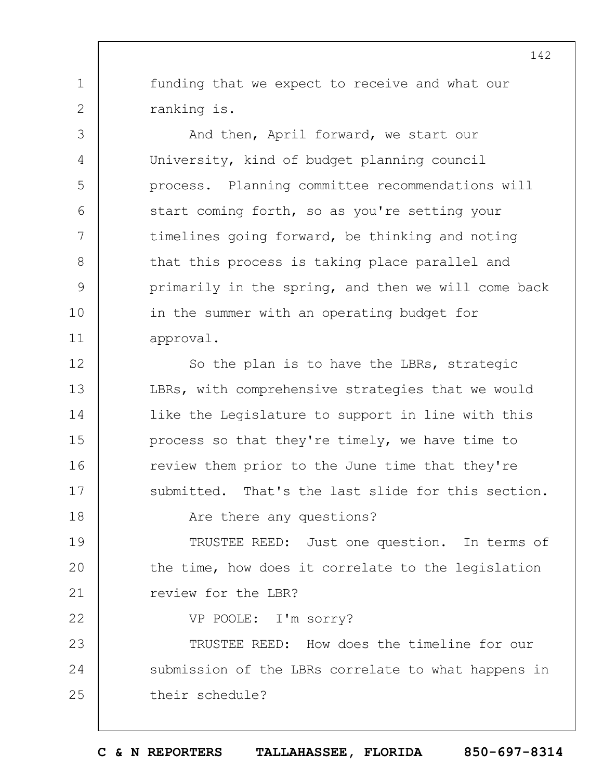funding that we expect to receive and what our ranking is.

1

2

3

4

5

6

7

8

9

10

11

18

22

And then, April forward, we start our University, kind of budget planning council process. Planning committee recommendations will start coming forth, so as you're setting your timelines going forward, be thinking and noting that this process is taking place parallel and primarily in the spring, and then we will come back in the summer with an operating budget for approval.

12 13 14 15 16 17 So the plan is to have the LBRs, strategic LBRs, with comprehensive strategies that we would like the Legislature to support in line with this process so that they're timely, we have time to review them prior to the June time that they're submitted. That's the last slide for this section.

Are there any questions?

19  $20$ 21 TRUSTEE REED: Just one question. In terms of the time, how does it correlate to the legislation review for the LBR?

VP POOLE: I'm sorry?

23 24 25 TRUSTEE REED: How does the timeline for our submission of the LBRs correlate to what happens in their schedule?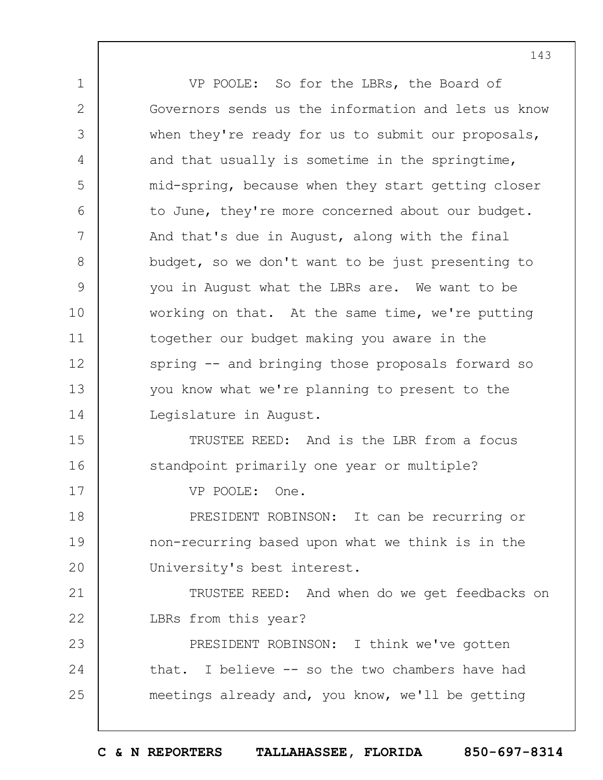1 2 3 4 5 6 7 8 9 10 11 12 13 14 15 16 17 18 19  $20$ 21 22 23 24 25 VP POOLE: So for the LBRs, the Board of Governors sends us the information and lets us know when they're ready for us to submit our proposals, and that usually is sometime in the springtime, mid-spring, because when they start getting closer to June, they're more concerned about our budget. And that's due in August, along with the final budget, so we don't want to be just presenting to you in August what the LBRs are. We want to be working on that. At the same time, we're putting together our budget making you aware in the spring -- and bringing those proposals forward so you know what we're planning to present to the Legislature in August. TRUSTEE REED: And is the LBR from a focus standpoint primarily one year or multiple? VP POOLE: One. PRESIDENT ROBINSON: It can be recurring or non-recurring based upon what we think is in the University's best interest. TRUSTEE REED: And when do we get feedbacks on LBRs from this year? PRESIDENT ROBINSON: I think we've gotten that. I believe -- so the two chambers have had meetings already and, you know, we'll be getting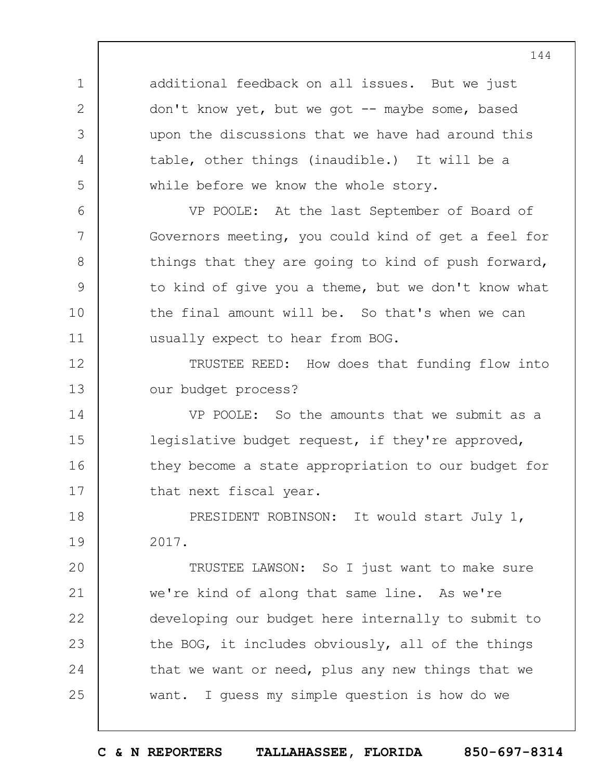additional feedback on all issues. But we just don't know yet, but we got -- maybe some, based upon the discussions that we have had around this table, other things (inaudible.) It will be a while before we know the whole story.

1

2

3

4

5

6

7

8

9

10

11

VP POOLE: At the last September of Board of Governors meeting, you could kind of get a feel for things that they are going to kind of push forward, to kind of give you a theme, but we don't know what the final amount will be. So that's when we can usually expect to hear from BOG.

12 13 TRUSTEE REED: How does that funding flow into our budget process?

14 15 16 17 VP POOLE: So the amounts that we submit as a legislative budget request, if they're approved, they become a state appropriation to our budget for that next fiscal year.

18 19 PRESIDENT ROBINSON: It would start July 1, 2017.

 $20$ 21 22 23 24 25 TRUSTEE LAWSON: So I just want to make sure we're kind of along that same line. As we're developing our budget here internally to submit to the BOG, it includes obviously, all of the things that we want or need, plus any new things that we want. I guess my simple question is how do we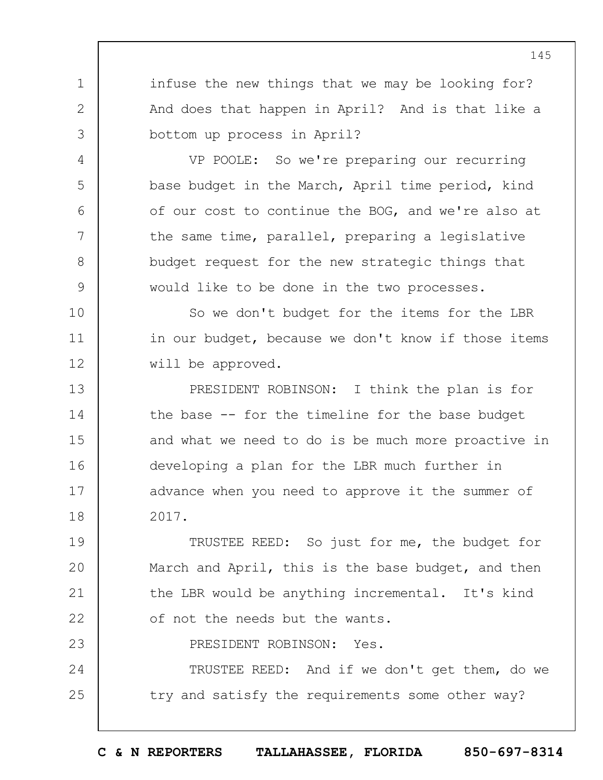infuse the new things that we may be looking for? And does that happen in April? And is that like a bottom up process in April?

1

2

3

4

5

6

7

8

9

10

11

12

23

VP POOLE: So we're preparing our recurring base budget in the March, April time period, kind of our cost to continue the BOG, and we're also at the same time, parallel, preparing a legislative budget request for the new strategic things that would like to be done in the two processes.

So we don't budget for the items for the LBR in our budget, because we don't know if those items will be approved.

13 14 15 16 17 18 PRESIDENT ROBINSON: I think the plan is for the base -- for the timeline for the base budget and what we need to do is be much more proactive in developing a plan for the LBR much further in advance when you need to approve it the summer of 2017.

19  $20$ 21 22 TRUSTEE REED: So just for me, the budget for March and April, this is the base budget, and then the LBR would be anything incremental. It's kind of not the needs but the wants.

PRESIDENT ROBINSON: Yes.

24 25 TRUSTEE REED: And if we don't get them, do we try and satisfy the requirements some other way?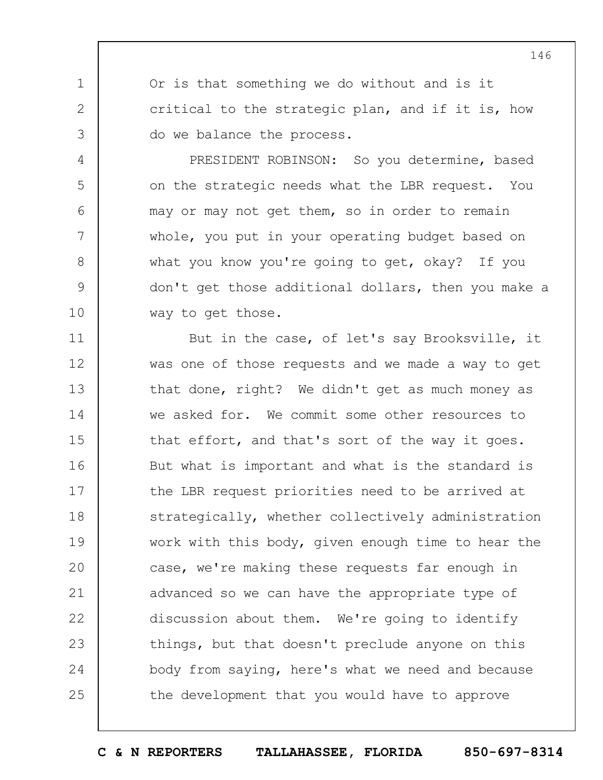Or is that something we do without and is it critical to the strategic plan, and if it is, how do we balance the process.

1

2

3

4

5

6

7

8

9

10

PRESIDENT ROBINSON: So you determine, based on the strategic needs what the LBR request. You may or may not get them, so in order to remain whole, you put in your operating budget based on what you know you're going to get, okay? If you don't get those additional dollars, then you make a way to get those.

11 12 13 14 15 16 17 18 19  $20$ 21 22 23 24 25 But in the case, of let's say Brooksville, it was one of those requests and we made a way to get that done, right? We didn't get as much money as we asked for. We commit some other resources to that effort, and that's sort of the way it goes. But what is important and what is the standard is the LBR request priorities need to be arrived at strategically, whether collectively administration work with this body, given enough time to hear the case, we're making these requests far enough in advanced so we can have the appropriate type of discussion about them. We're going to identify things, but that doesn't preclude anyone on this body from saying, here's what we need and because the development that you would have to approve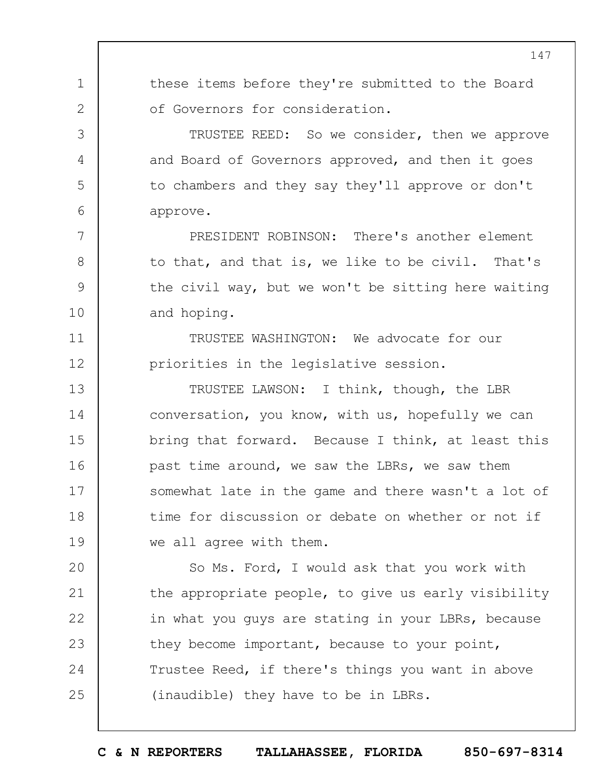1 2 3 4 5 6 7 8 9 10 11 12 13 14 15 16 17 18 19  $20$ 21 these items before they're submitted to the Board of Governors for consideration. TRUSTEE REED: So we consider, then we approve and Board of Governors approved, and then it goes to chambers and they say they'll approve or don't approve. PRESIDENT ROBINSON: There's another element to that, and that is, we like to be civil. That's the civil way, but we won't be sitting here waiting and hoping. TRUSTEE WASHINGTON: We advocate for our priorities in the legislative session. TRUSTEE LAWSON: I think, though, the LBR conversation, you know, with us, hopefully we can bring that forward. Because I think, at least this past time around, we saw the LBRs, we saw them somewhat late in the game and there wasn't a lot of time for discussion or debate on whether or not if we all agree with them. So Ms. Ford, I would ask that you work with the appropriate people, to give us early visibility

22 23 24 25 in what you guys are stating in your LBRs, because they become important, because to your point, Trustee Reed, if there's things you want in above (inaudible) they have to be in LBRs.

**C & N REPORTERS TALLAHASSEE, FLORIDA 850-697-8314**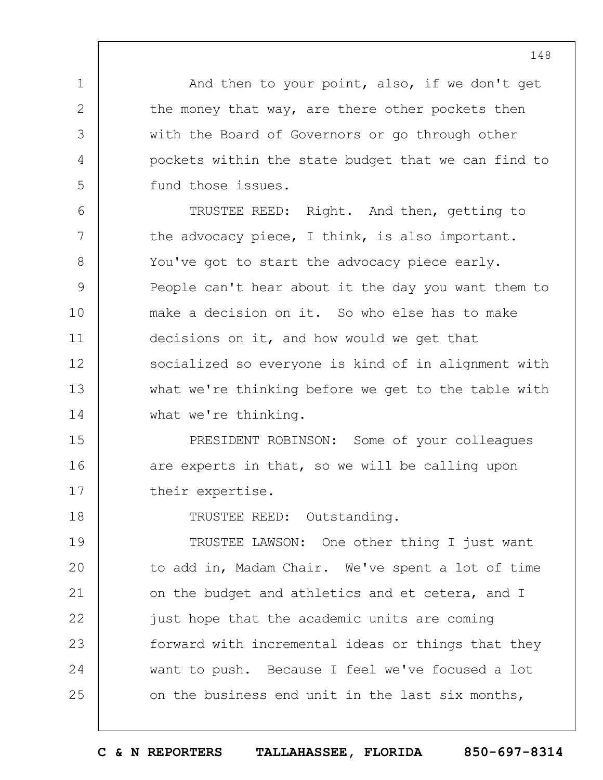And then to your point, also, if we don't get the money that way, are there other pockets then with the Board of Governors or go through other pockets within the state budget that we can find to fund those issues.

1

2

3

4

5

18

6 7 8 9 10 11 12 13 14 TRUSTEE REED: Right. And then, getting to the advocacy piece, I think, is also important. You've got to start the advocacy piece early. People can't hear about it the day you want them to make a decision on it. So who else has to make decisions on it, and how would we get that socialized so everyone is kind of in alignment with what we're thinking before we get to the table with what we're thinking.

15 16 17 PRESIDENT ROBINSON: Some of your colleagues are experts in that, so we will be calling upon their expertise.

TRUSTEE REED: Outstanding.

19  $20$ 21 22 23 24 25 TRUSTEE LAWSON: One other thing I just want to add in, Madam Chair. We've spent a lot of time on the budget and athletics and et cetera, and I just hope that the academic units are coming forward with incremental ideas or things that they want to push. Because I feel we've focused a lot on the business end unit in the last six months,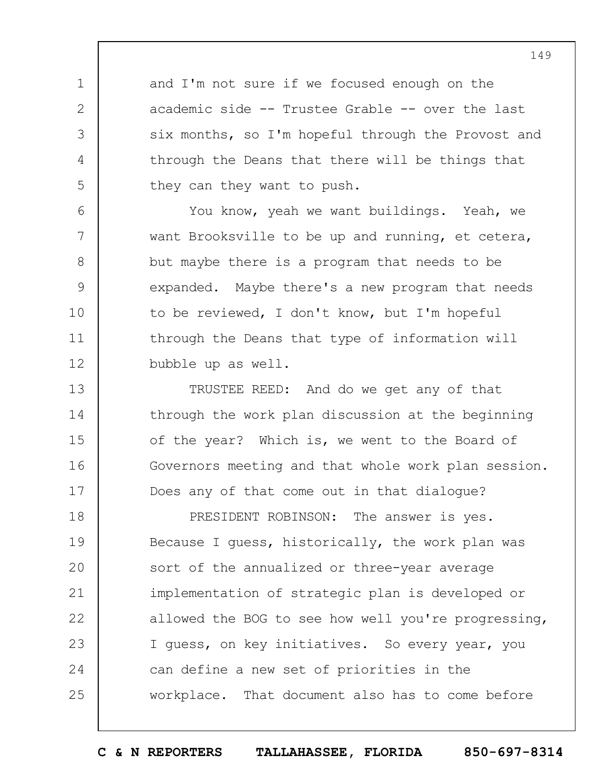and I'm not sure if we focused enough on the academic side -- Trustee Grable -- over the last six months, so I'm hopeful through the Provost and through the Deans that there will be things that they can they want to push.

1

2

3

4

5

6

7

8

9

10

11

12

You know, yeah we want buildings. Yeah, we want Brooksville to be up and running, et cetera, but maybe there is a program that needs to be expanded. Maybe there's a new program that needs to be reviewed, I don't know, but I'm hopeful through the Deans that type of information will bubble up as well.

13 14 15 16 17 TRUSTEE REED: And do we get any of that through the work plan discussion at the beginning of the year? Which is, we went to the Board of Governors meeting and that whole work plan session. Does any of that come out in that dialogue?

18 19  $20$ 21 22 23 24 25 PRESIDENT ROBINSON: The answer is yes. Because I guess, historically, the work plan was sort of the annualized or three-year average implementation of strategic plan is developed or allowed the BOG to see how well you're progressing, I guess, on key initiatives. So every year, you can define a new set of priorities in the workplace. That document also has to come before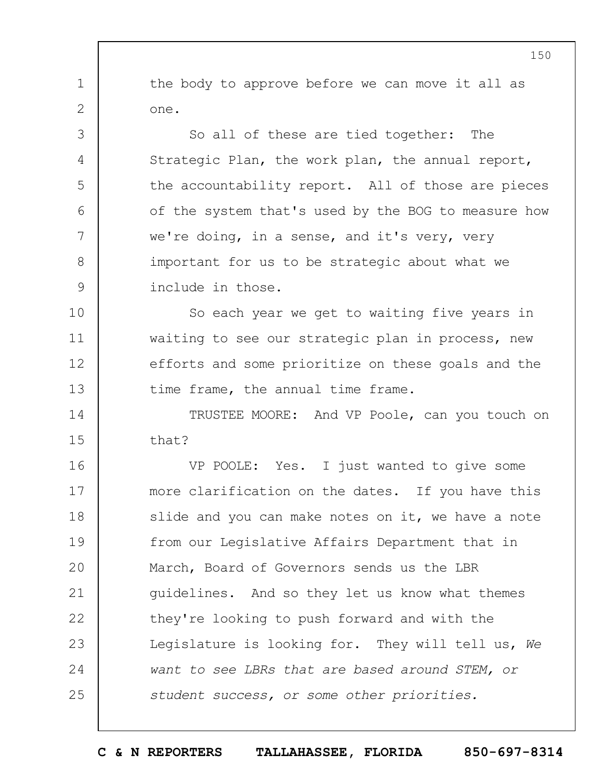the body to approve before we can move it all as one.

1

2

3

4

5

6

7

8

9

So all of these are tied together: The Strategic Plan, the work plan, the annual report, the accountability report. All of those are pieces of the system that's used by the BOG to measure how we're doing, in a sense, and it's very, very important for us to be strategic about what we include in those.

10 11 12 13 So each year we get to waiting five years in waiting to see our strategic plan in process, new efforts and some prioritize on these goals and the time frame, the annual time frame.

14 15 TRUSTEE MOORE: And VP Poole, can you touch on that?

16 17 18 19  $20$ 21 22 23 24 25 VP POOLE: Yes. I just wanted to give some more clarification on the dates. If you have this slide and you can make notes on it, we have a note from our Legislative Affairs Department that in March, Board of Governors sends us the LBR guidelines. And so they let us know what themes they're looking to push forward and with the Legislature is looking for. They will tell us, *We want to see LBRs that are based around STEM, or student success, or some other priorities.*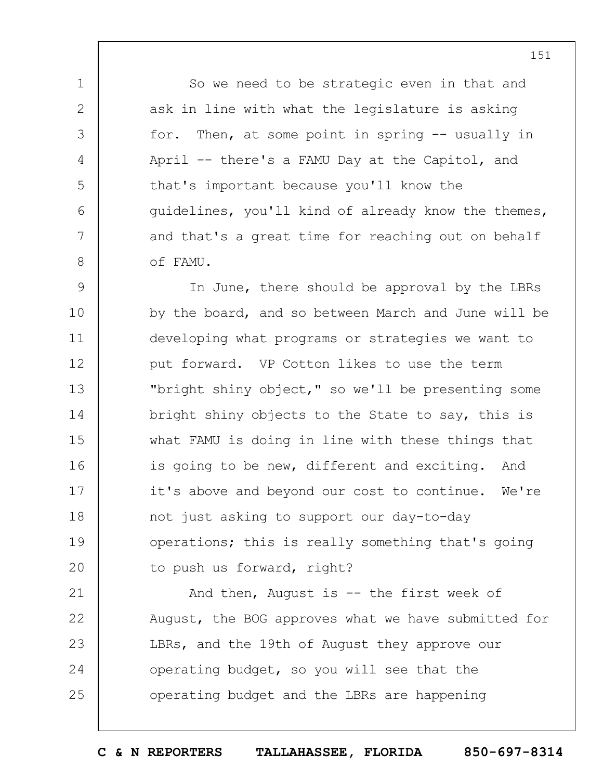So we need to be strategic even in that and ask in line with what the legislature is asking for. Then, at some point in spring -- usually in April -- there's a FAMU Day at the Capitol, and that's important because you'll know the guidelines, you'll kind of already know the themes, and that's a great time for reaching out on behalf of FAMU.

1

2

3

4

5

6

7

8

9 10 11 12 13 14 15 16 17 18 19  $20$ In June, there should be approval by the LBRs by the board, and so between March and June will be developing what programs or strategies we want to put forward. VP Cotton likes to use the term "bright shiny object," so we'll be presenting some bright shiny objects to the State to say, this is what FAMU is doing in line with these things that is going to be new, different and exciting. And it's above and beyond our cost to continue. We're not just asking to support our day-to-day operations; this is really something that's going to push us forward, right?

21 22 23 24 25 And then, August is -- the first week of August, the BOG approves what we have submitted for LBRs, and the 19th of August they approve our operating budget, so you will see that the operating budget and the LBRs are happening

**C & N REPORTERS TALLAHASSEE, FLORIDA 850-697-8314**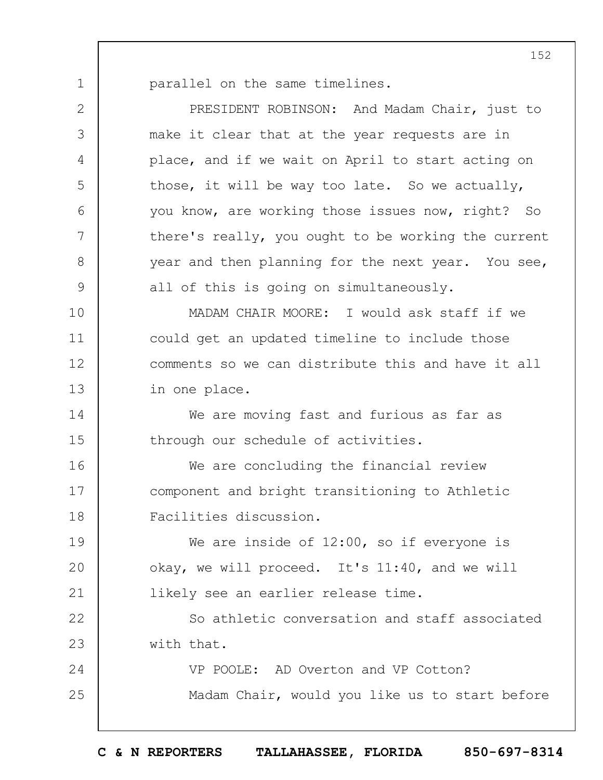1

parallel on the same timelines.

2 3 4 5 6 7 8 9 10 11 12 13 14 15 16 17 18 19  $20$ 21 22 23 24 25 PRESIDENT ROBINSON: And Madam Chair, just to make it clear that at the year requests are in place, and if we wait on April to start acting on those, it will be way too late. So we actually, you know, are working those issues now, right? So there's really, you ought to be working the current year and then planning for the next year. You see, all of this is going on simultaneously. MADAM CHAIR MOORE: I would ask staff if we could get an updated timeline to include those comments so we can distribute this and have it all in one place. We are moving fast and furious as far as through our schedule of activities. We are concluding the financial review component and bright transitioning to Athletic Facilities discussion. We are inside of 12:00, so if everyone is okay, we will proceed. It's 11:40, and we will likely see an earlier release time. So athletic conversation and staff associated with that. VP POOLE: AD Overton and VP Cotton? Madam Chair, would you like us to start before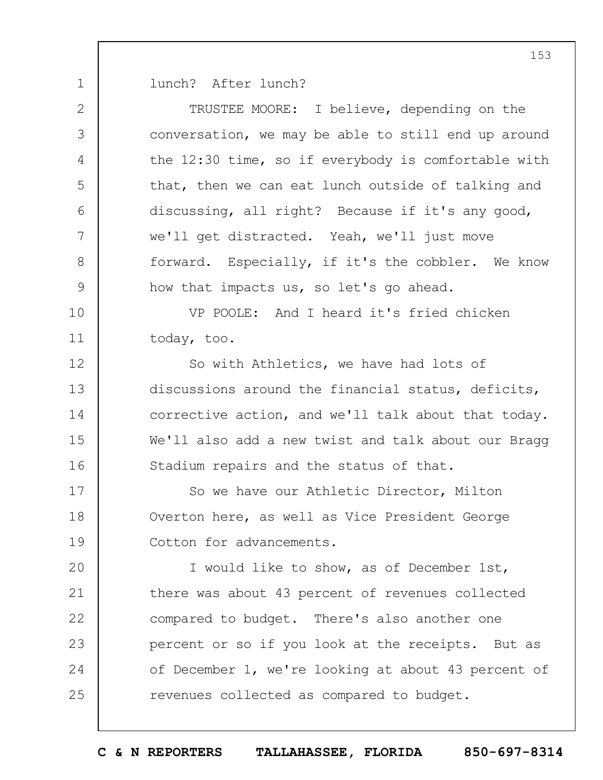1 lunch? After lunch?

| $\mathbf{2}$  | TRUSTEE MOORE: I believe, depending on the            |
|---------------|-------------------------------------------------------|
| 3             | conversation, we may be able to still end up around   |
| 4             | the $12:30$ time, so if everybody is comfortable with |
| 5             | that, then we can eat lunch outside of talking and    |
| 6             | discussing, all right? Because if it's any good,      |
| 7             | we'll get distracted. Yeah, we'll just move           |
| $8\,$         | forward. Especially, if it's the cobbler. We know     |
| $\mathcal{G}$ | how that impacts us, so let's go ahead.               |
| 10            | VP POOLE: And I heard it's fried chicken              |
| 11            | today, too.                                           |
| 12            | So with Athletics, we have had lots of                |
| 13            | discussions around the financial status, deficits,    |
| 14            | corrective action, and we'll talk about that today.   |
| 15            | We'll also add a new twist and talk about our Bragg   |
| 16            | Stadium repairs and the status of that.               |
| 17            | So we have our Athletic Director, Milton              |
| 18            | Overton here, as well as Vice President George        |
| 19            | Cotton for advancements.                              |
| 20            | I would like to show, as of December 1st,             |
| 21            | there was about 43 percent of revenues collected      |
| 22            | compared to budget. There's also another one          |
| 23            | percent or so if you look at the receipts. But as     |
| 24            | of December 1, we're looking at about 43 percent of   |
| 25            | revenues collected as compared to budget.             |
|               |                                                       |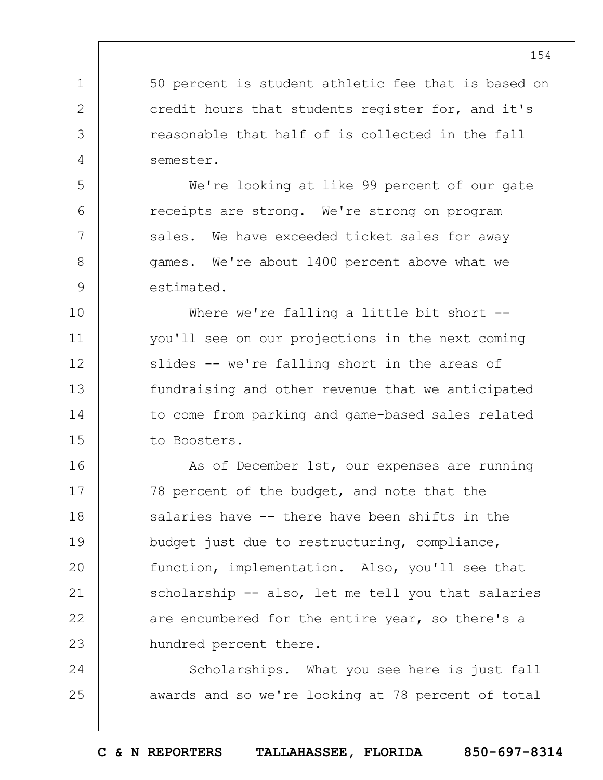50 percent is student athletic fee that is based on credit hours that students register for, and it's reasonable that half of is collected in the fall semester.

1

2

3

4

5

6

7

8

9

We're looking at like 99 percent of our gate receipts are strong. We're strong on program sales. We have exceeded ticket sales for away games. We're about 1400 percent above what we estimated.

10 11 12 13 14 15 Where we're falling a little bit short -you'll see on our projections in the next coming slides -- we're falling short in the areas of fundraising and other revenue that we anticipated to come from parking and game-based sales related to Boosters.

16 17 18 19  $20$ 21 22 23 As of December 1st, our expenses are running 78 percent of the budget, and note that the salaries have -- there have been shifts in the budget just due to restructuring, compliance, function, implementation. Also, you'll see that scholarship -- also, let me tell you that salaries are encumbered for the entire year, so there's a hundred percent there.

24 25 Scholarships. What you see here is just fall awards and so we're looking at 78 percent of total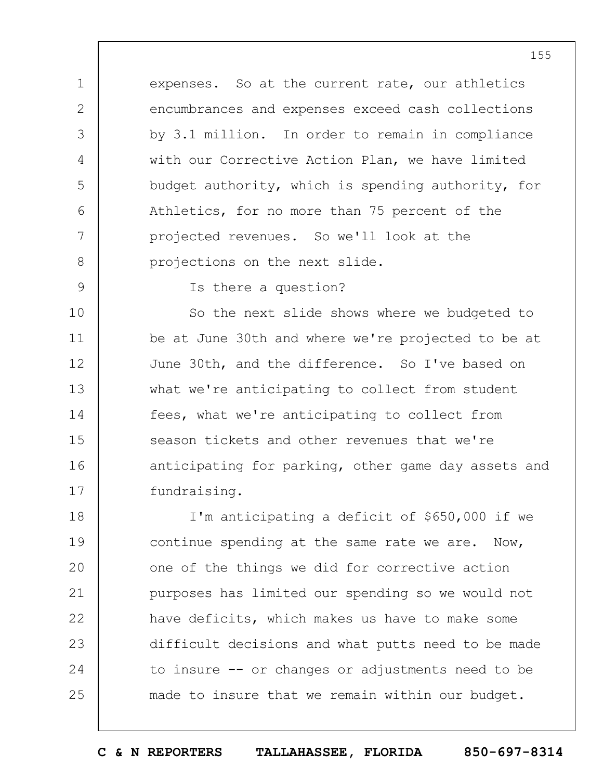expenses. So at the current rate, our athletics encumbrances and expenses exceed cash collections by 3.1 million. In order to remain in compliance with our Corrective Action Plan, we have limited budget authority, which is spending authority, for Athletics, for no more than 75 percent of the projected revenues. So we'll look at the projections on the next slide.

9

1

2

3

4

5

6

7

8

Is there a question?

10 11 12 13 14 15 16 17 So the next slide shows where we budgeted to be at June 30th and where we're projected to be at June 30th, and the difference. So I've based on what we're anticipating to collect from student fees, what we're anticipating to collect from season tickets and other revenues that we're anticipating for parking, other game day assets and fundraising.

18 19  $20$ 21 22 23 24 25 I'm anticipating a deficit of \$650,000 if we continue spending at the same rate we are. Now, one of the things we did for corrective action purposes has limited our spending so we would not have deficits, which makes us have to make some difficult decisions and what putts need to be made to insure -- or changes or adjustments need to be made to insure that we remain within our budget.

**C & N REPORTERS TALLAHASSEE, FLORIDA 850-697-8314**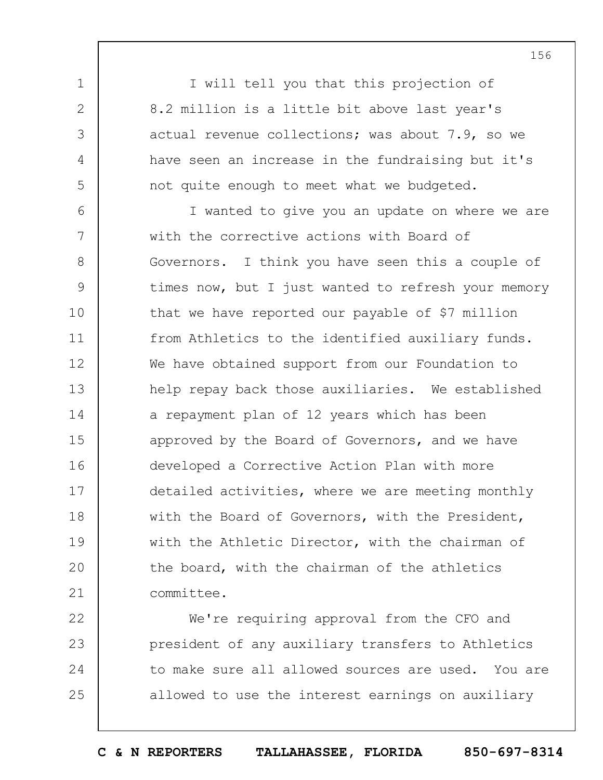I will tell you that this projection of 8.2 million is a little bit above last year's actual revenue collections; was about 7.9, so we have seen an increase in the fundraising but it's not quite enough to meet what we budgeted.

1

2

3

4

5

6 7 8 9 10 11 12 13 14 15 16 17 18 19  $20$ 21 I wanted to give you an update on where we are with the corrective actions with Board of Governors. I think you have seen this a couple of times now, but I just wanted to refresh your memory that we have reported our payable of \$7 million from Athletics to the identified auxiliary funds. We have obtained support from our Foundation to help repay back those auxiliaries. We established a repayment plan of 12 years which has been approved by the Board of Governors, and we have developed a Corrective Action Plan with more detailed activities, where we are meeting monthly with the Board of Governors, with the President, with the Athletic Director, with the chairman of the board, with the chairman of the athletics committee.

22 23 24 25 We're requiring approval from the CFO and president of any auxiliary transfers to Athletics to make sure all allowed sources are used. You are allowed to use the interest earnings on auxiliary

**C & N REPORTERS TALLAHASSEE, FLORIDA 850-697-8314**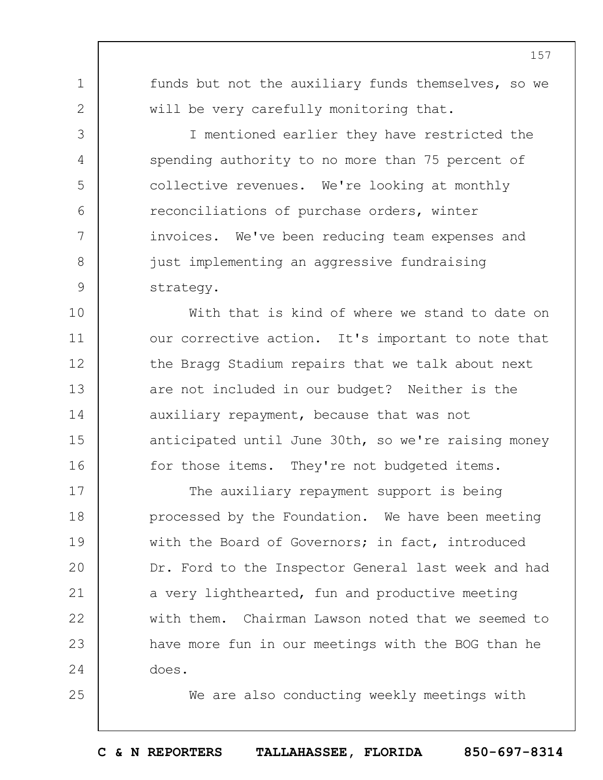funds but not the auxiliary funds themselves, so we will be very carefully monitoring that.

1

2

3

4

5

6

7

8

9

25

I mentioned earlier they have restricted the spending authority to no more than 75 percent of collective revenues. We're looking at monthly reconciliations of purchase orders, winter invoices. We've been reducing team expenses and just implementing an aggressive fundraising strategy.

10 11 12 13 14 15 16 With that is kind of where we stand to date on our corrective action. It's important to note that the Bragg Stadium repairs that we talk about next are not included in our budget? Neither is the auxiliary repayment, because that was not anticipated until June 30th, so we're raising money for those items. They're not budgeted items.

17 18 19  $20$ 21 22 23 24 The auxiliary repayment support is being processed by the Foundation. We have been meeting with the Board of Governors; in fact, introduced Dr. Ford to the Inspector General last week and had a very lighthearted, fun and productive meeting with them. Chairman Lawson noted that we seemed to have more fun in our meetings with the BOG than he does.

We are also conducting weekly meetings with

**C & N REPORTERS TALLAHASSEE, FLORIDA 850-697-8314**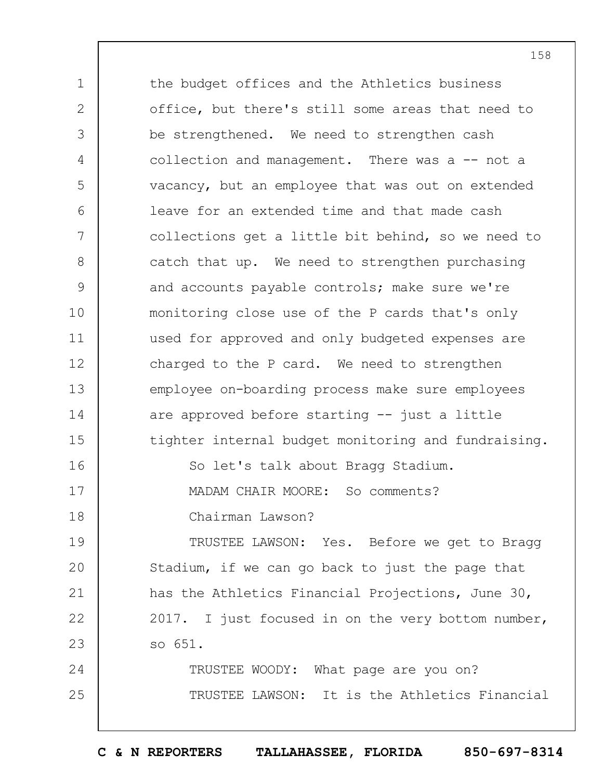1 2 3 4 5 6 7 8 9 10 11 12 13 14 15 16 17 18 19  $20$ 21 22 23 24 25 the budget offices and the Athletics business office, but there's still some areas that need to be strengthened. We need to strengthen cash collection and management. There was a  $-$  not a vacancy, but an employee that was out on extended leave for an extended time and that made cash collections get a little bit behind, so we need to catch that up. We need to strengthen purchasing and accounts payable controls; make sure we're monitoring close use of the P cards that's only used for approved and only budgeted expenses are charged to the P card. We need to strengthen employee on-boarding process make sure employees are approved before starting -- just a little tighter internal budget monitoring and fundraising. So let's talk about Bragg Stadium. MADAM CHAIR MOORE: So comments? Chairman Lawson? TRUSTEE LAWSON: Yes. Before we get to Bragg Stadium, if we can go back to just the page that has the Athletics Financial Projections, June 30, 2017. I just focused in on the very bottom number, so 651. TRUSTEE WOODY: What page are you on? TRUSTEE LAWSON: It is the Athletics Financial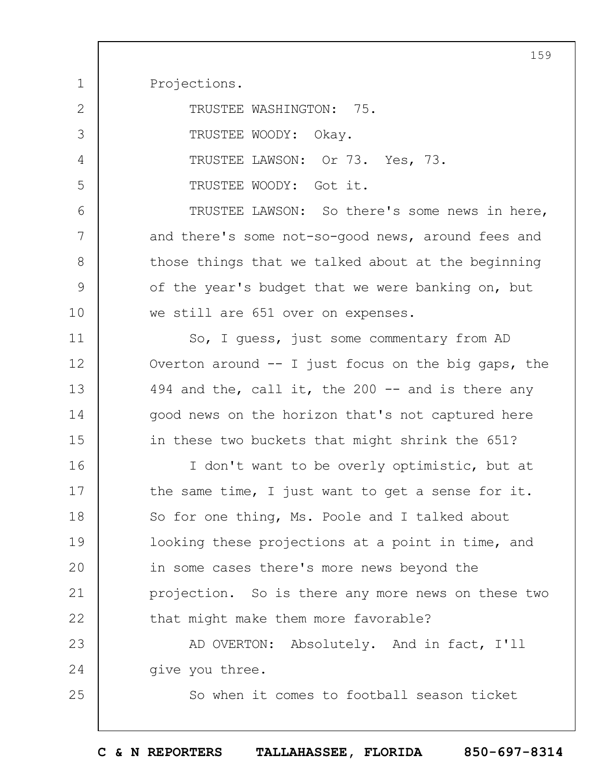Projections.

1

7

8

9

10

25

| $\overline{2}$ | TRUSTEE WASHINGTON: 75.                       |
|----------------|-----------------------------------------------|
| 3              | TRUSTEE WOODY: Okay.                          |
| $\overline{4}$ | TRUSTEE LAWSON: Or 73. Yes, 73.               |
| 5              | TRUSTEE WOODY: Got it.                        |
| 6              | TRUSTEE LAWSON: So there's some news in here, |
|                |                                               |

and there's some not-so-good news, around fees and those things that we talked about at the beginning of the year's budget that we were banking on, but we still are 651 over on expenses.

11 12 13 14 15 So, I guess, just some commentary from AD Overton around  $--$  I just focus on the big gaps, the 494 and the, call it, the 200  $-$  and is there any good news on the horizon that's not captured here in these two buckets that might shrink the 651?

16 17 18 19  $20$ 21 22 I don't want to be overly optimistic, but at the same time, I just want to get a sense for it. So for one thing, Ms. Poole and I talked about looking these projections at a point in time, and in some cases there's more news beyond the projection. So is there any more news on these two that might make them more favorable?

23 24 AD OVERTON: Absolutely. And in fact, I'll give you three.

So when it comes to football season ticket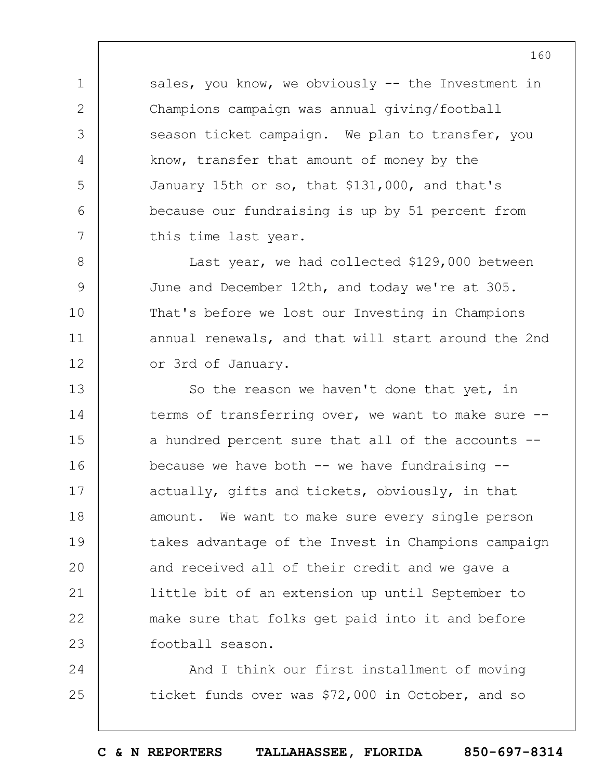sales, you know, we obviously  $-$  the Investment in Champions campaign was annual giving/football season ticket campaign. We plan to transfer, you know, transfer that amount of money by the January 15th or so, that \$131,000, and that's because our fundraising is up by 51 percent from this time last year.

1

2

3

4

5

6

7

8 9 10 11 12 Last year, we had collected \$129,000 between June and December 12th, and today we're at 305. That's before we lost our Investing in Champions annual renewals, and that will start around the 2nd or 3rd of January.

13 14 15 16 17 18 19  $20$ 21 22 23 So the reason we haven't done that yet, in terms of transferring over, we want to make sure - a hundred percent sure that all of the accounts - because we have both  $--$  we have fundraising  $-$ actually, gifts and tickets, obviously, in that amount. We want to make sure every single person takes advantage of the Invest in Champions campaign and received all of their credit and we gave a little bit of an extension up until September to make sure that folks get paid into it and before football season.

24 25 And I think our first installment of moving ticket funds over was \$72,000 in October, and so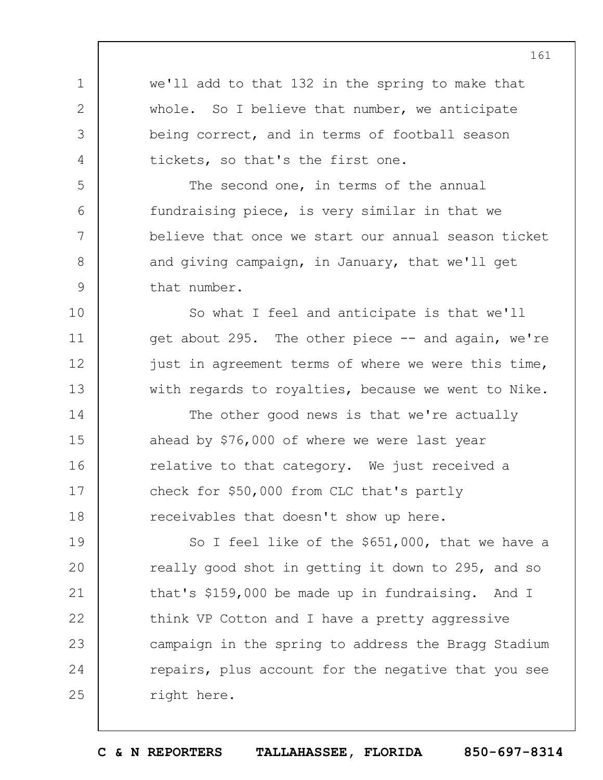1 2 3 4 5 6 7 8 9 10 11 12 13 14 15 16 17 18 19  $20$ 21 22 23 24 25 we'll add to that 132 in the spring to make that whole. So I believe that number, we anticipate being correct, and in terms of football season tickets, so that's the first one. The second one, in terms of the annual fundraising piece, is very similar in that we believe that once we start our annual season ticket and giving campaign, in January, that we'll get that number. So what I feel and anticipate is that we'll get about 295. The other piece -- and again, we're just in agreement terms of where we were this time, with regards to royalties, because we went to Nike. The other good news is that we're actually ahead by \$76,000 of where we were last year relative to that category. We just received a check for \$50,000 from CLC that's partly receivables that doesn't show up here. So I feel like of the \$651,000, that we have a really good shot in getting it down to 295, and so that's \$159,000 be made up in fundraising. And I think VP Cotton and I have a pretty aggressive campaign in the spring to address the Bragg Stadium repairs, plus account for the negative that you see right here.

**C & N REPORTERS TALLAHASSEE, FLORIDA 850-697-8314**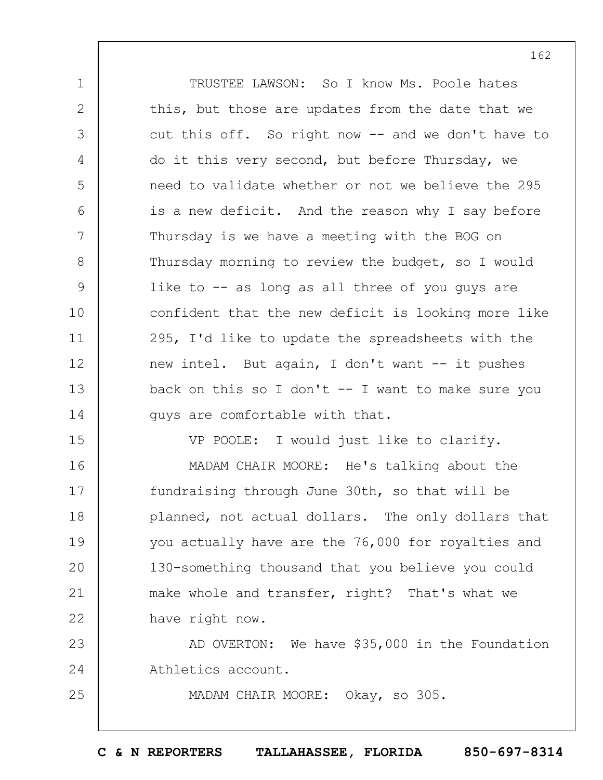1 2 3 4 5 6 7 8 9 10 11 12 13 14 TRUSTEE LAWSON: So I know Ms. Poole hates this, but those are updates from the date that we cut this off. So right now -- and we don't have to do it this very second, but before Thursday, we need to validate whether or not we believe the 295 is a new deficit. And the reason why I say before Thursday is we have a meeting with the BOG on Thursday morning to review the budget, so I would like to -- as long as all three of you guys are confident that the new deficit is looking more like 295, I'd like to update the spreadsheets with the new intel. But again, I don't want -- it pushes back on this so I don't  $--$  I want to make sure you guys are comfortable with that.

VP POOLE: I would just like to clarify.

16 17 18 19  $20$ 21 22 MADAM CHAIR MOORE: He's talking about the fundraising through June 30th, so that will be planned, not actual dollars. The only dollars that you actually have are the 76,000 for royalties and 130-something thousand that you believe you could make whole and transfer, right? That's what we have right now.

15

25

23 24 AD OVERTON: We have \$35,000 in the Foundation Athletics account.

MADAM CHAIR MOORE: Okay, so 305.

**C & N REPORTERS TALLAHASSEE, FLORIDA 850-697-8314**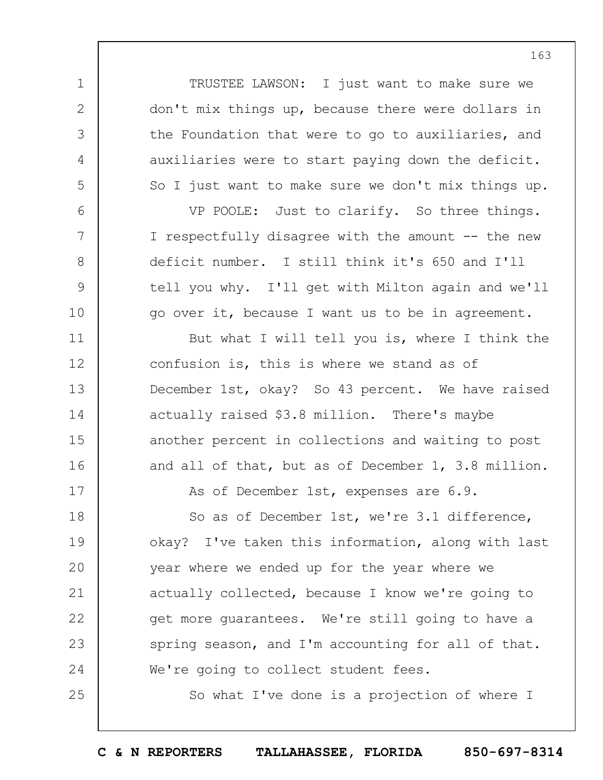TRUSTEE LAWSON: I just want to make sure we don't mix things up, because there were dollars in the Foundation that were to go to auxiliaries, and auxiliaries were to start paying down the deficit. So I just want to make sure we don't mix things up.

1

2

3

4

5

6

7

8

9

10

11

12

13

14

15

16

17

25

VP POOLE: Just to clarify. So three things. I respectfully disagree with the amount -- the new deficit number. I still think it's 650 and I'll tell you why. I'll get with Milton again and we'll go over it, because I want us to be in agreement.

But what I will tell you is, where I think the confusion is, this is where we stand as of December 1st, okay? So 43 percent. We have raised actually raised \$3.8 million. There's maybe another percent in collections and waiting to post and all of that, but as of December 1, 3.8 million.

As of December 1st, expenses are 6.9.

18 19  $20$ 21 22 23 24 So as of December 1st, we're 3.1 difference, okay? I've taken this information, along with last year where we ended up for the year where we actually collected, because I know we're going to get more guarantees. We're still going to have a spring season, and I'm accounting for all of that. We're going to collect student fees.

So what I've done is a projection of where I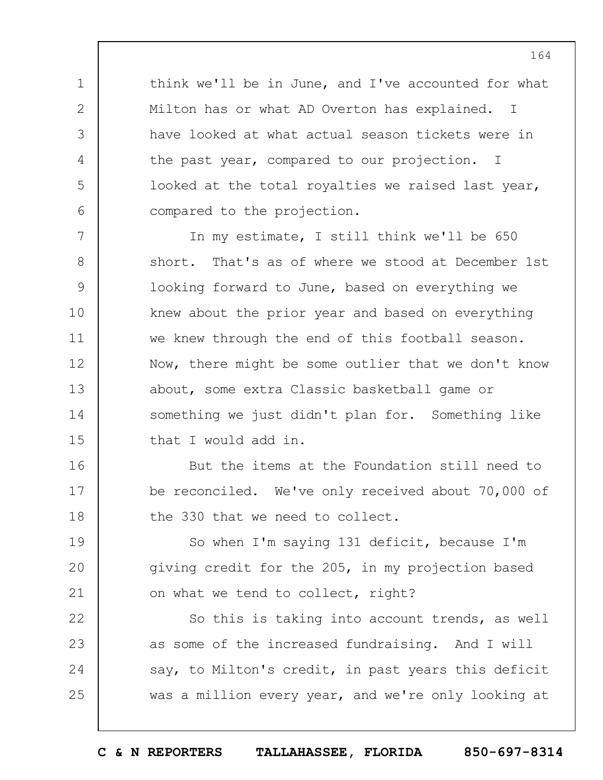think we'll be in June, and I've accounted for what Milton has or what AD Overton has explained. I have looked at what actual season tickets were in the past year, compared to our projection. I looked at the total royalties we raised last year, compared to the projection.

1

2

3

4

5

6

16

17

18

7 8 9 10 11 12 13 14 15 In my estimate, I still think we'll be 650 short. That's as of where we stood at December 1st looking forward to June, based on everything we knew about the prior year and based on everything we knew through the end of this football season. Now, there might be some outlier that we don't know about, some extra Classic basketball game or something we just didn't plan for. Something like that I would add in.

But the items at the Foundation still need to be reconciled. We've only received about 70,000 of the 330 that we need to collect.

19  $20$ 21 So when I'm saying 131 deficit, because I'm giving credit for the 205, in my projection based on what we tend to collect, right?

22 23 24 25 So this is taking into account trends, as well as some of the increased fundraising. And I will say, to Milton's credit, in past years this deficit was a million every year, and we're only looking at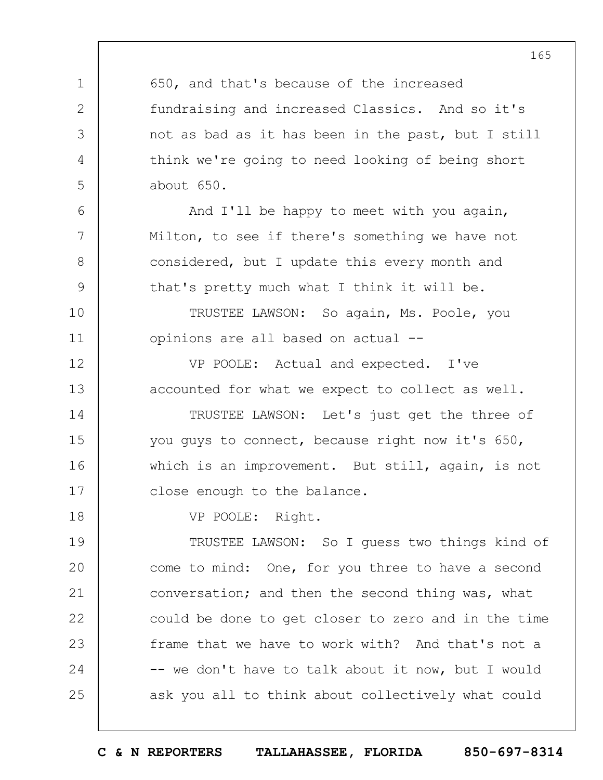1 2 3 4 5 6 7 8 9 10 11 12 13 14 15 16 17 18 19  $20$ 21 22 23 24 25 165 650, and that's because of the increased fundraising and increased Classics. And so it's not as bad as it has been in the past, but I still think we're going to need looking of being short about 650. And I'll be happy to meet with you again, Milton, to see if there's something we have not considered, but I update this every month and that's pretty much what I think it will be. TRUSTEE LAWSON: So again, Ms. Poole, you opinions are all based on actual -- VP POOLE: Actual and expected. I've accounted for what we expect to collect as well. TRUSTEE LAWSON: Let's just get the three of you guys to connect, because right now it's 650, which is an improvement. But still, again, is not close enough to the balance. VP POOLE: Right. TRUSTEE LAWSON: So I guess two things kind of come to mind: One, for you three to have a second conversation; and then the second thing was, what could be done to get closer to zero and in the time frame that we have to work with? And that's not a -- we don't have to talk about it now, but I would ask you all to think about collectively what could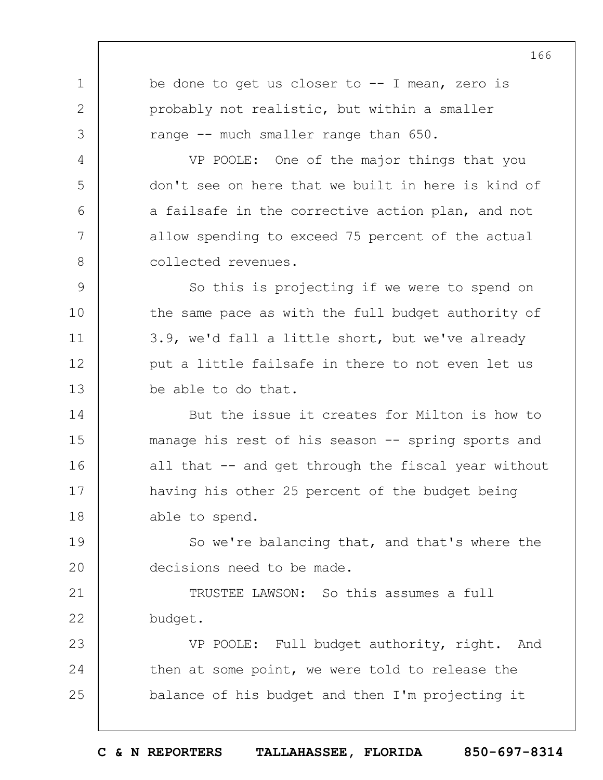1 2 3 4 5 6 7 8 9 10 11 12 13 14 15 16 17 18 19  $20$ 21 22 23 24 25 be done to get us closer to  $-$ - I mean, zero is probably not realistic, but within a smaller range -- much smaller range than 650. VP POOLE: One of the major things that you don't see on here that we built in here is kind of a failsafe in the corrective action plan, and not allow spending to exceed 75 percent of the actual collected revenues. So this is projecting if we were to spend on the same pace as with the full budget authority of 3.9, we'd fall a little short, but we've already put a little failsafe in there to not even let us be able to do that. But the issue it creates for Milton is how to manage his rest of his season -- spring sports and all that -- and get through the fiscal year without having his other 25 percent of the budget being able to spend. So we're balancing that, and that's where the decisions need to be made. TRUSTEE LAWSON: So this assumes a full budget. VP POOLE: Full budget authority, right. And then at some point, we were told to release the balance of his budget and then I'm projecting it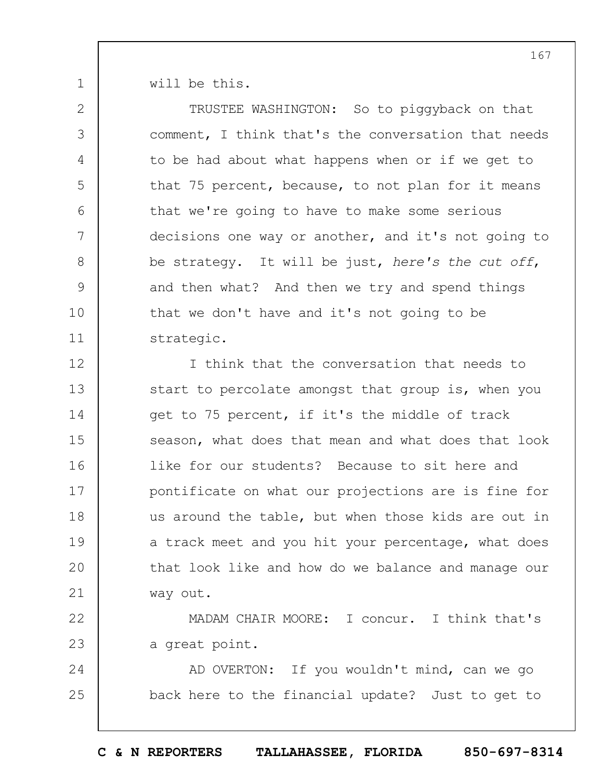will be this.

1

2

3

4

5

6

7

8

9

10

11

TRUSTEE WASHINGTON: So to piggyback on that comment, I think that's the conversation that needs to be had about what happens when or if we get to that 75 percent, because, to not plan for it means that we're going to have to make some serious decisions one way or another, and it's not going to be strategy. It will be just, *here's the cut off*, and then what? And then we try and spend things that we don't have and it's not going to be strategic.

12 13 14 15 16 17 18 19  $20$ 21 I think that the conversation that needs to start to percolate amongst that group is, when you get to 75 percent, if it's the middle of track season, what does that mean and what does that look like for our students? Because to sit here and pontificate on what our projections are is fine for us around the table, but when those kids are out in a track meet and you hit your percentage, what does that look like and how do we balance and manage our way out.

22 23 MADAM CHAIR MOORE: I concur. I think that's a great point.

24 25 AD OVERTON: If you wouldn't mind, can we go back here to the financial update? Just to get to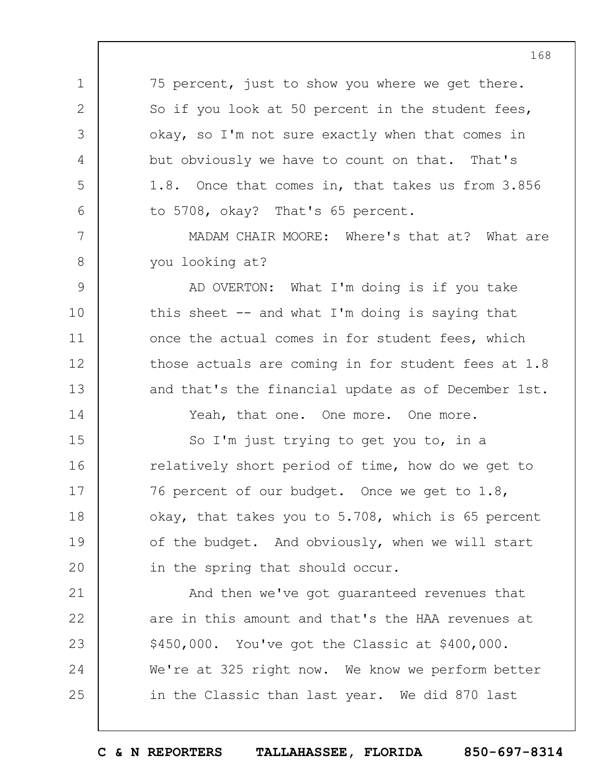75 percent, just to show you where we get there. So if you look at 50 percent in the student fees, okay, so I'm not sure exactly when that comes in but obviously we have to count on that. That's 1.8. Once that comes in, that takes us from 3.856 to 5708, okay? That's 65 percent.

1

2

3

4

5

6

7

8

14

MADAM CHAIR MOORE: Where's that at? What are you looking at?

9 10 11 12 13 AD OVERTON: What I'm doing is if you take this sheet  $-$  and what I'm doing is saying that once the actual comes in for student fees, which those actuals are coming in for student fees at 1.8 and that's the financial update as of December 1st.

Yeah, that one. One more. One more.

15 16 17 18 19  $20$ So I'm just trying to get you to, in a relatively short period of time, how do we get to 76 percent of our budget. Once we get to 1.8, okay, that takes you to 5.708, which is 65 percent of the budget. And obviously, when we will start in the spring that should occur.

21 22 23 24 25 And then we've got guaranteed revenues that are in this amount and that's the HAA revenues at \$450,000. You've got the Classic at \$400,000. We're at 325 right now. We know we perform better in the Classic than last year. We did 870 last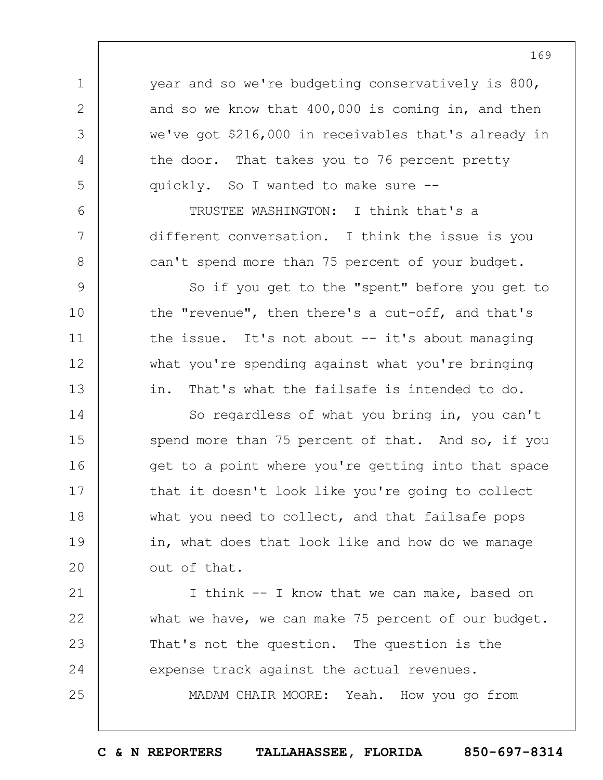year and so we're budgeting conservatively is 800, and so we know that 400,000 is coming in, and then we've got \$216,000 in receivables that's already in the door. That takes you to 76 percent pretty quickly. So I wanted to make sure --

1

2

3

4

5

6

7

8

9

10

11

12

13

21

22

23

24

25

TRUSTEE WASHINGTON: I think that's a different conversation. I think the issue is you can't spend more than 75 percent of your budget.

So if you get to the "spent" before you get to the "revenue", then there's a cut-off, and that's the issue. It's not about -- it's about managing what you're spending against what you're bringing in. That's what the failsafe is intended to do.

14 15 16 17 18 19  $20$ So regardless of what you bring in, you can't spend more than 75 percent of that. And so, if you get to a point where you're getting into that space that it doesn't look like you're going to collect what you need to collect, and that failsafe pops in, what does that look like and how do we manage out of that.

I think -- I know that we can make, based on what we have, we can make 75 percent of our budget. That's not the question. The question is the expense track against the actual revenues.

MADAM CHAIR MOORE: Yeah. How you go from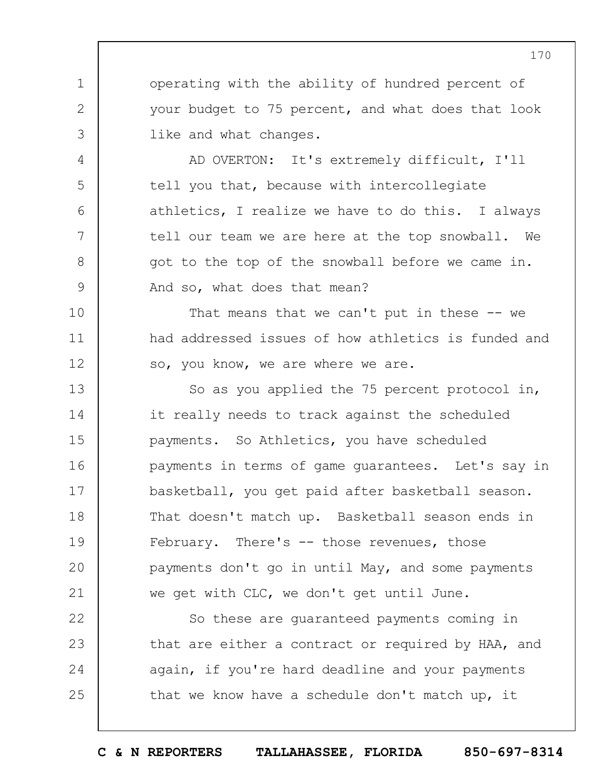operating with the ability of hundred percent of your budget to 75 percent, and what does that look like and what changes.

1

2

3

4

5

6

7

8

9

10

11

12

AD OVERTON: It's extremely difficult, I'll tell you that, because with intercollegiate athletics, I realize we have to do this. I always tell our team we are here at the top snowball. We got to the top of the snowball before we came in. And so, what does that mean?

That means that we can't put in these  $-$ - we had addressed issues of how athletics is funded and so, you know, we are where we are.

13 14 15 16 17 18 19  $20$ 21 So as you applied the 75 percent protocol in, it really needs to track against the scheduled payments. So Athletics, you have scheduled payments in terms of game guarantees. Let's say in basketball, you get paid after basketball season. That doesn't match up. Basketball season ends in February. There's -- those revenues, those payments don't go in until May, and some payments we get with CLC, we don't get until June.

22 23 24 25 So these are guaranteed payments coming in that are either a contract or required by HAA, and again, if you're hard deadline and your payments that we know have a schedule don't match up, it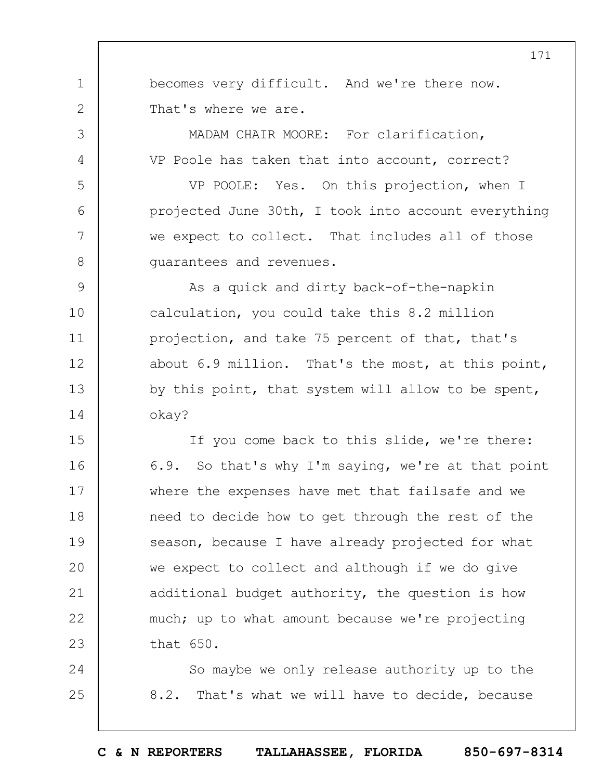becomes very difficult. And we're there now. That's where we are.

1

2

3

4

5

6

7

8

MADAM CHAIR MOORE: For clarification, VP Poole has taken that into account, correct?

VP POOLE: Yes. On this projection, when I projected June 30th, I took into account everything we expect to collect. That includes all of those guarantees and revenues.

9 10 11 12 13 14 As a quick and dirty back-of-the-napkin calculation, you could take this 8.2 million projection, and take 75 percent of that, that's about 6.9 million. That's the most, at this point, by this point, that system will allow to be spent, okay?

15 16 17 18 19  $20$ 21 22 23 If you come back to this slide, we're there: 6.9. So that's why I'm saying, we're at that point where the expenses have met that failsafe and we need to decide how to get through the rest of the season, because I have already projected for what we expect to collect and although if we do give additional budget authority, the question is how much; up to what amount because we're projecting that 650.

24 25 So maybe we only release authority up to the 8.2. That's what we will have to decide, because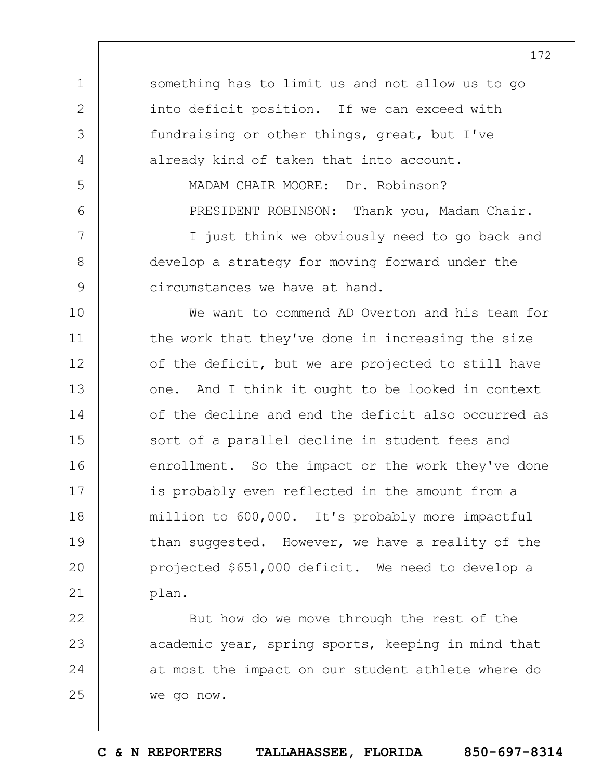something has to limit us and not allow us to go into deficit position. If we can exceed with fundraising or other things, great, but I've already kind of taken that into account.

1

2

3

4

5

6

7

8

9

MADAM CHAIR MOORE: Dr. Robinson? PRESIDENT ROBINSON: Thank you, Madam Chair.

I just think we obviously need to go back and develop a strategy for moving forward under the circumstances we have at hand.

10 11 12 13 14 15 16 17 18 19  $20$ 21 We want to commend AD Overton and his team for the work that they've done in increasing the size of the deficit, but we are projected to still have one. And I think it ought to be looked in context of the decline and end the deficit also occurred as sort of a parallel decline in student fees and enrollment. So the impact or the work they've done is probably even reflected in the amount from a million to 600,000. It's probably more impactful than suggested. However, we have a reality of the projected \$651,000 deficit. We need to develop a plan.

22 23 24 25 But how do we move through the rest of the academic year, spring sports, keeping in mind that at most the impact on our student athlete where do we go now.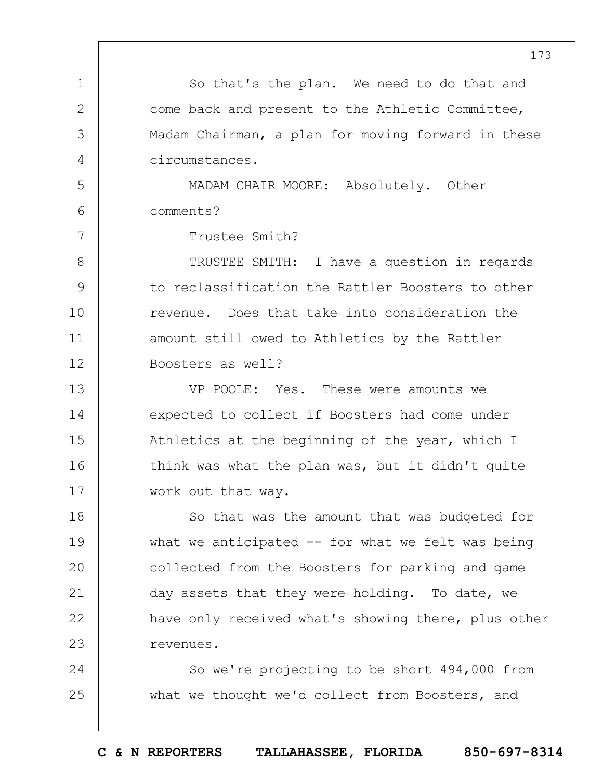1 2 3 4 5 6 7 8 9 10 11 12 13 14 15 16 17 18 19  $20$ 21 22 23 24 25 So that's the plan. We need to do that and come back and present to the Athletic Committee, Madam Chairman, a plan for moving forward in these circumstances. MADAM CHAIR MOORE: Absolutely. Other comments? Trustee Smith? TRUSTEE SMITH: I have a question in regards to reclassification the Rattler Boosters to other revenue. Does that take into consideration the amount still owed to Athletics by the Rattler Boosters as well? VP POOLE: Yes. These were amounts we expected to collect if Boosters had come under Athletics at the beginning of the year, which I think was what the plan was, but it didn't quite work out that way. So that was the amount that was budgeted for what we anticipated  $--$  for what we felt was being collected from the Boosters for parking and game day assets that they were holding. To date, we have only received what's showing there, plus other revenues. So we're projecting to be short 494,000 from what we thought we'd collect from Boosters, and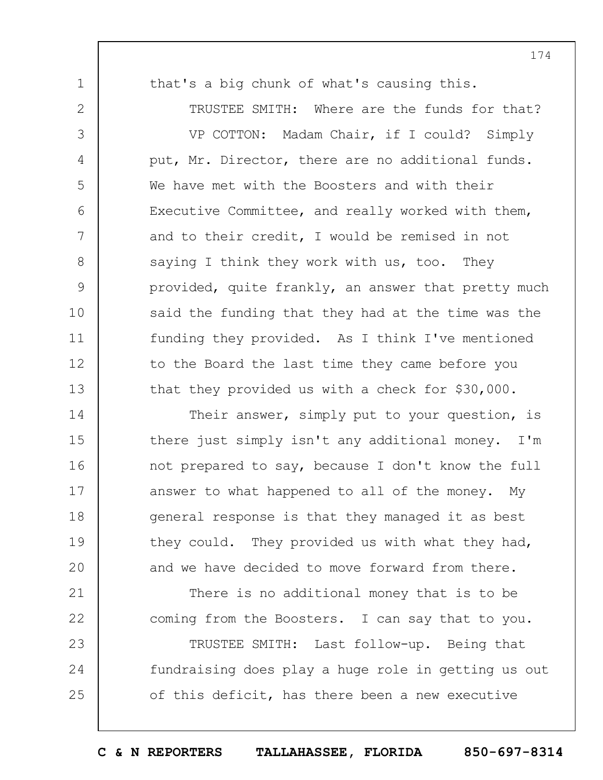1

2

3

4

5

6

7

8

9

10

11

12

13

21

22

23

24

25

that's a big chunk of what's causing this.

TRUSTEE SMITH: Where are the funds for that?

VP COTTON: Madam Chair, if I could? Simply put, Mr. Director, there are no additional funds. We have met with the Boosters and with their Executive Committee, and really worked with them, and to their credit, I would be remised in not saying I think they work with us, too. They provided, quite frankly, an answer that pretty much said the funding that they had at the time was the funding they provided. As I think I've mentioned to the Board the last time they came before you that they provided us with a check for \$30,000.

14 15 16 17 18 19  $20$ Their answer, simply put to your question, is there just simply isn't any additional money. I'm not prepared to say, because I don't know the full answer to what happened to all of the money. My general response is that they managed it as best they could. They provided us with what they had, and we have decided to move forward from there.

There is no additional money that is to be coming from the Boosters. I can say that to you.

TRUSTEE SMITH: Last follow-up. Being that fundraising does play a huge role in getting us out of this deficit, has there been a new executive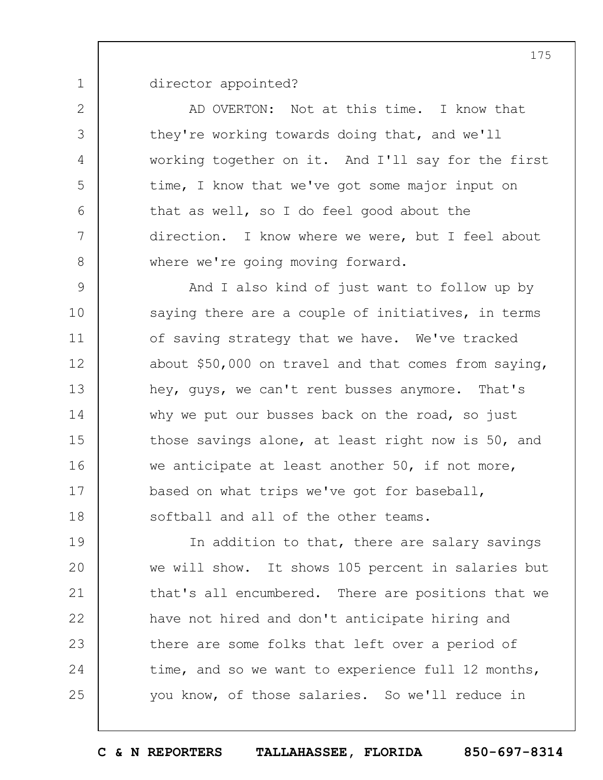director appointed?

1

2

3

4

5

6

7

8

AD OVERTON: Not at this time. I know that they're working towards doing that, and we'll working together on it. And I'll say for the first time, I know that we've got some major input on that as well, so I do feel good about the direction. I know where we were, but I feel about where we're going moving forward.

9 10 11 12 13 14 15 16 17 18 And I also kind of just want to follow up by saying there are a couple of initiatives, in terms of saving strategy that we have. We've tracked about \$50,000 on travel and that comes from saying, hey, guys, we can't rent busses anymore. That's why we put our busses back on the road, so just those savings alone, at least right now is 50, and we anticipate at least another 50, if not more, based on what trips we've got for baseball, softball and all of the other teams.

19  $20$ 21 22 23 24 25 In addition to that, there are salary savings we will show. It shows 105 percent in salaries but that's all encumbered. There are positions that we have not hired and don't anticipate hiring and there are some folks that left over a period of time, and so we want to experience full 12 months, you know, of those salaries. So we'll reduce in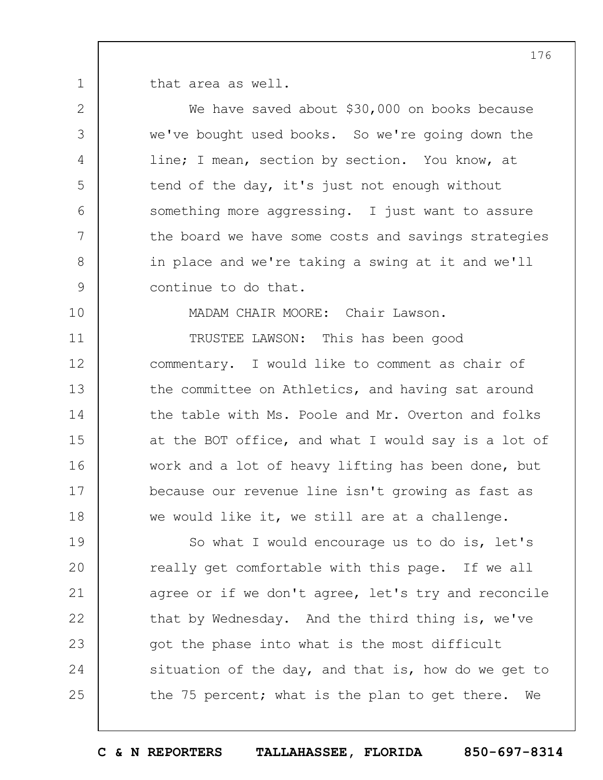that area as well.

1

2

3

4

5

6

7

8

9

10

We have saved about \$30,000 on books because we've bought used books. So we're going down the line; I mean, section by section. You know, at tend of the day, it's just not enough without something more aggressing. I just want to assure the board we have some costs and savings strategies in place and we're taking a swing at it and we'll continue to do that.

MADAM CHAIR MOORE: Chair Lawson.

11 12 13 14 15 16 17 18 TRUSTEE LAWSON: This has been good commentary. I would like to comment as chair of the committee on Athletics, and having sat around the table with Ms. Poole and Mr. Overton and folks at the BOT office, and what I would say is a lot of work and a lot of heavy lifting has been done, but because our revenue line isn't growing as fast as we would like it, we still are at a challenge.

19  $20$ 21 22 23 24 25 So what I would encourage us to do is, let's really get comfortable with this page. If we all agree or if we don't agree, let's try and reconcile that by Wednesday. And the third thing is, we've got the phase into what is the most difficult situation of the day, and that is, how do we get to the 75 percent; what is the plan to get there. We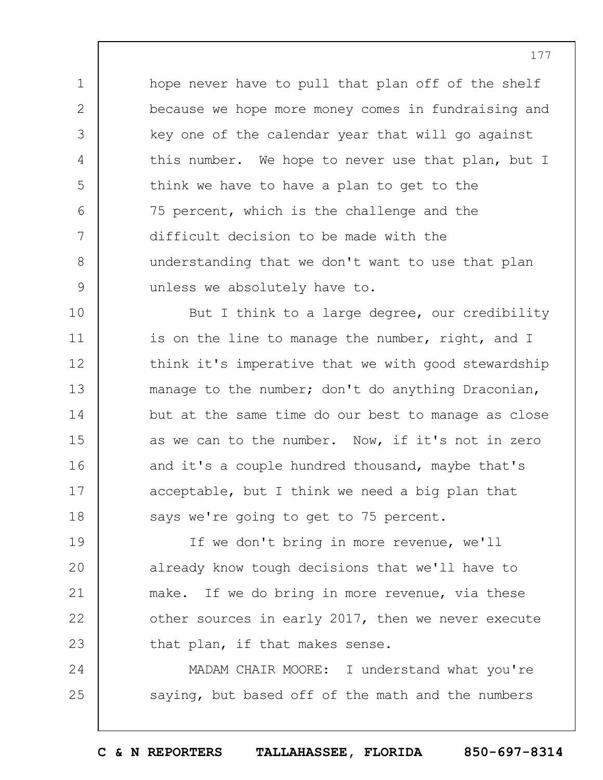hope never have to pull that plan off of the shelf because we hope more money comes in fundraising and key one of the calendar year that will go against this number. We hope to never use that plan, but I think we have to have a plan to get to the 75 percent, which is the challenge and the difficult decision to be made with the understanding that we don't want to use that plan unless we absolutely have to.

1

2

3

4

5

6

7

8

9

10 11 12 13 14 15 16 17 18 But I think to a large degree, our credibility is on the line to manage the number, right, and I think it's imperative that we with good stewardship manage to the number; don't do anything Draconian, but at the same time do our best to manage as close as we can to the number. Now, if it's not in zero and it's a couple hundred thousand, maybe that's acceptable, but I think we need a big plan that says we're going to get to 75 percent.

19  $20$ 21 22 23 If we don't bring in more revenue, we'll already know tough decisions that we'll have to make. If we do bring in more revenue, via these other sources in early 2017, then we never execute that plan, if that makes sense.

24 25 MADAM CHAIR MOORE: I understand what you're saying, but based off of the math and the numbers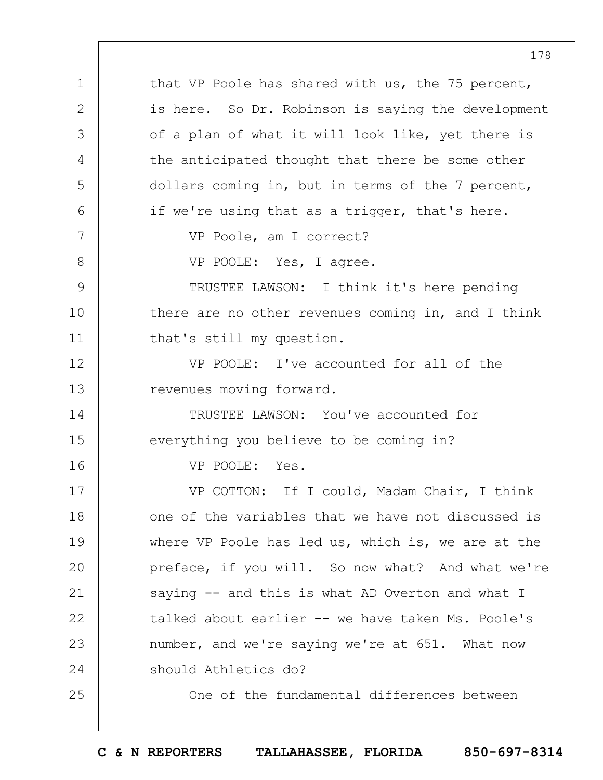1 2 3 4 5 6 7 8 9 10 11 12 13 14 15 16 17 18 19  $20$ 21 22 23 24 25 that VP Poole has shared with us, the 75 percent, is here. So Dr. Robinson is saying the development of a plan of what it will look like, yet there is the anticipated thought that there be some other dollars coming in, but in terms of the 7 percent, if we're using that as a trigger, that's here. VP Poole, am I correct? VP POOLE: Yes, I agree. TRUSTEE LAWSON: I think it's here pending there are no other revenues coming in, and I think that's still my question. VP POOLE: I've accounted for all of the revenues moving forward. TRUSTEE LAWSON: You've accounted for everything you believe to be coming in? VP POOLE: Yes. VP COTTON: If I could, Madam Chair, I think one of the variables that we have not discussed is where VP Poole has led us, which is, we are at the preface, if you will. So now what? And what we're saying -- and this is what AD Overton and what I talked about earlier -- we have taken Ms. Poole's number, and we're saying we're at 651. What now should Athletics do? One of the fundamental differences between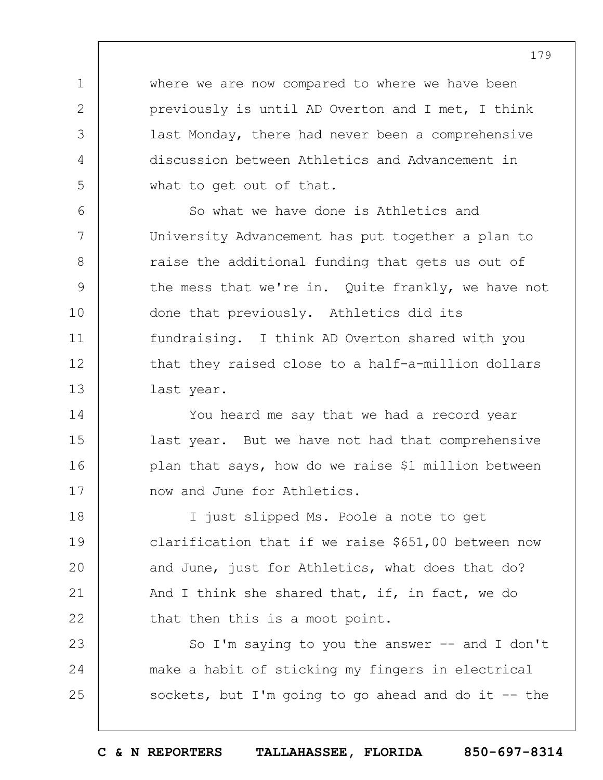where we are now compared to where we have been previously is until AD Overton and I met, I think last Monday, there had never been a comprehensive discussion between Athletics and Advancement in what to get out of that.

1

2

3

4

5

14

15

16

17

6 7 8 9 10 11 12 13 So what we have done is Athletics and University Advancement has put together a plan to raise the additional funding that gets us out of the mess that we're in. Quite frankly, we have not done that previously. Athletics did its fundraising. I think AD Overton shared with you that they raised close to a half-a-million dollars last year.

You heard me say that we had a record year last year. But we have not had that comprehensive plan that says, how do we raise \$1 million between now and June for Athletics.

18 19  $20$ 21 22 I just slipped Ms. Poole a note to get clarification that if we raise \$651,00 between now and June, just for Athletics, what does that do? And I think she shared that, if, in fact, we do that then this is a moot point.

23 24 25 So I'm saying to you the answer  $-$  and I don't make a habit of sticking my fingers in electrical sockets, but I'm going to go ahead and do it  $-$  the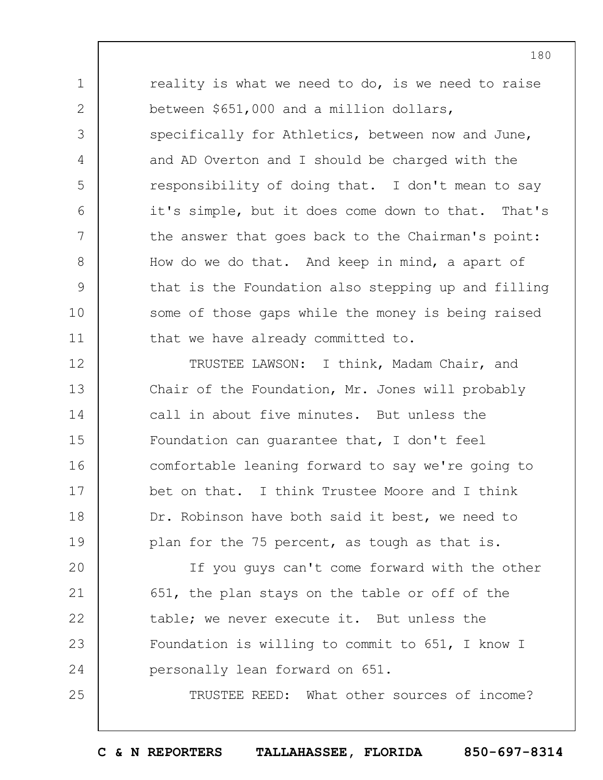1 2 3 4 5 6 7 8 9 10 11 reality is what we need to do, is we need to raise between \$651,000 and a million dollars, specifically for Athletics, between now and June, and AD Overton and I should be charged with the responsibility of doing that. I don't mean to say it's simple, but it does come down to that. That's the answer that goes back to the Chairman's point: How do we do that. And keep in mind, a apart of that is the Foundation also stepping up and filling some of those gaps while the money is being raised that we have already committed to.

12 13 14 15 16 17 18 19 TRUSTEE LAWSON: I think, Madam Chair, and Chair of the Foundation, Mr. Jones will probably call in about five minutes. But unless the Foundation can guarantee that, I don't feel comfortable leaning forward to say we're going to bet on that. I think Trustee Moore and I think Dr. Robinson have both said it best, we need to plan for the 75 percent, as tough as that is.

 $20$ 21 22 23 24 If you guys can't come forward with the other 651, the plan stays on the table or off of the table; we never execute it. But unless the Foundation is willing to commit to 651, I know I personally lean forward on 651.

25

TRUSTEE REED: What other sources of income?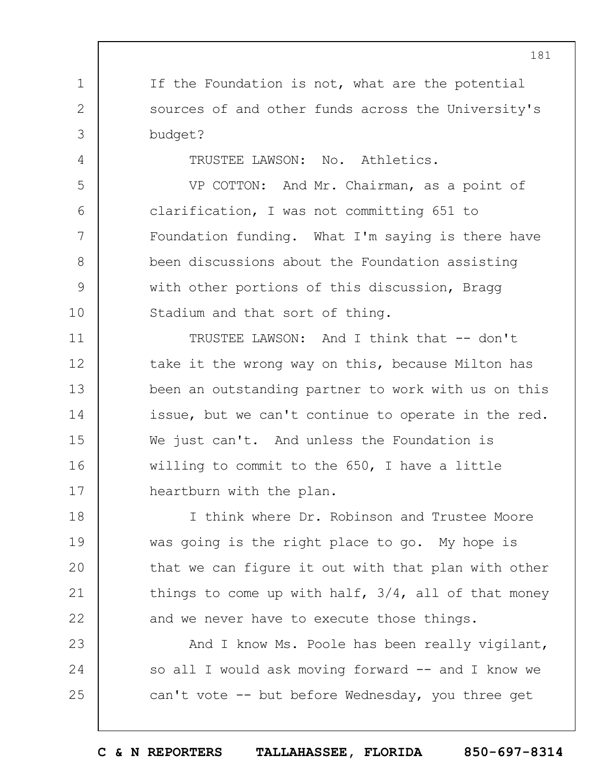If the Foundation is not, what are the potential sources of and other funds across the University's budget?

1

2

3

4

5

6

7

8

9

10

TRUSTEE LAWSON: No. Athletics.

VP COTTON: And Mr. Chairman, as a point of clarification, I was not committing 651 to Foundation funding. What I'm saying is there have been discussions about the Foundation assisting with other portions of this discussion, Bragg Stadium and that sort of thing.

11 12 13 14 15 16 17 TRUSTEE LAWSON: And I think that -- don't take it the wrong way on this, because Milton has been an outstanding partner to work with us on this issue, but we can't continue to operate in the red. We just can't. And unless the Foundation is willing to commit to the 650, I have a little heartburn with the plan.

18 19  $20$ 21 22 I think where Dr. Robinson and Trustee Moore was going is the right place to go. My hope is that we can figure it out with that plan with other things to come up with half, 3/4, all of that money and we never have to execute those things.

23 24 25 And I know Ms. Poole has been really vigilant, so all I would ask moving forward -- and I know we can't vote -- but before Wednesday, you three get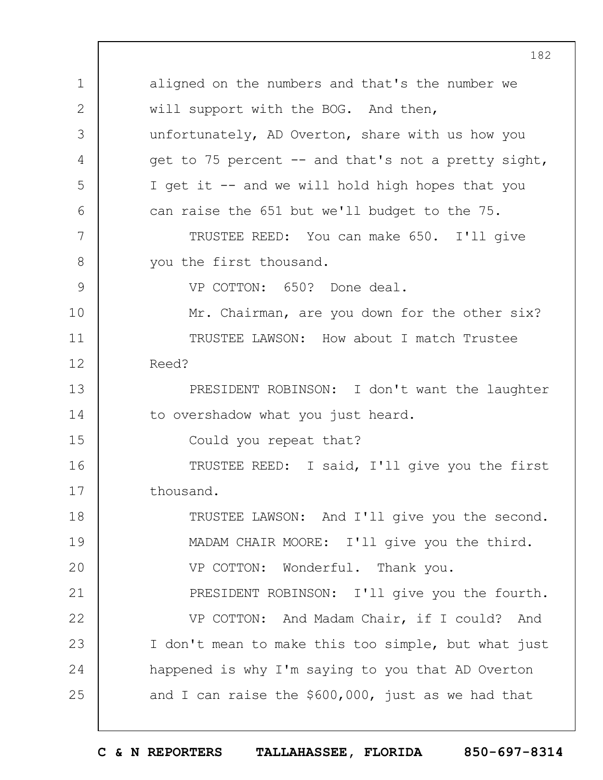1 2 3 4 5 6 7 8 9 10 11 12 13 14 15 16 17 18 19  $20$ 21 22 23 24 25 182 aligned on the numbers and that's the number we will support with the BOG. And then, unfortunately, AD Overton, share with us how you get to 75 percent -- and that's not a pretty sight, I get it -- and we will hold high hopes that you can raise the 651 but we'll budget to the 75. TRUSTEE REED: You can make 650. I'll give you the first thousand. VP COTTON: 650? Done deal. Mr. Chairman, are you down for the other six? TRUSTEE LAWSON: How about I match Trustee Reed? PRESIDENT ROBINSON: I don't want the laughter to overshadow what you just heard. Could you repeat that? TRUSTEE REED: I said, I'll give you the first thousand. TRUSTEE LAWSON: And I'll give you the second. MADAM CHAIR MOORE: I'll give you the third. VP COTTON: Wonderful. Thank you. PRESIDENT ROBINSON: I'll give you the fourth. VP COTTON: And Madam Chair, if I could? And I don't mean to make this too simple, but what just happened is why I'm saying to you that AD Overton and I can raise the \$600,000, just as we had that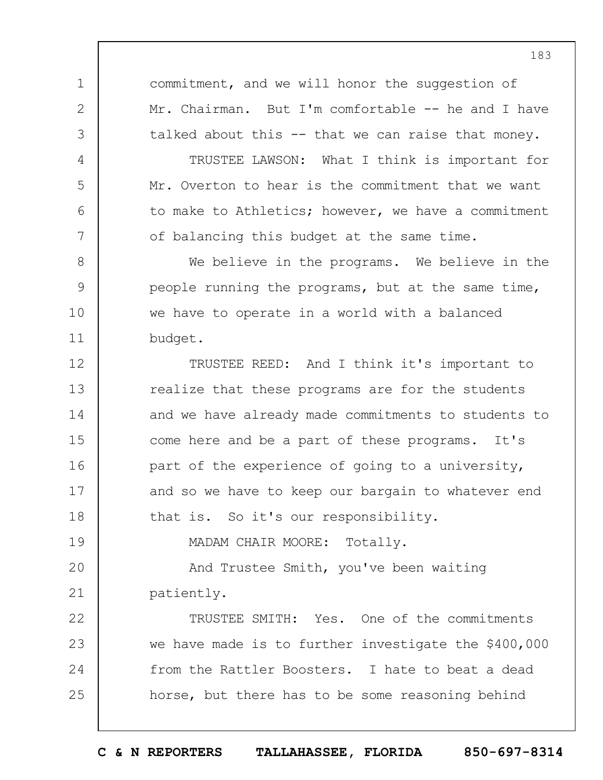commitment, and we will honor the suggestion of Mr. Chairman. But I'm comfortable -- he and I have talked about this -- that we can raise that money.

1

2

3

4

5

6

7

8

9

10

11

19

TRUSTEE LAWSON: What I think is important for Mr. Overton to hear is the commitment that we want to make to Athletics; however, we have a commitment of balancing this budget at the same time.

We believe in the programs. We believe in the people running the programs, but at the same time, we have to operate in a world with a balanced budget.

12 13 14 15 16 17 18 TRUSTEE REED: And I think it's important to realize that these programs are for the students and we have already made commitments to students to come here and be a part of these programs. It's part of the experience of going to a university, and so we have to keep our bargain to whatever end that is. So it's our responsibility.

MADAM CHAIR MOORE: Totally.

 $20$ 21 And Trustee Smith, you've been waiting patiently.

22 23 24 25 TRUSTEE SMITH: Yes. One of the commitments we have made is to further investigate the \$400,000 from the Rattler Boosters. I hate to beat a dead horse, but there has to be some reasoning behind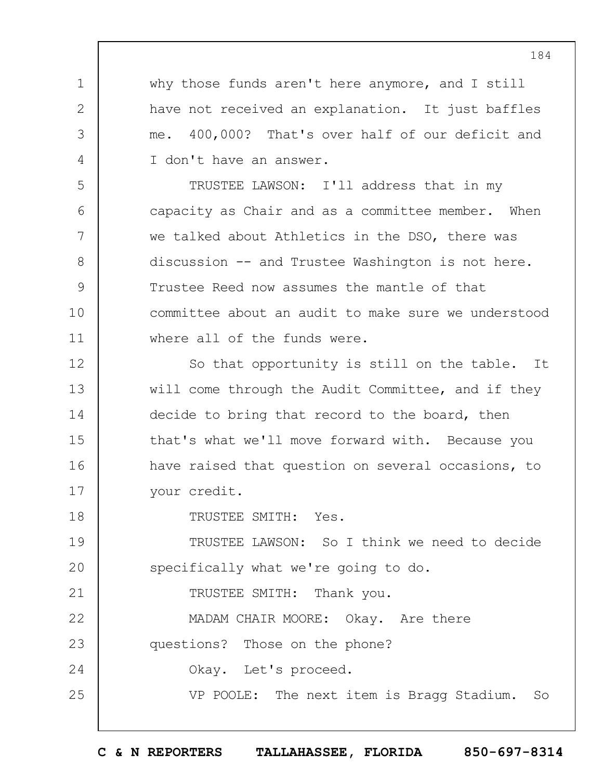why those funds aren't here anymore, and I still have not received an explanation. It just baffles me. 400,000? That's over half of our deficit and I don't have an answer.

TRUSTEE LAWSON: I'll address that in my capacity as Chair and as a committee member. When we talked about Athletics in the DSO, there was discussion -- and Trustee Washington is not here. Trustee Reed now assumes the mantle of that committee about an audit to make sure we understood where all of the funds were.

12 13 14 15 16 17 So that opportunity is still on the table. It will come through the Audit Committee, and if they decide to bring that record to the board, then that's what we'll move forward with. Because you have raised that question on several occasions, to your credit.

TRUSTEE SMITH: Yes.

1

2

3

4

5

6

7

8

9

10

11

18

21

19  $20$ TRUSTEE LAWSON: So I think we need to decide specifically what we're going to do.

TRUSTEE SMITH: Thank you.

22 23 24 25 MADAM CHAIR MOORE: Okay. Are there questions? Those on the phone? Okay. Let's proceed. VP POOLE: The next item is Bragg Stadium. So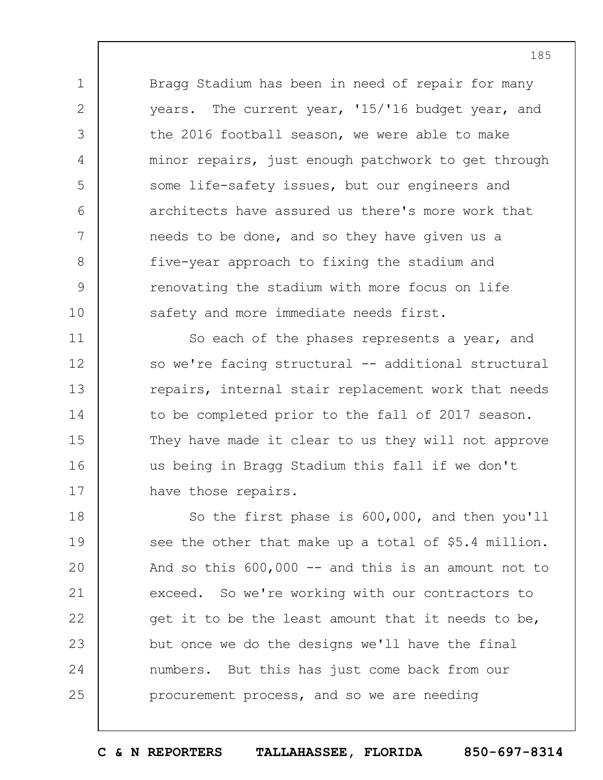Bragg Stadium has been in need of repair for many years. The current year, '15/'16 budget year, and the 2016 football season, we were able to make minor repairs, just enough patchwork to get through some life-safety issues, but our engineers and architects have assured us there's more work that needs to be done, and so they have given us a five-year approach to fixing the stadium and renovating the stadium with more focus on life safety and more immediate needs first.

1

2

3

4

5

6

7

8

9

10

11 12 13 14 15 16 17 So each of the phases represents a year, and so we're facing structural -- additional structural repairs, internal stair replacement work that needs to be completed prior to the fall of 2017 season. They have made it clear to us they will not approve us being in Bragg Stadium this fall if we don't have those repairs.

18 19  $20$ 21 22 23 24 25 So the first phase is 600,000, and then you'll see the other that make up a total of \$5.4 million. And so this  $600,000$  -- and this is an amount not to exceed. So we're working with our contractors to get it to be the least amount that it needs to be, but once we do the designs we'll have the final numbers. But this has just come back from our procurement process, and so we are needing

**C & N REPORTERS TALLAHASSEE, FLORIDA 850-697-8314**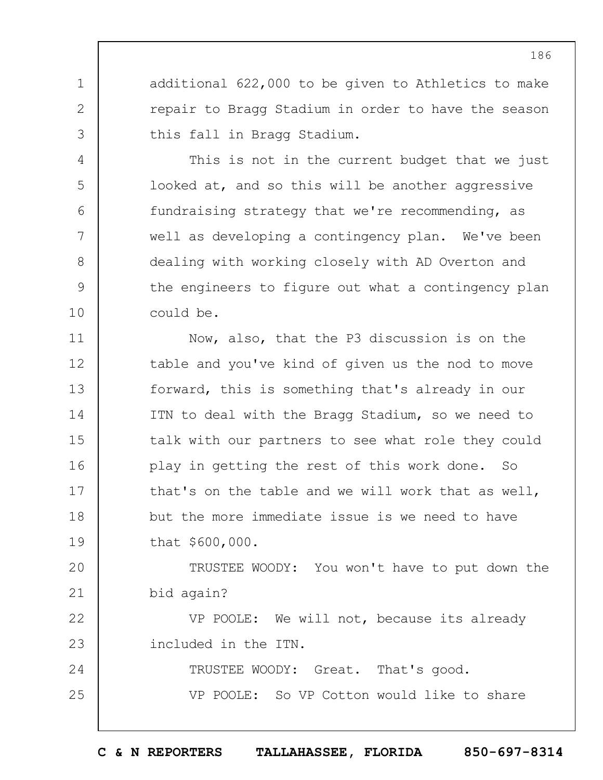additional 622,000 to be given to Athletics to make repair to Bragg Stadium in order to have the season this fall in Bragg Stadium.

1

2

3

4

5

6

7

8

9

10

This is not in the current budget that we just looked at, and so this will be another aggressive fundraising strategy that we're recommending, as well as developing a contingency plan. We've been dealing with working closely with AD Overton and the engineers to figure out what a contingency plan could be.

11 12 13 14 15 16 17 18 19 Now, also, that the P3 discussion is on the table and you've kind of given us the nod to move forward, this is something that's already in our ITN to deal with the Bragg Stadium, so we need to talk with our partners to see what role they could play in getting the rest of this work done. So that's on the table and we will work that as well, but the more immediate issue is we need to have that \$600,000.

 $20$ 21 TRUSTEE WOODY: You won't have to put down the bid again?

22 23 VP POOLE: We will not, because its already included in the ITN.

24 25 TRUSTEE WOODY: Great. That's good. VP POOLE: So VP Cotton would like to share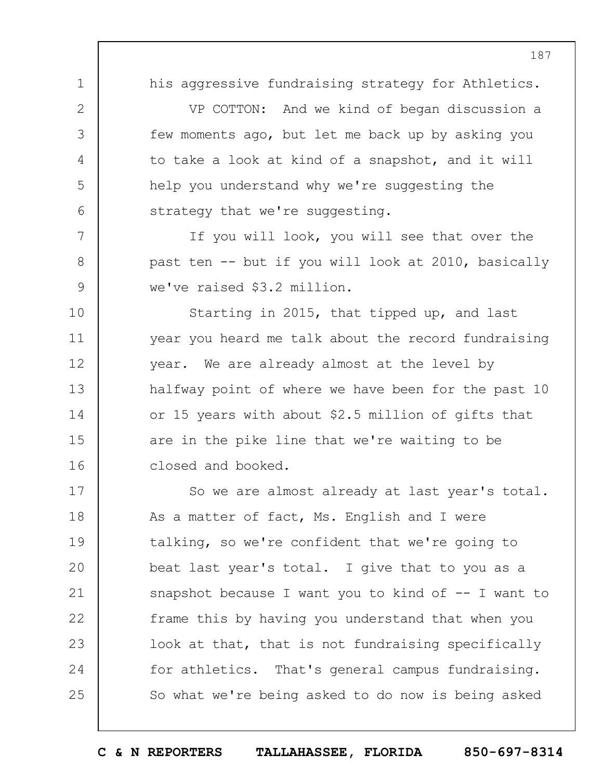1

2

3

4

5

6

7

8

9

10

11

12

13

14

15

16

his aggressive fundraising strategy for Athletics.

VP COTTON: And we kind of began discussion a few moments ago, but let me back up by asking you to take a look at kind of a snapshot, and it will help you understand why we're suggesting the strategy that we're suggesting.

If you will look, you will see that over the past ten -- but if you will look at 2010, basically we've raised \$3.2 million.

Starting in 2015, that tipped up, and last year you heard me talk about the record fundraising year. We are already almost at the level by halfway point of where we have been for the past 10 or 15 years with about \$2.5 million of gifts that are in the pike line that we're waiting to be closed and booked.

17 18 19  $20$ 21 22 23 24 25 So we are almost already at last year's total. As a matter of fact, Ms. English and I were talking, so we're confident that we're going to beat last year's total. I give that to you as a snapshot because I want you to kind of  $-$ - I want to frame this by having you understand that when you look at that, that is not fundraising specifically for athletics. That's general campus fundraising. So what we're being asked to do now is being asked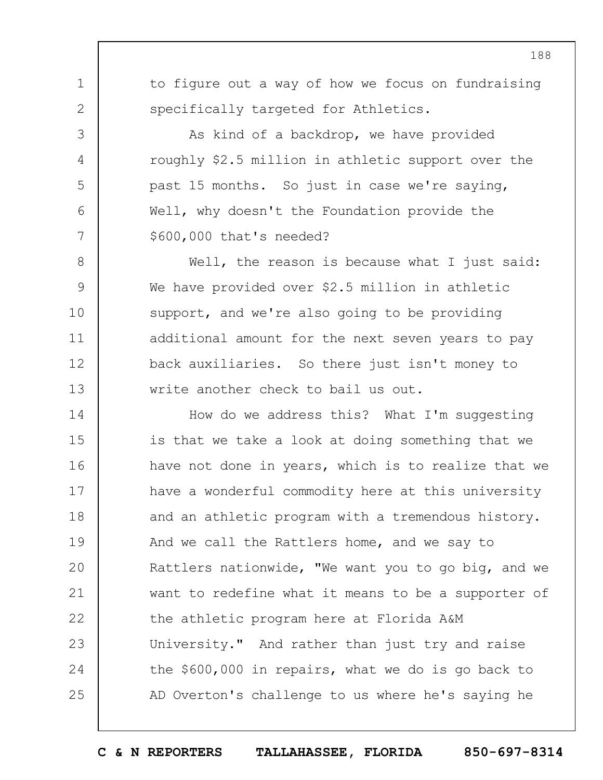to figure out a way of how we focus on fundraising specifically targeted for Athletics.

1

2

3

4

5

6

7

As kind of a backdrop, we have provided roughly \$2.5 million in athletic support over the past 15 months. So just in case we're saying, Well, why doesn't the Foundation provide the \$600,000 that's needed?

8 9 10 11 12 13 Well, the reason is because what I just said: We have provided over \$2.5 million in athletic support, and we're also going to be providing additional amount for the next seven years to pay back auxiliaries. So there just isn't money to write another check to bail us out.

14 15 16 17 18 19  $20$ 21 22 23 24 25 How do we address this? What I'm suggesting is that we take a look at doing something that we have not done in years, which is to realize that we have a wonderful commodity here at this university and an athletic program with a tremendous history. And we call the Rattlers home, and we say to Rattlers nationwide, "We want you to go big, and we want to redefine what it means to be a supporter of the athletic program here at Florida A&M University." And rather than just try and raise the \$600,000 in repairs, what we do is go back to AD Overton's challenge to us where he's saying he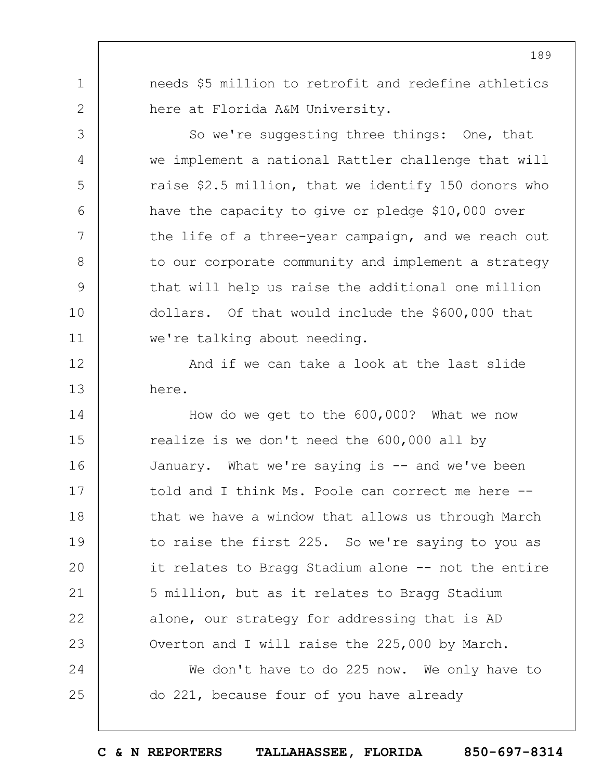needs \$5 million to retrofit and redefine athletics here at Florida A&M University.

1

2

3

4

5

6

7

8

9

10

11

So we're suggesting three things: One, that we implement a national Rattler challenge that will raise \$2.5 million, that we identify 150 donors who have the capacity to give or pledge \$10,000 over the life of a three-year campaign, and we reach out to our corporate community and implement a strategy that will help us raise the additional one million dollars. Of that would include the \$600,000 that we're talking about needing.

12 13 And if we can take a look at the last slide here.

14 15 16 17 18 19  $20$ 21 22 23 How do we get to the 600,000? What we now realize is we don't need the 600,000 all by January. What we're saying is -- and we've been told and I think Ms. Poole can correct me here - that we have a window that allows us through March to raise the first 225. So we're saying to you as it relates to Bragg Stadium alone -- not the entire 5 million, but as it relates to Bragg Stadium alone, our strategy for addressing that is AD Overton and I will raise the 225,000 by March.

24 25 We don't have to do 225 now. We only have to do 221, because four of you have already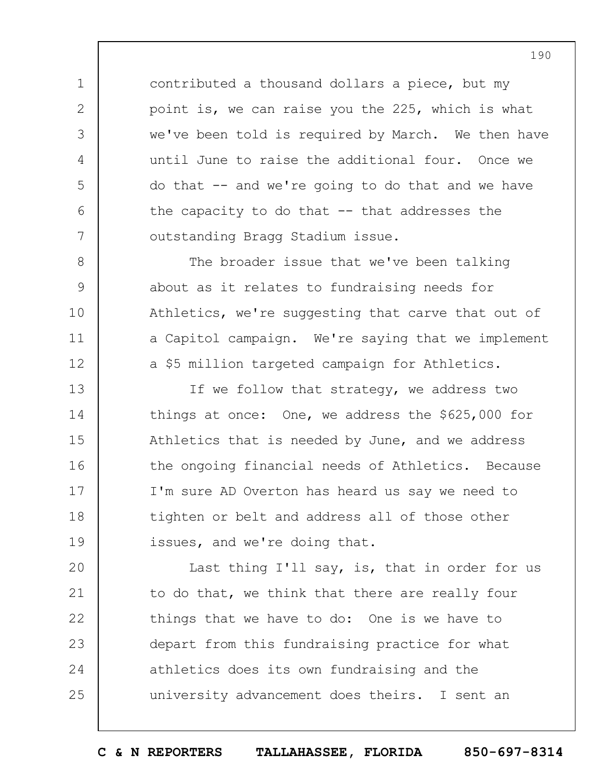contributed a thousand dollars a piece, but my point is, we can raise you the 225, which is what we've been told is required by March. We then have until June to raise the additional four. Once we do that -- and we're going to do that and we have the capacity to do that  $-$  that addresses the outstanding Bragg Stadium issue.

1

2

3

4

5

6

7

8

9

10

11

12

The broader issue that we've been talking about as it relates to fundraising needs for Athletics, we're suggesting that carve that out of a Capitol campaign. We're saying that we implement a \$5 million targeted campaign for Athletics.

13 14 15 16 17 18 19 If we follow that strategy, we address two things at once: One, we address the \$625,000 for Athletics that is needed by June, and we address the ongoing financial needs of Athletics. Because I'm sure AD Overton has heard us say we need to tighten or belt and address all of those other issues, and we're doing that.

 $20$ 21 22 23 24 25 Last thing I'll say, is, that in order for us to do that, we think that there are really four things that we have to do: One is we have to depart from this fundraising practice for what athletics does its own fundraising and the university advancement does theirs. I sent an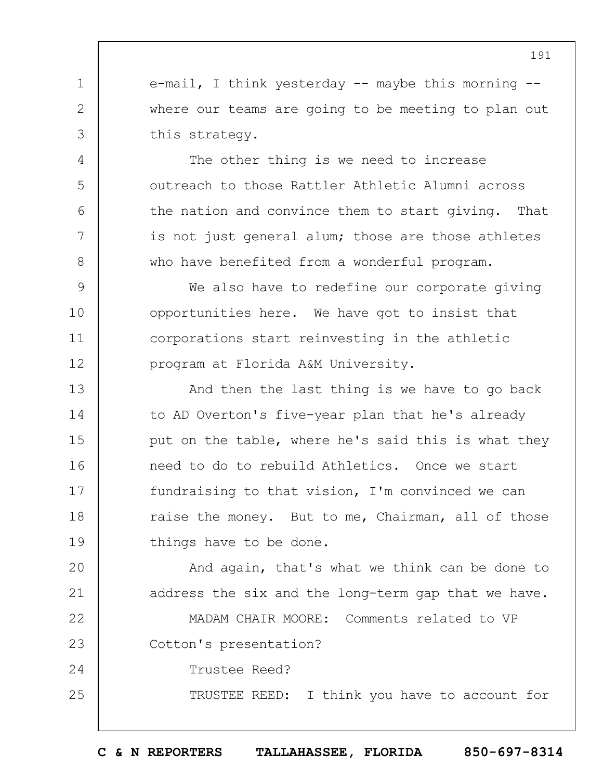e-mail, I think yesterday  $--$  maybe this morning  $-$ where our teams are going to be meeting to plan out this strategy.

1

2

3

4

5

6

7

8

24

25

The other thing is we need to increase outreach to those Rattler Athletic Alumni across the nation and convince them to start giving. That is not just general alum; those are those athletes who have benefited from a wonderful program.

9 10 11 12 We also have to redefine our corporate giving opportunities here. We have got to insist that corporations start reinvesting in the athletic program at Florida A&M University.

13 14 15 16 17 18 19 And then the last thing is we have to go back to AD Overton's five-year plan that he's already put on the table, where he's said this is what they need to do to rebuild Athletics. Once we start fundraising to that vision, I'm convinced we can raise the money. But to me, Chairman, all of those things have to be done.

 $20$ 21 And again, that's what we think can be done to address the six and the long-term gap that we have.

22 23 MADAM CHAIR MOORE: Comments related to VP Cotton's presentation?

Trustee Reed?

TRUSTEE REED: I think you have to account for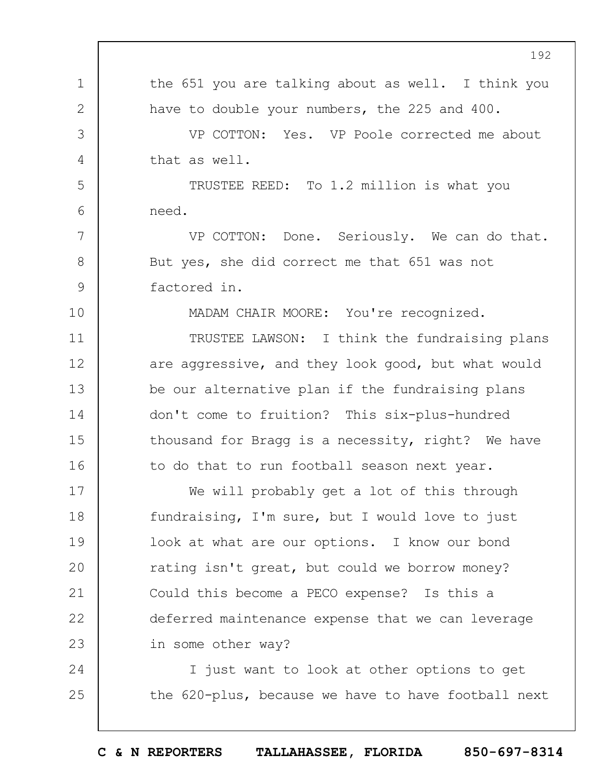1 2 3 4 5 6 7 8 9 10 11 12 13 14 15 16 17 18 19  $20$ 21 22 23 24 25 192 the 651 you are talking about as well. I think you have to double your numbers, the 225 and 400. VP COTTON: Yes. VP Poole corrected me about that as well. TRUSTEE REED: To 1.2 million is what you need. VP COTTON: Done. Seriously. We can do that. But yes, she did correct me that 651 was not factored in. MADAM CHAIR MOORE: You're recognized. TRUSTEE LAWSON: I think the fundraising plans are aggressive, and they look good, but what would be our alternative plan if the fundraising plans don't come to fruition? This six-plus-hundred thousand for Bragg is a necessity, right? We have to do that to run football season next year. We will probably get a lot of this through fundraising, I'm sure, but I would love to just look at what are our options. I know our bond rating isn't great, but could we borrow money? Could this become a PECO expense? Is this a deferred maintenance expense that we can leverage in some other way? I just want to look at other options to get the 620-plus, because we have to have football next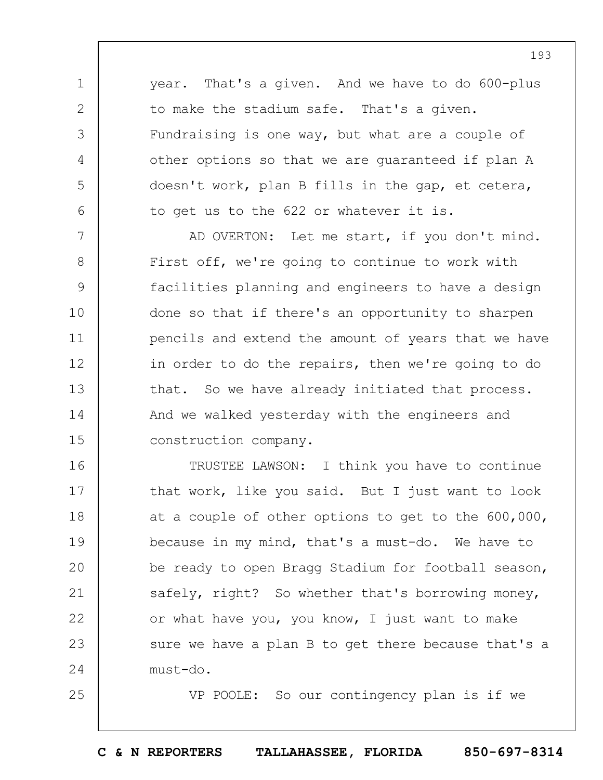year. That's a given. And we have to do 600-plus to make the stadium safe. That's a given. Fundraising is one way, but what are a couple of other options so that we are guaranteed if plan A doesn't work, plan B fills in the gap, et cetera, to get us to the 622 or whatever it is.

1

2

3

4

5

6

25

7 8 9 10 11 12 13 14 15 AD OVERTON: Let me start, if you don't mind. First off, we're going to continue to work with facilities planning and engineers to have a design done so that if there's an opportunity to sharpen pencils and extend the amount of years that we have in order to do the repairs, then we're going to do that. So we have already initiated that process. And we walked yesterday with the engineers and construction company.

16 17 18 19  $20$ 21 22 23 24 TRUSTEE LAWSON: I think you have to continue that work, like you said. But I just want to look at a couple of other options to get to the 600,000, because in my mind, that's a must-do. We have to be ready to open Bragg Stadium for football season, safely, right? So whether that's borrowing money, or what have you, you know, I just want to make sure we have a plan B to get there because that's a must-do.

VP POOLE: So our contingency plan is if we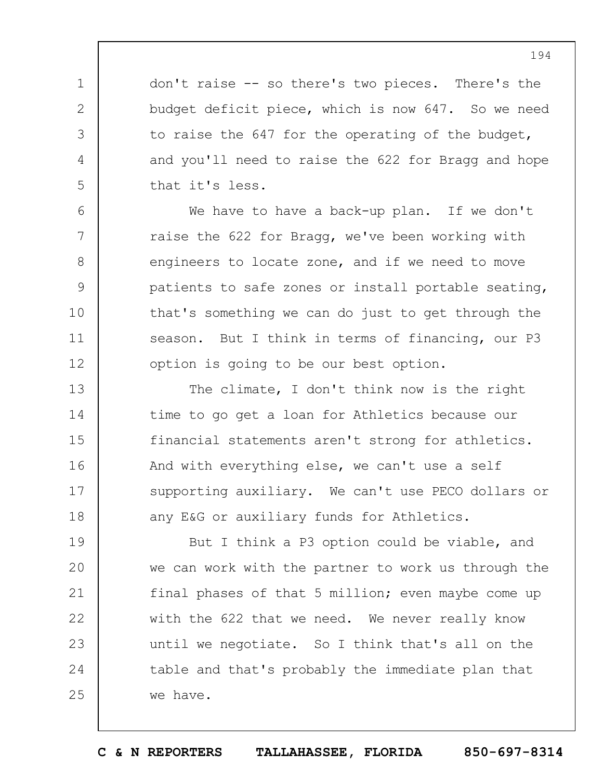don't raise -- so there's two pieces. There's the budget deficit piece, which is now 647. So we need to raise the 647 for the operating of the budget, and you'll need to raise the 622 for Bragg and hope that it's less.

1

2

3

4

5

6

7

8

9

10

11

12

We have to have a back-up plan. If we don't raise the 622 for Bragg, we've been working with engineers to locate zone, and if we need to move patients to safe zones or install portable seating, that's something we can do just to get through the season. But I think in terms of financing, our P3 option is going to be our best option.

13 14 15 16 17 18 The climate, I don't think now is the right time to go get a loan for Athletics because our financial statements aren't strong for athletics. And with everything else, we can't use a self supporting auxiliary. We can't use PECO dollars or any E&G or auxiliary funds for Athletics.

19  $20$ 21 22 23 24 25 But I think a P3 option could be viable, and we can work with the partner to work us through the final phases of that 5 million; even maybe come up with the 622 that we need. We never really know until we negotiate. So I think that's all on the table and that's probably the immediate plan that we have.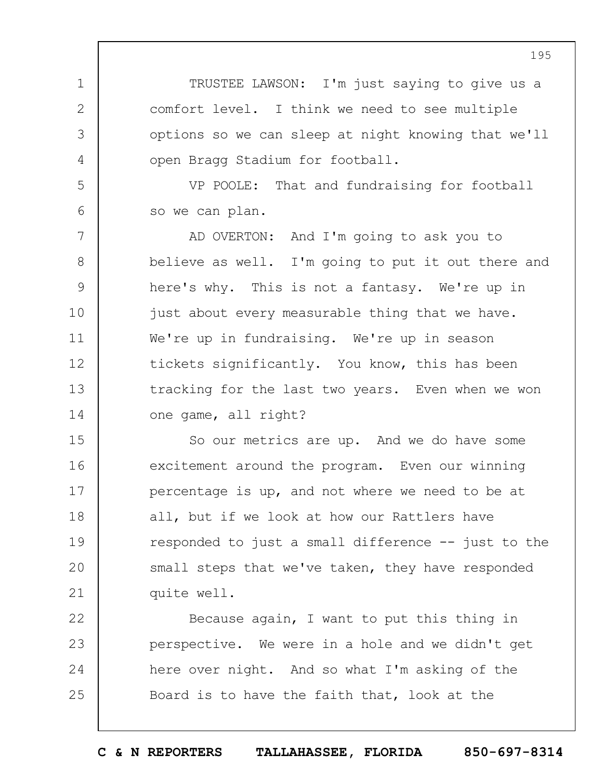TRUSTEE LAWSON: I'm just saying to give us a comfort level. I think we need to see multiple options so we can sleep at night knowing that we'll open Bragg Stadium for football.

1

2

3

4

5

6

VP POOLE: That and fundraising for football so we can plan.

7 8 9 10 11 12 13 14 AD OVERTON: And I'm going to ask you to believe as well. I'm going to put it out there and here's why. This is not a fantasy. We're up in just about every measurable thing that we have. We're up in fundraising. We're up in season tickets significantly. You know, this has been tracking for the last two years. Even when we won one game, all right?

15 16 17 18 19  $20$ 21 So our metrics are up. And we do have some excitement around the program. Even our winning percentage is up, and not where we need to be at all, but if we look at how our Rattlers have responded to just a small difference -- just to the small steps that we've taken, they have responded quite well.

22 23 24 25 Because again, I want to put this thing in perspective. We were in a hole and we didn't get here over night. And so what I'm asking of the Board is to have the faith that, look at the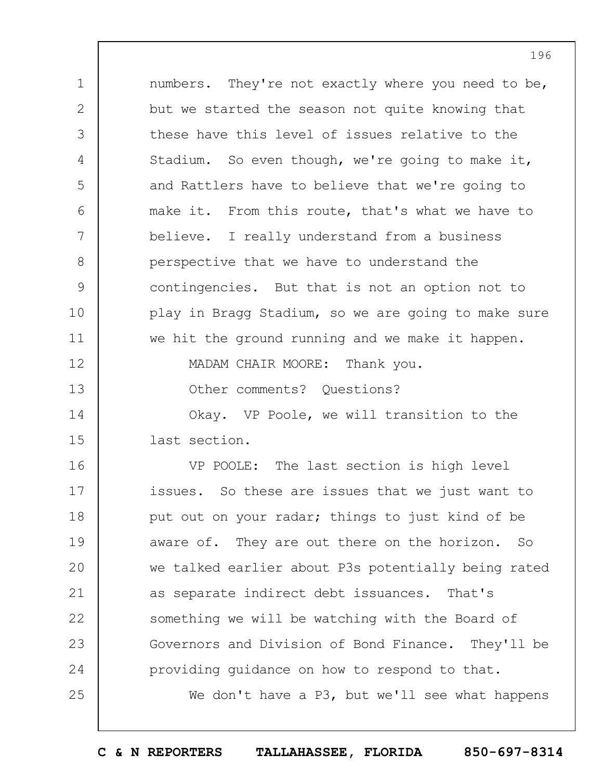1 2 3 4 5  $6\overline{6}$ 7 8 9 10 11 12 13 14 15 numbers. They're not exactly where you need to be, but we started the season not quite knowing that these have this level of issues relative to the Stadium. So even though, we're going to make it, and Rattlers have to believe that we're going to make it. From this route, that's what we have to believe. I really understand from a business perspective that we have to understand the contingencies. But that is not an option not to play in Bragg Stadium, so we are going to make sure we hit the ground running and we make it happen. MADAM CHAIR MOORE: Thank you. Other comments? Ouestions? Okay. VP Poole, we will transition to the last section.

16 17 18 19  $20$ 21 22 23 24 25 VP POOLE: The last section is high level issues. So these are issues that we just want to put out on your radar; things to just kind of be aware of. They are out there on the horizon. So we talked earlier about P3s potentially being rated as separate indirect debt issuances. That's something we will be watching with the Board of Governors and Division of Bond Finance. They'll be providing guidance on how to respond to that. We don't have a P3, but we'll see what happens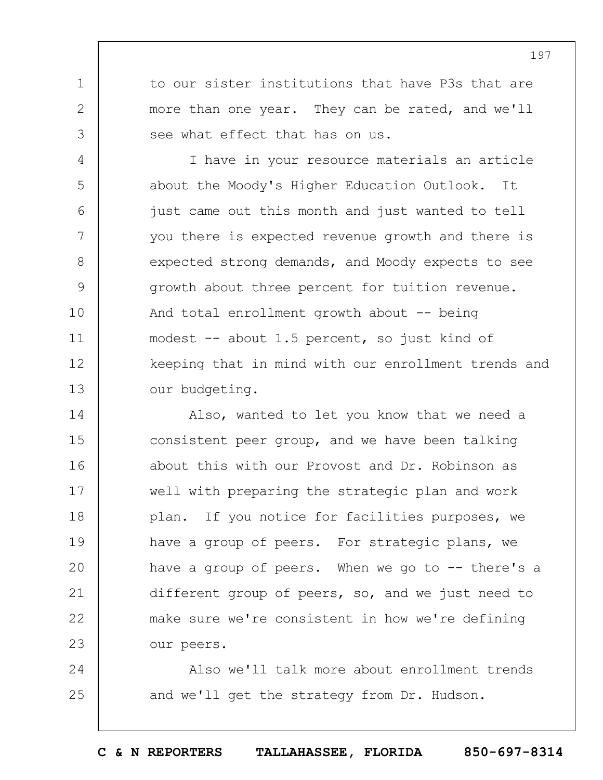to our sister institutions that have P3s that are more than one year. They can be rated, and we'll see what effect that has on us.

1

2

3

4 5 6 7 8 9 10 11 12 13 I have in your resource materials an article about the Moody's Higher Education Outlook. It just came out this month and just wanted to tell you there is expected revenue growth and there is expected strong demands, and Moody expects to see growth about three percent for tuition revenue. And total enrollment growth about -- being modest -- about 1.5 percent, so just kind of keeping that in mind with our enrollment trends and our budgeting.

14 15 16 17 18 19  $20$ 21 22 23 Also, wanted to let you know that we need a consistent peer group, and we have been talking about this with our Provost and Dr. Robinson as well with preparing the strategic plan and work plan. If you notice for facilities purposes, we have a group of peers. For strategic plans, we have a group of peers. When we go to  $-$ - there's a different group of peers, so, and we just need to make sure we're consistent in how we're defining our peers.

24 25 Also we'll talk more about enrollment trends and we'll get the strategy from Dr. Hudson.

**C & N REPORTERS TALLAHASSEE, FLORIDA 850-697-8314**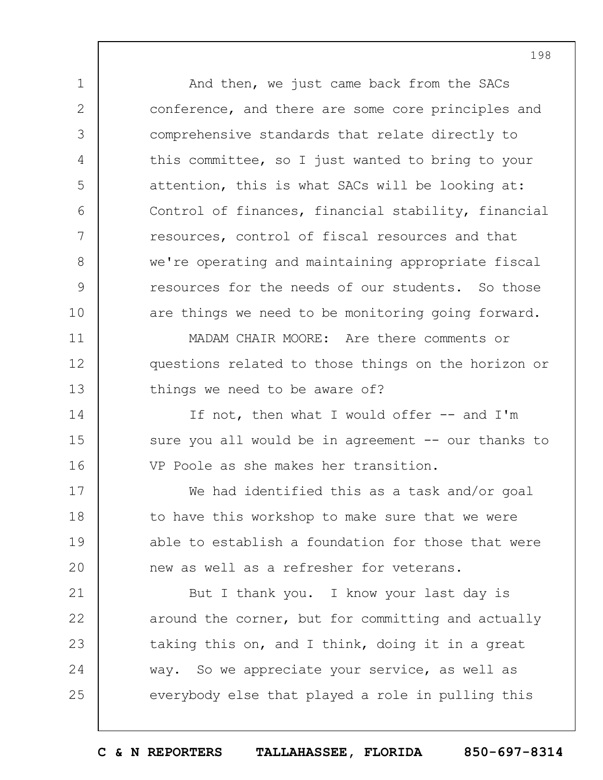And then, we just came back from the SACs conference, and there are some core principles and comprehensive standards that relate directly to this committee, so I just wanted to bring to your attention, this is what SACs will be looking at: Control of finances, financial stability, financial resources, control of fiscal resources and that we're operating and maintaining appropriate fiscal resources for the needs of our students. So those are things we need to be monitoring going forward.

1

2

3

4

5

6

7

8

9

10

11

12

13

14

15

16

MADAM CHAIR MOORE: Are there comments or questions related to those things on the horizon or things we need to be aware of?

If not, then what I would offer -- and I'm sure you all would be in agreement -- our thanks to VP Poole as she makes her transition.

17 18 19  $20$ We had identified this as a task and/or goal to have this workshop to make sure that we were able to establish a foundation for those that were new as well as a refresher for veterans.

21 22 23 24 25 But I thank you. I know your last day is around the corner, but for committing and actually taking this on, and I think, doing it in a great way. So we appreciate your service, as well as everybody else that played a role in pulling this

198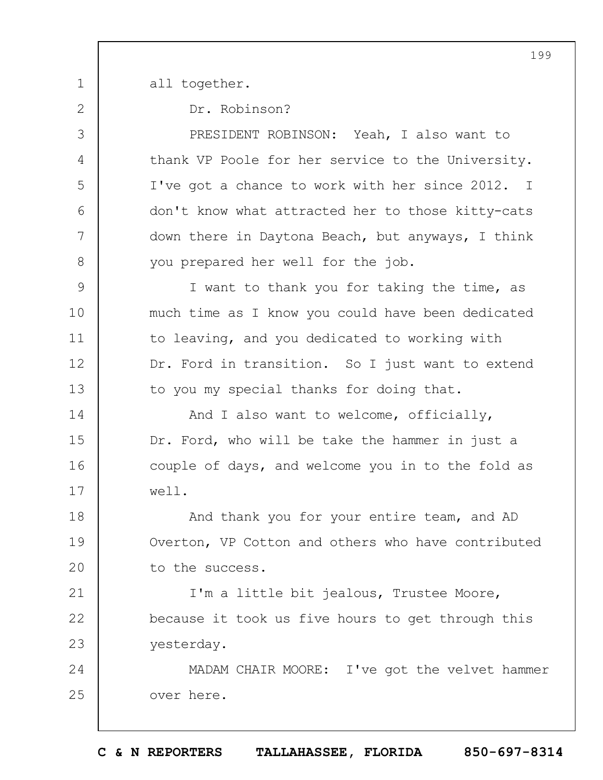1

2

3

4

5

6

7

8

all together.

Dr. Robinson?

PRESIDENT ROBINSON: Yeah, I also want to thank VP Poole for her service to the University. I've got a chance to work with her since 2012. I don't know what attracted her to those kitty-cats down there in Daytona Beach, but anyways, I think you prepared her well for the job.

9 10 11 12 13 I want to thank you for taking the time, as much time as I know you could have been dedicated to leaving, and you dedicated to working with Dr. Ford in transition. So I just want to extend to you my special thanks for doing that.

14 15 16 17 And I also want to welcome, officially, Dr. Ford, who will be take the hammer in just a couple of days, and welcome you in to the fold as well.

18 19  $20$ And thank you for your entire team, and AD Overton, VP Cotton and others who have contributed to the success.

21 22 23 I'm a little bit jealous, Trustee Moore, because it took us five hours to get through this yesterday.

24 25 MADAM CHAIR MOORE: I've got the velvet hammer over here.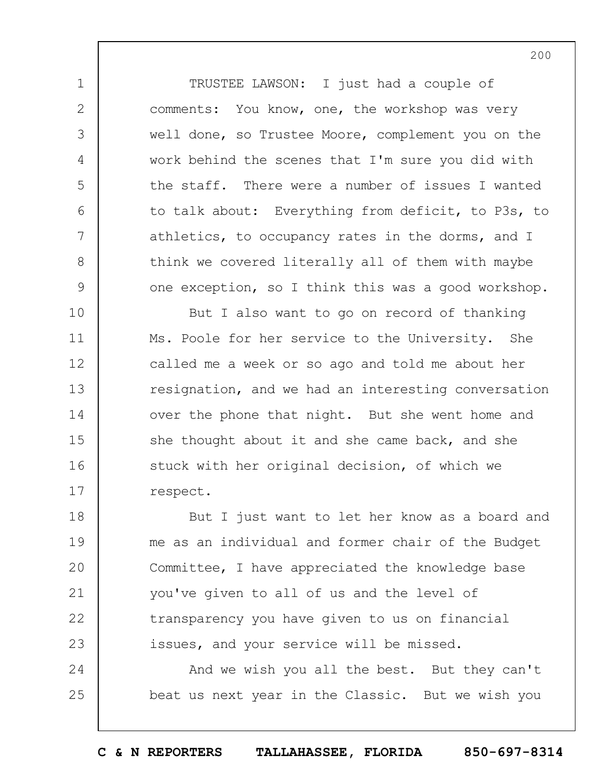TRUSTEE LAWSON: I just had a couple of comments: You know, one, the workshop was very well done, so Trustee Moore, complement you on the work behind the scenes that I'm sure you did with the staff. There were a number of issues I wanted to talk about: Everything from deficit, to P3s, to athletics, to occupancy rates in the dorms, and I think we covered literally all of them with maybe one exception, so I think this was a good workshop.

1

2

3

4

5

6

7

8

9

10 11 12 13 14 15 16 17 But I also want to go on record of thanking Ms. Poole for her service to the University. She called me a week or so ago and told me about her resignation, and we had an interesting conversation over the phone that night. But she went home and she thought about it and she came back, and she stuck with her original decision, of which we respect.

18 19  $20$ 21 22 23 But I just want to let her know as a board and me as an individual and former chair of the Budget Committee, I have appreciated the knowledge base you've given to all of us and the level of transparency you have given to us on financial issues, and your service will be missed.

24 25 And we wish you all the best. But they can't beat us next year in the Classic. But we wish you

200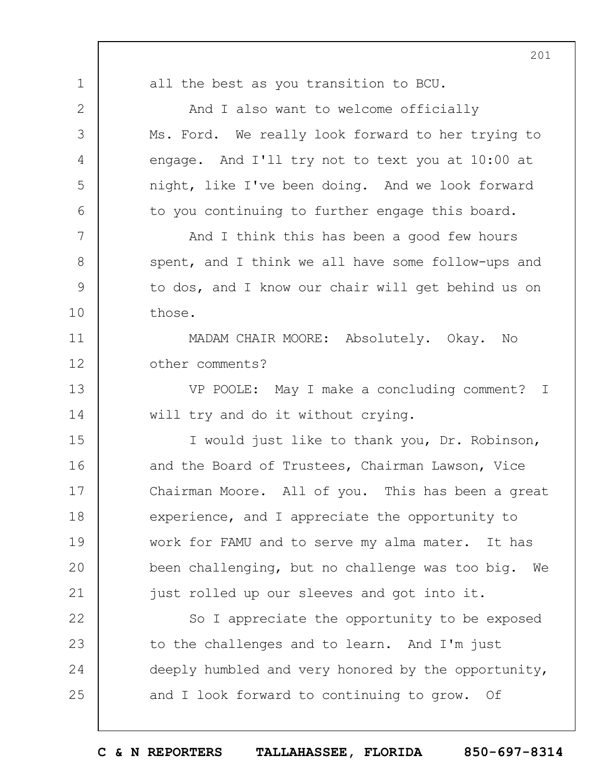1 2 3 4 5 6 7 8 9 10 11 12 13 14 15 16 17 18 19  $20$ 21 22 23 24 25 201 all the best as you transition to BCU. And I also want to welcome officially Ms. Ford. We really look forward to her trying to engage. And I'll try not to text you at 10:00 at night, like I've been doing. And we look forward to you continuing to further engage this board. And I think this has been a good few hours spent, and I think we all have some follow-ups and to dos, and I know our chair will get behind us on those. MADAM CHAIR MOORE: Absolutely. Okay. No other comments? VP POOLE: May I make a concluding comment? I will try and do it without crying. I would just like to thank you, Dr. Robinson, and the Board of Trustees, Chairman Lawson, Vice Chairman Moore. All of you. This has been a great experience, and I appreciate the opportunity to work for FAMU and to serve my alma mater. It has been challenging, but no challenge was too big. We just rolled up our sleeves and got into it. So I appreciate the opportunity to be exposed to the challenges and to learn. And I'm just deeply humbled and very honored by the opportunity, and I look forward to continuing to grow. Of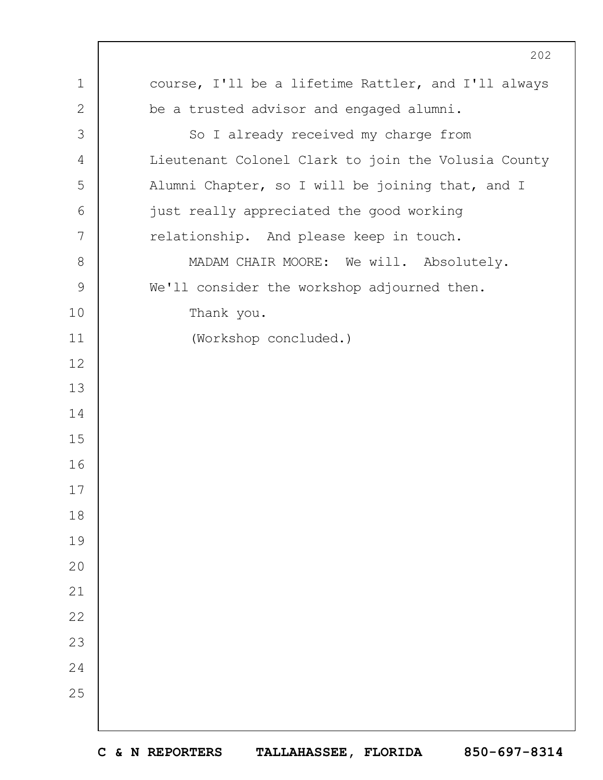|               | 202                                                 |
|---------------|-----------------------------------------------------|
| $\mathbf 1$   | course, I'll be a lifetime Rattler, and I'll always |
| $\mathbf{2}$  | be a trusted advisor and engaged alumni.            |
| 3             | So I already received my charge from                |
| 4             | Lieutenant Colonel Clark to join the Volusia County |
| 5             | Alumni Chapter, so I will be joining that, and I    |
| 6             | just really appreciated the good working            |
| 7             | relationship. And please keep in touch.             |
| $8\,$         | MADAM CHAIR MOORE: We will. Absolutely.             |
| $\mathcal{G}$ | We'll consider the workshop adjourned then.         |
| 10            | Thank you.                                          |
| 11            | (Workshop concluded.)                               |
| 12            |                                                     |
| 13            |                                                     |
| 14            |                                                     |
| 15            |                                                     |
| 16            |                                                     |
| 17            |                                                     |
| 18            |                                                     |
| 19            |                                                     |
| 20            |                                                     |
| 21            |                                                     |
| 22            |                                                     |
| 23            |                                                     |
| 24            |                                                     |
| 25            |                                                     |
|               |                                                     |

 $\Gamma$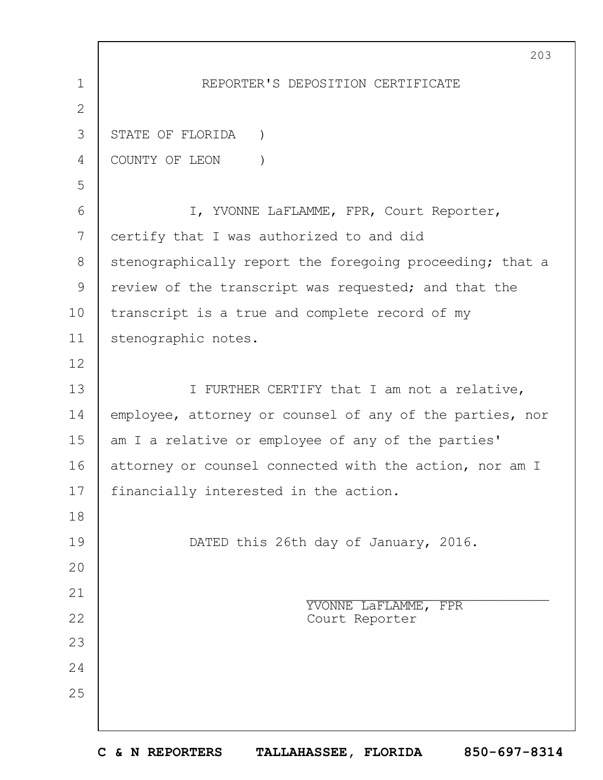1 2 3 4 5 6 7 8 9 10 11 12 13 14 15 16 17 18 19  $20$ 21 22 23 24 25 203 REPORTER'S DEPOSITION CERTIFICATE STATE OF FLORIDA ) COUNTY OF LEON ) I, YVONNE LaFLAMME, FPR, Court Reporter, certify that I was authorized to and did stenographically report the foregoing proceeding; that a review of the transcript was requested; and that the transcript is a true and complete record of my stenographic notes. I FURTHER CERTIFY that I am not a relative, employee, attorney or counsel of any of the parties, nor am I a relative or employee of any of the parties' attorney or counsel connected with the action, nor am I financially interested in the action. DATED this 26th day of January, 2016. \_\_\_\_\_\_\_\_\_\_\_\_\_\_\_\_\_\_\_\_\_\_\_\_\_\_\_\_\_\_\_ YVONNE LaFLAMME, FPR Court Reporter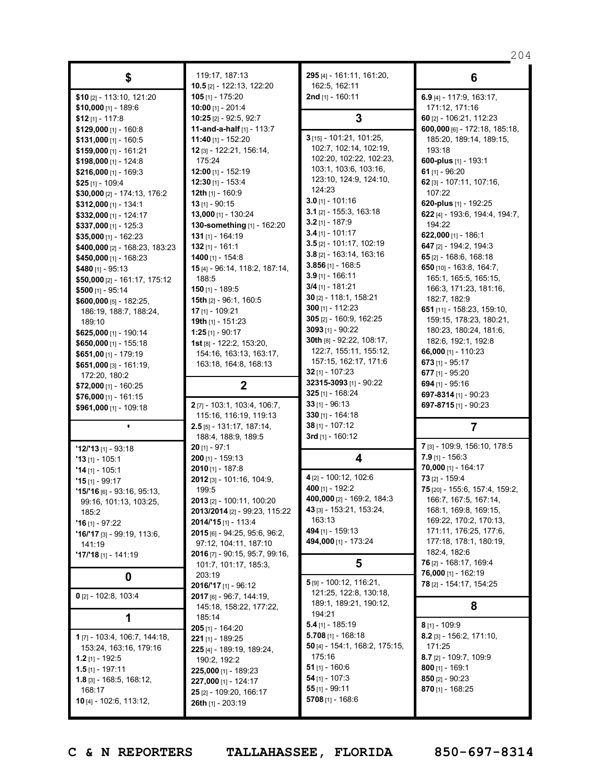|                                |                                        |                                                   | 204                                               |
|--------------------------------|----------------------------------------|---------------------------------------------------|---------------------------------------------------|
| \$                             | 119:17, 187:13                         | 295 [4] - 161:11, 161:20,                         | 6                                                 |
|                                | <b>10.5</b> [2] - 122:13, 122:20       | 162:5, 162:11                                     |                                                   |
| \$10 [2] - 113:10, 121:20      | 105 [1] - 175:20                       | 2nd [1] - 160:11                                  | 6.9 [4] - 117:9, 163:17,                          |
| $$10,000$ [1] - 189:6          | $10:00$ [1] - 201:4                    |                                                   | 171:12, 171:16                                    |
| $$12$ [1] - 117:8              | 10:25 [2] - 92:5, 92:7                 | 3                                                 | 60 [2] - 106:21, 112:23                           |
| $$129,000$ [1] - 160:8         | <b>11-and-a-half</b> $[1]$ - 113:7     |                                                   | 600,000 [6] - 172:18, 185:18,                     |
| \$131,000 [1] - 160:5          | 11:40 [1] - 152:20                     | 3 [15] - 101:21, 101:25,                          | 185:20, 189:14, 189:15,                           |
| $$159,000$ [1] - 161:21        | 12 [3] - 122:21, 156:14,               | 102:7, 102:14, 102:19,                            | 193:18                                            |
| \$198,000 [1] - 124:8          | 175:24                                 | 102:20, 102:22, 102:23,                           | 600-plus [1] - 193:1                              |
| \$216,000 $[1] - 169:3$        | 12:00 [1] - 152:19                     | 103:1, 103:6, 103:16,                             | 61 $[1] - 96:20$                                  |
| \$25 [1] - 109:4               | $12:30$ [1] - 153:4                    | 123:10, 124:9, 124:10,                            | 62 [3] - 107:11, 107:16,                          |
| \$30,000 [2] - 174:13, 176:2   | 12th [1] - 160:9                       | 124:23                                            | 107:22                                            |
| $$312,000$ [1] - 134:1         | <b>13</b> [1] - 90:15                  | $3.0$ [1] - 101:16                                | 620-plus [1] - 192:25                             |
| \$332,000 [1] - 124:17         | 13,000 [1] - 130:24                    | $3.1$ [2] - 155:3, 163:18                         | 622 [4] - 193:6, 194:4, 194:7,                    |
| \$337,000 [1] - 125:3          | 130-something [1] - 162:20             | $3.2$ [1] - 187:9                                 | 194:22                                            |
|                                | $131$ [1] - 164:19                     | $3.4$ [1] - 101:17                                | 622,000 [1] - 186:1                               |
| $$35,000$ [1] - 162:23         | $132$ [1] - 161:1                      | $3.5$ [2] - 101:17, 102:19                        | <b>647</b> [2] - 194:2, 194:3                     |
| \$400,000 [2] - 168:23, 183:23 |                                        | $3.8$ [2] - 163:14, 163:16                        | 65 $[2] - 168:6, 168:18$                          |
| \$450,000 [1] - 168:23         | 1400 $[1] - 154:8$                     | 3.856 $[1]$ - 168:5                               |                                                   |
| \$480 $[1] - 95:13$            | 15 [4] - 96:14, 118:2, 187:14,         | $3.9$ [1] - 166:11                                | 650 [10] - 163:8, 164:7,<br>165:1, 165:5, 165:15, |
| \$50,000 [2] - 161:17, 175:12  | 188:5                                  | $3/4$ [1] - 181:21                                |                                                   |
| $$500$ [1] - 95:14             | <b>150</b> [1] - 189:5                 | 30 [2] - 118:1, 158:21                            | 166:3, 171:23, 181:16,                            |
| \$600,000 [5] - 182:25,        | <b>15th</b> [2] - 96:1, 160:5          | 300 [1] - 112:23                                  | 182:7, 182:9                                      |
| 186:19, 188:7, 188:24,         | $17$ [1] - 109:21                      | $305$ [2] - 160:9, 162:25                         | 651 [11] - 158:23, 159:10,                        |
| 189:10                         | <b>19th</b> [1] - 151:23               | $3093$ [1] - 90:22                                | 159:15, 178:23, 180:21,                           |
| \$625,000 [1] - 190:14         | $1:25$ [1] - 90:17                     | 30th [8] - 92:22, 108:17,                         | 180:23, 180:24, 181:6,                            |
| \$650,000 [1] - 155:18         | <b>1st</b> [8] - 122:2, 153:20,        |                                                   | 182:6, 192:1, 192:8                               |
| $$651,00$ [1] - 179:19         | 154:16, 163:13, 163:17,                | 122:7, 155:11, 155:12,                            | 66,000 [1] - 110:23                               |
| \$651,000 [3] - 161:19,        | 163:18, 164:8, 168:13                  | 157:15, 162:17, 171:6                             | $673$ [1] - 95:17                                 |
| 172:20, 180:2                  |                                        | 32 $[1] - 107:23$                                 | 677 [1] - 95:20                                   |
| $$72,000$ [1] - 160:25         | $\boldsymbol{2}$                       | 32315-3093 [1] - 90:22                            | 694 $[1] - 95:16$                                 |
| $$76,000$ [1] - 161:15         |                                        | <b>325</b> [1] - 168:24                           | 697-8314 [1] - 90:23                              |
| \$961,000 [1] - 109:18         | 2[7] - 103:1, 103:4, 106:7,            | 33 $[1] - 96:13$                                  | 697-8715 [1] - 90:23                              |
|                                | 115:16, 116:19, 119:13                 | $330$ [1] - 164:18                                |                                                   |
|                                | $2.5$ [5] - 131:17, 187:14,            | $38$ [1] - 107:12                                 | 7                                                 |
|                                | 188:4, 188:9, 189:5                    | 3rd $[1]$ - 160:12                                |                                                   |
| $'12/'13$ [1] - 93:18          | $20$ [1] - 97:1                        |                                                   | 7 [3] - 109:9, 156:10, 178:5                      |
| <b>'13</b> [1] - 105:1         | <b>200</b> [1] - 159:13                | 4                                                 | $7.9$ [1] - 156:3                                 |
| $'14$ [1] - 105:1              | $2010$ [1] - 187:8                     |                                                   | 70,000 [1] - 164:17                               |
| $"15$ [1] - 99:17              | 2012 [3] - 101:16, 104:9,              | 4 [2] - 100:12, 102:6                             | $73$ [2] - 159:4                                  |
| 15/'16 [6] - 93:16, 95:13,     | 199:5                                  | 400 [1] - 192:2                                   | 75 [20] - 155:6, 157:4, 159:2                     |
| 99:16, 101:13, 103:25,         | <b>2013</b> [2] - 100:11, 100:20       | 400,000 [2] - 169:2, 184:3                        | 166:7, 167:5, 167:14,                             |
| 185:2                          | 2013/2014 [2] - 99:23, 115:22          | 43 [3] - 153:21, 153:24,                          | 168:1, 169:8, 169:15,                             |
| $"16$ [1] - 97:22              | 2014/'15[1] - 113:4                    | 163:13                                            | 169:22, 170:2, 170:13,                            |
| $'16'17$ [3] - 99:19, 113:6,   | 2015 [6] - 94:25, 95:6, 96:2,          | 494 [1] - 159:13                                  | 171:11, 176:25, 177:6,                            |
| 141:19                         | 97:12, 104:11, 187:10                  | 494,000 [1] - 173:24                              | 177:18, 178:1, 180:19,                            |
| $'17'18$ [1] - 141:19          | 2016 [7] - 90:15, 95:7, 99:16,         |                                                   | 182:4, 182:6                                      |
|                                | 101:7, 101:17, 185:3,                  | 5                                                 | 76 [2] - 168:17, 169:4                            |
| 0                              | 203:19                                 |                                                   | 76,000 [1] - 162:19                               |
|                                | $2016/17$ [1] - 96:12                  | 5 [9] - 100:12, 116:21,<br>121:25, 122:8, 130:18, | 78 [2] - 154:17, 154:25                           |
| $0$ [2] - 102:8, 103:4         | 2017 [6] - 96:7, 144:19,               | 189:1, 189:21, 190:12,                            |                                                   |
|                                | 145:18, 158:22, 177:22,                | 194:21                                            | 8                                                 |
| 1                              | 185:14                                 | $5.4$ [1] - 185:19                                | $8$ [1] - 109:9                                   |
| 1[7] - 103:4, 106:7, 144:18,   | $205$ [1] - 164:20<br>221 [1] - 189:25 | 5.708 [1] - 168:18                                | $8.2$ [3] - 156:2, 171:10,                        |
| 153:24, 163:16, 179:16         | 225 [4] - 189:19, 189:24,              | 50 [4] - 154:1, 168:2, 175:15,                    | 171:25                                            |
| <b>1.2</b> [1] - 192:5         |                                        | 175:16                                            | 8.7 [2] - 109:7, 109:9                            |
| $1.5$ [1] - 197:11             | 190:2, 192:2                           | 51 $[1]$ - 160:6                                  | $800$ [1] - 169:1                                 |
| $1.8$ [3] - 168:5, 168:12,     | 225,000 [1] - 189:23                   | 54 $[1] - 107:3$                                  | 850 [2] - 90:23                                   |
| 168:17                         | 227,000 [1] - 124:17                   | $55$ [1] - 99:11                                  | 870 [1] - 168:25                                  |
| 10 [4] - 102:6, 113:12,        | 25 [2] - 109:20, 166:17                | 5708 $[1] - 168.6$                                |                                                   |
|                                | 26th [1] - 203:19                      |                                                   |                                                   |
|                                |                                        |                                                   |                                                   |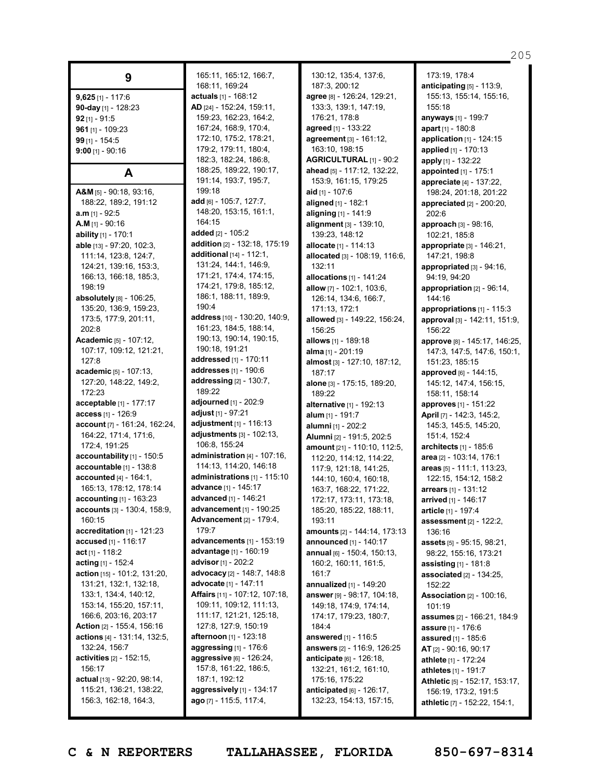| 9                                                      |
|--------------------------------------------------------|
| $9,625$ [1] - 117:6<br>90-day [1] - 128:23             |
| $92$ [1] - $91:5$<br>961 [1] - 109:23                  |
| 99 [1] - 154:5                                         |
| $9:00$ [1] - $90:16$                                   |
| A                                                      |
| $A&M_{[5]}$ - 90:18, 93:16,<br>188:22, 189:2, 191:12   |
| a.m [1] - 92:5                                         |
| $A.M$ [1] - 90:16                                      |
| ability [1] - 170:1                                    |
| able [13] - 97:20, 102:3,<br>111:14, 123:8, 124:7,     |
| 124:21, 139:16, 153:3,                                 |
| 166:13, 166:18, 185:3,                                 |
| 198:19                                                 |
| absolutely [8] - 106:25,<br>135:20, 136:9, 159:23,     |
| 173:5, 177:9, 201:11,                                  |
| 202:8                                                  |
| <b>Academic</b> [5] - 107:12,                          |
| 107:17, 109:12, 121:21,<br>127:8                       |
| <b>academic</b> [5] - 107:13,                          |
| 127:20, 148:22, 149:2,                                 |
| 172:23                                                 |
| acceptable [1] - 177:17<br><b>access</b> [1] - 126:9   |
| account [7] - 161:24, 162:24,                          |
| 164:22, 171:4, 171:6,                                  |
| 172:4, 191:25                                          |
| accountability [1] - 150:5<br>accountable [1] - 138:8  |
| <b>accounted</b> $[4] - 164:1$ ,                       |
| 165:13, 178:12, 178:14                                 |
| accounting [1] - 163:23                                |
| accounts [3] - 130:4, 158:9,                           |
| 160:15<br>accreditation $[1]$ - 121:23                 |
| accused [1] - 116:17                                   |
| $act_{[1]} - 118:2$                                    |
| acting [1] - 152:4                                     |
| action [15] - 101:2, 131:20,<br>131:21, 132:1, 132:18, |
| 133:1, 134:4, 140:12,                                  |
| 153:14, 155:20, 157:11,                                |
| 166:6, 203:16, 203:17                                  |
| Action [2] - 155:4, 156:16                             |
| actions [4] - 131:14, 132:5,<br>132:24, 156:7          |
| activities [2] - 152:15,                               |
| 156:17                                                 |
| actual [13] - 92:20, 98:14,                            |
| 115:21, 136:21, 138:22,<br>156:3, 162:18, 164:3,       |
|                                                        |

165:11, 165:12, 166:7, 168:11, 169:24 **actuals** [1] - 168:12 **AD** [24] - 152:24, 159:11, 159:23, 162:23, 164:2, 167:24, 168:9, 170:4, 172:10, 175:2, 178:21, 179:2, 179:11, 180:4, 182:3, 182:24, 186:8, 188:25, 189:22, 190:17, 191:14, 193:7, 195:7, 199:18 **add** [6] - 105:7, 127:7, 148:20, 153:15, 161:1, 164:15 **added** [2] - 105:2 **addition** [2] - 132:18, 175:19 **additional** [14] - 112:1, 131:24, 144:1, 146:9, 171:21, 174:4, 174:15, 174:21, 179:8, 185:12, 186:1, 188:11, 189:9, 190:4 **address** [10] - 130:20, 140:9, 161:23, 184:5, 188:14, 190:13, 190:14, 190:15, 190:18, 191:21 **addressed** [1] - 170:11 **addresses** [1] - 190:6 **addressing** [2] - 130:7, 189:22 **adjourned** [1] - 202:9 **adjust** [1] - 97:21 **adjustment** [1] - 116:13 **adjustments** [3] - 102:13, 106:8, 155:24 **administration** [4] - 107:16, 114:13, 114:20, 146:18 **administrations** [1] - 115:10 **advance** [1] - 145:17 **advanced** [1] - 146:21 **advancement** [1] - 190:25 **Advancement** [2] - 179:4, 179:7 **advancements** [1] - 153:19 **advantage** [1] - 160:19 **advisor** [1] - 202:2 **advocacy** [2] - 148:7, 148:8 **advocate** [1] - 147:11 **Affairs** [11] - 107:12, 107:18, 109:11, 109:12, 111:13, 111:17, 121:21, 125:18, 127:8, 127:9, 150:19 **afternoon** [1] - 123:18 **aggressing** [1] - 176:6 **aggressive** [6] - 126:24, 157:8, 161:22, 186:5, 187:1, 192:12 **aggressively** [1] - 134:17 **ago** [7] - 115:5, 117:4,

130:12, 135:4, 137:6, 187:3, 200:12 **agree** [8] - 126:24, 129:21, 133:3, 139:1, 147:19, 176:21, 178:8 **agreed** [1] - 133:22 **agreement** [3] - 161:12, 163:10, 198:15 **AGRICULTURAL** [1] - 90:2 **ahead** [5] - 117:12, 132:22, 153:9, 161:15, 179:25 **aid** [1] - 107:6 **aligned** [1] - 182:1 **aligning** [1] - 141:9 **alignment** [3] - 139:10, 139:23, 148:12 **allocate** [1] - 114:13 **allocated** [3] - 108:19, 116:6, 132:11 **allocations** [1] - 141:24 **allow** [7] - 102:1, 103:6, 126:14, 134:6, 166:7, 171:13, 172:1 **allowed** [3] - 149:22, 156:24, 156:25 **allows** [1] - 189:18 **alma** [1] - 201:19 **almost** [3] - 127:10, 187:12, 187:17 **alone** [3] - 175:15, 189:20, 189:22 **alternative** [1] - 192:13 **alum** [1] - 191:7 **alumni** [1] - 202:2 **Alumni** [2] - 191:5, 202:5 **amount** [21] - 110:10, 112:5, 112:20, 114:12, 114:22, 117:9, 121:18, 141:25, 144:10, 160:4, 160:18, 163:7, 168:22, 171:22, 172:17, 173:11, 173:18, 185:20, 185:22, 188:11, 193:11 **amounts** [2] - 144:14, 173:13 **announced** [1] - 140:17 **annual** [6] - 150:4, 150:13, 160:2, 160:11, 161:5, 161:7 **annualized** [1] - 149:20 **answer** [9] - 98:17, 104:18, 149:18, 174:9, 174:14, 174:17, 179:23, 180:7, 184:4 **answered** [1] - 116:5 **answers** [2] - 116:9, 126:25 **anticipate** [6] - 126:18, 132:21, 161:2, 161:10, 175:16, 175:22 **anticipated** [6] - 126:17, 132:23, 154:13, 157:15,

205 **anticipating** [5] - 113:9, 155:13, 155:14, 155:16,

173:19, 178:4

155:18

**anyways** [1] - 199:7 **apart** [1] - 180:8 **application** [1] - 124:15 **applied** [1] - 170:13 **apply** [1] - 132:22 **appointed** [1] - 175:1 **appreciate** [4] - 137:22, 198:24, 201:18, 201:22 **appreciated** [2] - 200:20, 202:6 **approach** [3] - 98:16, 102:21, 185:8 **appropriate** [3] - 146:21, 147:21, 198:8 **appropriated** [3] - 94:16, 94:19, 94:20 **appropriation** [2] - 96:14, 144:16 **appropriations** [1] - 115:3 **approval** [3] - 142:11, 151:9, 156:22 **approve** [8] - 145:17, 146:25, 147:3, 147:5, 147:6, 150:1, 151:23, 185:15 **approved** [6] - 144:15, 145:12, 147:4, 156:15, 158:11, 158:14 **approves** [1] - 151:22 **April** [7] - 142:3, 145:2, 145:3, 145:5, 145:20, 151:4, 152:4 **architects** [1] - 185:6 **area** [2] - 103:14, 176:1 **areas** [5] - 111:1, 113:23, 122:15, 154:12, 158:2 **arrears** [1] - 131:12 **arrived** [1] - 146:17 **article** [1] - 197:4 **assessment** [2] - 122:2, 136:16 **assets** [5] - 95:15, 98:21, 98:22, 155:16, 173:21 **assisting** [1] - 181:8 **associated** [2] - 134:25, 152:22 **Association** [2] - 100:16,  $101:19$ **assumes** [2] - 166:21, 184:9 **assure** [1] - 176:6 **assured** [1] - 185:6 **AT** [2] - 90:16, 90:17 **athlete** [1] - 172:24 **athletes** [1] - 191:7 **Athletic** [5] - 152:17, 153:17, 156:19, 173:2, 191:5 **athletic** [7] - 152:22, 154:1,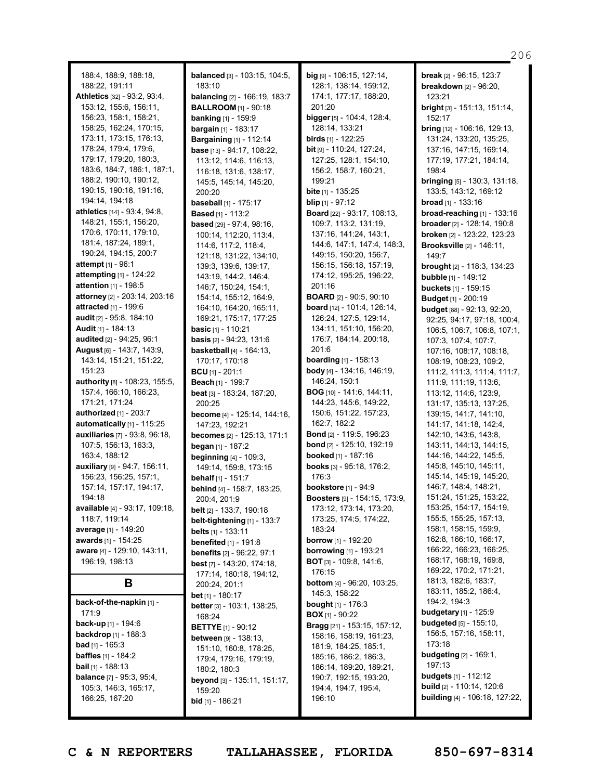206

| 188:4, 188:9, 188:18,                                    |
|----------------------------------------------------------|
| 188:22, 191:11                                           |
| Athletics [32] - 93:2, 93:4,                             |
| 153:12, 155:6, 156:11,                                   |
| 156:23, 158:1, 158:21,                                   |
| 158:25, 162:24, 170:15,                                  |
| 173:11, 173:15, 176:13,                                  |
| 178:24, 179:4, 179:6,                                    |
| 179:17, 179:20, 180:3,                                   |
| 183:6, 184:7, 186:1, 187:1,                              |
| 188:2, 190:10, 190:12,                                   |
| 190:15, 190:16, 191:16,                                  |
| 194:14, 194:18                                           |
| athletics [14] - 93:4, 94:8,                             |
| 148:21, 155:1, 156:20,                                   |
| 170:6, 170:11, 179:10,                                   |
| 181:4, 187:24, 189:1,                                    |
| 190:24, 194:15, 200:7                                    |
| <b>attempt</b> [1] - 96:1                                |
| attempting [1] - 124:22                                  |
| attention [1] - 198:5                                    |
| attorney [2] - 203:14, 203:16                            |
| attracted [1] - 199:6                                    |
| <b>audit</b> [2] - 95:8, 184:10                          |
| <b>Audit</b> [1] - 184:13                                |
| audited [2] - 94:25, 96:1                                |
| August [6] - 143:7, 143:9,                               |
| 143:14, 151:21, 151:22,                                  |
| 151:23                                                   |
|                                                          |
| authority [8] - 108:23, 155:5,<br>157:4, 166:10, 166:23, |
| 171:21, 171:24                                           |
| authorized [1] - 203:7                                   |
|                                                          |
| automatically [1] - 115:25                               |
| auxiliaries [7] - 93:8, 96:18,                           |
| 107:5, 156:13, 163:3,                                    |
| 163:4, 188:12                                            |
| auxiliary [9] - 94:7, 156:11,                            |
| 156:23, 156:25, 157:1,                                   |
| 157:14, 157:17, 194:17,                                  |
| 194:18                                                   |
| available [4] - 93:17, 109:18,                           |
| 118:7, 119:14                                            |
| average [1] - 149:20                                     |
| awards [1] - 154:25                                      |
|                                                          |
| aware [4] - 129:10, 143:11,                              |
| 196:19, 198:13                                           |
|                                                          |
| B                                                        |
| back-of-the-napkin [1] -                                 |
| 171:9                                                    |
| <b>back-up</b> [1] - 194:6                               |
| <b>backdrop</b> [1] - 188:3                              |
| bad [1] - 165:3                                          |
| baffles [1] - 184:2                                      |
| <b>bail</b> און 188:13                                   |
| balance [7] - 95:3, 95:4,                                |
| 105:3, 146:3, 165:17,<br>166:25, 167:20                  |

**balanced** [3] - 103:15, 104:5, 183:10 **balancing** [2] - 166:19, 183:7 **BALLROOM** [1] - 90:18 **banking** [1] - 159:9 **bargain** [1] - 183:17 **Bargaining** [1] - 112:14 **base** [13] - 94:17, 108:22, 113:12, 114:6, 116:13, 116:18, 131:6, 138:17, 145:5, 145:14, 145:20, 200:20 **baseball** [1] - 175:17 **Based** [1] - 113:2 **based** [29] - 97:4, 98:16, 100:14, 112:20, 113:4, 114:6, 117:2, 118:4, 121:18, 131:22, 134:10, 139:3, 139:6, 139:17, 143:19, 144:2, 146:4, 146:7, 150:24, 154:1, 154:14, 155:12, 164:9, 164:10, 164:20, 165:11, 169:21, 175:17, 177:25 **basic** [1] - 110:21 **basis** [2] - 94:23, 131:6 **basketball** [4] - 164:13, 170:17, 170:18 **BCU** [1] - 201:1 **Beach** [1] - 199:7 **beat** [3] - 183:24, 187:20, 200:25 **become** [4] - 125:14, 144:16, 147:23, 192:21 **becomes** [2] - 125:13, 171:1 **began** [1] - 187:2 **beginning** [4] - 109:3, 149:14, 159:8, 173:15 **behalf** [1] - 151:7 **behind** [4] - 158:7, 183:25, 200:4, 201:9 **belt** [2] - 133:7, 190:18 **belt-tightening** [1] - 133:7 **belts** [1] - 133:11 **benefited** [1] - 191:8 **benefits** [2] - 96:22, 97:1 **best** [7] - 143:20, 174:18, 177:14, 180:18, 194:12, 200:24, 201:1 **bet** [1] - 180:17 **better** [3] - 103:1, 138:25, 168:24 **BETTYE** [1] - 90:12 **between** [9] - 138:13, 151:10, 160:8, 178:25, 179:4, 179:16, 179:19, 180:2, 180:3 **beyond** [3] - 135:11, 151:17, 159:20 **bid** [1] - 186:21

**big** [9] - 106:15, 127:14, 128:1, 138:14, 159:12, 174:1, 177:17, 188:20, 201:20 **bigger** [5] - 104:4, 128:4, 128:14, 133:21 **birds** [1] - 122:25 **bit** [9] - 110:24, 127:24, 127:25, 128:1, 154:10, 156:2, 158:7, 160:21, 199:21 **bite** [1] - 135:25 **blip** [1] - 97:12 **Board** [22] - 93:17, 108:13, 109:7, 113:2, 131:19, 137:16, 141:24, 143:1, 144:6, 147:1, 147:4, 148:3, 149:15, 150:20, 156:7, 156:15, 156:18, 157:19, 174:12, 195:25, 196:22, 201:16 **BOARD** [2] - 90:5, 90:10 **board** [12] - 101:4, 126:14, 126:24, 127:5, 129:14, 134:11, 151:10, 156:20, 176:7, 184:14, 200:18, 201:6 **boarding** [1] - 158:13 **body** [4] - 134:16, 146:19, 146:24, 150:1 **BOG** [10] - 141:6, 144:11, 144:23, 145:6, 149:22, 150:6, 151:22, 157:23, 162:7, 182:2 **Bond** [2] - 119:5, 196:23 **bond** [2] - 125:10, 192:19 **booked** [1] - 187:16 **books** [3] - 95:18, 176:2, 176:3 **bookstore** [1] - 94:9 **Boosters** [9] - 154:15, 173:9, 173:12, 173:14, 173:20, 173:25, 174:5, 174:22, 183:24 **borrow** [1] - 192:20 **borrowing** [1] - 193:21 **BOT** [3] - 109:8, 141:6, 176:15 **bottom** [4] - 96:20, 103:25, 145:3, 158:22 **bought** [1] - 176:3 **BOX** [1] - 90:22 **Bragg** [21] - 153:15, 157:12, 158:16, 158:19, 161:23, 181:9, 184:25, 185:1, 185:16, 186:2, 186:3, 186:14, 189:20, 189:21, 190:7, 192:15, 193:20, 194:4, 194:7, 195:4, 196:10

**break** [2] - 96:15, 123:7 **breakdown** [2] - 96:20, 123:21 **bright** [3] - 151:13, 151:14, 152:17 **bring** [12] - 106:16, 129:13, 131:24, 133:20, 135:25, 137:16, 147:15, 169:14, 177:19, 177:21, 184:14, 198:4 **bringing** [5] - 130:3, 131:18, 133:5, 143:12, 169:12 **broad** [1] - 133:16 **broad-reaching** [1] - 133:16 **broader** [2] - 128:14, 190:8 **broken** [2] - 123:22, 123:23 **Brooksville** [2] - 146:11, 149:7 **brought** [2] - 118:3, 134:23 **bubble** [1] - 149:12 **buckets** [1] - 159:15 **Budget** [1] - 200:19 **budget** [88] - 92:13, 92:20, 92:25, 94:17, 97:18, 100:4, 106:5, 106:7, 106:8, 107:1, 107:3, 107:4, 107:7, 107:16, 108:17, 108:18, 108:19, 108:23, 109:2, 111:2, 111:3, 111:4, 111:7, 111:9, 111:19, 113:6, 113:12, 114:6, 123:9, 131:17, 135:13, 137:25, 139:15, 141:7, 141:10, 141:17, 141:18, 142:4, 142:10, 143:6, 143:8, 143:11, 144:13, 144:15, 144:16, 144:22, 145:5, 145:8, 145:10, 145:11, 145:14, 145:19, 145:20, 146:7, 148:4, 148:21, 151:24, 151:25, 153:22, 153:25, 154:17, 154:19, 155:5, 155:25, 157:13, 158:1, 158:15, 159:9, 162:8, 166:10, 166:17, 166:22, 166:23, 166:25, 168:17, 168:19, 169:8, 169:22, 170:2, 171:21, 181:3, 182:6, 183:7, 183:11, 185:2, 186:4, 194:2, 194:3 **budgetary** [1] - 125:9 **budgeted** [5] - 155:10, 156:5, 157:16, 158:11, 173:18 **budgeting** [2] - 169:1, 197:13 **budgets** [1] - 112:12 **build** [2] - 110:14, 120:6 **building** [4] - 106:18, 127:22,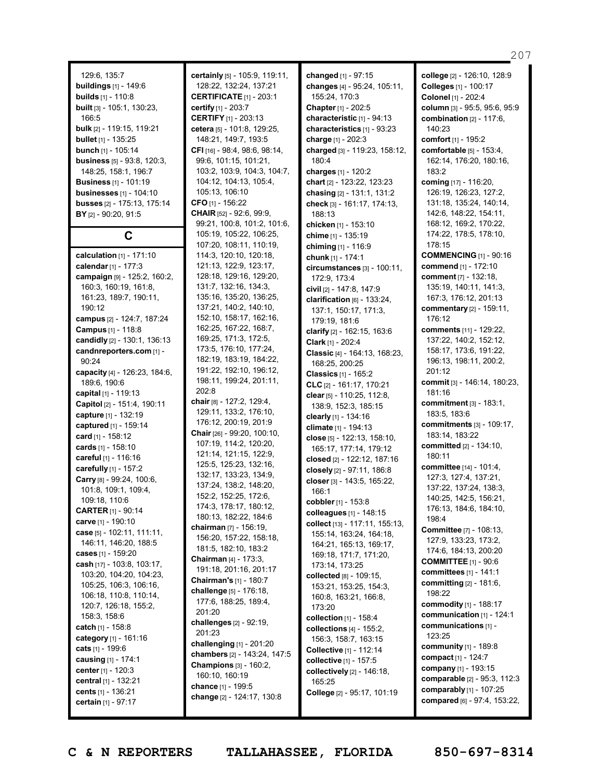129:6, 135:7 **buildings** [1] - 149:6 **builds** [1] - 110:8 **built** [3] - 105:1, 130:23, 166:5 **bulk** [2] - 119:15, 119:21 **bullet** [1] - 135:25 **bunch** [1] - 105:14 **business** [5] - 93:8, 120:3, 148:25, 158:1, 196:7 **Business** [1] - 101:19 **businesses** [1] - 104:10 **busses** [2] - 175:13, 175:14 **BY** [2] - 90:20, 91:5

**C**

**calculation** [1] - 171:10 **calendar**[1] - 177:3 **campaign** [9] - 125:2, 160:2, 160:3, 160:19, 161:8, 161:23, 189:7, 190:11,  $190.12$ **campus** [2] - 124:7, 187:24 **Campus** [1] - 118:8 **candidly** [2] - 130:1, 136:13 **candnreporters.com** [1] -  $90.24$ **capacity** [4] - 126:23, 184:6, 189:6, 190:6 **capital** [1] - 119:13 **Capitol** [2] - 151:4, 190:11 **capture** [1] - 132:19 **captured** [1] - 159:14 **card** [1] - 158:12 **cards** [1] - 158:10 **careful** [1] - 116:16 **carefully** [1] - 157:2 **Carry** [8] - 99:24, 100:6, 101:8, 109:1, 109:4, 109:18, 110:6 **CARTER** [1] - 90:14 **carve** [1] - 190:10 **case** [5] - 102:11, 111:11, 146:11, 146:20, 188:5 **cases** [1] - 159:20 **cash** [17] - 103:8, 103:17, 103:20, 104:20, 104:23, 105:25, 106:3, 106:16, 106:18, 110:8, 110:14, 120:7, 126:18, 155:2, 158:3, 158:6 **catch** [1] - 158:8 **category** [1] - 161:16 **cats** [1] - 199:6 **causing** [1] - 174:1 **center** [1] - 120:3 **central** [1] - 132:21 **cents** [1] - 136:21 **certain** [1] - 97:17

**certainly** [5] - 105:9, 119:11, 128:22, 132:24, 137:21 **CERTIFICATE** [1] - 203:1 **certify** [1] - 203:7 **CERTIFY** [1] - 203:13 **cetera** [5] - 101:8, 129:25, 148:21, 149:7, 193:5 **CFI** [16] - 98:4, 98:6, 98:14, 99:6, 101:15, 101:21, 103:2, 103:9, 104:3, 104:7, 104:12, 104:13, 105:4, 105:13, 106:10 **CFO** [1] - 156:22 **CHAIR** [52] - 92:6, 99:9, 99:21, 100:8, 101:2, 101:6, 105:19, 105:22, 106:25, 107:20, 108:11, 110:19, 114:3, 120:10, 120:18, 121:13, 122:9, 123:17, 128:18, 129:16, 129:20, 131:7, 132:16, 134:3, 135:16, 135:20, 136:25, 137:21, 140:2, 140:10, 152:10, 158:17, 162:16, 162:25, 167:22, 168:7, 169:25, 171:3, 172:5, 173:5, 176:10, 177:24, 182:19, 183:19, 184:22, 191:22, 192:10, 196:12, 198:11, 199:24, 201:11, 202:8 **chair** [8] - 127:2, 129:4, 129:11, 133:2, 176:10, 176:12, 200:19, 201:9 **Chair** [26] - 99:20, 100:10, 107:19, 114:2, 120:20, 121:14, 121:15, 122:9, 125:5, 125:23, 132:16, 132:17, 133:23, 134:9, 137:24, 138:2, 148:20, 152:2, 152:25, 172:6, 174:3, 178:17, 180:12, 180:13, 182:22, 184:6 **chairman** [7] - 156:19, 156:20, 157:22, 158:18, 181:5, 182:10, 183:2 **Chairman** [4] - 173:3, 191:18, 201:16, 201:17 **Chairman's** [1] - 180:7 **challenge** [5] - 176:18, 177:6, 188:25, 189:4, 201:20 **challenges** [2] - 92:19, 201:23 **challenging** [1] - 201:20 **chambers** [2] - 143:24, 147:5 **Champions** [3] - 160:2, 160:10, 160:19 **chance** [1] - 199:5 **change** [2] - 124:17, 130:8

**changed** [1] - 97:15 **changes** [4] - 95:24, 105:11, 155:24, 170:3 **Chapter** [1] - 202:5 **characteristic** [1] - 94:13 **characteristics** [1] - 93:23 **charge** [1] - 202:3 **charged** [3] - 119:23, 158:12, 180:4 **charges** [1] - 120:2 **chart** [2] - 123:22, 123:23 **chasing** [2] - 131:1, 131:2 **check** [3] - 161:17, 174:13, 188:13 **chicken** [1] - 153:10 **chime** [1] - 135:19 **chiming** [1] - 116:9 **chunk** [1] - 174:1 **circumstances** [3] - 100:11, 172:9, 173:4 **civil** [2] - 147:8, 147:9 **clarification** [6] - 133:24, 137:1, 150:17, 171:3, 179:19, 181:6 **clarify** [2] - 162:15, 163:6 **Clark** [1] - 202:4 **Classic** [4] - 164:13, 168:23, 168:25, 200:25 **Classics** [1] - 165:2 **CLC** [2] - 161:17, 170:21 **clear** [5] - 110:25, 112:8, 138:9, 152:3, 185:15 **clearly** [1] - 134:16 **climate** [1] - 194:13 **close** [5] - 122:13, 158:10, 165:17, 177:14, 179:12 **closed** [2] - 122:12, 187:16 **closely** [2] - 97:11, 186:8 **closer** [3] - 143:5, 165:22, 166:1 **cobbler** [1] - 153:8 **colleagues** [1] - 148:15 **collect** [13] - 117:11, 155:13, 155:14, 163:24, 164:18, 164:21, 165:13, 169:17, 169:18, 171:7, 171:20, 173:14, 173:25 **collected** [8] - 109:15, 153:21, 153:25, 154:3, 160:8, 163:21, 166:8, 173:20 **collection** [1] - 158:4 **collections** [4] - 155:2, 156:3, 158:7, 163:15 **Collective** [1] - 112:14 **collective** [1] - 157:5 **collectively** [2] - 146:18, 165:25 **College** [2] - 95:17, 101:19

**college** [2] - 126:10, 128:9 **Colleges** [1] - 100:17 **Colonel** [1] - 202:4 **column** [3] - 95:5, 95:6, 95:9 **combination** [2] - 117:6,  $140.23$ **comfort** [1] - 195:2 **comfortable** [5] - 153:4, 162:14, 176:20, 180:16, 183:2 **coming** [17] - 116:20, 126:19, 126:23, 127:2, 131:18, 135:24, 140:14, 142:6, 148:22, 154:11, 168:12, 169:2, 170:22, 174:22, 178:5, 178:10, 178:15 **COMMENCING** [1] - 90:16 **commend** [1] - 172:10 **comment** [7] - 132:18, 135:19, 140:11, 141:3, 167:3, 176:12, 201:13 **commentary** [2] - 159:11, 176:12 **comments** [11] - 129:22, 137:22, 140:2, 152:12, 158:17, 173:6, 191:22, 196:13, 198:11, 200:2, 201:12 **commit** [3] - 146:14, 180:23, 181:16 **commitment** [3] - 183:1, 183:5, 183:6 **commitments** [3] - 109:17, 183:14, 183:22 **committed** [2] - 134:10, 180:11 **committee** [14] - 101:4, 127:3, 127:4, 137:21, 137:22, 137:24, 138:3, 140:25, 142:5, 156:21, 176:13, 184:6, 184:10, 198:4 **Committee** [7] - 108:13, 127:9, 133:23, 173:2, 174:6, 184:13, 200:20 **COMMITTEE** [1] - 90:6 **committees** [1] - 141:1 **committing** [2] - 181:6, 198:22 **commodity** [1] - 188:17 **communication** [1] - 124:1 **communications** [1] - 123:25 **community** [1] - 189:8 **compact** [1] - 124:7 **company** [1] - 193:15 **comparable** [2] - 95:3, 112:3 **comparably** [1] - 107:25 **compared** [6] - 97:4, 153:22,

207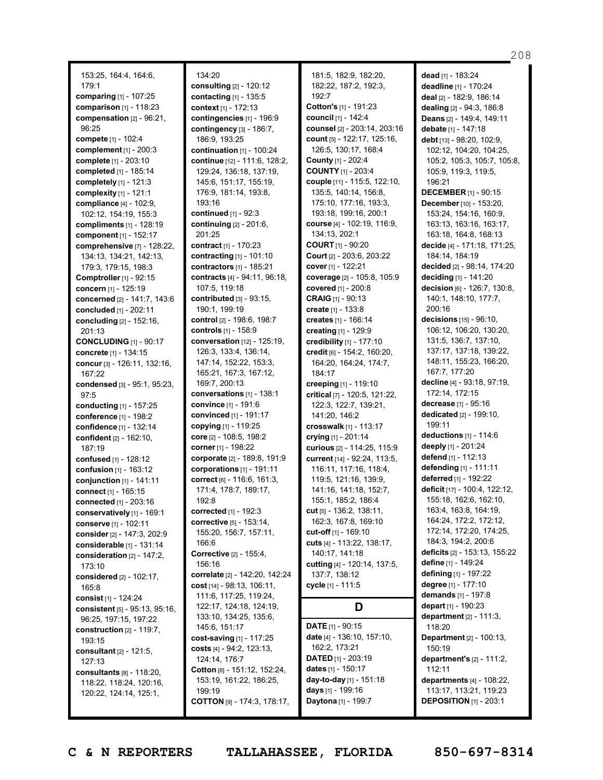153:25, 164:4, 164:6, 179:1 **comparing** [1] - 107:25 **comparison** [1] - 118:23 **compensation** [2] - 96:21, 96:25 **compete** [1] - 102:4 **complement** [1] - 200:3 **complete** [1] - 203:10 **completed** [1] - 185:14 **completely** [1] - 121:3 **complexity** [1] - 121:1 **compliance** [4] - 102:9, 102:12, 154:19, 155:3 **compliments** [1] - 128:19 **component** [1] - 152:17 **comprehensive** [7] - 128:22, 134:13, 134:21, 142:13, 179:3, 179:15, 198:3 **Comptroller**[1] - 92:15 **concern** [1] - 125:19 **concerned** [2] - 141:7, 143:6 **concluded** [1] - 202:11 **concluding** [2] - 152:16, 201:13 **CONCLUDING** [1] - 90:17 **concrete** [1] - 134:15 **concur**[3] - 126:11, 132:16, 167:22 **condensed** [3] - 95:1, 95:23, 97:5 **conducting** [1] - 157:25 **conference** [1] - 198:2 **confidence** [1] - 132:14 **confident** [2] - 162:10, 187:19 **confused** [1] - 128:12 **confusion** [1] - 163:12 **conjunction** [1] - 141:11 **connect** [1] - 165:15 **connected** [1] - 203:16 **conservatively** [1] - 169:1 **conserve** [1] - 102:11 **consider**[2] - 147:3, 202:9 **considerable** [1] - 131:14 **consideration** [2] - 147:2, 173:10 **considered** [2] - 102:17, 165:8 **consist** [1] - 124:24 **consistent** [5] - 95:13, 95:16, 96:25, 197:15, 197:22 **construction** [2] - 119:7, 193:15 **consultant** [2] - 121:5, 127:13 **consultants** [8] - 118:20, 118:22, 118:24, 120:16, 120:22, 124:14, 125:1,

134:20 **consulting** [2] - 120:12 **contacting** [1] - 135:5 **context** [1] - 172:13 **contingencies** [1] - 196:9 **contingency** [3] - 186:7, 186:9, 193:25 **continuation** [1] - 100:24 **continue** [12] - 111:6, 128:2, 129:24, 136:18, 137:19, 145:6, 151:17, 155:19, 176:9, 181:14, 193:8, 193:16 **continued** [1] - 92:3 **continuing** [2] - 201:6, 201:25 **contract** [1] - 170:23 **contracting** [1] - 101:10 **contractors** [1] - 185:21 **contracts** [4] - 94:11, 96:18, 107:5, 119:18 **contributed** [3] - 93:15, 190:1, 199:19 **control** [2] - 198:6, 198:7 **controls** [1] - 158:9 **conversation** [12] - 125:19, 126:3, 133:4, 136:14, 147:14, 152:22, 153:3, 165:21, 167:3, 167:12, 169:7, 200:13 **conversations** [1] - 138:1 **convince** [1] - 191:6 **convinced** [1] - 191:17 **copying** [1] - 119:25 **core** [2] - 108:5, 198:2 **corner** [1] - 198:22 **corporate** [2] - 189:8, 191:9 **corporations** [1] - 191:11 **correct** [6] - 116:6, 161:3, 171:4, 178:7, 189:17, 192:8 **corrected** [1] - 192:3 **corrective** [5] - 153:14, 155:20, 156:7, 157:11, 166:6 **Corrective** [2] - 155:4, 156:16 **correlate** [2] - 142:20, 142:24 **cost** [14] - 98:13, 106:11, 111:6, 117:25, 119:24, 122:17, 124:18, 124:19, 133:10, 134:25, 135:6, 145:6, 151:17 **cost-saving** [1] - 117:25 **costs** [4] - 94:2, 123:13, 124:14, 176:7 **Cotton** [6] - 151:12, 152:24, 153:19, 161:22, 186:25, 199:19 **COTTON** [9] - 174:3, 178:17,

181:5, 182:9, 182:20, 182:22, 187:2, 192:3, 192:7 **Cotton's** [1] - 191:23 **council** [1] - 142:4 **counsel** [2] - 203:14, 203:16 **count** [5] - 122:17, 125:16, 126:5, 130:17, 168:4 **County** [1] - 202:4 **COUNTY** [1] - 203:4 **couple** [11] - 115:5, 122:10, 135:5, 140:14, 156:8, 175:10, 177:16, 193:3, 193:18, 199:16, 200:1 **course** [4] - 102:19, 116:9, 134:13, 202:1 **COURT** [1] - 90:20 **Court** [2] - 203:6, 203:22 **cover** [1] - 122:21 **coverage** [2] - 105:8, 105:9 **covered** [1] - 200:8 **CRAIG** [1] - 90:13 **create** [1] - 133:8 **creates** [1] - 166:14 **creating** [1] - 129:9 **credibility** [1] - 177:10 **credit** [6] - 154:2, 160:20, 164:20, 164:24, 174:7, 184:17 **creeping** [1] - 119:10 **critical** [7] - 120:5, 121:22, 122:3, 122:7, 139:21, 141:20, 146:2 **crosswalk** [1] - 113:17 **crying** [1] - 201:14 **curious** [2] - 114:25, 115:9 **current** [14] - 92:24, 113:5, 116:11, 117:16, 118:4, 119:5, 121:16, 139:9, 141:16, 141:18, 152:7, 155:1, 185:2, 186:4 **cut** [5] - 136:2, 138:11, 162:3, 167:8, 169:10 **cut-off** [1] - 169:10 **cuts** [4] - 113:22, 138:17, 140:17, 141:18 **cutting** [4] - 120:14, 137:5, 137:7, 138:12 **cycle** [1] - 111:5 **D DATE** [1] - 90:15 **date** [4] - 136:10, 157:10, 162:2, 173:21 **DATED** [1] - 203:19

**dead** [1] - 183:24 **deadline** [1] - 170:24 **deal** [2] - 182:9, 186:14 **dealing** [2] - 94:3, 186:8 **Deans** [2] - 149:4, 149:11 **debate** [1] - 147:18 **debt** [13] - 98:20, 102:9, 102:12, 104:20, 104:25, 105:2, 105:3, 105:7, 105:8, 105:9, 119:3, 119:5, 196:21 **DECEMBER** [1] - 90:15 **December** [10] - 153:20, 153:24, 154:16, 160:9, 163:13, 163:16, 163:17, 163:18, 164:8, 168:13 **decide** [4] - 171:18, 171:25, 184:14, 184:19 **decided** [2] - 98:14, 174:20 **deciding** [1] - 141:20 **decision** [6] - 126:7, 130:8, 140:1, 148:10, 177:7, 200:16 **decisions** [15] - 96:10, 106:12, 106:20, 130:20, 131:5, 136:7, 137:10, 137:17, 137:18, 139:22, 148:11, 155:23, 166:20, 167:7, 177:20 **decline** [4] - 93:18, 97:19, 172:14, 172:15 **decrease** [1] - 95:16 **dedicated** [2] - 199:10, 199:11 **deductions** [1] - 114:6 **deeply** [1] - 201:24 **defend** [1] - 112:13 **defending** [1] - 111:11 **deferred** [1] - 192:22 **deficit** [17] - 100:4, 122:12, 155:18, 162:6, 162:10, 163:4, 163:8, 164:19, 164:24, 172:2, 172:12, 172:14, 172:20, 174:25, 184:3, 194:2, 200:6 **deficits** [2] - 153:13, 155:22 **define** [1] - 149:24 **defining** [1] - 197:22 **degree** [1] - 177:10 **demands** [1] - 197:8 **depart** [1] - 190:23 **department** [2] - 111:3, 118:20 **Department** [2] - 100:13, 150:19 **department's** [2] - 111:2, 112:11 **departments** [4] - 108:22, 113:17, 113:21, 119:23 **DEPOSITION** [1] - 203:1

**C & N REPORTERS TALLAHASSEE, FLORIDA 850-697-8314**

**dates** [1] - 150:17 **day-to-day** [1] - 151:18 **days** [1] - 199:16 **Daytona** [1] - 199:7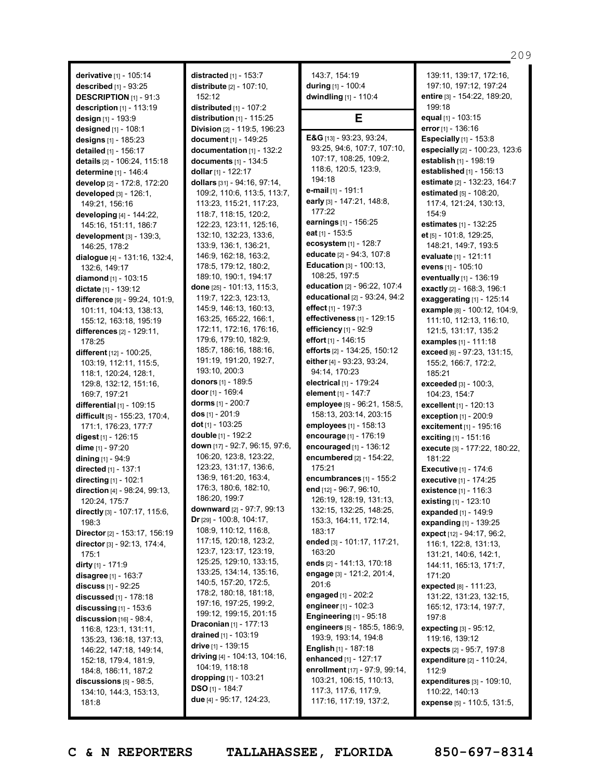**derivative** [1] - 105:14 **described** [1] - 93:25 **DESCRIPTION** [1] - 91:3 **description** [1] - 113:19 **design** [1] - 193:9 **designed** [1] - 108:1 **designs** [1] - 185:23 **detailed** [1] - 156:17 **details** [2] - 106:24, 115:18 **determine** [1] - 146:4 **develop** [2] - 172:8, 172:20 **developed** [3] - 126:1, 149:21, 156:16 **developing** [4] - 144:22, 145:16, 151:11, 186:7 **development** [3] - 139:3, 146:25, 178:2 **dialogue** [4] - 131:16, 132:4, 132:6, 149:17 **diamond** [1] - 103:15 **dictate** [1] - 139:12 **difference** [9] - 99:24, 101:9, 101:11, 104:13, 138:13, 155:12, 163:18, 195:19 **differences** [2] - 129:11, 178:25 **different** [12] - 100:25, 103:19, 112:11, 115:5, 118:1, 120:24, 128:1, 129:8, 132:12, 151:16, 169:7, 197:21 **differential** [1] - 109:15 **difficult** [5] - 155:23, 170:4, 171:1, 176:23, 177:7 **digest** [1] - 126:15 **dime** [1] - 97:20 **dining** [1] - 94:9 **directed** [1] - 137:1 **directing** [1] - 102:1 **direction** [4] - 98:24, 99:13, 120:24, 175:7 **directly** [3] - 107:17, 115:6, 198:3 **Director**[2] - 153:17, 156:19 **director**[3] - 92:13, 174:4, 175:1 **dirty** [1] - 171:9 **disagree** [1] - 163:7 **discuss** [1] - 92:25 **discussed** [1] - 178:18 **discussing** [1] - 153:6 **discussion** [16] - 98:4, 116:8, 123:1, 131:11, 135:23, 136:18, 137:13, 146:22, 147:18, 149:14, 152:18, 179:4, 181:9, 184:8, 186:11, 187:2 **discussions** [5] - 98:5, 134:10, 144:3, 153:13, 181:8

**distracted** [1] - 153:7 **distribute** [2] - 107:10,  $152.12$ **distributed** [1] - 107:2 **distribution** [1] - 115:25 **Division** [2] - 119:5, 196:23 **document** [1] - 149:25 **documentation** [1] - 132:2 **documents** [1] - 134:5 **dollar** [1] - 122:17 **dollars** [31] - 94:16, 97:14, 109:2, 110:6, 113:5, 113:7, 113:23, 115:21, 117:23, 118:7, 118:15, 120:2, 122:23, 123:11, 125:16, 132:10, 132:23, 133:6, 133:9, 136:1, 136:21, 146:9, 162:18, 163:2, 178:5, 179:12, 180:2, 189:10, 190:1, 194:17 **done** [25] - 101:13, 115:3, 119:7, 122:3, 123:13, 145:9, 146:13, 160:13, 163:25, 165:22, 166:1, 172:11, 172:16, 176:16, 179:6, 179:10, 182:9, 185:7, 186:16, 188:16, 191:19, 191:20, 192:7, 193:10, 200:3 **donors** [1] - 189:5 **door** [1] - 169:4 **dorms** [1] - 200:7 **dos** [1] - 201:9 **dot** [1] - 103:25 **double** [1] - 192:2 **down** [17] - 92:7, 96:15, 97:6, 106:20, 123:8, 123:22, 123:23, 131:17, 136:6, 136:9, 161:20, 163:4, 176:3, 180:6, 182:10, 186:20, 199:7 **downward** [2] - 97:7, 99:13 **Dr** [29] - 100:8, 104:17, 108:9, 110:12, 116:8, 117:15, 120:18, 123:2, 123:7, 123:17, 123:19, 125:25, 129:10, 133:15, 133:25, 134:14, 135:16, 140:5, 157:20, 172:5, 178:2, 180:18, 181:18, 197:16, 197:25, 199:2, 199:12, 199:15, 201:15 **Draconian** [1] - 177:13 **drained** [1] - 103:19 **drive** [1] - 139:15 **driving** [4] - 104:13, 104:16, 104:19, 118:18 **dropping** [1] - 103:21 **DSO** [1] - 184:7 **due** [4] - 95:17, 124:23,

143:7, 154:19 **during** [1] - 100:4 **dwindling** [1] - 110:4 **E E&G** [13] - 93:23, 93:24, 93:25, 94:6, 107:7, 107:10, 107:17, 108:25, 109:2, 118:6, 120:5, 123:9, 194:18 **e-mail** [1] - 191:1 **early** [3] - 147:21, 148:8, 177:22 **earnings** [1] - 156:25 **eat** [1] - 153:5 **ecosystem** [1] - 128:7 **educate** [2] - 94:3, 107:8 **Education** [3] - 100:13, 108:25, 197:5 **education** [2] - 96:22, 107:4 **educational** [2] - 93:24, 94:2 **effect** [1] - 197:3 **effectiveness** [1] - 129:15 **efficiency** [1] - 92:9 **effort** [1] - 146:15 **efforts** [2] - 134:25, 150:12 **either** [4] - 93:23, 93:24, 94:14, 170:23 **electrical** [1] - 179:24 **element** [1] - 147:7 **employee** [5] - 96:21, 158:5, 158:13, 203:14, 203:15 **employees** [1] - 158:13 **encourage** [1] - 176:19 **encouraged** [1] - 136:12 **encumbered** [2] - 154:22, 175:21 **encumbrances** [1] - 155:2 **end** [12] - 96:7, 96:10, 126:19, 128:19, 131:13, 132:15, 132:25, 148:25, 153:3, 164:11, 172:14, 183:17 **ended** [3] - 101:17, 117:21, 163:20 **ends** [2] - 141:13, 170:18 **engage** [3] - 121:2, 201:4, 201:6 **engaged** [1] - 202:2 **engineer**[1] - 102:3 **Engineering** [1] - 95:18 **engineers** [5] - 185:5, 186:9, 193:9, 193:14, 194:8 **English** [1] - 187:18 **enhanced** [1] - 127:17 **enrollment** [17] - 97:9, 99:14, 103:21, 106:15, 110:13, 117:3, 117:6, 117:9, 117:16, 117:19, 137:2,

139:11, 139:17, 172:16, 197:10, 197:12, 197:24 **entire** [3] - 154:22, 189:20, 199:18 **equal** [1] - 103:15 **error** [1] - 136:16 **Especially** [1] - 153:8 **especially** [2] - 100:23, 123:6 **establish** [1] - 198:19 **established** [1] - 156:13 **estimate** [2] - 132:23, 164:7 **estimated** [5] - 108:20, 117:4, 121:24, 130:13, 154:9 **estimates** [1] - 132:25 **et** [5] - 101:8, 129:25, 148:21, 149:7, 193:5 **evaluate** [1] - 121:11 **evens** [1] - 105:10 **eventually** [1] - 136:19 **exactly** [2] - 168:3, 196:1 **exaggerating** [1] - 125:14 **example** [8] - 100:12, 104:9, 111:10, 112:13, 116:10, 121:5, 131:17, 135:2 **examples** [1] - 111:18 **exceed** [6] - 97:23, 131:15, 155:2, 166:7, 172:2, 185:21 **exceeded** [3] - 100:3, 104:23, 154:7 **excellent** [1] - 120:13 **exception** [1] - 200:9 **excitement** [1] - 195:16 **exciting** [1] - 151:16 **execute** [3] - 177:22, 180:22, 181:22 **Executive** [1] - 174:6 **executive** [1] - 174:25 **existence** [1] - 116:3 **existing** [1] - 123:10 **expanded** [1] - 149:9 **expanding** [1] - 139:25 **expect** [12] - 94:17, 96:2, 116:1, 122:8, 131:13, 131:21, 140:6, 142:1, 144:11, 165:13, 171:7, 171:20 **expected** [8] - 111:23, 131:22, 131:23, 132:15, 165:12, 173:14, 197:7, 197:8 **expecting** [3] - 95:12, 119:16, 139:12 **expects** [2] - 95:7, 197:8 **expenditure** [2] - 110:24, 112:9 **expenditures** [3] - 109:10, 110:22, 140:13 **expense** [5] - 110:5, 131:5,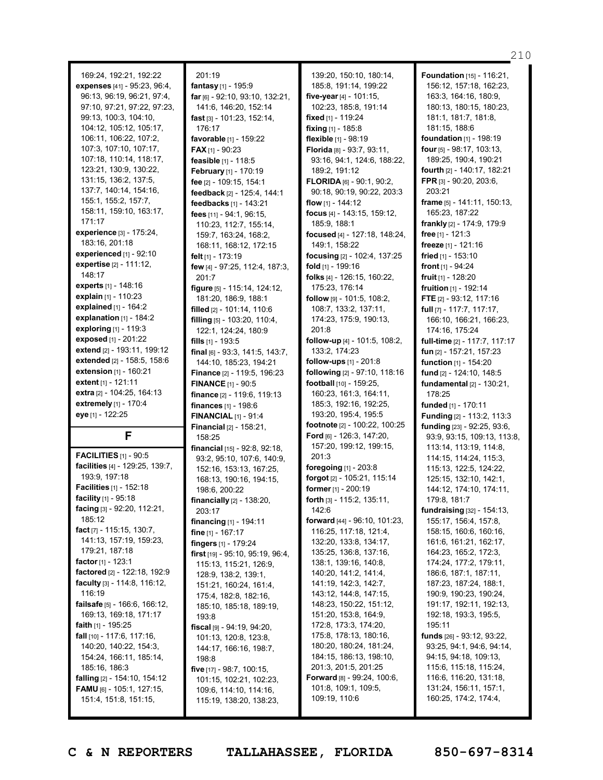169:24, 192:21, 192:22 **expenses** [41] - 95:23, 96:4, 96:13, 96:19, 96:21, 97:4, 97:10, 97:21, 97:22, 97:23, 99:13, 100:3, 104:10, 104:12, 105:12, 105:17, 106:11, 106:22, 107:2, 107:3, 107:10, 107:17, 107:18, 110:14, 118:17, 123:21, 130:9, 130:22, 131:15, 136:2, 137:5, 137:7, 140:14, 154:16, 155:1, 155:2, 157:7, 158:11, 159:10, 163:17, 171:17 **experience** [3] - 175:24, 183:16, 201:18 **experienced** [1] - 92:10 **expertise** [2] - 111:12, 148:17 **experts** [1] - 148:16 **explain** [1] - 110:23 **explained** [1] - 164:2 **explanation** [1] - 184:2 **exploring** [1] - 119:3 **exposed** [1] - 201:22 **extend** [2] - 193:11, 199:12 **extended** [2] - 158:5, 158:6 **extension** [1] - 160:21 **extent** [1] - 121:11 **extra** [2] - 104:25, 164:13 **extremely** [1] - 170:4 **eye** [1] - 122:25 **F FACILITIES** [1] - 90:5 **facilities** [4] - 129:25, 139:7, 193:9, 197:18 **Facilities** [1] - 152:18 **facility** [1] - 95:18 **facing** [3] - 92:20, 112:21, 185:12 **fact** [7] - 115:15, 130:7, 141:13, 157:19, 159:23, 179:21, 187:18 **factor** [1] - 123:1 **factored** [2] - 122:18, 192:9 **faculty** [3] - 114:8, 116:12, 116:19 **failsafe** [5] - 166:6, 166:12, 169:13, 169:18, 171:17 **faith** [1] - 195:25 **fall** [10] - 117:6, 117:16,

201:19 **fantasy** [1] - 195:9 **far** [6] - 92:10, 93:10, 132:21, 141:6, 146:20, 152:14 **fast** [3] - 101:23, 152:14, 176:17 **favorable** [1] - 159:22 **FAX** [1] - 90:23 **feasible** [1] - 118:5 **February** [1] - 170:19 **fee** [2] - 109:15, 154:1 **feedback** [2] - 125:4, 144:1 **feedbacks** [1] - 143:21 **fees** [11] - 94:1, 96:15, 110:23, 112:7, 155:14, 159:7, 163:24, 168:2, 168:11, 168:12, 172:15 **felt** [1] - 173:19 **few** [4] - 97:25, 112:4, 187:3, 201:7 **figure** [5] - 115:14, 124:12, 181:20, 186:9, 188:1 **filled** [2] - 101:14, 110:6 **filling** [5] - 103:20, 110:4, 122:1, 124:24, 180:9 **fills** [1] - 193:5 **final** [6] - 93:3, 141:5, 143:7, 144:10, 185:23, 194:21 **Finance** [2] - 119:5, 196:23 **FINANCE** [1] - 90:5 **finance** [2] - 119:6, 119:13 **finances** [1] - 198:6 **FINANCIAL** [1] - 91:4 **Financial** [2] - 158:21, 158:25 **financial** [15] - 92:8, 92:18, 93:2, 95:10, 107:6, 140:9, 152:16, 153:13, 167:25, 168:13, 190:16, 194:15, 198:6, 200:22 **financially** [2] - 138:20, 203:17 **financing** [1] - 194:11 **fine** [1] - 167:17 **fingers** [1] - 179:24 **first** [19] - 95:10, 95:19, 96:4, 115:13, 115:21, 126:9, 128:9, 138:2, 139:1, 151:21, 160:24, 161:4, 175:4, 182:8, 182:16, 185:10, 185:18, 189:19, 193:8 **fiscal** [9] - 94:19, 94:20, 101:13, 120:8, 123:8, 144:17, 166:16, 198:7, 198:8 **five** [17] - 98:7, 100:15, 101:15, 102:21, 102:23, 109:6, 114:10, 114:16, 115:19, 138:20, 138:23,

139:20, 150:10, 180:14, 185:8, 191:14, 199:22 **five-year** [4] - 101:15, 102:23, 185:8, 191:14 **fixed** [1] - 119:24 **fixing** [1] - 185:8 **flexible** [1] - 98:19 **Florida** [8] - 93:7, 93:11, 93:16, 94:1, 124:6, 188:22, 189:2, 191:12 **FLORIDA** [6] - 90:1, 90:2, 90:18, 90:19, 90:22, 203:3 **flow** [1] - 144:12 **focus** [4] - 143:15, 159:12, 185:9, 188:1 **focused** [4] - 127:18, 148:24, 149:1, 158:22 **focusing** [2] - 102:4, 137:25 **fold** [1] - 199:16 **folks** [4] - 126:15, 160:22, 175:23, 176:14 **follow** [9] - 101:5, 108:2, 108:7, 133:2, 137:11, 174:23, 175:9, 190:13, 201:8 **follow-up** [4] - 101:5, 108:2, 133:2, 174:23 **follow-ups** [1] - 201:8 **following** [2] - 97:10, 118:16 **football** [10] - 159:25, 160:23, 161:3, 164:11, 185:3, 192:16, 192:25, 193:20, 195:4, 195:5 **footnote** [2] - 100:22, 100:25 **Ford** [6] - 126:3, 147:20, 157:20, 199:12, 199:15, 201:3 **foregoing** [1] - 203:8 **forgot** [2] - 105:21, 115:14 **former** [1] - 200:19 **forth** [3] - 115:2, 135:11, 142:6 **forward** [44] - 96:10, 101:23, 116:25, 117:18, 121:4, 132:20, 133:8, 134:17, 135:25, 136:8, 137:16, 138:1, 139:16, 140:8, 140:20, 141:2, 141:4, 141:19, 142:3, 142:7, 143:12, 144:8, 147:15, 148:23, 150:22, 151:12, 151:20, 153:8, 164:9, 172:8, 173:3, 174:20, 175:8, 178:13, 180:16, 180:20, 180:24, 181:24, 184:15, 186:13, 198:10, 201:3, 201:5, 201:25 **Forward** [8] - 99:24, 100:6, 101:8, 109:1, 109:5, 109:19, 110:6

**Foundation** [15] - 116:21, 156:12, 157:18, 162:23, 163:3, 164:16, 180:9, 180:13, 180:15, 180:23, 181:1, 181:7, 181:8, 181:15, 188:6 **foundation** [1] - 198:19 **four** [5] - 98:17, 103:13, 189:25, 190:4, 190:21 **fourth** [2] - 140:17, 182:21 **FPR** [3] - 90:20, 203:6, 203:21 **frame** [5] - 141:11, 150:13, 165:23, 187:22 **frankly** [2] - 174:9, 179:9 **free** [1] - 121:3 **freeze** [1] - 121:16 **fried** [1] - 153:10 **front** [1] - 94:24 **fruit** [1] - 128:20 **fruition** [1] - 192:14 **FTE** [2] - 93:12, 117:16 **full** [7] - 117:7, 117:17, 166:10, 166:21, 166:23, 174:16, 175:24 **full-time** [2] - 117:7, 117:17 **fun** [2] - 157:21, 157:23 **function** [1] - 154:20 **fund** [2] - 124:10, 148:5 **fundamental** [2] - 130:21, 178:25 **funded** [1] - 170:11 **Funding** [2] - 113:2, 113:3 **funding** [23] - 92:25, 93:6, 93:9, 93:15, 109:13, 113:8, 113:14, 113:19, 114:8, 114:15, 114:24, 115:3, 115:13, 122:5, 124:22, 125:15, 132:10, 142:1, 144:12, 174:10, 174:11, 179:8, 181:7 **fundraising** [32] - 154:13, 155:17, 156:4, 157:8, 158:15, 160:6, 160:16, 161:6, 161:21, 162:17, 164:23, 165:2, 172:3, 174:24, 177:2, 179:11, 186:6, 187:1, 187:11, 187:23, 187:24, 188:1, 190:9, 190:23, 190:24, 191:17, 192:11, 192:13, 192:18, 193:3, 195:5, 195:11 **funds** [26] - 93:12, 93:22, 93:25, 94:1, 94:6, 94:14, 94:15, 94:18, 109:13, 115:6, 115:18, 115:24, 116:6, 116:20, 131:18, 131:24, 156:11, 157:1, 160:25, 174:2, 174:4,

140:20, 140:22, 154:3, 154:24, 166:11, 185:14,

**falling** [2] - 154:10, 154:12 **FAMU** [6] - 105:1, 127:15, 151:4, 151:8, 151:15,

185:16, 186:3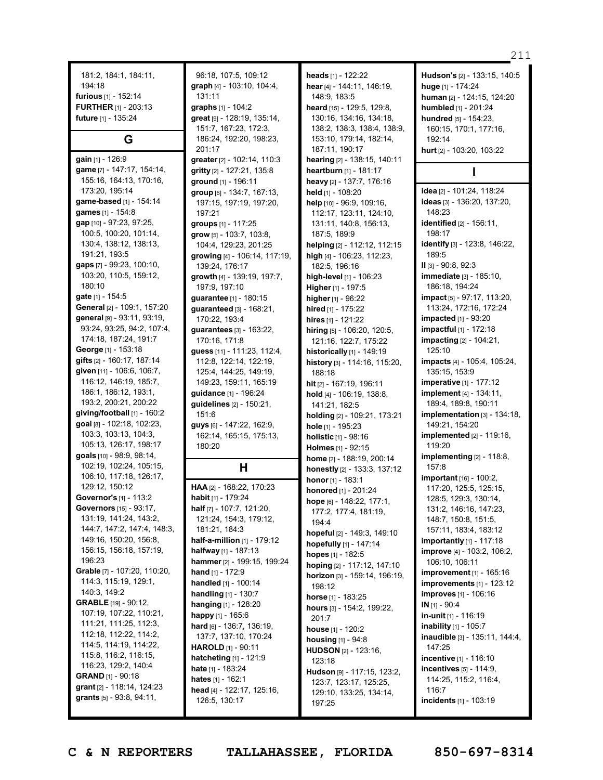181:2, 184:1, 184:11, 194:18 **furious** [1] - 152:14 **FURTHER** [1] - 203:13 **future** [1] - 135:24

## **G**

**gain** [1] - 126:9 **game** [7] - 147:17, 154:14, 155:16, 164:13, 170:16, 173:20, 195:14 **game-based** [1] - 154:14 **games** [1] - 154:8 **gap** [10] - 97:23, 97:25, 100:5, 100:20, 101:14, 130:4, 138:12, 138:13, 191:21, 193:5 **gaps** [7] - 99:23, 100:10, 103:20, 110:5, 159:12, 180:10 **gate** [1] - 154:5 **General** [2] - 109:1, 157:20 **general** [9] - 93:11, 93:19, 93:24, 93:25, 94:2, 107:4, 174:18, 187:24, 191:7 **George** [1] - 153:18 **gifts** [2] - 160:17, 187:14 **given** [11] - 106:6, 106:7, 116:12, 146:19, 185:7, 186:1, 186:12, 193:1, 193:2, 200:21, 200:22 **giving/football** [1] - 160:2 **goal** [8] - 102:18, 102:23, 103:3, 103:13, 104:3, 105:13, 126:17, 198:17 **goals** [10] - 98:9, 98:14, 102:19, 102:24, 105:15, 106:10, 117:18, 126:17, 129:12, 150:12 **Governor's** [1] - 113:2 **Governors** [15] - 93:17, 131:19, 141:24, 143:2, 144:7, 147:2, 147:4, 148:3, 149:16, 150:20, 156:8, 156:15, 156:18, 157:19, 196:23 **Grable** [7] - 107:20, 110:20, 114:3, 115:19, 129:1, 140:3, 149:2 **GRABLE** [19] - 90:12, 107:19, 107:22, 110:21, 111:21, 111:25, 112:3, 112:18, 112:22, 114:2, 114:5, 114:19, 114:22, 115:8, 116:2, 116:15, 116:23, 129:2, 140:4 **GRAND** [1] - 90:18 **grant** [2] - 118:14, 124:23 **grants** [5] - 93:8, 94:11,

96:18, 107:5, 109:12 **graph** [4] - 103:10, 104:4, 131:11 **graphs** [1] - 104:2 **great** [9] - 128:19, 135:14, 151:7, 167:23, 172:3, 186:24, 192:20, 198:23, 201:17 **greater** [2] - 102:14, 110:3 **gritty** [2] - 127:21, 135:8 **ground** [1] - 196:11 **group** [6] - 134:7, 167:13, 197:15, 197:19, 197:20, 197:21 **groups** [1] - 117:25 **grow** [5] - 103:7, 103:8, 104:4, 129:23, 201:25 **growing** [4] - 106:14, 117:19, 139:24, 176:17 **growth** [4] - 139:19, 197:7, 197:9, 197:10 **guarantee** [1] - 180:15 **guaranteed** [3] - 168:21, 170:22, 193:4 **guarantees** [3] - 163:22, 170:16, 171:8 **guess** [11] - 111:23, 112:4, 112:8, 122:14, 122:19, 125:4, 144:25, 149:19, 149:23, 159:11, 165:19 **guidance** [1] - 196:24 **guidelines** [2] - 150:21, 151:6 **guys** [6] - 147:22, 162:9, 162:14, 165:15, 175:13, 180:20

**H**

**HAA** [2] - 168:22, 170:23 **habit** [1] - 179:24 **half** [7] - 107:7, 121:20, 121:24, 154:3, 179:12, 181:21, 184:3 **half-a-million** [1] - 179:12 **halfway** [1] - 187:13 **hammer** [2] - 199:15, 199:24 **hand** [1] - 172:9 **handled** [1] - 100:14 **handling** [1] - 130:7 **hanging** [1] - 128:20 **happy** [1] - 165:6 **hard** [6] - 136:7, 136:19, 137:7, 137:10, 170:24 **HAROLD** [1] - 90:11 **hatcheting** [1] - 121:9 **hate** [1] - 183:24 **hates** [1] - 162:1 **head** [4] - 122:17, 125:16, 126:5, 130:17

**heads** [1] - 122:22 **hear** [4] - 144:11, 146:19, 148:9, 183:5 **heard** [15] - 129:5, 129:8, 130:16, 134:16, 134:18, 138:2, 138:3, 138:4, 138:9, 153:10, 179:14, 182:14, 187:11, 190:17 **hearing** [2] - 138:15, 140:11 **heartburn** [1] - 181:17 **heavy** [2] - 137:7, 176:16 **held** [1] - 108:20 **help** [10] - 96:9, 109:16, 112:17, 123:11, 124:10, 131:11, 140:8, 156:13, 187:5, 189:9 **helping** [2] - 112:12, 112:15 **high** [4] - 106:23, 112:23, 182:5, 196:16 **high-level** [1] - 106:23 **Higher** [1] - 197:5 **higher** [1] - 96:22 **hired** [1] - 175:22 **hires** [1] - 121:22 **hiring** [5] - 106:20, 120:5, 121:16, 122:7, 175:22 **historically** [1] - 149:19 **history** [3] - 114:16, 115:20, 188:18 **hit** [2] - 167:19, 196:11 **hold** [4] - 106:19, 138:8, 141:21, 182:5 **holding** [2] - 109:21, 173:21 **hole** [1] - 195:23 **holistic** [1] - 98:16 **Holmes** [1] - 92:15 **home** [2] - 188:19, 200:14 **honestly** [2] - 133:3, 137:12 **honor** [1] - 183:1 **honored** [1] - 201:24 **hope** [6] - 148:22, 177:1, 177:2, 177:4, 181:19, 194:4 **hopeful** [2] - 149:3, 149:10 **hopefully** [1] - 147:14 **hopes** [1] - 182:5 **hoping** [2] - 117:12, 147:10 **horizon** [3] - 159:14, 196:19, 198:12 **horse** [1] - 183:25 **hours** [3] - 154:2, 199:22, 201:7 **house** [1] - 120:2 **housing** [1] - 94:8 **HUDSON** [2] - 123:16, 123:18 **Hudson** [9] - 117:15, 123:2, 123:7, 123:17, 125:25, 129:10, 133:25, 134:14, 197:25

**Hudson's** [2] - 133:15, 140:5 **huge** [1] - 174:24 **human** [2] - 124:15, 124:20 **humbled** [1] - 201:24 **hundred** [5] - 154:23, 160:15, 170:1, 177:16, 192:14 **hurt** [2] - 103:20, 103:22

### **I**

**idea** [2] - 101:24, 118:24 **ideas** [3] - 136:20, 137:20, 148:23 **identified** [2] - 156:11, 198:17 **identify** [3] - 123:8, 146:22, 189:5 **II** [3] - 90:8, 92:3 **immediate** [3] - 185:10, 186:18, 194:24 **impact** [5] - 97:17, 113:20, 113:24, 172:16, 172:24 **impacted** [1] - 93:20 **impactful** [1] - 172:18 **impacting** [2] - 104:21, 125:10 **impacts** [4] - 105:4, 105:24, 135:15, 153:9 **imperative** [1] - 177:12 **implement** [4] - 134:11, 189:4, 189:8, 190:11 **implementation** [3] - 134:18, 149:21, 154:20 **implemented** [2] - 119:16, 119:20 **implementing** [2] - 118:8, 157:8 **important** [16] - 100:2, 117:20, 125:5, 125:15, 128:5, 129:3, 130:14, 131:2, 146:16, 147:23, 148:7, 150:8, 151:5, 157:11, 183:4, 183:12 **importantly** [1] - 117:18 **improve** [4] - 103:2, 106:2, 106:10, 106:11 **improvement** [1] - 165:16 **improvements** [1] - 123:12 **improves** [1] - 106:16 **IN** [1] - 90:4 **in-unit** [1] - 116:19 **inability** [1] - 105:7 **inaudible** [3] - 135:11, 144:4, 147:25 **incentive** [1] - 116:10 **incentives** [5] - 114:9, 114:25, 115:2, 116:4, 116:7 **incidents** [1] - 103:19

### 211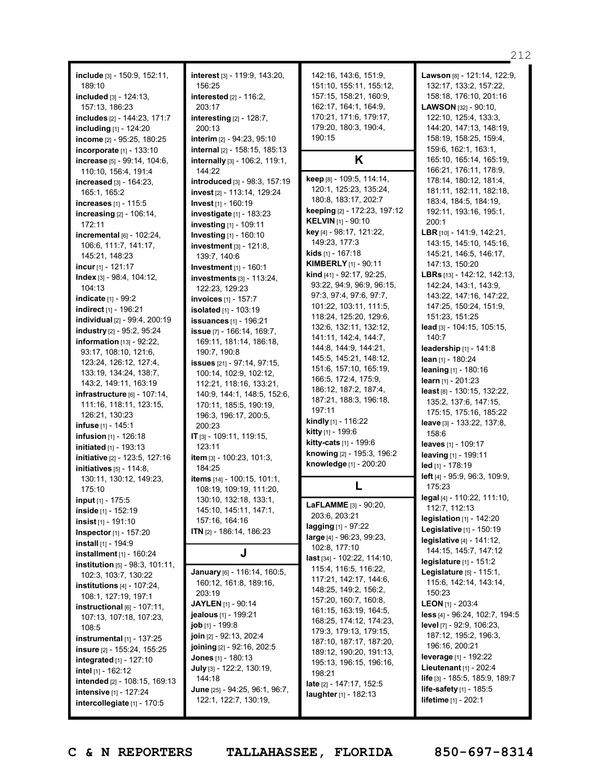**include** [3] - 150:9, 152:11, 189:10 **included** [3] - 124:13, 157:13, 186:23 **includes** [2] - 144:23, 171:7 **including** [1] - 124:20 **income** [2] - 95:25, 180:25 **incorporate** [1] - 133:10 **increase** [5] - 99:14, 104:6, 110:10, 156:4, 191:4 **increased** [3] - 164:23, 165:1, 165:2 **increases** [1] - 115:5 **increasing** [2] - 106:14, 172:11 **incremental** [6] - 102:24, 106:6, 111:7, 141:17, 145:21, 148:23 **incur** [1] - 121:17 **Index** [3] - 98:4, 104:12, 104:13 **indicate** [1] - 99:2 **indirect** [1] - 196:21 **individual** [2] - 99:4, 200:19 **industry** [2] - 95:2, 95:24 **information** [13] - 92:22, 93:17, 108:10, 121:6, 123:24, 126:12, 127:4, 133:19, 134:24, 138:7, 143:2, 149:11, 163:19 **infrastructure** [6] - 107:14, 111:16, 118:11, 123:15, 126:21, 130:23 **infuse** [1] - 145:1 **infusion** [1] - 126:18 **initiated** [1] - 193:13 **initiative** [2] - 123:5, 127:16 **initiatives** [5] - 114:8, 130:11, 130:12, 149:23, 175:10 **input** [1] - 175:5 **inside** [1] - 152:19 **insist** [1] - 191:10 **Inspector**[1] - 157:20 **install** [1] - 194:9 **installment** [1] - 160:24 **institution** [5] - 98:3, 101:11, 102:3, 103:7, 130:22 **institutions** [4] - 107:24, 108:1, 127:19, 197:1 **instructional** [6] - 107:11, 107:13, 107:18, 107:23, 108:5 **instrumental** [1] - 137:25 **insure** [2] - 155:24, 155:25 **integrated** [1] - 127:10 **intel** [1] - 162:12 **intended** [2] - 108:15, 169:13 **intensive** [1] - 127:24

**interest** [3] - 119:9, 143:20, 156:25 **interested** [2] - 116:2, 203:17 **interesting** [2] - 128:7, 200:13 **interim** [2] - 94:23, 95:10 **internal** [2] - 158:15, 185:13 **internally** [3] - 106:2, 119:1, 144:22 **introduced** [3] - 98:3, 157:19 **invest** [2] - 113:14, 129:24 **Invest** [1] - 160:19 **investigate** [1] - 183:23 **investing** [1] - 109:11 **Investing** [1] - 160:10 **investment** [3] - 121:8, 139:7, 140:6 **Investment** [1] - 160:1 **investments** [3] - 113:24, 122:23, 129:23 **invoices** [1] - 157:7 **isolated** [1] - 103:19 **issuances** [1] - 196:21 **issue** [7] - 166:14, 169:7, 169:11, 181:14, 186:18, 190:7, 190:8 **issues** [21] - 97:14, 97:15, 100:14, 102:9, 102:12, 112:21, 118:16, 133:21, 140:9, 144:1, 148:5, 152:6, 170:11, 185:5, 190:19, 196:3, 196:17, 200:5, 200:23 **IT** [3] - 109:11, 119:15,  $123:11$ **item** [3] - 100:23, 101:3, 184:25 **items** [14] - 100:15, 101:1, 108:19, 109:19, 111:20, 130:10, 132:18, 133:1, 145:10, 145:11, 147:1, 157:16, 164:16 **ITN** [2] - 186:14, 186:23 **J January** [6] - 116:14, 160:5, 160:12, 161:8, 189:16, 203:19 **JAYLEN** [1] - 90:14 **jealous** [1] - 199:21 **job** [1] - 199:8 **join** [2] - 92:13, 202:4 **joining** [2] - 92:16, 202:5 **Jones** [1] - 180:13 **July** [3] - 122:2, 130:19, 144:18 **June** [25] - 94:25, 96:1, 96:7,

122:1, 122:7, 130:19,

142:16, 143:6, 151:9, 151:10, 155:11, 155:12, 157:15, 158:21, 160:9, 162:17, 164:1, 164:9, 170:21, 171:6, 179:17, 179:20, 180:3, 190:4, 190:15

**K**

**keep** [8] - 109:5, 114:14, 120:1, 125:23, 135:24, 180:8, 183:17, 202:7 **keeping** [2] - 172:23, 197:12 **KELVIN** [1] - 90:10 **key** [4] - 98:17, 121:22, 149:23, 177:3 **kids** [1] - 167:18 **KIMBERLY** [1] - 90:11 **kind** [41] - 92:17, 92:25, 93:22, 94:9, 96:9, 96:15, 97:3, 97:4, 97:6, 97:7, 101:22, 103:11, 111:5, 118:24, 125:20, 129:6, 132:6, 132:11, 132:12, 141:11, 142:4, 144:7, 144:8, 144:9, 144:21, 145:5, 145:21, 148:12, 151:6, 157:10, 165:19, 166:5, 172:4, 175:9, 186:12, 187:2, 187:4, 187:21, 188:3, 196:18, 197:11 **kindly** [1] - 116:22 **kitty** [1] - 199:6 **kitty-cats** [1] - 199:6 **knowing** [2] - 195:3, 196:2 **knowledge** [1] - 200:20

**L**

**LaFLAMME** [3] - 90:20, 203:6, 203:21 **lagging** [1] - 97:22 **large** [4] - 96:23, 99:23, 102:8, 177:10 **last** [34] - 102:22, 114:10, 115:4, 116:5, 116:22, 117:21, 142:17, 144:6, 148:25, 149:2, 156:2, 157:20, 160:7, 160:8, 161:15, 163:19, 164:5, 168:25, 174:12, 174:23, 179:3, 179:13, 179:15, 187:10, 187:17, 187:20, 189:12, 190:20, 191:13, 195:13, 196:15, 196:16, 198:21 **late** [2] - 147:17, 152:5 **laughter**[1] - 182:13

**Lawson** [8] - 121:14, 122:9, 132:17, 133:2, 157:22, 158:18, 176:10, 201:16 **LAWSON** [32] - 90:10, 122:10, 125:4, 133:3, 144:20, 147:13, 148:19, 158:19, 158:25, 159:4, 159:6, 162:1, 163:1, 165:10, 165:14, 165:19, 166:21, 176:11, 178:9, 178:14, 180:12, 181:4, 181:11, 182:11, 182:18, 183:4, 184:5, 184:19, 192:11, 193:16, 195:1, 200:1 **LBR** [10] - 141:9, 142:21, 143:15, 145:10, 145:16, 145:21, 146:5, 146:17, 147:13, 150:20 **LBRs** [13] - 142:12, 142:13, 142:24, 143:1, 143:9, 143:22, 147:16, 147:22, 147:25, 150:24, 151:9, 151:23, 151:25 **lead** [3] - 104:15, 105:15, 140:7 **leadership** [1] - 141:8 **lean** [1] - 180:24 **leaning** [1] - 180:16 **learn** [1] - 201:23 **least** [8] - 130:15, 132:22, 135:2, 137:6, 147:15, 175:15, 175:16, 185:22 **leave** [3] - 133:22, 137:8, 158:6 **leaves** [1] - 109:17 **leaving** [1] - 199:11 **led** [1] - 178:19 **left** [4] - 95:9, 96:3, 109:9, 175:23 **legal** [4] - 110:22, 111:10, 112:7, 112:13 **legislation** [1] - 142:20 **Legislative** [1] - 150:19 **legislative** [4] - 141:12, 144:15, 145:7, 147:12 **legislature** [1] - 151:2 **Legislature** [5] - 115:1, 115:6, 142:14, 143:14, 150:23 **LEON** [1] - 203:4 **less** [4] - 96:24, 102:7, 194:5 **level** [7] - 92:9, 106:23, 187:12, 195:2, 196:3, 196:16, 200:21 **leverage** [1] - 192:22 **Lieutenant** [1] - 202:4 **life** [3] - 185:5, 185:9, 189:7 **life-safety** [1] - 185:5 **lifetime** [1] - 202:1

**intercollegiate** [1] - 170:5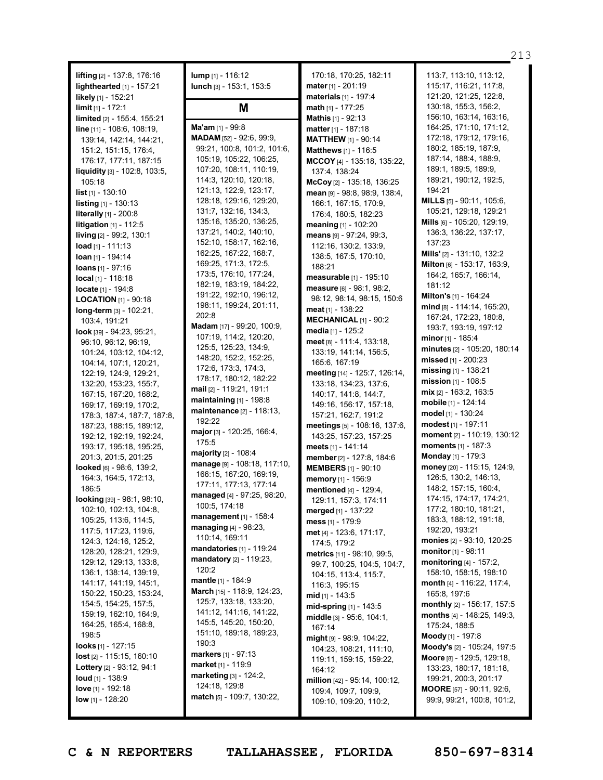**lifting** [2] - 137:8, 176:16 **lighthearted** [1] - 157:21 **likely** [1] - 152:21 **limit** [1] - 172:1 **limited** [2] - 155:4, 155:21 **line** [11] - 108:6, 108:19, 139:14, 142:14, 144:21, 151:2, 151:15, 176:4, 176:17, 177:11, 187:15 **liquidity** [3] - 102:8, 103:5, 105:18 **list** [1] - 130:10 **listing** [1] - 130:13 **literally** [1] - 200:8 **litigation** [1] - 112:5 **living** [2] - 99:2, 130:1 **load** [1] - 111:13 **loan** [1] - 194:14 **loans** [1] - 97:16 **local** [1] - 118:18 **locate** [1] - 194:8 **LOCATION** [1] - 90:18 **long-term** [3] - 102:21, 103:4, 191:21 **look** [39] - 94:23, 95:21, 96:10, 96:12, 96:19, 101:24, 103:12, 104:12, 104:14, 107:1, 120:21, 122:19, 124:9, 129:21, 132:20, 153:23, 155:7, 167:15, 167:20, 168:2, 169:17, 169:19, 170:2, 178:3, 187:4, 187:7, 187:8, 187:23, 188:15, 189:12, 192:12, 192:19, 192:24, 193:17, 195:18, 195:25, 201:3, 201:5, 201:25 **looked** [6] - 98:6, 139:2, 164:3, 164:5, 172:13, 186:5 **looking** [39] - 98:1, 98:10, 102:10, 102:13, 104:8, 105:25, 113:6, 114:5, 117:5, 117:23, 119:6, 124:3, 124:16, 125:2, 128:20, 128:21, 129:9, 129:12, 129:13, 133:8, 136:1, 138:14, 139:19, 141:17, 141:19, 145:1, 150:22, 150:23, 153:24, 154:5, 154:25, 157:5, 159:19, 162:10, 164:9, 164:25, 165:4, 168:8, 198:5 **looks** [1] - 127:15 **lost** [2] - 115:15, 160:10 **Lottery** [2] - 93:12, 94:1 **loud** [1] - 138:9

**lump** [1] - 116:12 **lunch** [3] - 153:1, 153:5

### **M**

**Ma'am** [1] - 99:8 **MADAM** [52] - 92:6, 99:9, 99:21, 100:8, 101:2, 101:6, 105:19, 105:22, 106:25, 107:20, 108:11, 110:19, 114:3, 120:10, 120:18, 121:13, 122:9, 123:17, 128:18, 129:16, 129:20, 131:7, 132:16, 134:3, 135:16, 135:20, 136:25, 137:21, 140:2, 140:10, 152:10, 158:17, 162:16, 162:25, 167:22, 168:7, 169:25, 171:3, 172:5, 173:5, 176:10, 177:24, 182:19, 183:19, 184:22, 191:22, 192:10, 196:12, 198:11, 199:24, 201:11, 202:8 **Madam** [17] - 99:20, 100:9, 107:19, 114:2, 120:20, 125:5, 125:23, 134:9, 148:20, 152:2, 152:25, 172:6, 173:3, 174:3, 178:17, 180:12, 182:22 **mail** [2] - 119:21, 191:1 **maintaining** [1] - 198:8 **maintenance** [2] - 118:13, 192:22 **major** [3] - 120:25, 166:4, 175:5 **majority** [2] - 108:4 **manage** [9] - 108:18, 117:10, 166:15, 167:20, 169:19, 177:11, 177:13, 177:14 **managed** [4] - 97:25, 98:20, 100:5, 174:18 **management** [1] - 158:4 **managing** [4] - 98:23, 110:14, 169:11 **mandatories** [1] - 119:24 **mandatory** [2] - 119:23, 120:2 **mantle** [1] - 184:9 **March** [15] - 118:9, 124:23, 125:7, 133:18, 133:20, 141:12, 141:16, 141:22, 145:5, 145:20, 150:20, 151:10, 189:18, 189:23, 190:3 **markers** [1] - 97:13 **market** [1] - 119:9 **marketing** [3] - 124:2, 124:18, 129:8 **match** [5] - 109:7, 130:22,

170:18, 170:25, 182:11 **mater** [1] - 201:19 **materials** [1] - 197:4 **math** [1] - 177:25 **Mathis** [1] - 92:13 **matter** [1] - 187:18 **MATTHEW** [1] - 90:14 **Matthews** [1] - 116:5 **MCCOY** [4] - 135:18, 135:22, 137:4, 138:24 **McCoy** [2] - 135:18, 136:25 **mean** [9] - 98:8, 98:9, 138:4, 166:1, 167:15, 170:9, 176:4, 180:5, 182:23 **meaning** [1] - 102:20 **means** [9] - 97:24, 99:3, 112:16, 130:2, 133:9, 138:5, 167:5, 170:10, 188:21 **measurable** [1] - 195:10 **measure** [6] - 98:1, 98:2, 98:12, 98:14, 98:15, 150:6 **meat** [1] - 138:22 **MECHANICAL** [1] - 90:2 **media** [1] - 125:2 **meet** [8] - 111:4, 133:18, 133:19, 141:14, 156:5, 165:6, 167:19 **meeting** [14] - 125:7, 126:14, 133:18, 134:23, 137:6, 140:17, 141:8, 144:7, 149:16, 156:17, 157:18, 157:21, 162:7, 191:2 **meetings** [5] - 108:16, 137:6, 143:25, 157:23, 157:25 **meets** [1] - 141:14 **member** [2] - 127:8, 184:6 **MEMBERS** [1] - 90:10 **memory** [1] - 156:9 **mentioned** [4] - 129:4, 129:11, 157:3, 174:11 **merged** [1] - 137:22 **mess** [1] - 179:9 **met** [4] - 123:6, 171:17, 174:5, 179:2 **metrics** [11] - 98:10, 99:5, 99:7, 100:25, 104:5, 104:7, 104:15, 113:4, 115:7, 116:3, 195:15 **mid** [1] - 143:5 **mid-spring** [1] - 143:5 **middle** [3] - 95:6, 104:1, 167:14 **might** [9] - 98:9, 104:22, 104:23, 108:21, 111:10, 119:11, 159:15, 159:22, 164:12 **million** [42] - 95:14, 100:12, 109:4, 109:7, 109:9, 109:10, 109:20, 110:2,

113:7, 113:10, 113:12, 115:17, 116:21, 117:8, 121:20, 121:25, 122:8, 130:18, 155:3, 156:2, 156:10, 163:14, 163:16, 164:25, 171:10, 171:12, 172:18, 179:12, 179:16, 180:2, 185:19, 187:9, 187:14, 188:4, 188:9, 189:1, 189:5, 189:9, 189:21, 190:12, 192:5, 194:21 **MILLS** [5] - 90:11, 105:6, 105:21, 129:18, 129:21 **Mills** [6] - 105:20, 129:19, 136:3, 136:22, 137:17, 137:23 **Mills'** [2] - 131:10, 132:2 **Milton** [6] - 153:17, 163:9, 164:2, 165:7, 166:14, 181:12 **Milton's** [1] - 164:24 **mind** [8] - 114:14, 165:20, 167:24, 172:23, 180:8, 193:7, 193:19, 197:12 **minor** [1] - 185:4 **minutes** [2] - 105:20, 180:14 **missed** [1] - 200:23 **missing** [1] - 138:21 **mission** [1] - 108:5 **mix** [2] - 163:2, 163:5 **mobile** [1] - 124:14 **model** [1] - 130:24 **modest** [1] - 197:11 **moment** [2] - 110:19, 130:12 **moments** [1] - 187:3 **Monday** [1] - 179:3 **money** [20] - 115:15, 124:9, 126:5, 130:2, 146:13, 148:2, 157:15, 160:4, 174:15, 174:17, 174:21, 177:2, 180:10, 181:21, 183:3, 188:12, 191:18, 192:20, 193:21 **monies** [2] - 93:10, 120:25 **monitor**[1] - 98:11 **monitoring** [4] - 157:2, 158:10, 158:15, 198:10 **month** [4] - 116:22, 117:4, 165:8, 197:6 **monthly** [2] - 156:17, 157:5 **months** [4] - 148:25, 149:3, 175:24, 188:5 **Moody** [1] - 197:8 **Moody's** [2] - 105:24, 197:5 **Moore** [8] - 129:5, 129:18, 133:23, 180:17, 181:18, 199:21, 200:3, 201:17 **MOORE** [57] - 90:11, 92:6, 99:9, 99:21, 100:8, 101:2,

**love** [1] - 192:18 **low** [1] - 128:20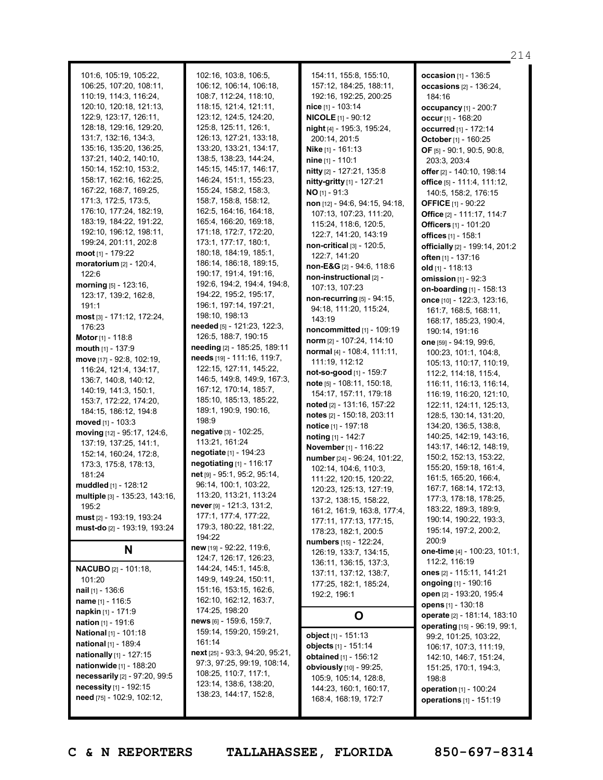| 101:6, 105:19, 105:22,               | 102:16, 103:8, 106:5,             | 154:11, 155:8, 155:10,             | occasion [1] - 136:5                     |
|--------------------------------------|-----------------------------------|------------------------------------|------------------------------------------|
| 106:25, 107:20, 108:11,              | 106:12, 106:14, 106:18,           | 157:12, 184:25, 188:11,            | occasions $[2]$ - 136:                   |
| 110:19, 114:3, 116:24,               | 108:7, 112:24, 118:10,            | 192:16, 192:25, 200:25             | 184:16                                   |
| 120:10, 120:18, 121:13,              | 118:15, 121:4, 121:11,            | nice [1] - 103:14                  | occupancy $[1]$ - 200                    |
| 122:9, 123:17, 126:11,               | 123:12, 124:5, 124:20,            | <b>NICOLE</b> [1] - 90:12          | occur $[1] - 168:20$                     |
| 128:18, 129:16, 129:20,              | 125:8, 125:11, 126:1,             | night [4] - 195:3, 195:24,         | occurred [1] - 172:14                    |
| 131:7, 132:16, 134:3,                | 126:13, 127:21, 133:18,           | 200:14, 201:5                      | October [1] - 160:25                     |
| 135:16, 135:20, 136:25,              | 133:20, 133:21, 134:17,           | Nike [1] - 161:13                  | OF [5] - 90:1, 90:5, 9                   |
| 137:21, 140:2, 140:10,               | 138:5, 138:23, 144:24,            | nine [1] - 110:1                   | 203:3, 203:4                             |
| 150:14, 152:10, 153:2,               | 145:15, 145:17, 146:17,           | nitty [2] - 127:21, 135:8          | offer [2] - 140:10, 19                   |
| 158:17, 162:16, 162:25,              | 146:24, 151:1, 155:23,            | <b>nitty-gritty</b> $[1]$ - 127:21 | office [5] - 111:4, 11                   |
| 167:22, 168:7, 169:25,               | 155:24, 158:2, 158:3,             | $NO$ <sub>[1]</sub> - 91:3         |                                          |
| 171:3, 172:5, 173:5,                 | 158:7, 158:8, 158:12,             |                                    | 140:5, 158:2, 176:                       |
| 176:10, 177:24, 182:19,              | 162:5, 164:16, 164:18,            | non [12] - 94:6, 94:15, 94:18,     | <b>OFFICE</b> $[1]$ - 90:22              |
| 183:19, 184:22, 191:22,              | 165:4, 166:20, 169:18,            | 107:13, 107:23, 111:20,            | <b>Office</b> [2] - 111:17, 1            |
| 192:10, 196:12, 198:11,              | 171:18, 172:7, 172:20,            | 115:24, 118:6, 120:5,              | Officers [1] - 101:20                    |
| 199:24, 201:11, 202:8                | 173:1, 177:17, 180:1,             | 122:7, 141:20, 143:19              | offices [1] - 158:1                      |
|                                      | 180:18, 184:19, 185:1,            | $non-critical$ $[3] - 120:5$       | officially [2] - 199:14                  |
| <b>moot</b> $[1]$ - 179:22           |                                   | 122:7, 141:20                      | <b>often</b> [1] - 137:16                |
| moratorium [2] - 120:4,              | 186:14, 186:18, 189:15,           | non-E&G [2] - 94:6, 118:6          | old $[1]$ - 118:13                       |
| 122:6                                | 190:17, 191:4, 191:16,            | non-instructional [2] -            | omission [1] - 92:3                      |
| morning $[5] - 123:16$ ,             | 192:6, 194:2, 194:4, 194:8,       | 107:13, 107:23                     | on-boarding [1] - 15                     |
| 123:17, 139:2, 162:8,                | 194:22, 195:2, 195:17,            | non-recurring [5] - 94:15,         | once [10] - 122:3, 12                    |
| 191:1                                | 196:1, 197:14, 197:21,            | 94:18, 111:20, 115:24,             | 161:7, 168:5, 168:                       |
| most [3] - 171:12, 172:24,           | 198:10, 198:13                    | 143:19                             | 168:17, 185:23, 19                       |
| 176:23                               | needed [5] - 121:23, 122:3,       | <b>noncommitted</b> [1] - 109:19   | 190:14, 191:16                           |
| Motor [1] - 118:8                    | 126:5, 188:7, 190:15              | norm [2] - 107:24, 114:10          | one [59] - 94:19, 99:6                   |
| mouth [1] - 137:9                    | needing [2] - 185:25, 189:11      | normal [4] - 108:4, 111:11,        | 100:23, 101:1, 104                       |
| move $[17] - 92:8, 102:19,$          | needs [19] - 111:16, 119:7,       | 111:19, 112:12                     | 105:13, 110:17, 11                       |
| 116:24, 121:4, 134:17,               | 122:15, 127:11, 145:22,           | not-so-good [1] - 159:7            | 112:2, 114:18, 115                       |
| 136:7, 140:8, 140:12,                | 146:5, 149:8, 149:9, 167:3,       | $note$ [5] - 108:11, 150:18,       | 116:11, 116:13, 11                       |
| 140:19, 141:3, 150:1,                | 167:12, 170:14, 185:7,            | 154:17, 157:11, 179:18             | 116:19, 116:20, 12                       |
| 153:7, 172:22, 174:20,               | 185:10, 185:13, 185:22,           | noted [2] - 131:16, 157:22         | 122:11, 124:11, 12                       |
| 184:15, 186:12, 194:8                | 189:1, 190:9, 190:16,             | notes [2] - 150:18, 203:11         | 128:5, 130:14, 131                       |
| moved $[1] - 103:3$                  | 198:9                             | notice [1] - 197:18                | 134:20, 136:5, 138                       |
| <b>moving</b> $[12] - 95:17, 124:6,$ | negative [3] - 102:25,            | noting [1] - 142:7                 | 140:25, 142:19, 14                       |
| 137:19, 137:25, 141:1,               | 113:21, 161:24                    | November [1] - 116:22              | 143:17, 146:12, 14                       |
| 152:14, 160:24, 172:8,               | negotiate [1] - 194:23            | number [24] - 96:24, 101:22,       | 150:2, 152:13, 153                       |
| 173:3, 175:8, 178:13,                | <b>negotiating</b> $[1] - 116:17$ | 102:14, 104:6, 110:3,              | 155:20, 159:18, 16                       |
| 181:24                               | net [9] - 95:1, 95:2, 95:14,      | 111:22, 120:15, 120:22,            | 161:5, 165:20, 166                       |
| muddled [1] - 128:12                 | 96:14, 100:1, 103:22,             | 120:23, 125:13, 127:19,            | 167:7, 168:14, 172                       |
| multiple [3] - 135:23, 143:16,       | 113:20, 113:21, 113:24            | 137:2, 138:15, 158:22,             | 177:3, 178:18, 178                       |
| 195:2                                | never [9] - 121:3, 131:2,         | 161:2, 161:9, 163:8, 177:4,        | 183:22, 189:3, 189                       |
| must [2] - 193:19, 193:24            | 177:1, 177:4, 177:22,             | 177:11, 177:13, 177:15,            | 190:14, 190:22, 19                       |
| must-do [2] - 193:19, 193:24         | 179:3, 180:22, 181:22,            | 178:23, 182:1, 200:5               | 195:14, 197:2, 200                       |
|                                      | 194:22                            | <b>numbers</b> $[15] - 122:24$     | 200:9                                    |
| N                                    | new [19] - 92:22, 119:6,          | 126:19, 133:7, 134:15,             | one-time [4] - 100:23                    |
|                                      | 124:7, 126:17, 126:23,            | 136:11, 136:15, 137:3,             | 112:2, 116:19                            |
| <b>NACUBO</b> [2] - 101:18,          | 144:24, 145:1, 145:8,             | 137:11, 137:12, 138:7,             | ones [2] - 115:11, 14                    |
| 101:20                               | 149:9, 149:24, 150:11,            | 177:25, 182:1, 185:24,             | <b>ongoing</b> [1] - 190:16              |
| <b>nail</b> [1] - 136:6              | 151:16, 153:15, 162:6,            | 192:2, 196:1                       | open [2] - 193:20, 19                    |
| <b>name</b> $[1] - 116:5$            | 162:10, 162:12, 163:7,            |                                    | opens [1] - 130:18                       |
| <b>napkin</b> [1] - 171:9            | 174:25, 198:20                    | O                                  | operate [2] - 181:14,                    |
| <b>nation</b> $[1]$ - 191:6          | news [6] - 159:6, 159:7,          |                                    | operating [15] - 96:1                    |
| National [1] - 101:18                | 159:14, 159:20, 159:21,           | object [1] - 151:13                | 99:2, 101:25, 103:                       |
| national [1] - 189:4                 | 161:14                            | objects [1] - 151:14               |                                          |
| nationally [1] - 127:15              | next [25] - 93:3, 94:20, 95:21,   | <b>obtained</b> [1] - 156:12       | 106:17, 107:3, 111<br>142:10, 146:7, 151 |
| nationwide [1] - 188:20              | 97:3, 97:25, 99:19, 108:14,       | <b>obviously</b> [10] - 99:25,     | 151:25, 170:1, 194                       |
| necessarily [2] - 97:20, 99:5        | 108:25, 110:7, 117:1,             | 105:9, 105:14, 128:8,              | 198:8                                    |
| necessity [1] - 192:15               | 123:14, 138:6, 138:20,            | 144:23, 160:1, 160:17,             |                                          |
| need [75] - 102:9, 102:12,           | 138:23, 144:17, 152:8,            |                                    | <b>operation</b> $[1]$ - 100:2           |
|                                      |                                   | 168:4, 168:19, 172:7               | operations [1] - 151:                    |

**ons** [2] - 136:24, 6 **occupancy** [1] - 200:7 **occur** [1] - 168:20 **ed** [1] - 172:14 **October** [1] - 160:25 **OF** [5] - 90:1, 90:5, 90:8, 203:3, 203:4 **offer** [2] - 140:10, 198:14 **office** [5] - 111:4, 111:12, 158:2, 176:15 **OFFICE** [1] - 90:22 **Office** [2] - 111:17, 114:7 **Officers** [1] - 101:20 **offices** [1] - 158:1 **officially** [2] - 199:14, 201:2 **often** [1] - 137:16 **old** [1] - 118:13 **on** [1] - 92:3 **on-boarding** [1] - 158:13 **once** [10] - 122:3, 123:16, 168:5, 168:11, 168:17, 185:23, 190:4, 190:14, 191:16 **one** [59] - 94:19, 99:6, 100:23, 101:1, 104:8, 105:13, 110:17, 110:19, 112:2, 114:18, 115:4, 1, 116:13, 116:14, 116:19, 116:20, 121:10, 122:11, 124:11, 125:13, 128:5, 130:14, 131:20, 134:20, 136:5, 138:8, 140:25, 142:19, 143:16, 143:17, 146:12, 148:19, 150:2, 152:13, 153:22, 155:20, 159:18, 161:4, 165:20, 166:4, 168:14, 172:13, 178:18, 178:25, 183:22, 189:3, 189:9, 4, 190:22, 193:3, 195:14, 197:2, 200:2, **one-time** [4] - 100:23, 101:1, 116:19 **ones** [2] - 115:11, 141:21 **ongoing** [1] - 190:16 **open** [2] - 193:20, 195:4 **opens** [1] - 130:18 **operate** [2] - 181:14, 183:10 **operating** [15] - 96:19, 99:1, 101:25, 103:22, 106:17, 107:3, 111:19, 0, 146:7, 151:24, 151:25, 170:1, 194:3, **ion** [1] - 100:24 **ons** [1] - 151:19

214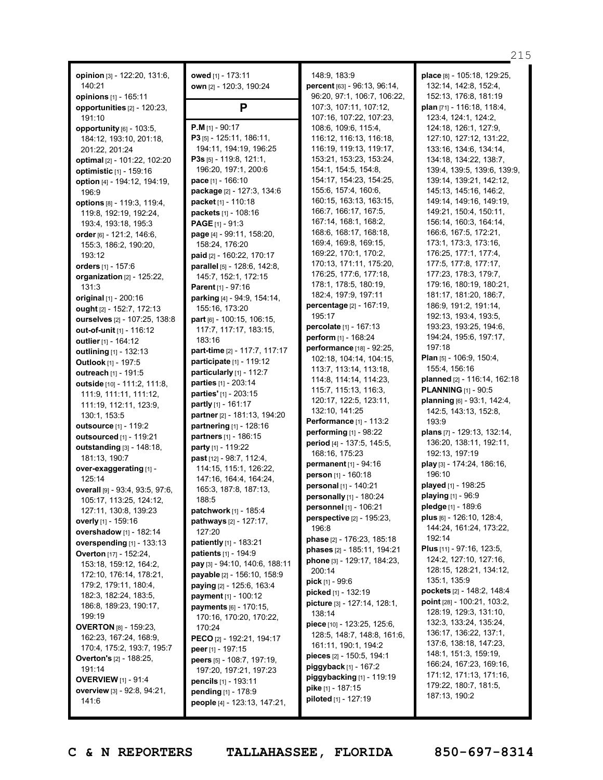**opinion** [3] - 122:20, 131:6, 140:21 **opinions** [1] - 165:11 **opportunities** [2] - 120:23, 191:10 **opportunity** [6] - 103:5, 184:12, 193:10, 201:18, 201:22, 201:24 **optimal** [2] - 101:22, 102:20 **optimistic** [1] - 159:16 **option** [4] - 194:12, 194:19, 196:9 **options** [8] - 119:3, 119:4, 119:8, 192:19, 192:24, 193:4, 193:18, 195:3 **order** [6] - 121:2, 146:6, 155:3, 186:2, 190:20, 193:12 **orders** [1] - 157:6 **organization** [2] - 125:22, 131:3 **original** [1] - 200:16 **ought** [2] - 152:7, 172:13 **ourselves** [2] - 107:25, 138:8 **out-of-unit** [1] - 116:12 **outlier** [1] - 164:12 **outlining** [1] - 132:13 **Outlook** [1] - 197:5 **outreach** [1] - 191:5 **outside** [10] - 111:2, 111:8, 111:9, 111:11, 111:12, 111:19, 112:11, 123:9, 130:1, 153:5 **outsource** [1] - 119:2 **outsourced** [1] - 119:21 **outstanding** [3] - 148:18, 181:13, 190:7 **over-exaggerating** [1] - 125:14 **overall** [9] - 93:4, 93:5, 97:6, 105:17, 113:25, 124:12, 127:11, 130:8, 139:23 **overly** [1] - 159:16 **overshadow** [1] - 182:14 **overspending** [1] - 133:13 **Overton** [17] - 152:24, 153:18, 159:12, 164:2, 172:10, 176:14, 178:21, 179:2, 179:11, 180:4, 182:3, 182:24, 183:5, 186:8, 189:23, 190:17, 199:19 **OVERTON** [8] - 159:23, 162:23, 167:24, 168:9, 170:4, 175:2, 193:7, 195:7 **Overton's** [2] - 188:25, 191:14 **OVERVIEW** [1] - 91:4

**owed** [1] - 173:11 **own** [2] - 120:3, 190:24

# **P**

**P.M** [1] - 90:17 **P3** [5] - 125:11, 186:11, 194:11, 194:19, 196:25 **P3s** [5] - 119:8, 121:1, 196:20, 197:1, 200:6 **pace** [1] - 166:10 **package** [2] - 127:3, 134:6 **packet** [1] - 110:18 **packets** [1] - 108:16 **PAGE** [1] - 91:3 **page** [4] - 99:11, 158:20, 158:24, 176:20 **paid** [2] - 160:22, 170:17 **parallel** [5] - 128:6, 142:8, 145:7, 152:1, 172:15 **Parent** [1] - 97:16 **parking** [4] - 94:9, 154:14, 155:16, 173:20 **part** [6] - 100:15, 106:15, 117:7, 117:17, 183:15, 183:16 **part-time** [2] - 117:7, 117:17 **participate** [1] - 119:12 **particularly** [1] - 112:7 **parties** [1] - 203:14 **parties'** [1] - 203:15 **partly** [1] - 161:17 **partner** [2] - 181:13, 194:20 **partnering** [1] - 128:16 **partners** [1] - 186:15 **party** [1] - 119:22 **past** [12] - 98:7, 112:4, 114:15, 115:1, 126:22, 147:16, 164:4, 164:24, 165:3, 187:8, 187:13, 188:5 **patchwork** [1] - 185:4 **pathways** [2] - 127:17, 127:20 **patiently** [1] - 183:21 **patients** [1] - 194:9 **pay** [3] - 94:10, 140:6, 188:11 **payable** [2] - 156:10, 158:9 **paying** [2] - 125:6, 163:4 **payment** [1] - 100:12 **payments** [6] - 170:15, 170:16, 170:20, 170:22, 170:24 **PECO** [2] - 192:21, 194:17 **peer** [1] - 197:15 **peers** [5] - 108:7, 197:19, 197:20, 197:21, 197:23 **pencils** [1] - 193:11 **pending** [1] - 178:9 **people** [4] - 123:13, 147:21,

148:9, 183:9 **percent** [63] - 96:13, 96:14, 96:20, 97:1, 106:7, 106:22, 107:3, 107:11, 107:12, 107:16, 107:22, 107:23, 108:6, 109:6, 115:4, 116:12, 116:13, 116:18, 116:19, 119:13, 119:17, 153:21, 153:23, 153:24, 154:1, 154:5, 154:8, 154:17, 154:23, 154:25, 155:6, 157:4, 160:6, 160:15, 163:13, 163:15, 166:7, 166:17, 167:5, 167:14, 168:1, 168:2, 168:6, 168:17, 168:18, 169:4, 169:8, 169:15, 169:22, 170:1, 170:2, 170:13, 171:11, 175:20, 176:25, 177:6, 177:18, 178:1, 178:5, 180:19, 182:4, 197:9, 197:11 **percentage** [2] - 167:19, 195:17 **percolate** [1] - 167:13 **perform** [1] - 168:24 **performance** [18] - 92:25, 102:18, 104:14, 104:15, 113:7, 113:14, 113:18, 114:8, 114:14, 114:23, 115:7, 115:13, 116:3, 120:17, 122:5, 123:11, 132:10, 141:25 **Performance** [1] - 113:2 **performing** [1] - 98:22 **period** [4] - 137:5, 145:5, 168:16, 175:23 **permanent** [1] - 94:16 **person** [1] - 160:18 **personal** [1] - 140:21 **personally** [1] - 180:24 **personnel** [1] - 106:21 **perspective** [2] - 195:23, 196:8 **phase** [2] - 176:23, 185:18 **phases** [2] - 185:11, 194:21 **phone** [3] - 129:17, 184:23, 200:14 **pick** [1] - 99:6 **picked** [1] - 132:19 **picture** [3] - 127:14, 128:1, 138:14 **piece** [10] - 123:25, 125:6, 128:5, 148:7, 148:8, 161:6, 161:11, 190:1, 194:2 **pieces** [2] - 150:5, 194:1 **piggyback** [1] - 167:2 **piggybacking** [1] - 119:19 **pike** [1] - 187:15 **piloted** [1] - 127:19

**place** [8] - 105:18, 129:25, 132:14, 142:8, 152:4, 152:13, 176:8, 181:19 **plan** [71] - 116:18, 118:4, 123:4, 124:1, 124:2, 124:18, 126:1, 127:9, 127:10, 127:12, 131:22, 133:16, 134:6, 134:14, 134:18, 134:22, 138:7, 139:4, 139:5, 139:6, 139:9, 139:14, 139:21, 142:12, 145:13, 145:16, 146:2, 149:14, 149:16, 149:19, 149:21, 150:4, 150:11, 156:14, 160:3, 164:14, 166:6, 167:5, 172:21, 173:1, 173:3, 173:16, 176:25, 177:1, 177:4, 177:5, 177:8, 177:17, 177:23, 178:3, 179:7, 179:16, 180:19, 180:21, 181:17, 181:20, 186:7, 186:9, 191:2, 191:14, 192:13, 193:4, 193:5, 193:23, 193:25, 194:6, 194:24, 195:6, 197:17, 197:18 **Plan** [5] - 106:9, 150:4, 155:4, 156:16 **planned** [2] - 116:14, 162:18 **PLANNING** [1] - 90:5 **planning** [6] - 93:1, 142:4, 142:5, 143:13, 152:8, 193:9 **plans** [7] - 129:13, 132:14, 136:20, 138:11, 192:11, 192:13, 197:19 **play** [3] - 174:24, 186:16, 196:10 **played** [1] - 198:25 **playing** [1] - 96:9 **pledge** [1] - 189:6 **plus** [6] - 126:10, 128:4, 144:24, 161:24, 173:22, 192:14 **Plus** [11] - 97:16, 123:5, 124:2, 127:10, 127:16, 128:15, 128:21, 134:12, 135:1, 135:9 **pockets** [2] - 148:2, 148:4 **point** [28] - 100:21, 103:2, 128:19, 129:3, 131:10, 132:3, 133:24, 135:24, 136:17, 136:22, 137:1, 137:6, 138:18, 147:23, 148:1, 151:3, 159:19, 166:24, 167:23, 169:16, 171:12, 171:13, 171:16, 179:22, 180:7, 181:5, 187:13, 190:2

**overview** [3] - 92:8, 94:21,

141:6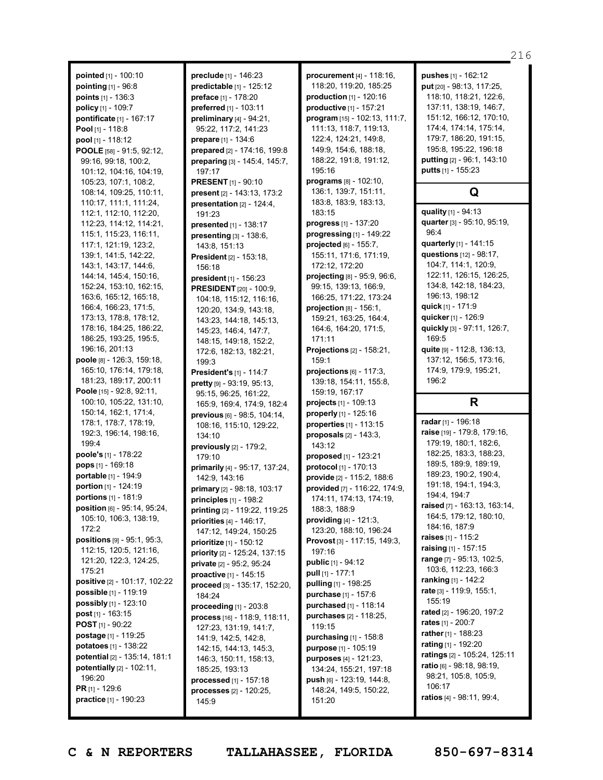**pointed** [1] - 100:10 **pointing** [1] - 96:8 **points** [1] - 136:3 **policy** [1] - 109:7 **pontificate** [1] - 167:17 **Pool** [1] - 118:8 **pool** [1] - 118:12 **POOLE** [58] - 91:5, 92:12, 99:16, 99:18, 100:2, 101:12, 104:16, 104:19, 105:23, 107:1, 108:2, 108:14, 109:25, 110:11, 110:17, 111:1, 111:24, 112:1, 112:10, 112:20, 112:23, 114:12, 114:21, 115:1, 115:23, 116:11, 117:1, 121:19, 123:2, 139:1, 141:5, 142:22, 143:1, 143:17, 144:6, 144:14, 145:4, 150:16, 152:24, 153:10, 162:15, 163:6, 165:12, 165:18, 166:4, 166:23, 171:5, 173:13, 178:8, 178:12, 178:16, 184:25, 186:22, 186:25, 193:25, 195:5, 196:16, 201:13 **poole** [8] - 126:3, 159:18, 165:10, 176:14, 179:18, 181:23, 189:17, 200:11 **Poole** [15] - 92:8, 92:11, 100:10, 105:22, 131:10, 150:14, 162:1, 171:4, 178:1, 178:7, 178:19, 192:3, 196:14, 198:16, 199:4 **poole's** [1] - 178:22 **pops** [1] - 169:18 **portable** [1] - 194:9 **portion** [1] - 124:19 **portions** [1] - 181:9 **position** [6] - 95:14, 95:24, 105:10, 106:3, 138:19,  $172.2$ **positions** [9] - 95:1, 95:3, 112:15, 120:5, 121:16, 121:20, 122:3, 124:25, 175:21 **positive** [2] - 101:17, 102:22 **possible** [1] - 119:19 **possibly** [1] - 123:10 **post** [1] - 163:15 **POST** [1] - 90:22 **postage** [1] - 119:25 **potatoes** [1] - 138:22 **potential** [2] - 135:14, 181:1 **potentially** [2] - 102:11, 196:20 **PR** [1] - 129:6 **practice** [1] - 190:23

**preclude** [1] - 146:23 **predictable** [1] - 125:12 **preface** [1] - 178:20 **preferred** [1] - 103:11 **preliminary** [4] - 94:21, 95:22, 117:2, 141:23 **prepare** [1] - 134:6 **prepared** [2] - 174:16, 199:8 **preparing** [3] - 145:4, 145:7, 197:17 **PRESENT** [1] - 90:10 **present** [2] - 143:13, 173:2 **presentation** [2] - 124:4, 191:23 **presented** [1] - 138:17 **presenting** [3] - 138:6, 143:8, 151:13 **President** [2] - 153:18, 156:18 **president** [1] - 156:23 **PRESIDENT** [20] - 100:9, 104:18, 115:12, 116:16, 120:20, 134:9, 143:18, 143:23, 144:18, 145:13, 145:23, 146:4, 147:7, 148:15, 149:18, 152:2, 172:6, 182:13, 182:21, 199:3 **President's** [1] - 114:7 **pretty** [9] - 93:19, 95:13, 95:15, 96:25, 161:22, 165:9, 169:4, 174:9, 182:4 **previous** [6] - 98:5, 104:14, 108:16, 115:10, 129:22, 134:10 **previously** [2] - 179:2, 179:10 **primarily** [4] - 95:17, 137:24, 142:9, 143:16 **primary** [2] - 98:18, 103:17 **principles** [1] - 198:2 **printing** [2] - 119:22, 119:25 **priorities** [4] - 146:17, 147:12, 149:24, 150:25 **prioritize** [1] - 150:12 **priority** [2] - 125:24, 137:15 **private** [2] - 95:2, 95:24 **proactive** [1] - 145:15 **proceed** [3] - 135:17, 152:20, 184:24 **proceeding** [1] - 203:8 **process** [16] - 118:9, 118:11, 127:23, 131:19, 141:7, 141:9, 142:5, 142:8, 142:15, 144:13, 145:3, 146:3, 150:11, 158:13, 185:25, 193:13 **processed** [1] - 157:18 **processes** [2] - 120:25, 145:9

**procurement** [4] - 118:16, 118:20, 119:20, 185:25 **production** [1] - 120:16 **productive** [1] - 157:21 **program** [15] - 102:13, 111:7, 111:13, 118:7, 119:13, 122:4, 124:21, 149:8, 149:9, 154:6, 188:18, 188:22, 191:8, 191:12, 195:16 **programs** [8] - 102:10, 136:1, 139:7, 151:11, 183:8, 183:9, 183:13, 183:15 **progress** [1] - 137:20 **progressing** [1] - 149:22 **projected** [6] - 155:7, 155:11, 171:6, 171:19, 172:12, 172:20 **projecting** [8] - 95:9, 96:6, 99:15, 139:13, 166:9, 166:25, 171:22, 173:24 **projection** [8] - 156:1, 159:21, 163:25, 164:4, 164:6, 164:20, 171:5, 171:11 **Projections** [2] - 158:21, 159:1 **projections** [6] - 117:3, 139:18, 154:11, 155:8, 159:19, 167:17 **projects** [1] - 109:13 **properly** [1] - 125:16 **properties** [1] - 113:15 **proposals** [2] - 143:3, 143:12 **proposed** [1] - 123:21 **protocol** [1] - 170:13 **provide** [2] - 115:2, 188:6 **provided** [7] - 116:22, 174:9, 174:11, 174:13, 174:19, 188:3, 188:9 **providing** [4] - 121:3, 123:20, 188:10, 196:24 **Provost** [3] - 117:15, 149:3, 197:16 **public** [1] - 94:12 **pull** [1] - 177:1 **pulling** [1] - 198:25 **purchase** [1] - 157:6 **purchased** [1] - 118:14 **purchases** [2] - 118:25, 119:15 **purchasing** [1] - 158:8 **purpose** [1] - 105:19 **purposes** [4] - 121:23, 134:24, 155:21, 197:18 **push** [6] - 123:19, 144:8, 148:24, 149:5, 150:22, 151:20

**pushes** [1] - 162:12 **put** [20] - 98:13, 117:25, 118:10, 118:21, 122:6, 137:11, 138:19, 146:7, 151:12, 166:12, 170:10, 174:4, 174:14, 175:14, 179:7, 186:20, 191:15, 195:8, 195:22, 196:18 **putting** [2] - 96:1, 143:10 **putts** [1] - 155:23 **Q quality** [1] - 94:13 **quarter** [3] - 95:10, 95:19, **quarterly** [1] - 141:15 **questions** [12] - 98:17, 104:7, 114:1, 120:9, 122:11, 126:15, 126:25, 134:8, 142:18, 184:23, 196:13, 198:12 **quick** [1] - 171:9 **quicker** [1] - 126:9 **quickly** [3] - 97:11, 126:7, 169:5

96:4

**quite** [9] - 112:8, 136:13, 137:12, 156:5, 173:16, 174:9, 179:9, 195:21, 196:2

### **R**

**radar** [1] - 196:18 **raise** [19] - 179:8, 179:16, 179:19, 180:1, 182:6, 182:25, 183:3, 188:23, 189:5, 189:9, 189:19, 189:23, 190:2, 190:4, 191:18, 194:1, 194:3, 194:4, 194:7 **raised** [7] - 163:13, 163:14, 164:5, 179:12, 180:10, 184:16, 187:9 **raises** [1] - 115:2 **raising** [1] - 157:15 **range** [7] - 95:13, 102:5, 103:6, 112:23, 166:3 **ranking** [1] - 142:2 **rate** [3] - 119:9, 155:1, 155:19 **rated** [2] - 196:20, 197:2 **rates** [1] - 200:7 **rather** [1] - 188:23 **rating** [1] - 192:20 **ratings** [2] - 105:24, 125:11 **ratio** [6] - 98:18, 98:19, 98:21, 105:8, 105:9, 106:17 **ratios** [4] - 98:11, 99:4,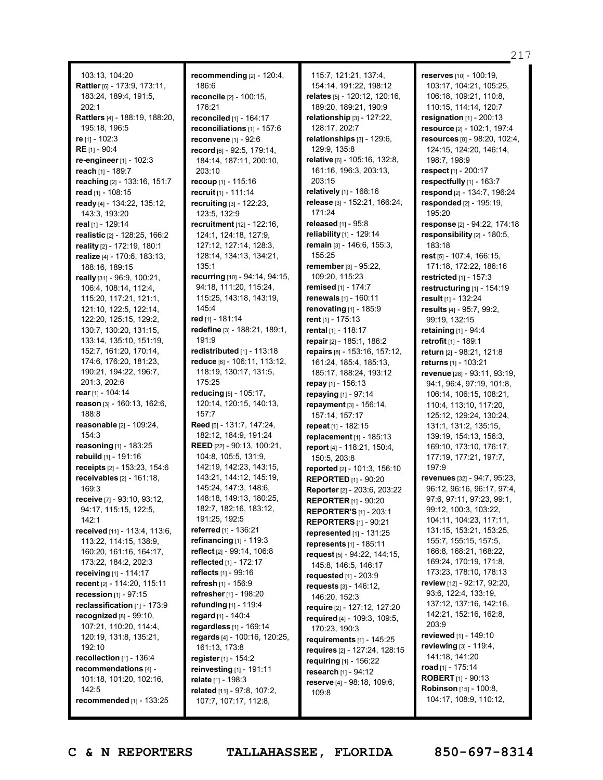103:13, 104:20 **Rattler** [6] - 173:9, 173:11, 183:24, 189:4, 191:5, 202:1 **Rattlers** [4] - 188:19, 188:20, 195:18, 196:5 **re** [1] - 102:3 **RE** [1] - 90:4 **re-engineer**[1] - 102:3 **reach** [1] - 189:7 **reaching** [2] - 133:16, 151:7 **read** [1] - 108:15 **ready** [4] - 134:22, 135:12, 143:3, 193:20 **real** [1] - 129:14 **realistic** [2] - 128:25, 166:2 **reality** [2] - 172:19, 180:1 **realize** [4] - 170:6, 183:13, 188:16, 189:15 **really** [31] - 96:9, 100:21, 106:4, 108:14, 112:4, 115:20, 117:21, 121:1, 121:10, 122:5, 122:14, 122:20, 125:15, 129:2, 130:7, 130:20, 131:15, 133:14, 135:10, 151:19, 152:7, 161:20, 170:14, 174:6, 176:20, 181:23, 190:21, 194:22, 196:7, 201:3, 202:6 **rear** [1] - 104:14 **reason** [3] - 160:13, 162:6, 188:8 **reasonable** [2] - 109:24, 154:3 **reasoning** [1] - 183:25 **rebuild** [1] - 191:16 **receipts** [2] - 153:23, 154:6 **receivables** [2] - 161:18, 169:3 **receive** [7] - 93:10, 93:12, 94:17, 115:15, 122:5,  $142.1$ **received** [11] - 113:4, 113:6, 113:22, 114:15, 138:9, 160:20, 161:16, 164:17, 173:22, 184:2, 202:3 **receiving** [1] - 114:17 **recent** [2] - 114:20, 115:11 **recession** [1] - 97:15 **reclassification** [1] - 173:9 **recognized** [8] - 99:10, 107:21, 110:20, 114:4, 120:19, 131:8, 135:21, 192:10 **recollection** [1] - 136:4 **recommendations** [4] - 101:18, 101:20, 102:16, 142:5

**recommending** [2] - 120:4, 186:6 **reconcile** [2] - 100:15, 176:21 **reconciled** [1] - 164:17 **reconciliations** [1] - 157:6 **reconvene** [1] - 92:6 **record** [6] - 92:5, 179:14, 184:14, 187:11, 200:10, 203:10 **recoup** [1] - 115:16 **recruit** [1] - 111:14 **recruiting** [3] - 122:23, 123:5, 132:9 **recruitment** [12] - 122:16, 124:1, 124:18, 127:9, 127:12, 127:14, 128:3, 128:14, 134:13, 134:21, 135:1 **recurring** [10] - 94:14, 94:15, 94:18, 111:20, 115:24, 115:25, 143:18, 143:19, 145:4 **red** [1] - 181:14 **redefine** [3] - 188:21, 189:1, 191:9 **redistributed** [1] - 113:18 **reduce** [6] - 106:11, 113:12, 118:19, 130:17, 131:5, 175:25 **reducing** [5] - 105:17, 120:14, 120:15, 140:13, 157:7 **Reed** [5] - 131:7, 147:24, 182:12, 184:9, 191:24 **REED** [22] - 90:13, 100:21, 104:8, 105:5, 131:9, 142:19, 142:23, 143:15, 143:21, 144:12, 145:19, 145:24, 147:3, 148:6, 148:18, 149:13, 180:25, 182:7, 182:16, 183:12, 191:25, 192:5 **referred** [1] - 136:21 **refinancing** [1] - 119:3 **reflect** [2] - 99:14, 106:8 **reflected** [1] - 172:17 **reflects** [1] - 99:16 **refresh** [1] - 156:9 **refresher** [1] - 198:20 **refunding** [1] - 119:4 **regard** [1] - 140:4 **regardless** [1] - 169:14 **regards** [4] - 100:16, 120:25, 161:13, 173:8 **register** [1] - 154:2 **reinvesting** [1] - 191:11 **relate** [1] - 198:3 **related** [11] - 97:8, 107:2, 107:7, 107:17, 112:8,

115:7, 121:21, 137:4, 154:14, 191:22, 198:12 **relates** [5] - 120:12, 120:16, 189:20, 189:21, 190:9 **relationship** [3] - 127:22, 128:17, 202:7 **relationships** [3] - 129:6, 129:9, 135:8 **relative** [6] - 105:16, 132:8, 161:16, 196:3, 203:13, 203:15 **relatively** [1] - 168:16 **release** [3] - 152:21, 166:24, 171:24 **released** [1] - 95:8 **reliability** [1] - 129:14 **remain** [3] - 146:6, 155:3, 155:25 **remember** [3] - 95:22, 109:20, 115:23 **remised** [1] - 174:7 **renewals** [1] - 160:11 **renovating** [1] - 185:9 **rent** [1] - 175:13 **rental** [1] - 118:17 **repair** [2] - 185:1, 186:2 **repairs** [8] - 153:16, 157:12, 161:24, 185:4, 185:13, 185:17, 188:24, 193:12 **repay** [1] - 156:13 **repaying** [1] - 97:14 **repayment** [3] - 156:14, 157:14, 157:17 **repeat** [1] - 182:15 **replacement** [1] - 185:13 **report** [4] - 118:21, 150:4, 150:5, 203:8 **reported** [2] - 101:3, 156:10 **REPORTED** [1] - 90:20 **Reporter** [2] - 203:6, 203:22 **REPORTER** [1] - 90:20 **REPORTER'S** [1] - 203:1 **REPORTERS** [1] - 90:21 **represented** [1] - 131:25 **represents** [1] - 185:11 **request** [5] - 94:22, 144:15, 145:8, 146:5, 146:17 **requested** [1] - 203:9 **requests** [3] - 146:12, 146:20, 152:3 **require** [2] - 127:12, 127:20 **required** [4] - 109:3, 109:5, 170:23, 190:3 **requirements** [1] - 145:25 **requires** [2] - 127:24, 128:15 **requiring** [1] - 156:22 **research** [1] - 94:12 **reserve** [4] - 98:18, 109:6, 109:8

**reserves** [10] - 100:19, 103:17, 104:21, 105:25, 106:18, 109:21, 110:8, 110:15, 114:14, 120:7 **resignation** [1] - 200:13 **resource** [2] - 102:1, 197:4 **resources** [8] - 98:20, 102:4, 124:15, 124:20, 146:14, 198:7, 198:9 **respect** [1] - 200:17 **respectfully** [1] - 163:7 **respond** [2] - 134:7, 196:24 **responded** [2] - 195:19, 195:20 **response** [2] - 94:22, 174:18 **responsibility** [2] - 180:5, 183:18 **rest** [5] - 107:4, 166:15, 171:18, 172:22, 186:16 **restricted** [1] - 157:3 **restructuring** [1] - 154:19 **result** [1] - 132:24 **results** [4] - 95:7, 99:2, 99:19, 132:15 **retaining** [1] - 94:4 **retrofit** [1] - 189:1 **return** [2] - 98:21, 121:8 **returns** [1] - 103:21 **revenue** [28] - 93:11, 93:19, 94:1, 96:4, 97:19, 101:8, 106:14, 106:15, 108:21, 110:4, 113:10, 117:20, 125:12, 129:24, 130:24, 131:1, 131:2, 135:15, 139:19, 154:13, 156:3, 169:10, 173:10, 176:17, 177:19, 177:21, 197:7, 197:9 **revenues** [32] - 94:7, 95:23, 96:12, 96:16, 96:17, 97:4, 97:6, 97:11, 97:23, 99:1, 99:12, 100:3, 103:22, 104:11, 104:23, 117:11, 131:15, 153:21, 153:25, 155:7, 155:15, 157:5, 166:8, 168:21, 168:22, 169:24, 170:19, 171:8, 173:23, 178:10, 178:13 **review** [12] - 92:17, 92:20, 93:6, 122:4, 133:19, 137:12, 137:16, 142:16, 142:21, 152:16, 162:8, 203:9 **reviewed** [1] - 149:10 **reviewing** [3] - 119:4, 141:18, 141:20 **road** [1] - 175:14 **ROBERT** [1] - 90:13 **Robinson** [15] - 100:8, 104:17, 108:9, 110:12,

217

**recommended** [1] - 133:25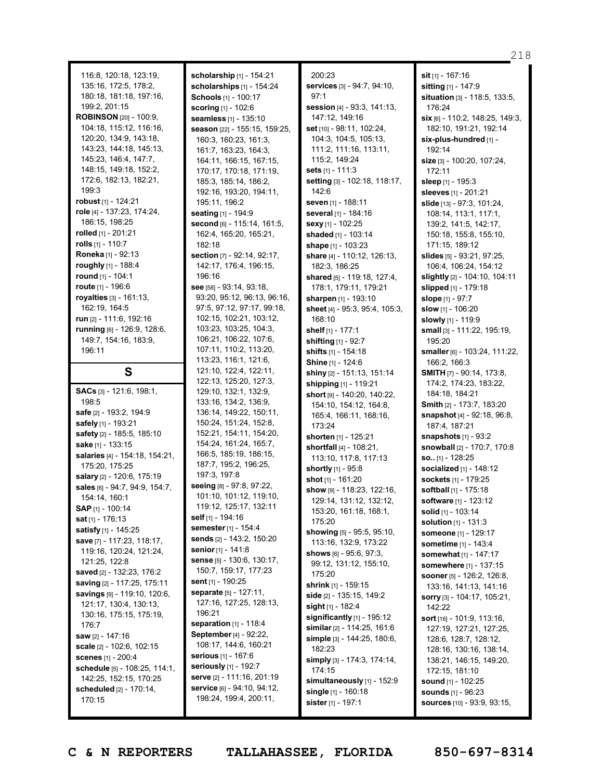116:8, 120:18, 123:19, 135:16, 172:5, 178:2, 180:18, 181:18, 197:16, 199:2, 201:15 **ROBINSON** [20] - 100:9, 104:18, 115:12, 116:16, 120:20, 134:9, 143:18, 143:23, 144:18, 145:13, 145:23, 146:4, 147:7, 148:15, 149:18, 152:2, 172:6, 182:13, 182:21, 199:3 **robust** [1] - 124:21 **role** [4] - 137:23, 174:24, 186:15, 198:25 **rolled** [1] - 201:21 **rolls** [1] - 110:7 **Roneka** [1] - 92:13 **roughly** [1] - 188:4 **round** [1] - 104:1 **route** [1] - 196:6 **royalties** [3] - 161:13, 162:19, 164:5 **run** [2] - 111:6, 192:16 **running** [6] - 126:9, 128:6, 149:7, 154:16, 183:9, 196:11 **S SACs** [3] - 121:6, 198:1, 198:5 **safe** [2] - 193:2, 194:9

**safely** [1] - 193:21 **safety** [2] - 185:5, 185:10 **sake** [1] - 133:15

175:20, 175:25 **salary** [2] - 120:6, 175:19 **sales** [6] - 94:7, 94:9, 154:7,

154:14, 160:1 **SAP** [1] - 100:14 **sat** [1] - 176:13 **satisfy** [1] - 145:25 **save** [7] - 117:23, 118:17, 119:16, 120:24, 121:24,

121:25, 122:8 **saved** [2] - 132:23, 176:2 **saving** [2] - 117:25, 175:11 **savings** [9] - 119:10, 120:6, 121:17, 130:4, 130:13, 130:16, 175:15, 175:19,

176:7 **saw** [2] - 147:16 **scale** [2] - 102:6, 102:15 **scenes** [1] - 200:4

170:15

**salaries** [4] - 154:18, 154:21,

**scholarship** [1] - 154:21 **scholarships** [1] - 154:24 **Schools** [1] - 100:17 **scoring** [1] - 102:6 **seamless** [1] - 135:10 **season** [22] - 155:15, 159:25, 160:3, 160:23, 161:3, 161:7, 163:23, 164:3, 164:11, 166:15, 167:15, 170:17, 170:18, 171:19, 185:3, 185:14, 186:2, 192:16, 193:20, 194:11, 195:11, 196:2 **seating** [1] - 194:9 **second** [6] - 115:14, 161:5, 162:4, 165:20, 165:21, 182:18 **section** [7] - 92:14, 92:17, 142:17, 176:4, 196:15, 196:16 **see** [58] - 93:14, 93:18, 93:20, 95:12, 96:13, 96:16, 97:5, 97:12, 97:17, 99:18, 102:15, 102:21, 103:12, 103:23, 103:25, 104:3, 106:21, 106:22, 107:6, 107:11, 110:2, 113:20, 113:23, 116:1, 121:6, 121:10, 122:4, 122:11, 122:13, 125:20, 127:3, 129:10, 132:1, 132:9, 133:16, 134:2, 136:9, 136:14, 149:22, 150:11, 150:24, 151:24, 152:8, 152:21, 154:11, 154:20, 154:24, 161:24, 165:7, 166:5, 185:19, 186:15, 187:7, 195:2, 196:25, 197:3, 197:8 **seeing** [8] - 97:8, 97:22, 101:10, 101:12, 119:10, 119:12, 125:17, 132:11 **self** [1] - 194:16 **semester** [1] - 154:4 **sends** [2] - 143:2, 150:20 **senior** [1] - 141:8 **sense** [5] - 130:6, 130:17, 150:7, 159:17, 177:23 **sent** [1] - 190:25 **separate** [5] - 127:11, 127:16, 127:25, 128:13, 196:21 **separation** [1] - 118:4 **September** [4] - 92:22, 108:17, 144:6, 160:21 **serious** [1] - 167:6 **seriously** [1] - 192:7 **serve** [2] - 111:16, 201:19 **service** [6] - 94:10, 94:12, 198:24, 199:4, 200:11,

200:23 **services** [3] - 94:7, 94:10, 97:1 **session** [4] - 93:3, 141:13, 147:12, 149:16 **set** [10] - 98:11, 102:24, 104:3, 104:5, 105:13, 111:2, 111:16, 113:11, 115:2, 149:24 **sets** [1] - 111:3 **setting** [3] - 102:18, 118:17, 142:6 **seven** [1] - 188:11 **several** [1] - 184:16 **sexy** [1] - 102:25 **shaded** [1] - 103:14 **shape** [1] - 103:23 **share** [4] - 110:12, 126:13, 182:3, 186:25 **shared** [5] - 119:18, 127:4, 178:1, 179:11, 179:21 **sharpen** [1] - 193:10 **sheet** [4] - 95:3, 95:4, 105:3, 168:10 **shelf** [1] - 177:1 **shifting** [1] - 92:7 **shifts** [1] - 154:18 **Shine** [1] - 124:6 **shiny** [2] - 151:13, 151:14 **shipping** [1] - 119:21 **short** [9] - 140:20, 140:22, 154:10, 154:12, 164:8, 165:4, 166:11, 168:16, 173:24 **shorten** [1] - 125:21 **shortfall** [4] - 108:21, 113:10, 117:8, 117:13 **shortly** [1] - 95:8 **shot** [1] - 161:20 **show** [9] - 118:23, 122:16, 129:14, 131:12, 132:12, 153:20, 161:18, 168:1, 175:20 **showing** [5] - 95:5, 95:10, 113:16, 132:9, 173:22 **shows** [6] - 95:6, 97:3, 99:12, 131:12, 155:10, 175:20 **shrink** [1] - 159:15 **side** [2] - 135:15, 149:2 **sight** [1] - 182:4 **significantly** [1] - 195:12 **similar** [2] - 114:25, 161:6 **simple** [3] - 144:25, 180:6, 182:23 **simply** [3] - 174:3, 174:14, 174:15 **simultaneously** [1] - 152:9 **single** [1] - 160:18 **sister** [1] - 197:1

**sit** [1] - 167:16 **sitting** [1] - 147:9 **situation** [3] - 118:5, 133:5, 176:24 **six** [6] - 110:2, 148:25, 149:3, 182:10, 191:21, 192:14 **six-plus-hundred** [1] - 192:14 **size** [3] - 100:20, 107:24, 172:11 **sleep** [1] - 195:3 **sleeves** [1] - 201:21 **slide** [13] - 97:3, 101:24, 108:14, 113:1, 117:1, 139:2, 141:5, 142:17, 150:18, 155:8, 155:10, 171:15, 189:12 **slides** [5] - 93:21, 97:25, 106:4, 106:24, 154:12 **slightly** [2] - 104:10, 104:11 **slipped** [1] - 179:18 **slope** [1] - 97:7 **slow** [1] - 106:20 **slowly** [1] - 119:9 **small** [3] - 111:22, 195:19, 195:20 **smaller** [6] - 103:24, 111:22, 166:2, 166:3 **SMITH** [7] - 90:14, 173:8, 174:2, 174:23, 183:22, 184:18, 184:21 **Smith** [2] - 173:7, 183:20 **snapshot** [4] - 92:18, 96:8, 187:4, 187:21 **snapshots** [1] - 93:2 **snowball** [2] - 170:7, 170:8 **so..** [1] - 128:25 **socialized** [1] - 148:12 **sockets** [1] - 179:25 **softball** [1] - 175:18 **software** [1] - 123:12 **solid** [1] - 103:14 **solution** [1] - 131:3 **someone** [1] - 129:17 **sometime** [1] - 143:4 **somewhat** [1] - 147:17 **somewhere** [1] - 137:15 **sooner**[5] - 126:2, 126:8, 133:16, 141:13, 141:16 **sorry** [3] - 104:17, 105:21, 142:22 **sort** [16] - 101:9, 113:16, 127:19, 127:21, 127:25, 128:6, 128:7, 128:12, 128:16, 130:16, 138:14, 138:21, 146:15, 149:20, 172:15, 181:10 **sound** [1] - 102:25 **sounds** [1] - 96:23 **sources** [10] - 93:9, 93:15,

**schedule** [5] - 108:25, 114:1, 142:25, 152:15, 170:25 **scheduled** [2] - 170:14,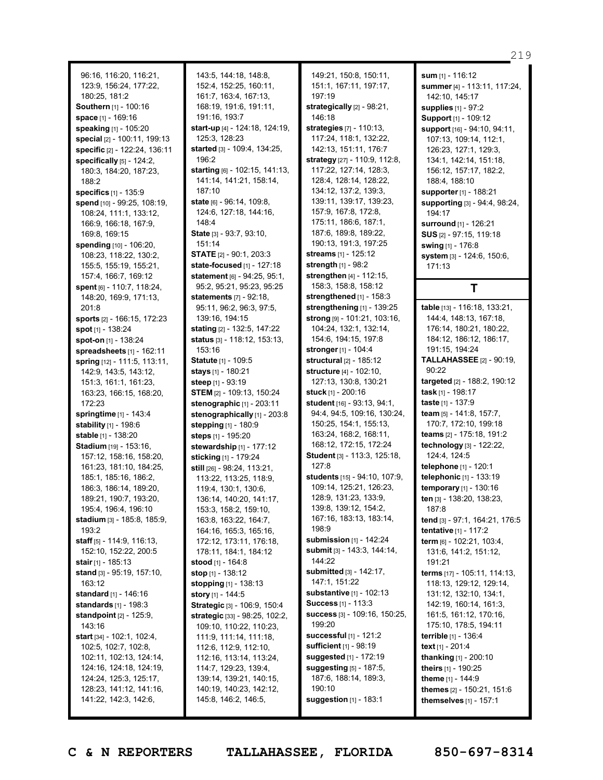96:16, 116:20, 116:21, 123:9, 156:24, 177:22, 180:25, 181:2 **Southern** [1] - 100:16 **space** [1] - 169:16 **speaking** [1] - 105:20 **special** [2] - 100:11, 199:13 **specific** [2] - 122:24, 136:11 **specifically** [5] - 124:2, 180:3, 184:20, 187:23, 188:2 **specifics** [1] - 135:9 **spend** [10] - 99:25, 108:19, 108:24, 111:1, 133:12, 166:9, 166:18, 167:9, 169:8, 169:15 **spending** [10] - 106:20, 108:23, 118:22, 130:2, 155:5, 155:19, 155:21, 157:4, 166:7, 169:12 **spent** [6] - 110:7, 118:24, 148:20, 169:9, 171:13, 201:8 **sports** [2] - 166:15, 172:23 **spot** [1] - 138:24 **spot-on** [1] - 138:24 **spreadsheets** [1] - 162:11 **spring** [12] - 111:5, 113:11, 142:9, 143:5, 143:12, 151:3, 161:1, 161:23, 163:23, 166:15, 168:20, 172:23 **springtime** [1] - 143:4 **stability** [1] - 198:6 **stable** [1] - 138:20 **Stadium** [19] - 153:16, 157:12, 158:16, 158:20, 161:23, 181:10, 184:25, 185:1, 185:16, 186:2, 186:3, 186:14, 189:20, 189:21, 190:7, 193:20, 195:4, 196:4, 196:10 **stadium** [3] - 185:8, 185:9, 193:2 **staff** [5] - 114:9, 116:13, 152:10, 152:22, 200:5 **stair** [1] - 185:13 **stand** [3] - 95:19, 157:10, 163:12 **standard** [1] - 146:16 **standards** [1] - 198:3 **standpoint** [2] - 125:9, 143:16 **start** [34] - 102:1, 102:4, 102:5, 102:7, 102:8, 102:11, 102:13, 124:14, 124:16, 124:18, 124:19, 124:24, 125:3, 125:17, 128:23, 141:12, 141:16,

143:5, 144:18, 148:8, 152:4, 152:25, 160:11, 161:7, 163:4, 167:13, 168:19, 191:6, 191:11, 191:16, 193:7 **start-up** [4] - 124:18, 124:19, 125:3, 128:23 **started** [3] - 109:4, 134:25, 196:2 **starting** [6] - 102:15, 141:13, 141:14, 141:21, 158:14, 187:10 **state** [6] - 96:14, 109:8, 124:6, 127:18, 144:16, 148:4 **State** [3] - 93:7, 93:10, 151:14 **STATE** [2] - 90:1, 203:3 **state-focused** [1] - 127:18 **statement** [6] - 94:25, 95:1, 95:2, 95:21, 95:23, 95:25 **statements** [7] - 92:18, 95:11, 96:2, 96:3, 97:5, 139:16, 194:15 **stating** [2] - 132:5, 147:22 **status** [3] - 118:12, 153:13, 153:16 **Statute** [1] - 109:5 **stays** [1] - 180:21 **steep** [1] - 93:19 **STEM** [2] - 109:13, 150:24 **stenographic** [1] - 203:11 **stenographically** [1] - 203:8 **stepping** [1] - 180:9 **steps** [1] - 195:20 **stewardship** [1] - 177:12 **sticking** [1] - 179:24 **still** [26] - 98:24, 113:21, 113:22, 113:25, 118:9, 119:4, 130:1, 130:6, 136:14, 140:20, 141:17, 153:3, 158:2, 159:10, 163:8, 163:22, 164:7, 164:16, 165:3, 165:16, 172:12, 173:11, 176:18, 178:11, 184:1, 184:12 **stood** [1] - 164:8 **stop** [1] - 138:12 **stopping** [1] - 138:13 **story** [1] - 144:5 **Strategic** [3] - 106:9, 150:4 **strategic** [33] - 98:25, 102:2, 109:10, 110:22, 110:23, 111:9, 111:14, 111:18, 112:6, 112:9, 112:10, 112:16, 113:14, 113:24, 114:7, 129:23, 139:4, 139:14, 139:21, 140:15, 140:19, 140:23, 142:12, 145:8, 146:2, 146:5,

149:21, 150:8, 150:11, 151:1, 167:11, 197:17, 197:19 **strategically** [2] - 98:21, 146:18 **strategies** [7] - 110:13, 117:24, 118:1, 132:22, 142:13, 151:11, 176:7 **strategy** [27] - 110:9, 112:8, 117:22, 127:14, 128:3, 128:4, 128:14, 128:22, 134:12, 137:2, 139:3, 139:11, 139:17, 139:23, 157:9, 167:8, 172:8, 175:11, 186:6, 187:1, 187:6, 189:8, 189:22, 190:13, 191:3, 197:25 **streams** [1] - 125:12 **strength** [1] - 98:2 **strengthen** [4] - 112:15, 158:3, 158:8, 158:12 **strengthened** [1] - 158:3 **strengthening** [1] - 139:25 **strong** [9] - 101:21, 103:16, 104:24, 132:1, 132:14, 154:6, 194:15, 197:8 **stronger** [1] - 104:4 **structural** [2] - 185:12 **structure** [4] - 102:10, 127:13, 130:8, 130:21 **stuck** [1] - 200:16 **student** [16] - 93:13, 94:1, 94:4, 94:5, 109:16, 130:24, 150:25, 154:1, 155:13, 163:24, 168:2, 168:11, 168:12, 172:15, 172:24 **Student** [3] - 113:3, 125:18, 127:8 **students** [15] - 94:10, 107:9, 109:14, 125:21, 126:23, 128:9, 131:23, 133:9, 139:8, 139:12, 154:2, 167:16, 183:13, 183:14, 198:9 **submission** [1] - 142:24 **submit** [3] - 143:3, 144:14, 144:22 **submitted** [3] - 142:17, 147:1, 151:22 **substantive** [1] - 102:13 **Success** [1] - 113:3 **success** [3] - 109:16, 150:25, 199:20 **successful** [1] - 121:2 **sufficient** [1] - 98:19 **suggested** [1] - 172:19 **suggesting** [5] - 187:5, 187:6, 188:14, 189:3, 190:10 **suggestion** [1] - 183:1

**sum** [1] - 116:12 **summer** [4] - 113:11, 117:24, 142:10, 145:17 **supplies** [1] - 97:2 **Support** [1] - 109:12 **support** [16] - 94:10, 94:11, 107:13, 109:14, 112:1, 126:23, 127:1, 129:3, 134:1, 142:14, 151:18, 156:12, 157:17, 182:2, 188:4, 188:10 **supporter**[1] - 188:21 **supporting** [3] - 94:4, 98:24, 194:17 **surround** [1] - 126:21 **SUS** [2] - 97:15, 119:18 **swing** [1] - 176:8 **system** [3] - 124:6, 150:6, 171:13 **T table** [13] - 116:18, 133:21, 144:4, 148:13, 167:18, 176:14, 180:21, 180:22, 184:12, 186:12, 186:17, 191:15, 194:24 **TALLAHASSEE** [2] - 90:19,  $90.22$ **targeted** [2] - 188:2, 190:12 **task** [1] - 198:17 **taste** [1] - 137:9 **team** [5] - 141:8, 157:7, 170:7, 172:10, 199:18 **teams** [2] - 175:18, 191:2 **technology** [3] - 122:22, 124:4, 124:5 **telephone** [1] - 120:1 **telephonic** [1] - 133:19 **temporary** [1] - 130:16 **ten** [3] - 138:20, 138:23, 187:8 **tend** [3] - 97:1, 164:21, 176:5 **tentative** [1] - 117:2 **term** [6] - 102:21, 103:4, 131:6, 141:2, 151:12, 191:21 **terms** [17] - 105:11, 114:13, 118:13, 129:12, 129:14, 131:12, 132:10, 134:1, 142:19, 160:14, 161:3, 161:5, 161:12, 170:16, 175:10, 178:5, 194:11 **terrible** [1] - 136:4 **text** [1] - 201:4 **thanking** [1] - 200:10

219

141:22, 142:3, 142:6,

**C & N REPORTERS TALLAHASSEE, FLORIDA 850-697-8314**

**theirs** [1] - 190:25 **theme** [1] - 144:9

**themes** [2] - 150:21, 151:6 **themselves** [1] - 157:1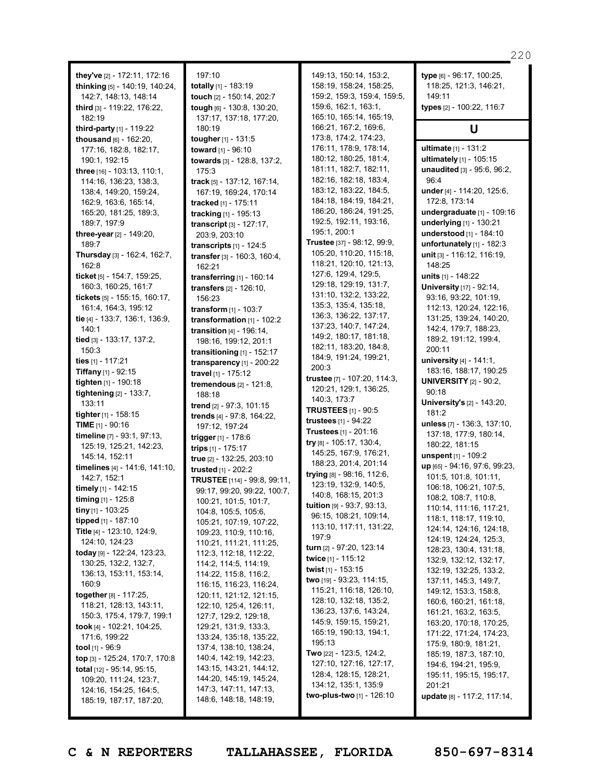**they've** [2] - 172:11, 172:16 **thinking** [5] - 140:19, 140:24, 142:7, 148:13, 148:14 **third** [3] - 119:22, 176:22, 182:19 **third-party** [1] - 119:22 **thousand** [6] - 162:20, 177:16, 182:8, 182:17, 190:1, 192:15 **three** [16] - 103:13, 110:1, 114:16, 136:23, 138:3, 138:4, 149:20, 159:24, 162:9, 163:6, 165:14, 165:20, 181:25, 189:3, 189:7, 197:9 **three-year** [2] - 149:20, 189:7 **Thursday** [3] - 162:4, 162:7,  $162.8$ **ticket** [5] - 154:7, 159:25, 160:3, 160:25, 161:7 **tickets** [5] - 155:15, 160:17, 161:4, 164:3, 195:12 **tie** [4] - 133:7, 136:1, 136:9, 140:1 **tied** [3] - 133:17, 137:2, 150:3 **ties** [1] - 117:21 **Tiffany** [1] - 92:15 **tighten** [1] - 190:18 **tightening** [2] - 133:7, 133:11 **tighter**[1] - 158:15 **TIME** [1] - 90:16 **timeline** [7] - 93:1, 97:13, 125:19, 125:21, 142:23, 145:14, 152:11 **timelines** [4] - 141:6, 141:10, 142:7, 152:1 **timely** [1] - 142:15 **timing** [1] - 125:8 **tiny** [1] - 103:25 **tipped** [1] - 187:10 **Title** [4] - 123:10, 124:9, 124:10, 124:23 **today** [9] - 122:24, 123:23, 130:25, 132:2, 132:7, 136:13, 153:11, 153:14, 160:9 **together**[8] - 117:25, 118:21, 128:13, 143:11, 150:3, 175:4, 179:7, 199:1 **took** [4] - 102:21, 104:25, 171:6, 199:22 **tool** [1] - 96:9 **top** [3] - 125:24, 170:7, 170:8 **total** [12] - 95:14, 95:15, 109:20, 111:24, 123:7, 124:16, 154:25, 164:5, 185:19, 187:17, 187:20,

197:10 **totally** [1] - 183:19 **touch** [2] - 150:14, 202:7 **tough** [6] - 130:8, 130:20, 137:17, 137:18, 177:20, 180:19 **tougher**[1] - 131:5 **toward** [1] - 96:10 **towards** [3] - 128:8, 137:2, 175:3 **track** [5] - 137:12, 167:14, 167:19, 169:24, 170:14 **tracked** [1] - 175:11 **tracking** [1] - 195:13 **transcript** [3] - 127:17, 203:9, 203:10 **transcripts** [1] - 124:5 **transfer** [3] - 160:3, 160:4, 162:21 **transferring** [1] - 160:14 **transfers** [2] - 126:10, 156:23 **transform** [1] - 103:7 **transformation** [1] - 102:2 **transition** [4] - 196:14, 198:16, 199:12, 201:1 **transitioning** [1] - 152:17 **transparency** [1] - 200:22 **travel** [1] - 175:12 **tremendous** [2] - 121:8, 188:18 **trend** [2] - 97:3, 101:15 **trends** [4] - 97:8, 164:22, 197:12, 197:24 **trigger** [1] - 178:6 **trips** [1] - 175:17 **true** [2] - 132:25, 203:10 **trusted** [1] - 202:2 **TRUSTEE** [114] - 99:8, 99:11, 99:17, 99:20, 99:22, 100:7, 100:21, 101:5, 101:7, 104:8, 105:5, 105:6, 105:21, 107:19, 107:22, 109:23, 110:9, 110:16, 110:21, 111:21, 111:25, 112:3, 112:18, 112:22, 114:2, 114:5, 114:19, 114:22, 115:8, 116:2, 116:15, 116:23, 116:24, 120:11, 121:12, 121:15, 122:10, 125:4, 126:11, 127:7, 129:2, 129:18, 129:21, 131:9, 133:3, 133:24, 135:18, 135:22, 137:4, 138:10, 138:24, 140:4, 142:19, 142:23, 143:15, 143:21, 144:12, 144:20, 145:19, 145:24, 147:3, 147:11, 147:13, 148:6, 148:18, 148:19,

149:13, 150:14, 153:2, 158:19, 158:24, 158:25, 159:2, 159:3, 159:4, 159:5, 159:6, 162:1, 163:1, 165:10, 165:14, 165:19, 166:21, 167:2, 169:6, 173:8, 174:2, 174:23, 176:11, 178:9, 178:14, 180:12, 180:25, 181:4, 181:11, 182:7, 182:11, 182:16, 182:18, 183:4, 183:12, 183:22, 184:5, 184:18, 184:19, 184:21, 186:20, 186:24, 191:25, 192:5, 192:11, 193:16, 195:1, 200:1 **Trustee** [37] - 98:12, 99:9, 105:20, 110:20, 115:18, 118:21, 120:10, 121:13, 127:6, 129:4, 129:5, 129:18, 129:19, 131:7, 131:10, 132:2, 133:22, 135:3, 135:4, 135:18, 136:3, 136:22, 137:17, 137:23, 140:7, 147:24, 149:2, 180:17, 181:18, 182:11, 183:20, 184:8, 184:9, 191:24, 199:21, 200:3 **trustee** [7] - 107:20, 114:3, 120:21, 129:1, 136:25, 140:3, 173:7 **TRUSTEES** [1] - 90:5 **trustees** [1] - 94:22 **Trustees** [1] - 201:16 **try** [8] - 105:17, 130:4, 145:25, 167:9, 176:21, 188:23, 201:4, 201:14 **trying** [8] - 98:16, 112:6, 123:19, 132:9, 140:5, 140:8, 168:15, 201:3 **tuition** [9] - 93:7, 93:13, 96:15, 108:21, 109:14, 113:10, 117:11, 131:22, 197:9 **turn** [2] - 97:20, 123:14 **twice** [1] - 115:12 **twist** [1] - 153:15 **two** [19] - 93:23, 114:15, 115:21, 116:18, 126:10, 128:10, 132:18, 135:2, 136:23, 137:6, 143:24, 145:9, 159:15, 159:21, 165:19, 190:13, 194:1, 195:13 **Two** [22] - 123:5, 124:2, 127:10, 127:16, 127:17, 128:4, 128:15, 128:21, 134:12, 135:1, 135:9 **two-plus-two** [1] - 126:10

149:11 **types** [2] - 100:22, 116:7 **U ultimate** [1] - 131:2 **ultimately** [1] - 105:15 **unaudited** [3] - 95:6, 96:2, 96:4 **under** [4] - 114:20, 125:6, 172:8, 173:14 **undergraduate** [1] - 109:16 **underlying** [1] - 130:21 **understood** [1] - 184:10 **unfortunately** [1] - 182:3 **unit** [3] - 116:12, 116:19, 148:25 **units** [1] - 148:22 **University** [17] - 92:14, 93:16, 93:22, 101:19, 112:13, 120:24, 122:16, 131:25, 139:24, 140:20, 142:4, 179:7, 188:23, 189:2, 191:12, 199:4, 200:11 **university** [4] - 141:1, 183:16, 188:17, 190:25 **UNIVERSITY** [2] - 90:2, 90:18 **University's** [2] - 143:20, 181:2 **unless** [7] - 136:3, 137:10, 137:18, 177:9, 180:14, 180:22, 181:15 **unspent** [1] - 109:2 **up** [65] - 94:16, 97:6, 99:23, 101:5, 101:8, 101:11, 106:18, 106:21, 107:5, 108:2, 108:7, 110:8, 110:14, 111:16, 117:21, 118:1, 118:17, 119:10, 124:14, 124:16, 124:18, 124:19, 124:24, 125:3, 128:23, 130:4, 131:18, 132:9, 132:12, 132:17, 132:19, 132:25, 133:2, 137:11, 145:3, 149:7, 149:12, 153:3, 158:8, 160:6, 160:21, 161:18, 161:21, 163:2, 163:5, 163:20, 170:18, 170:25, 171:22, 171:24, 174:23,

220

**type** [6] - 96:17, 100:25, 118:25, 121:3, 146:21,

**C & N REPORTERS TALLAHASSEE, FLORIDA 850-697-8314**

175:9, 180:9, 181:21, 185:19, 187:3, 187:10, 194:6, 194:21, 195:9, 195:11, 195:15, 195:17,

**update** [8] - 117:2, 117:14,

201:21